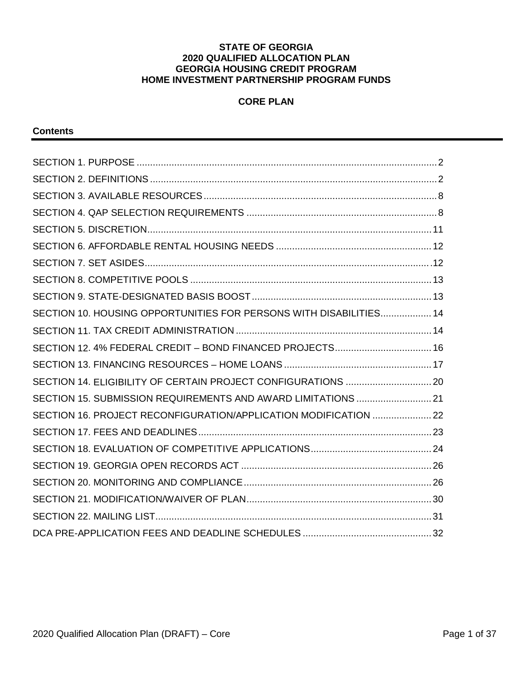#### **STATE OF GEORGIA 2020 QUALIFIED ALLOCATION PLAN GEORGIA HOUSING CREDIT PROGRAM HOME INVESTMENT PARTNERSHIP PROGRAM FUNDS**

# **CORE PLAN**

#### **Contents**

| SECTION 10. HOUSING OPPORTUNITIES FOR PERSONS WITH DISABILITIES 14 |  |
|--------------------------------------------------------------------|--|
|                                                                    |  |
|                                                                    |  |
|                                                                    |  |
|                                                                    |  |
| SECTION 15, SUBMISSION REQUIREMENTS AND AWARD LIMITATIONS  21      |  |
| SECTION 16. PROJECT RECONFIGURATION/APPLICATION MODIFICATION  22   |  |
|                                                                    |  |
|                                                                    |  |
|                                                                    |  |
|                                                                    |  |
|                                                                    |  |
|                                                                    |  |
|                                                                    |  |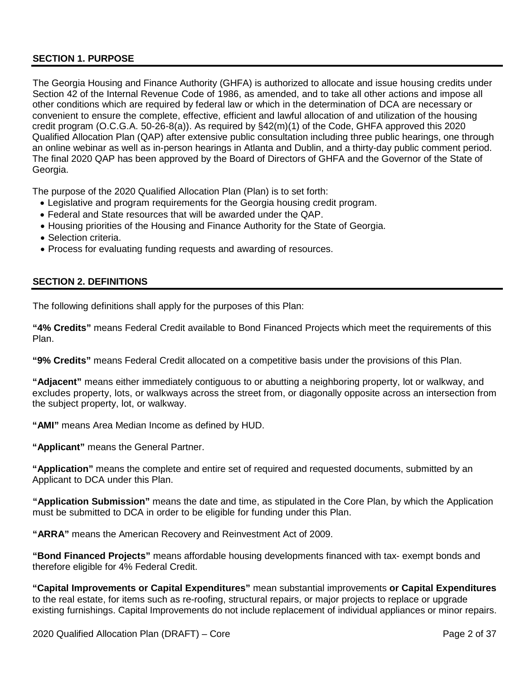# <span id="page-1-0"></span>**SECTION 1. PURPOSE**

The Georgia Housing and Finance Authority (GHFA) is authorized to allocate and issue housing credits under Section 42 of the Internal Revenue Code of 1986, as amended, and to take all other actions and impose all other conditions which are required by federal law or which in the determination of DCA are necessary or convenient to ensure the complete, effective, efficient and lawful allocation of and utilization of the housing credit program (O.C.G.A. 50-26-8(a)). As required by §42(m)(1) of the Code, GHFA approved this 2020 Qualified Allocation Plan (QAP) after extensive public consultation including three public hearings, one through an online webinar as well as in-person hearings in Atlanta and Dublin, and a thirty-day public comment period. The final 2020 QAP has been approved by the Board of Directors of GHFA and the Governor of the State of Georgia.

The purpose of the 2020 Qualified Allocation Plan (Plan) is to set forth:

- Legislative and program requirements for the Georgia housing credit program.
- Federal and State resources that will be awarded under the QAP.
- Housing priorities of the Housing and Finance Authority for the State of Georgia.
- Selection criteria.
- Process for evaluating funding requests and awarding of resources.

#### <span id="page-1-1"></span>**SECTION 2. DEFINITIONS**

The following definitions shall apply for the purposes of this Plan:

**"4% Credits"** means Federal Credit available to Bond Financed Projects which meet the requirements of this Plan.

**"9% Credits"** means Federal Credit allocated on a competitive basis under the provisions of this Plan.

**"Adjacent"** means either immediately contiguous to or abutting a neighboring property, lot or walkway, and excludes property, lots, or walkways across the street from, or diagonally opposite across an intersection from the subject property, lot, or walkway.

**"AMI"** means Area Median Income as defined by HUD.

**"Applicant"** means the General Partner.

**"Application"** means the complete and entire set of required and requested documents, submitted by an Applicant to DCA under this Plan.

**"Application Submission"** means the date and time, as stipulated in the Core Plan, by which the Application must be submitted to DCA in order to be eligible for funding under this Plan.

**"ARRA"** means the American Recovery and Reinvestment Act of 2009.

**"Bond Financed Projects"** means affordable housing developments financed with tax- exempt bonds and therefore eligible for 4% Federal Credit.

**"Capital Improvements or Capital Expenditures"** mean substantial improvements **or Capital Expenditures** to the real estate, for items such as re-roofing, structural repairs, or major projects to replace or upgrade existing furnishings. Capital Improvements do not include replacement of individual appliances or minor repairs.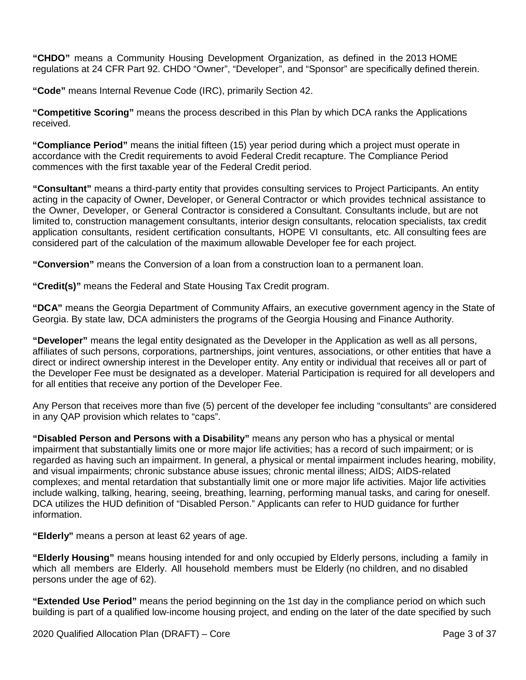**"CHDO"** means a Community Housing Development Organization, as defined in the 2013 HOME regulations at 24 CFR Part 92. CHDO "Owner", "Developer", and "Sponsor" are specifically defined therein.

**"Code"** means Internal Revenue Code (IRC), primarily Section 42.

**"Competitive Scoring"** means the process described in this Plan by which DCA ranks the Applications received.

**"Compliance Period"** means the initial fifteen (15) year period during which a project must operate in accordance with the Credit requirements to avoid Federal Credit recapture. The Compliance Period commences with the first taxable year of the Federal Credit period.

**"Consultant"** means a third-party entity that provides consulting services to Project Participants. An entity acting in the capacity of Owner, Developer, or General Contractor or which provides technical assistance to the Owner, Developer, or General Contractor is considered a Consultant. Consultants include, but are not limited to, construction management consultants, interior design consultants, relocation specialists, tax credit application consultants, resident certification consultants, HOPE VI consultants, etc. All consulting fees are considered part of the calculation of the maximum allowable Developer fee for each project.

**"Conversion"** means the Conversion of a loan from a construction loan to a permanent loan.

**"Credit(s)"** means the Federal and State Housing Tax Credit program.

**"DCA"** means the Georgia Department of Community Affairs, an executive government agency in the State of Georgia. By state law, DCA administers the programs of the Georgia Housing and Finance Authority.

**"Developer"** means the legal entity designated as the Developer in the Application as well as all persons, affiliates of such persons, corporations, partnerships, joint ventures, associations, or other entities that have a direct or indirect ownership interest in the Developer entity. Any entity or individual that receives all or part of the Developer Fee must be designated as a developer. Material Participation is required for all developers and for all entities that receive any portion of the Developer Fee.

Any Person that receives more than five (5) percent of the developer fee including "consultants" are considered in any QAP provision which relates to "caps".

**"Disabled Person and Persons with a Disability"** means any person who has a physical or mental impairment that substantially limits one or more major life activities; has a record of such impairment; or is regarded as having such an impairment. In general, a physical or mental impairment includes hearing, mobility, and visual impairments; chronic substance abuse issues; chronic mental illness; AIDS; AIDS-related complexes; and mental retardation that substantially limit one or more major life activities. Major life activities include walking, talking, hearing, seeing, breathing, learning, performing manual tasks, and caring for oneself. DCA utilizes the HUD definition of "Disabled Person." Applicants can refer to HUD guidance for further information.

**"Elderly"** means a person at least 62 years of age.

**"Elderly Housing"** means housing intended for and only occupied by Elderly persons, including a family in which all members are Elderly. All household members must be Elderly (no children, and no disabled persons under the age of 62).

**"Extended Use Period"** means the period beginning on the 1st day in the compliance period on which such building is part of a qualified low-income housing project, and ending on the later of the date specified by such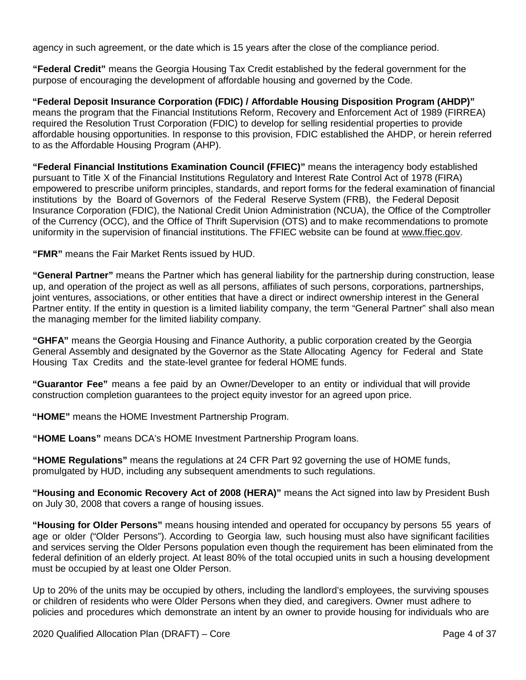agency in such agreement, or the date which is 15 years after the close of the compliance period.

**"Federal Credit"** means the Georgia Housing Tax Credit established by the federal government for the purpose of encouraging the development of affordable housing and governed by the Code.

**"Federal Deposit Insurance Corporation (FDIC) / Affordable Housing Disposition Program (AHDP)"** means the program that the Financial Institutions Reform, Recovery and Enforcement Act of 1989 (FIRREA) required the Resolution Trust Corporation (FDIC) to develop for selling residential properties to provide affordable housing opportunities. In response to this provision, FDIC established the AHDP, or herein referred to as the Affordable Housing Program (AHP).

**"Federal Financial Institutions Examination Council (FFIEC)"** means the interagency body established pursuant to Title X of the Financial Institutions Regulatory and Interest Rate Control Act of 1978 (FIRA) empowered to prescribe uniform principles, standards, and report forms for the federal examination of financial institutions by the Board of Governors of the Federal Reserve System (FRB), the Federal Deposit Insurance Corporation (FDIC), the National Credit Union Administration (NCUA), the Office of the Comptroller of the Currency (OCC), and the Office of Thrift Supervision (OTS) and to make recommendations to promote uniformity in the supervision of financial institutions. The FFIEC website can be found at [www.ffiec.gov.](http://www.ffiec.gov/)

**"FMR"** means the Fair Market Rents issued by HUD.

**"General Partner"** means the Partner which has general liability for the partnership during construction, lease up, and operation of the project as well as all persons, affiliates of such persons, corporations, partnerships, joint ventures, associations, or other entities that have a direct or indirect ownership interest in the General Partner entity. If the entity in question is a limited liability company, the term "General Partner" shall also mean the managing member for the limited liability company.

**"GHFA"** means the Georgia Housing and Finance Authority, a public corporation created by the Georgia General Assembly and designated by the Governor as the State Allocating Agency for Federal and State Housing Tax Credits and the state-level grantee for federal HOME funds.

**"Guarantor Fee"** means a fee paid by an Owner/Developer to an entity or individual that will provide construction completion guarantees to the project equity investor for an agreed upon price.

**"HOME"** means the HOME Investment Partnership Program.

**"HOME Loans"** means DCA's HOME Investment Partnership Program loans.

**"HOME Regulations"** means the regulations at 24 CFR Part 92 governing the use of HOME funds, promulgated by HUD, including any subsequent amendments to such regulations.

**"Housing and Economic Recovery Act of 2008 (HERA)"** means the Act signed into law by President Bush on July 30, 2008 that covers a range of housing issues.

**"Housing for Older Persons"** means housing intended and operated for occupancy by persons 55 years of age or older ("Older Persons"). According to Georgia law, such housing must also have significant facilities and services serving the Older Persons population even though the requirement has been eliminated from the federal definition of an elderly project. At least 80% of the total occupied units in such a housing development must be occupied by at least one Older Person.

Up to 20% of the units may be occupied by others, including the landlord's employees, the surviving spouses or children of residents who were Older Persons when they died, and caregivers. Owner must adhere to policies and procedures which demonstrate an intent by an owner to provide housing for individuals who are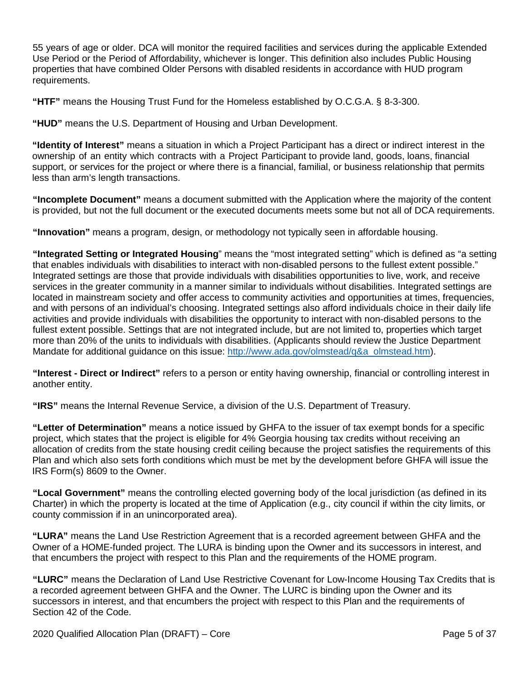55 years of age or older. DCA will monitor the required facilities and services during the applicable Extended Use Period or the Period of Affordability, whichever is longer. This definition also includes Public Housing properties that have combined Older Persons with disabled residents in accordance with HUD program requirements.

**"HTF"** means the Housing Trust Fund for the Homeless established by O.C.G.A. § 8-3-300.

**"HUD"** means the U.S. Department of Housing and Urban Development.

**"Identity of Interest"** means a situation in which a Project Participant has a direct or indirect interest in the ownership of an entity which contracts with a Project Participant to provide land, goods, loans, financial support, or services for the project or where there is a financial, familial, or business relationship that permits less than arm's length transactions.

**"Incomplete Document"** means a document submitted with the Application where the majority of the content is provided, but not the full document or the executed documents meets some but not all of DCA requirements.

**"Innovation"** means a program, design, or methodology not typically seen in affordable housing.

**"Integrated Setting or Integrated Housing**" means the "most integrated setting" which is defined as "a setting that enables individuals with disabilities to interact with non-disabled persons to the fullest extent possible." Integrated settings are those that provide individuals with disabilities opportunities to live, work, and receive services in the greater community in a manner similar to individuals without disabilities. Integrated settings are located in mainstream society and offer access to community activities and opportunities at times, frequencies, and with persons of an individual's choosing. Integrated settings also afford individuals choice in their daily life activities and provide individuals with disabilities the opportunity to interact with non-disabled persons to the fullest extent possible. Settings that are not integrated include, but are not limited to, properties which target more than 20% of the units to individuals with disabilities. (Applicants should review the Justice Department Mandate for additional quidance on this issue: [http://www.ada.gov/olmstead/q&a\\_olmstead.htm\)](http://www.ada.gov/olmstead/q&a_olmstead.htm).

**"Interest - Direct or Indirect"** refers to a person or entity having ownership, financial or controlling interest in another entity.

**"IRS"** means the Internal Revenue Service, a division of the U.S. Department of Treasury.

**"Letter of Determination"** means a notice issued by GHFA to the issuer of tax exempt bonds for a specific project, which states that the project is eligible for 4% Georgia housing tax credits without receiving an allocation of credits from the state housing credit ceiling because the project satisfies the requirements of this Plan and which also sets forth conditions which must be met by the development before GHFA will issue the IRS Form(s) 8609 to the Owner.

**"Local Government"** means the controlling elected governing body of the local jurisdiction (as defined in its Charter) in which the property is located at the time of Application (e.g., city council if within the city limits, or county commission if in an unincorporated area).

**"LURA"** means the Land Use Restriction Agreement that is a recorded agreement between GHFA and the Owner of a HOME-funded project. The LURA is binding upon the Owner and its successors in interest, and that encumbers the project with respect to this Plan and the requirements of the HOME program.

**"LURC"** means the Declaration of Land Use Restrictive Covenant for Low-Income Housing Tax Credits that is a recorded agreement between GHFA and the Owner. The LURC is binding upon the Owner and its successors in interest, and that encumbers the project with respect to this Plan and the requirements of Section 42 of the Code.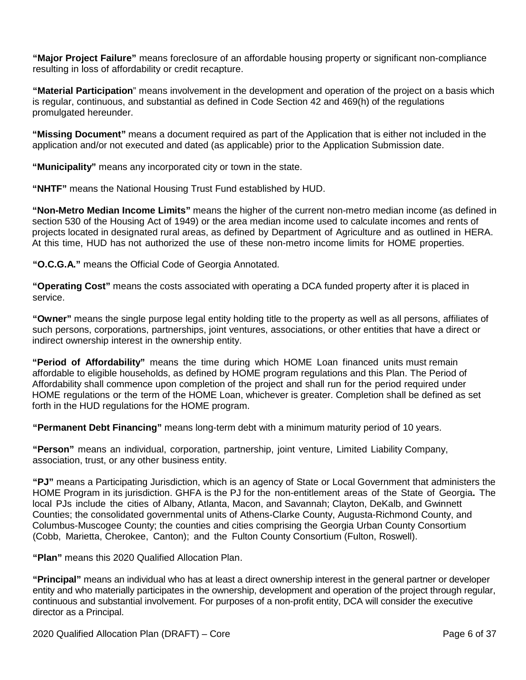**"Major Project Failure"** means foreclosure of an affordable housing property or significant non-compliance resulting in loss of affordability or credit recapture.

**"Material Participation**" means involvement in the development and operation of the project on a basis which is regular, continuous, and substantial as defined in Code Section 42 and 469(h) of the regulations promulgated hereunder.

**"Missing Document"** means a document required as part of the Application that is either not included in the application and/or not executed and dated (as applicable) prior to the Application Submission date.

**"Municipality"** means any incorporated city or town in the state.

**"NHTF"** means the National Housing Trust Fund established by HUD.

**"Non-Metro Median Income Limits"** means the higher of the current non-metro median income (as defined in section 530 of the Housing Act of 1949) or the area median income used to calculate incomes and rents of projects located in designated rural areas, as defined by Department of Agriculture and as outlined in HERA. At this time, HUD has not authorized the use of these non-metro income limits for HOME properties.

**"O.C.G.A."** means the Official Code of Georgia Annotated.

**"Operating Cost"** means the costs associated with operating a DCA funded property after it is placed in service.

**"Owner"** means the single purpose legal entity holding title to the property as well as all persons, affiliates of such persons, corporations, partnerships, joint ventures, associations, or other entities that have a direct or indirect ownership interest in the ownership entity.

**"Period of Affordability"** means the time during which HOME Loan financed units must remain affordable to eligible households, as defined by HOME program regulations and this Plan. The Period of Affordability shall commence upon completion of the project and shall run for the period required under HOME regulations or the term of the HOME Loan, whichever is greater. Completion shall be defined as set forth in the HUD regulations for the HOME program.

**"Permanent Debt Financing"** means long-term debt with a minimum maturity period of 10 years.

**"Person"** means an individual, corporation, partnership, joint venture, Limited Liability Company, association, trust, or any other business entity.

**"PJ"** means a Participating Jurisdiction, which is an agency of State or Local Government that administers the HOME Program in its jurisdiction. GHFA is the PJ for the non-entitlement areas of the State of Georgia**.** The local PJs include the cities of Albany, Atlanta, Macon, and Savannah; Clayton, DeKalb, and Gwinnett Counties; the consolidated governmental units of Athens-Clarke County, Augusta-Richmond County, and Columbus-Muscogee County; the counties and cities comprising the Georgia Urban County Consortium (Cobb, Marietta, Cherokee, Canton); and the Fulton County Consortium (Fulton, Roswell).

**"Plan"** means this 2020 Qualified Allocation Plan.

**"Principal"** means an individual who has at least a direct ownership interest in the general partner or developer entity and who materially participates in the ownership, development and operation of the project through regular, continuous and substantial involvement. For purposes of a non-profit entity, DCA will consider the executive director as a Principal.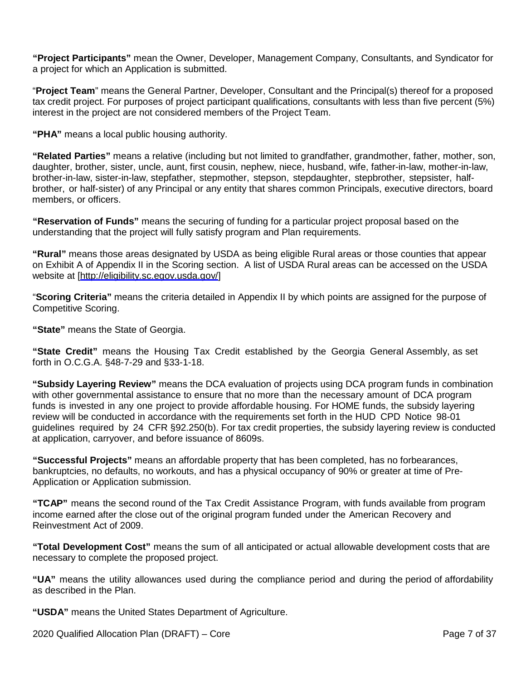**"Project Participants"** mean the Owner, Developer, Management Company, Consultants, and Syndicator for a project for which an Application is submitted.

"**Project Team**" means the General Partner, Developer, Consultant and the Principal(s) thereof for a proposed tax credit project. For purposes of project participant qualifications, consultants with less than five percent (5%) interest in the project are not considered members of the Project Team.

**"PHA"** means a local public housing authority.

**"Related Parties"** means a relative (including but not limited to grandfather, grandmother, father, mother, son, daughter, brother, sister, uncle, aunt, first cousin, nephew, niece, husband, wife, father-in-law, mother-in-law, brother-in-law, sister-in-law, stepfather, stepmother, stepson, stepdaughter, stepbrother, stepsister, halfbrother, or half-sister) of any Principal or any entity that shares common Principals, executive directors, board members, or officers.

**"Reservation of Funds"** means the securing of funding for a particular project proposal based on the understanding that the project will fully satisfy program and Plan requirements.

**"Rural"** means those areas designated by USDA as being eligible Rural areas or those counties that appear on Exhibit A of Appendix II in the Scoring section. A list of USDA Rural areas can be accessed on the USDA website at [\[http://eligibility.sc.egov.usda.gov/\]](http://eligibility.sc.egov.usda.gov/)

"**Scoring Criteria"** means the criteria detailed in Appendix II by which points are assigned for the purpose of Competitive Scoring.

**"State"** means the State of Georgia.

**"State Credit"** means the Housing Tax Credit established by the Georgia General Assembly, as set forth in O.C.G.A. §48-7-29 and §33-1-18.

**"Subsidy Layering Review"** means the DCA evaluation of projects using DCA program funds in combination with other governmental assistance to ensure that no more than the necessary amount of DCA program funds is invested in any one project to provide affordable housing. For HOME funds, the subsidy layering review will be conducted in accordance with the requirements set forth in the HUD CPD Notice 98-01 guidelines required by 24 CFR §92.250(b). For tax credit properties, the subsidy layering review is conducted at application, carryover, and before issuance of 8609s.

**"Successful Projects"** means an affordable property that has been completed, has no forbearances, bankruptcies, no defaults, no workouts, and has a physical occupancy of 90% or greater at time of Pre-Application or Application submission.

**"TCAP"** means the second round of the Tax Credit Assistance Program, with funds available from program income earned after the close out of the original program funded under the American Recovery and Reinvestment Act of 2009.

**"Total Development Cost"** means the sum of all anticipated or actual allowable development costs that are necessary to complete the proposed project.

**"UA"** means the utility allowances used during the compliance period and during the period of affordability as described in the Plan.

**"USDA"** means the United States Department of Agriculture.

2020 Qualified Allocation Plan (DRAFT) – Core Page 7 of 37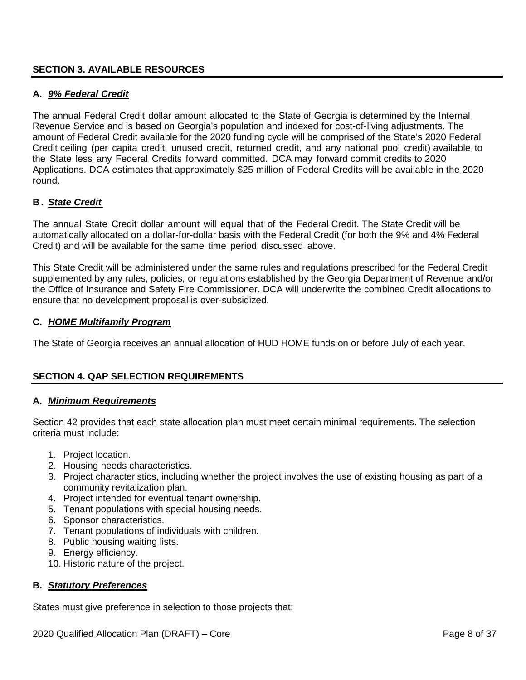## <span id="page-7-0"></span>**SECTION 3. AVAILABLE RESOURCES**

## **A.** *9% Federal Credit*

The annual Federal Credit dollar amount allocated to the State of Georgia is determined by the Internal Revenue Service and is based on Georgia's population and indexed for cost-of-living adjustments. The amount of Federal Credit available for the 2020 funding cycle will be comprised of the State's 2020 Federal Credit ceiling (per capita credit, unused credit, returned credit, and any national pool credit) available to the State less any Federal Credits forward committed. DCA may forward commit credits to 2020 Applications. DCA estimates that approximately \$25 million of Federal Credits will be available in the 2020 round.

# **B .** *State Credit*

The annual State Credit dollar amount will equal that of the Federal Credit. The State Credit will be automatically allocated on a dollar-for-dollar basis with the Federal Credit (for both the 9% and 4% Federal Credit) and will be available for the same time period discussed above.

This State Credit will be administered under the same rules and regulations prescribed for the Federal Credit supplemented by any rules, policies, or regulations established by the Georgia Department of Revenue and/or the Office of Insurance and Safety Fire Commissioner. DCA will underwrite the combined Credit allocations to ensure that no development proposal is over-subsidized.

## **C.** *HOME Multifamily Program*

The State of Georgia receives an annual allocation of HUD HOME funds on or before July of each year.

## <span id="page-7-1"></span>**SECTION 4. QAP SELECTION REQUIREMENTS**

## **A.** *Minimum Requirements*

Section 42 provides that each state allocation plan must meet certain minimal requirements. The selection criteria must include:

- 1. Project location.
- 2. Housing needs characteristics.
- 3. Project characteristics, including whether the project involves the use of existing housing as part of a community revitalization plan.
- 4. Project intended for eventual tenant ownership.
- 5. Tenant populations with special housing needs.
- 6. Sponsor characteristics.
- 7. Tenant populations of individuals with children.
- 8. Public housing waiting lists.
- 9. Energy efficiency.
- 10. Historic nature of the project.

## **B.** *Statutory Preferences*

States must give preference in selection to those projects that: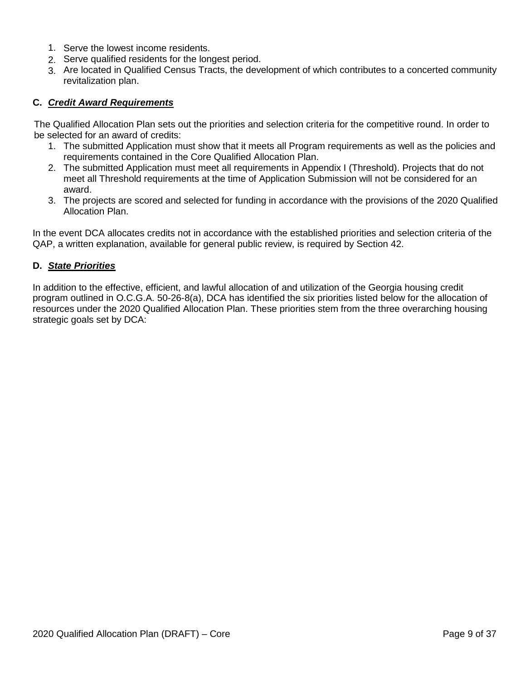- 1. Serve the lowest income residents.
- 2. Serve qualified residents for the longest period.
- 3. Are located in Qualified Census Tracts, the development of which contributes to a concerted community revitalization plan.

## **C.** *Credit Award Requirements*

The Qualified Allocation Plan sets out the priorities and selection criteria for the competitive round. In order to be selected for an award of credits:

- 1. The submitted Application must show that it meets all Program requirements as well as the policies and requirements contained in the Core Qualified Allocation Plan.
- 2. The submitted Application must meet all requirements in Appendix I (Threshold). Projects that do not meet all Threshold requirements at the time of Application Submission will not be considered for an award.
- 3. The projects are scored and selected for funding in accordance with the provisions of the 2020 Qualified Allocation Plan.

In the event DCA allocates credits not in accordance with the established priorities and selection criteria of the QAP, a written explanation, available for general public review, is required by Section 42.

#### **D.** *State Priorities*

In addition to the effective, efficient, and lawful allocation of and utilization of the Georgia housing credit program outlined in O.C.G.A. 50-26-8(a), DCA has identified the six priorities listed below for the allocation of resources under the 2020 Qualified Allocation Plan. These priorities stem from the three overarching housing strategic goals set by DCA: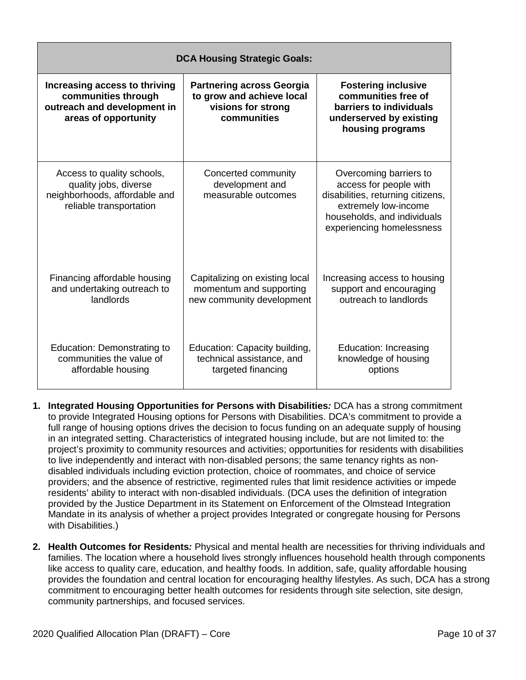| <b>DCA Housing Strategic Goals:</b>                                                                             |                                                                                                    |                                                                                                                                                                           |  |  |
|-----------------------------------------------------------------------------------------------------------------|----------------------------------------------------------------------------------------------------|---------------------------------------------------------------------------------------------------------------------------------------------------------------------------|--|--|
| Increasing access to thriving<br>communities through<br>outreach and development in<br>areas of opportunity     | <b>Partnering across Georgia</b><br>to grow and achieve local<br>visions for strong<br>communities | <b>Fostering inclusive</b><br>communities free of<br>barriers to individuals<br>underserved by existing<br>housing programs                                               |  |  |
| Access to quality schools,<br>quality jobs, diverse<br>neighborhoods, affordable and<br>reliable transportation | Concerted community<br>development and<br>measurable outcomes                                      | Overcoming barriers to<br>access for people with<br>disabilities, returning citizens,<br>extremely low-income<br>households, and individuals<br>experiencing homelessness |  |  |
| Financing affordable housing<br>and undertaking outreach to<br>landlords                                        | Capitalizing on existing local<br>momentum and supporting<br>new community development             | Increasing access to housing<br>support and encouraging<br>outreach to landlords                                                                                          |  |  |
| Education: Demonstrating to<br>communities the value of<br>affordable housing                                   | Education: Capacity building,<br>technical assistance, and<br>targeted financing                   | Education: Increasing<br>knowledge of housing<br>options                                                                                                                  |  |  |

- **1. Integrated Housing Opportunities for Persons with Disabilities***:* DCA has a strong commitment to provide Integrated Housing options for Persons with Disabilities. DCA's commitment to provide a full range of housing options drives the decision to focus funding on an adequate supply of housing in an integrated setting. Characteristics of integrated housing include, but are not limited to: the project's proximity to community resources and activities; opportunities for residents with disabilities to live independently and interact with non-disabled persons; the same tenancy rights as nondisabled individuals including eviction protection, choice of roommates, and choice of service providers; and the absence of restrictive, regimented rules that limit residence activities or impede residents' ability to interact with non-disabled individuals. (DCA uses the definition of integration provided by the Justice Department in its Statement on Enforcement of the Olmstead Integration Mandate in its analysis of whether a project provides Integrated or congregate housing for Persons with Disabilities.)
- **2. Health Outcomes for Residents***:* Physical and mental health are necessities for thriving individuals and families. The location where a household lives strongly influences household health through components like access to quality care, education, and healthy foods. In addition, safe, quality affordable housing provides the foundation and central location for encouraging healthy lifestyles. As such, DCA has a strong commitment to encouraging better health outcomes for residents through site selection, site design, community partnerships, and focused services.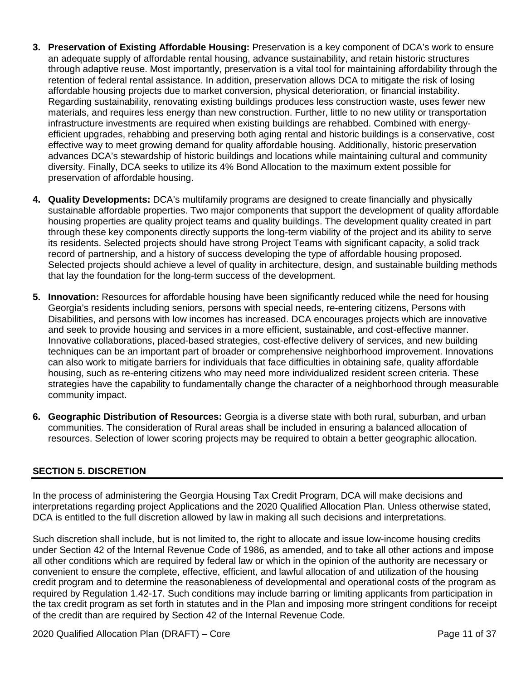- **3. Preservation of Existing Affordable Housing:** Preservation is a key component of DCA's work to ensure an adequate supply of affordable rental housing, advance sustainability, and retain historic structures through adaptive reuse. Most importantly, preservation is a vital tool for maintaining affordability through the retention of federal rental assistance. In addition, preservation allows DCA to mitigate the risk of losing affordable housing projects due to market conversion, physical deterioration, or financial instability. Regarding sustainability, renovating existing buildings produces less construction waste, uses fewer new materials, and requires less energy than new construction. Further, little to no new utility or transportation infrastructure investments are required when existing buildings are rehabbed. Combined with energyefficient upgrades, rehabbing and preserving both aging rental and historic buildings is a conservative, cost effective way to meet growing demand for quality affordable housing. Additionally, historic preservation advances DCA's stewardship of historic buildings and locations while maintaining cultural and community diversity. Finally, DCA seeks to utilize its 4% Bond Allocation to the maximum extent possible for preservation of affordable housing.
- **4. Quality Developments:** DCA's multifamily programs are designed to create financially and physically sustainable affordable properties. Two major components that support the development of quality affordable housing properties are quality project teams and quality buildings. The development quality created in part through these key components directly supports the long-term viability of the project and its ability to serve its residents. Selected projects should have strong Project Teams with significant capacity, a solid track record of partnership, and a history of success developing the type of affordable housing proposed. Selected projects should achieve a level of quality in architecture, design, and sustainable building methods that lay the foundation for the long-term success of the development.
- **5. Innovation:** Resources for affordable housing have been significantly reduced while the need for housing Georgia's residents including seniors, persons with special needs, re-entering citizens, Persons with Disabilities, and persons with low incomes has increased. DCA encourages projects which are innovative and seek to provide housing and services in a more efficient, sustainable, and cost-effective manner. Innovative collaborations, placed-based strategies, cost-effective delivery of services, and new building techniques can be an important part of broader or comprehensive neighborhood improvement. Innovations can also work to mitigate barriers for individuals that face difficulties in obtaining safe, quality affordable housing, such as re-entering citizens who may need more individualized resident screen criteria. These strategies have the capability to fundamentally change the character of a neighborhood through measurable community impact.
- **6. Geographic Distribution of Resources:** Georgia is a diverse state with both rural, suburban, and urban communities. The consideration of Rural areas shall be included in ensuring a balanced allocation of resources. Selection of lower scoring projects may be required to obtain a better geographic allocation.

## <span id="page-10-0"></span>**SECTION 5. DISCRETION**

In the process of administering the Georgia Housing Tax Credit Program, DCA will make decisions and interpretations regarding project Applications and the 2020 Qualified Allocation Plan. Unless otherwise stated, DCA is entitled to the full discretion allowed by law in making all such decisions and interpretations.

Such discretion shall include, but is not limited to, the right to allocate and issue low-income housing credits under Section 42 of the Internal Revenue Code of 1986, as amended, and to take all other actions and impose all other conditions which are required by federal law or which in the opinion of the authority are necessary or convenient to ensure the complete, effective, efficient, and lawful allocation of and utilization of the housing credit program and to determine the reasonableness of developmental and operational costs of the program as required by Regulation 1.42-17. Such conditions may include barring or limiting applicants from participation in the tax credit program as set forth in statutes and in the Plan and imposing more stringent conditions for receipt of the credit than are required by Section 42 of the Internal Revenue Code.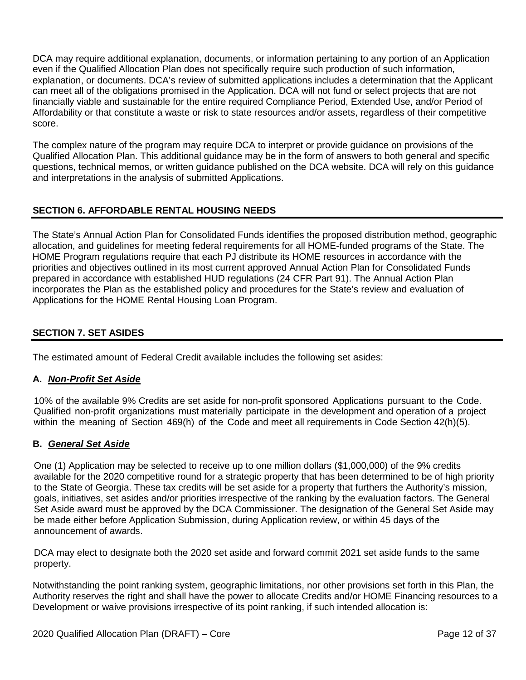DCA may require additional explanation, documents, or information pertaining to any portion of an Application even if the Qualified Allocation Plan does not specifically require such production of such information, explanation, or documents. DCA's review of submitted applications includes a determination that the Applicant can meet all of the obligations promised in the Application. DCA will not fund or select projects that are not financially viable and sustainable for the entire required Compliance Period, Extended Use, and/or Period of Affordability or that constitute a waste or risk to state resources and/or assets, regardless of their competitive score.

The complex nature of the program may require DCA to interpret or provide guidance on provisions of the Qualified Allocation Plan. This additional guidance may be in the form of answers to both general and specific questions, technical memos, or written guidance published on the DCA website. DCA will rely on this guidance and interpretations in the analysis of submitted Applications.

# <span id="page-11-0"></span>**SECTION 6. AFFORDABLE RENTAL HOUSING NEEDS**

The State's Annual Action Plan for Consolidated Funds identifies the proposed distribution method, geographic allocation, and guidelines for meeting federal requirements for all HOME-funded programs of the State. The HOME Program regulations require that each PJ distribute its HOME resources in accordance with the priorities and objectives outlined in its most current approved Annual Action Plan for Consolidated Funds prepared in accordance with established HUD regulations (24 CFR Part 91). The Annual Action Plan incorporates the Plan as the established policy and procedures for the State's review and evaluation of Applications for the HOME Rental Housing Loan Program.

## <span id="page-11-1"></span>**SECTION 7. SET ASIDES**

The estimated amount of Federal Credit available includes the following set asides:

#### **A.** *Non-Profit Set Aside*

10% of the available 9% Credits are set aside for non-profit sponsored Applications pursuant to the Code. Qualified non-profit organizations must materially participate in the development and operation of a project within the meaning of Section 469(h) of the Code and meet all requirements in Code Section 42(h)(5).

## **B.** *General Set Aside*

One (1) Application may be selected to receive up to one million dollars (\$1,000,000) of the 9% credits available for the 2020 competitive round for a strategic property that has been determined to be of high priority to the State of Georgia. These tax credits will be set aside for a property that furthers the Authority's mission, goals, initiatives, set asides and/or priorities irrespective of the ranking by the evaluation factors. The General Set Aside award must be approved by the DCA Commissioner. The designation of the General Set Aside may be made either before Application Submission, during Application review, or within 45 days of the announcement of awards.

DCA may elect to designate both the 2020 set aside and forward commit 2021 set aside funds to the same property.

Notwithstanding the point ranking system, geographic limitations, nor other provisions set forth in this Plan, the Authority reserves the right and shall have the power to allocate Credits and/or HOME Financing resources to a Development or waive provisions irrespective of its point ranking, if such intended allocation is: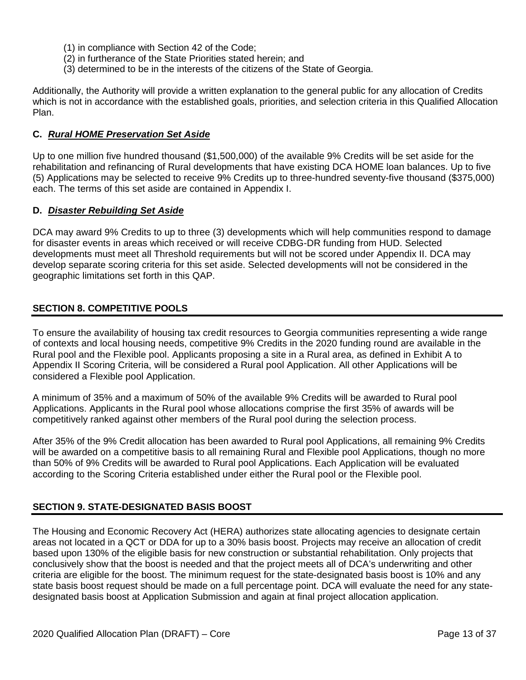- (1) in compliance with Section 42 of the Code;
- (2) in furtherance of the State Priorities stated herein; and
- (3) determined to be in the interests of the citizens of the State of Georgia.

Additionally, the Authority will provide a written explanation to the general public for any allocation of Credits which is not in accordance with the established goals, priorities, and selection criteria in this Qualified Allocation Plan.

## **C.** *Rural HOME Preservation Set Aside*

Up to one million five hundred thousand (\$1,500,000) of the available 9% Credits will be set aside for the rehabilitation and refinancing of Rural developments that have existing DCA HOME loan balances. Up to five (5) Applications may be selected to receive 9% Credits up to three-hundred seventy-five thousand (\$375,000) each. The terms of this set aside are contained in Appendix I.

## **D.** *Disaster Rebuilding Set Aside*

DCA may award 9% Credits to up to three (3) developments which will help communities respond to damage for disaster events in areas which received or will receive CDBG-DR funding from HUD. Selected developments must meet all Threshold requirements but will not be scored under Appendix II. DCA may develop separate scoring criteria for this set aside. Selected developments will not be considered in the geographic limitations set forth in this QAP.

## <span id="page-12-0"></span>**SECTION 8. COMPETITIVE POOLS**

To ensure the availability of housing tax credit resources to Georgia communities representing a wide range of contexts and local housing needs, competitive 9% Credits in the 2020 funding round are available in the Rural pool and the Flexible pool. Applicants proposing a site in a Rural area, as defined in Exhibit A to Appendix II Scoring Criteria, will be considered a Rural pool Application. All other Applications will be considered a Flexible pool Application.

A minimum of 35% and a maximum of 50% of the available 9% Credits will be awarded to Rural pool Applications. Applicants in the Rural pool whose allocations comprise the first 35% of awards will be competitively ranked against other members of the Rural pool during the selection process.

After 35% of the 9% Credit allocation has been awarded to Rural pool Applications, all remaining 9% Credits will be awarded on a competitive basis to all remaining Rural and Flexible pool Applications, though no more than 50% of 9% Credits will be awarded to Rural pool Applications. Each Application will be evaluated according to the Scoring Criteria established under either the Rural pool or the Flexible pool.

## <span id="page-12-1"></span>**SECTION 9. STATE-DESIGNATED BASIS BOOST**

The Housing and Economic Recovery Act (HERA) authorizes state allocating agencies to designate certain areas not located in a QCT or DDA for up to a 30% basis boost. Projects may receive an allocation of credit based upon 130% of the eligible basis for new construction or substantial rehabilitation. Only projects that conclusively show that the boost is needed and that the project meets all of DCA's underwriting and other criteria are eligible for the boost. The minimum request for the state-designated basis boost is 10% and any state basis boost request should be made on a full percentage point. DCA will evaluate the need for any statedesignated basis boost at Application Submission and again at final project allocation application.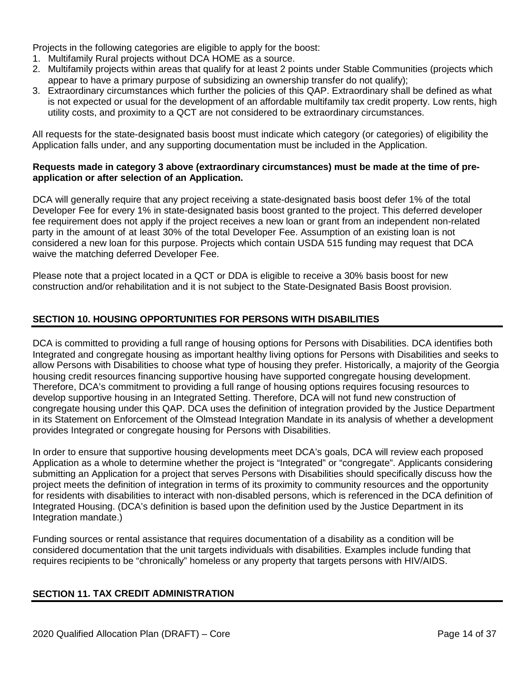Projects in the following categories are eligible to apply for the boost:

- 1. Multifamily Rural projects without DCA HOME as a source.
- 2. Multifamily projects within areas that qualify for at least 2 points under Stable Communities (projects which appear to have a primary purpose of subsidizing an ownership transfer do not qualify);
- 3. Extraordinary circumstances which further the policies of this QAP. Extraordinary shall be defined as what is not expected or usual for the development of an affordable multifamily tax credit property. Low rents, high utility costs, and proximity to a QCT are not considered to be extraordinary circumstances.

All requests for the state-designated basis boost must indicate which category (or categories) of eligibility the Application falls under, and any supporting documentation must be included in the Application.

#### **Requests made in category 3 above (extraordinary circumstances) must be made at the time of preapplication or after selection of an Application.**

DCA will generally require that any project receiving a state-designated basis boost defer 1% of the total Developer Fee for every 1% in state-designated basis boost granted to the project. This deferred developer fee requirement does not apply if the project receives a new loan or grant from an independent non-related party in the amount of at least 30% of the total Developer Fee. Assumption of an existing loan is not considered a new loan for this purpose. Projects which contain USDA 515 funding may request that DCA waive the matching deferred Developer Fee.

Please note that a project located in a QCT or DDA is eligible to receive a 30% basis boost for new construction and/or rehabilitation and it is not subject to the State-Designated Basis Boost provision.

# <span id="page-13-0"></span>**SECTION 10. HOUSING OPPORTUNITIES FOR PERSONS WITH DISABILITIES**

DCA is committed to providing a full range of housing options for Persons with Disabilities. DCA identifies both Integrated and congregate housing as important healthy living options for Persons with Disabilities and seeks to allow Persons with Disabilities to choose what type of housing they prefer. Historically, a majority of the Georgia housing credit resources financing supportive housing have supported congregate housing development. Therefore, DCA's commitment to providing a full range of housing options requires focusing resources to develop supportive housing in an Integrated Setting. Therefore, DCA will not fund new construction of congregate housing under this QAP. DCA uses the definition of integration provided by the Justice Department in its Statement on Enforcement of the Olmstead Integration Mandate in its analysis of whether a development provides Integrated or congregate housing for Persons with Disabilities.

In order to ensure that supportive housing developments meet DCA's goals, DCA will review each proposed Application as a whole to determine whether the project is "Integrated" or "congregate". Applicants considering submitting an Application for a project that serves Persons with Disabilities should specifically discuss how the project meets the definition of integration in terms of its proximity to community resources and the opportunity for residents with disabilities to interact with non-disabled persons, which is referenced in the DCA definition of Integrated Housing. (DCA's definition is based upon the definition used by the Justice Department in its Integration mandate.)

<span id="page-13-1"></span>Funding sources or rental assistance that requires documentation of a disability as a condition will be considered documentation that the unit targets individuals with disabilities. Examples include funding that requires recipients to be "chronically" homeless or any property that targets persons with HIV/AIDS.

## **SECTION 11. TAX CREDIT ADMINISTRATION**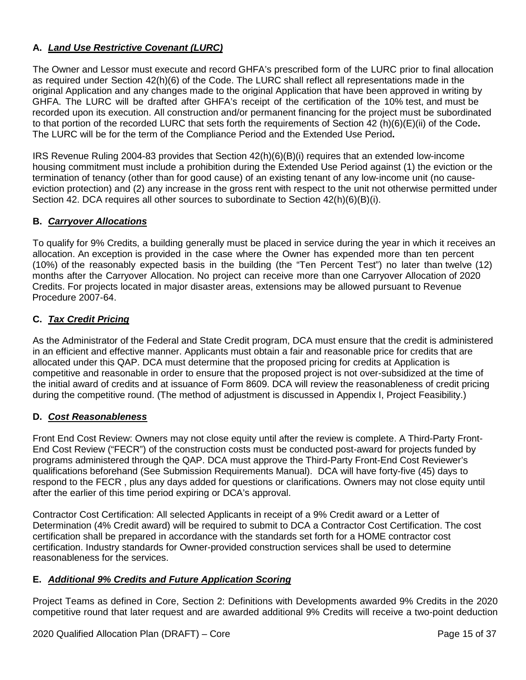# **A.** *Land Use Restrictive Covenant (LURC)*

The Owner and Lessor must execute and record GHFA's prescribed form of the LURC prior to final allocation as required under Section 42(h)(6) of the Code. The LURC shall reflect all representations made in the original Application and any changes made to the original Application that have been approved in writing by GHFA. The LURC will be drafted after GHFA's receipt of the certification of the 10% test, and must be recorded upon its execution. All construction and/or permanent financing for the project must be subordinated to that portion of the recorded LURC that sets forth the requirements of Section 42 (h)(6)(E)(ii) of the Code**.** The LURC will be for the term of the Compliance Period and the Extended Use Period**.**

IRS Revenue Ruling 2004-83 provides that Section 42(h)(6)(B)(i) requires that an extended low-income housing commitment must include a prohibition during the Extended Use Period against (1) the eviction or the termination of tenancy (other than for good cause) of an existing tenant of any low-income unit (no causeeviction protection) and (2) any increase in the gross rent with respect to the unit not otherwise permitted under Section 42. DCA requires all other sources to subordinate to Section 42(h)(6)(B)(i).

# **B.** *Carryover Allocations*

To qualify for 9% Credits, a building generally must be placed in service during the year in which it receives an allocation. An exception is provided in the case where the Owner has expended more than ten percent (10%) of the reasonably expected basis in the building (the "Ten Percent Test") no later than twelve (12) months after the Carryover Allocation. No project can receive more than one Carryover Allocation of 2020 Credits. For projects located in major disaster areas, extensions may be allowed pursuant to Revenue Procedure 2007-64.

# **C.** *Tax Credit Pricing*

As the Administrator of the Federal and State Credit program, DCA must ensure that the credit is administered in an efficient and effective manner. Applicants must obtain a fair and reasonable price for credits that are allocated under this QAP. DCA must determine that the proposed pricing for credits at Application is competitive and reasonable in order to ensure that the proposed project is not over-subsidized at the time of the initial award of credits and at issuance of Form 8609. DCA will review the reasonableness of credit pricing during the competitive round. (The method of adjustment is discussed in Appendix I, Project Feasibility.)

## **D.** *Cost Reasonableness*

Front End Cost Review: Owners may not close equity until after the review is complete. A Third-Party Front-End Cost Review ("FECR") of the construction costs must be conducted post-award for projects funded by programs administered through the QAP. DCA must approve the Third-Party Front-End Cost Reviewer's qualifications beforehand (See Submission Requirements Manual). DCA will have forty-five (45) days to respond to the FECR , plus any days added for questions or clarifications. Owners may not close equity until after the earlier of this time period expiring or DCA's approval.

Contractor Cost Certification: All selected Applicants in receipt of a 9% Credit award or a Letter of Determination (4% Credit award) will be required to submit to DCA a Contractor Cost Certification. The cost certification shall be prepared in accordance with the standards set forth for a HOME contractor cost certification. Industry standards for Owner-provided construction services shall be used to determine reasonableness for the services.

## **E.** *Additional 9% Credits and Future Application Scoring*

Project Teams as defined in Core, Section 2: Definitions with Developments awarded 9% Credits in the 2020 competitive round that later request and are awarded additional 9% Credits will receive a two-point deduction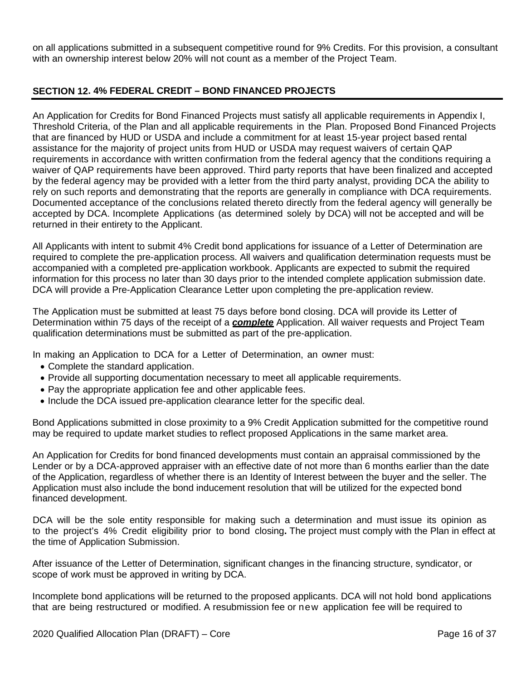on all applications submitted in a subsequent competitive round for 9% Credits. For this provision, a consultant with an ownership interest below 20% will not count as a member of the Project Team.

# <span id="page-15-0"></span>**SECTION 12. 4% FEDERAL CREDIT – BOND FINANCED PROJECTS**

An Application for Credits for Bond Financed Projects must satisfy all applicable requirements in Appendix I, Threshold Criteria, of the Plan and all applicable requirements in the Plan. Proposed Bond Financed Projects that are financed by HUD or USDA and include a commitment for at least 15-year project based rental assistance for the majority of project units from HUD or USDA may request waivers of certain QAP requirements in accordance with written confirmation from the federal agency that the conditions requiring a waiver of QAP requirements have been approved. Third party reports that have been finalized and accepted by the federal agency may be provided with a letter from the third party analyst, providing DCA the ability to rely on such reports and demonstrating that the reports are generally in compliance with DCA requirements. Documented acceptance of the conclusions related thereto directly from the federal agency will generally be accepted by DCA. Incomplete Applications (as determined solely by DCA) will not be accepted and will be returned in their entirety to the Applicant.

All Applicants with intent to submit 4% Credit bond applications for issuance of a Letter of Determination are required to complete the pre-application process. All waivers and qualification determination requests must be accompanied with a completed pre-application workbook. Applicants are expected to submit the required information for this process no later than 30 days prior to the intended complete application submission date. DCA will provide a Pre-Application Clearance Letter upon completing the pre-application review.

The Application must be submitted at least 75 days before bond closing. DCA will provide its Letter of Determination within 75 days of the receipt of a *complete* Application. All waiver requests and Project Team qualification determinations must be submitted as part of the pre-application.

In making an Application to DCA for a Letter of Determination, an owner must:

- Complete the standard application.
- Provide all supporting documentation necessary to meet all applicable requirements.
- Pay the appropriate application fee and other applicable fees.
- Include the DCA issued pre-application clearance letter for the specific deal.

Bond Applications submitted in close proximity to a 9% Credit Application submitted for the competitive round may be required to update market studies to reflect proposed Applications in the same market area.

An Application for Credits for bond financed developments must contain an appraisal commissioned by the Lender or by a DCA-approved appraiser with an effective date of not more than 6 months earlier than the date of the Application, regardless of whether there is an Identity of Interest between the buyer and the seller. The Application must also include the bond inducement resolution that will be utilized for the expected bond financed development.

DCA will be the sole entity responsible for making such a determination and must issue its opinion as to the project's 4% Credit eligibility prior to bond closing**.** The project must comply with the Plan in effect at the time of Application Submission.

After issuance of the Letter of Determination, significant changes in the financing structure, syndicator, or scope of work must be approved in writing by DCA.

Incomplete bond applications will be returned to the proposed applicants. DCA will not hold bond applications that are being restructured or modified. A resubmission fee or new application fee will be required to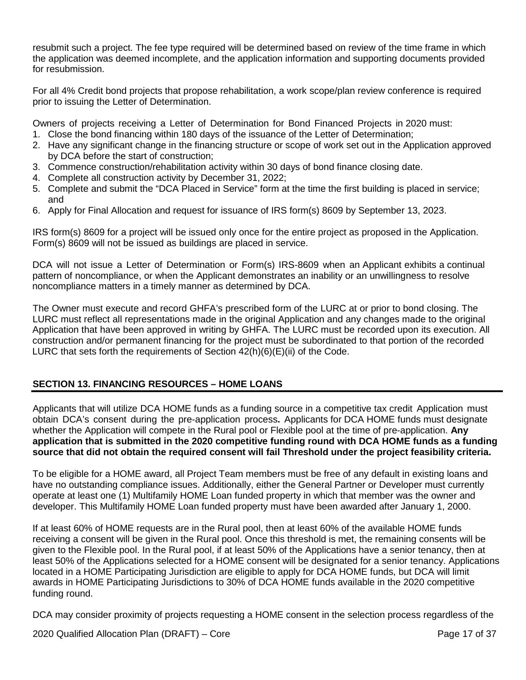resubmit such a project. The fee type required will be determined based on review of the time frame in which the application was deemed incomplete, and the application information and supporting documents provided for resubmission.

For all 4% Credit bond projects that propose rehabilitation, a work scope/plan review conference is required prior to issuing the Letter of Determination.

Owners of projects receiving a Letter of Determination for Bond Financed Projects in 2020 must:

- 1. Close the bond financing within 180 days of the issuance of the Letter of Determination;
- 2. Have any significant change in the financing structure or scope of work set out in the Application approved by DCA before the start of construction;
- 3. Commence construction/rehabilitation activity within 30 days of bond finance closing date.
- 4. Complete all construction activity by December 31, 2022;
- 5. Complete and submit the "DCA Placed in Service" form at the time the first building is placed in service; and
- 6. Apply for Final Allocation and request for issuance of IRS form(s) 8609 by September 13, 2023.

IRS form(s) 8609 for a project will be issued only once for the entire project as proposed in the Application. Form(s) 8609 will not be issued as buildings are placed in service.

DCA will not issue a Letter of Determination or Form(s) IRS-8609 when an Applicant exhibits a continual pattern of noncompliance, or when the Applicant demonstrates an inability or an unwillingness to resolve noncompliance matters in a timely manner as determined by DCA.

The Owner must execute and record GHFA's prescribed form of the LURC at or prior to bond closing. The LURC must reflect all representations made in the original Application and any changes made to the original Application that have been approved in writing by GHFA. The LURC must be recorded upon its execution. All construction and/or permanent financing for the project must be subordinated to that portion of the recorded LURC that sets forth the requirements of Section  $42(h)(6)(E)(ii)$  of the Code.

# <span id="page-16-0"></span>**SECTION 13. FINANCING RESOURCES – HOME LOANS**

Applicants that will utilize DCA HOME funds as a funding source in a competitive tax credit Application must obtain DCA's consent during the pre-application process**.** Applicants for DCA HOME funds must designate whether the Application will compete in the Rural pool or Flexible pool at the time of pre-application. **Any application that is submitted in the 2020 competitive funding round with DCA HOME funds as a funding source that did not obtain the required consent will fail Threshold under the project feasibility criteria.**

To be eligible for a HOME award, all Project Team members must be free of any default in existing loans and have no outstanding compliance issues. Additionally, either the General Partner or Developer must currently operate at least one (1) Multifamily HOME Loan funded property in which that member was the owner and developer. This Multifamily HOME Loan funded property must have been awarded after January 1, 2000.

If at least 60% of HOME requests are in the Rural pool, then at least 60% of the available HOME funds receiving a consent will be given in the Rural pool. Once this threshold is met, the remaining consents will be given to the Flexible pool. In the Rural pool, if at least 50% of the Applications have a senior tenancy, then at least 50% of the Applications selected for a HOME consent will be designated for a senior tenancy. Applications located in a HOME Participating Jurisdiction are eligible to apply for DCA HOME funds, but DCA will limit awards in HOME Participating Jurisdictions to 30% of DCA HOME funds available in the 2020 competitive funding round.

DCA may consider proximity of projects requesting a HOME consent in the selection process regardless of the

2020 Qualified Allocation Plan (DRAFT) – Core Page 17 of 37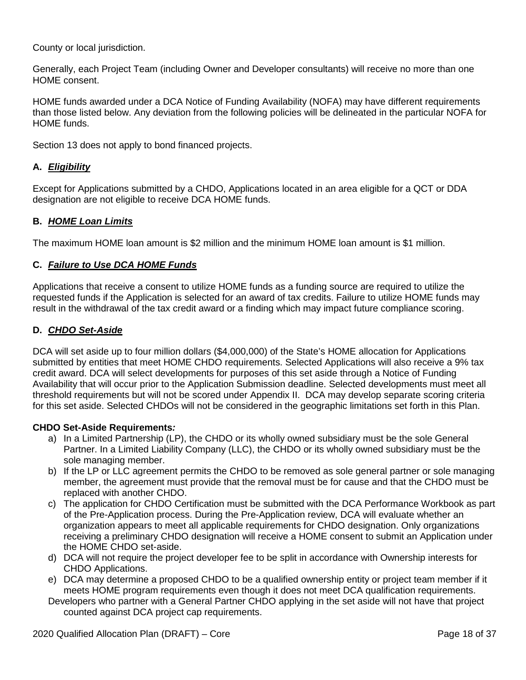County or local jurisdiction.

Generally, each Project Team (including Owner and Developer consultants) will receive no more than one HOME consent.

HOME funds awarded under a DCA Notice of Funding Availability (NOFA) may have different requirements than those listed below. Any deviation from the following policies will be delineated in the particular NOFA for HOME funds.

Section 13 does not apply to bond financed projects.

# **A.** *Eligibility*

Except for Applications submitted by a CHDO, Applications located in an area eligible for a QCT or DDA designation are not eligible to receive DCA HOME funds.

## **B.** *HOME Loan Limits*

The maximum HOME loan amount is \$2 million and the minimum HOME loan amount is \$1 million.

## **C.** *Failure to Use DCA HOME Funds*

Applications that receive a consent to utilize HOME funds as a funding source are required to utilize the requested funds if the Application is selected for an award of tax credits. Failure to utilize HOME funds may result in the withdrawal of the tax credit award or a finding which may impact future compliance scoring.

## **D.** *CHDO Set-Aside*

DCA will set aside up to four million dollars (\$4,000,000) of the State's HOME allocation for Applications submitted by entities that meet HOME CHDO requirements. Selected Applications will also receive a 9% tax credit award. DCA will select developments for purposes of this set aside through a Notice of Funding Availability that will occur prior to the Application Submission deadline. Selected developments must meet all threshold requirements but will not be scored under Appendix II. DCA may develop separate scoring criteria for this set aside. Selected CHDOs will not be considered in the geographic limitations set forth in this Plan.

## **CHDO Set-Aside Requirements***:*

- a) In a Limited Partnership (LP), the CHDO or its wholly owned subsidiary must be the sole General Partner. In a Limited Liability Company (LLC), the CHDO or its wholly owned subsidiary must be the sole managing member.
- b) If the LP or LLC agreement permits the CHDO to be removed as sole general partner or sole managing member, the agreement must provide that the removal must be for cause and that the CHDO must be replaced with another CHDO.
- c) The application for CHDO Certification must be submitted with the DCA Performance Workbook as part of the Pre-Application process. During the Pre-Application review, DCA will evaluate whether an organization appears to meet all applicable requirements for CHDO designation. Only organizations receiving a preliminary CHDO designation will receive a HOME consent to submit an Application under the HOME CHDO set-aside.
- d) DCA will not require the project developer fee to be split in accordance with Ownership interests for CHDO Applications.
- e) DCA may determine a proposed CHDO to be a qualified ownership entity or project team member if it meets HOME program requirements even though it does not meet DCA qualification requirements.
- Developers who partner with a General Partner CHDO applying in the set aside will not have that project counted against DCA project cap requirements.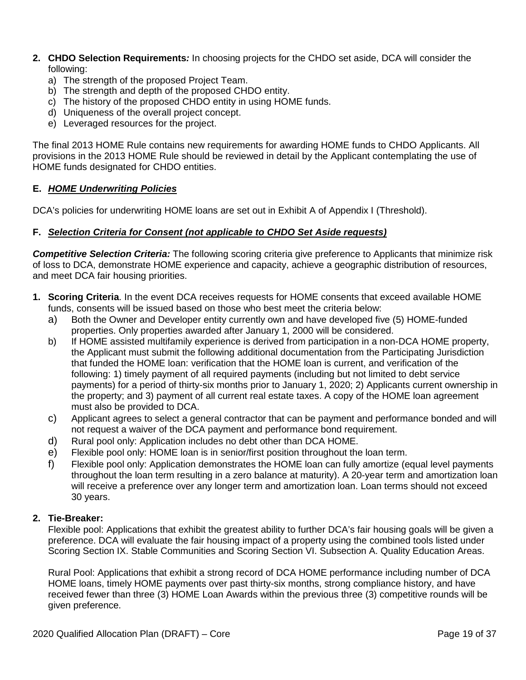- **2. CHDO Selection Requirements***:* In choosing projects for the CHDO set aside, DCA will consider the following:
	- a) The strength of the proposed Project Team.
	- b) The strength and depth of the proposed CHDO entity.
	- c) The history of the proposed CHDO entity in using HOME funds.
	- d) Uniqueness of the overall project concept.
	- e) Leveraged resources for the project.

The final 2013 HOME Rule contains new requirements for awarding HOME funds to CHDO Applicants. All provisions in the 2013 HOME Rule should be reviewed in detail by the Applicant contemplating the use of HOME funds designated for CHDO entities.

## **E.** *HOME Underwriting Policies*

DCA's policies for underwriting HOME loans are set out in Exhibit A of Appendix I (Threshold).

#### **F.** *Selection Criteria for Consent (not applicable to CHDO Set Aside requests)*

*Competitive Selection Criteria:* The following scoring criteria give preference to Applicants that minimize risk of loss to DCA, demonstrate HOME experience and capacity, achieve a geographic distribution of resources, and meet DCA fair housing priorities.

- **1. Scoring Criteria**. In the event DCA receives requests for HOME consents that exceed available HOME funds, consents will be issued based on those who best meet the criteria below:
	- a) Both the Owner and Developer entity currently own and have developed five (5) HOME-funded properties. Only properties awarded after January 1, 2000 will be considered.
	- b) If HOME assisted multifamily experience is derived from participation in a non-DCA HOME property, the Applicant must submit the following additional documentation from the Participating Jurisdiction that funded the HOME loan: verification that the HOME loan is current, and verification of the following: 1) timely payment of all required payments (including but not limited to debt service payments) for a period of thirty-six months prior to January 1, 2020; 2) Applicants current ownership in the property; and 3) payment of all current real estate taxes. A copy of the HOME loan agreement must also be provided to DCA.
	- c) Applicant agrees to select a general contractor that can be payment and performance bonded and will not request a waiver of the DCA payment and performance bond requirement.
	- d) Rural pool only: Application includes no debt other than DCA HOME.
	- e) Flexible pool only: HOME loan is in senior/first position throughout the loan term.
	- f) Flexible pool only: Application demonstrates the HOME loan can fully amortize (equal level payments throughout the loan term resulting in a zero balance at maturity). A 20-year term and amortization loan will receive a preference over any longer term and amortization loan. Loan terms should not exceed 30 years.

## **2. Tie-Breaker:**

Flexible pool: Applications that exhibit the greatest ability to further DCA's fair housing goals will be given a preference. DCA will evaluate the fair housing impact of a property using the combined tools listed under Scoring Section IX. Stable Communities and Scoring Section VI. Subsection A. Quality Education Areas.

Rural Pool: Applications that exhibit a strong record of DCA HOME performance including number of DCA HOME loans, timely HOME payments over past thirty-six months, strong compliance history, and have received fewer than three (3) HOME Loan Awards within the previous three (3) competitive rounds will be given preference.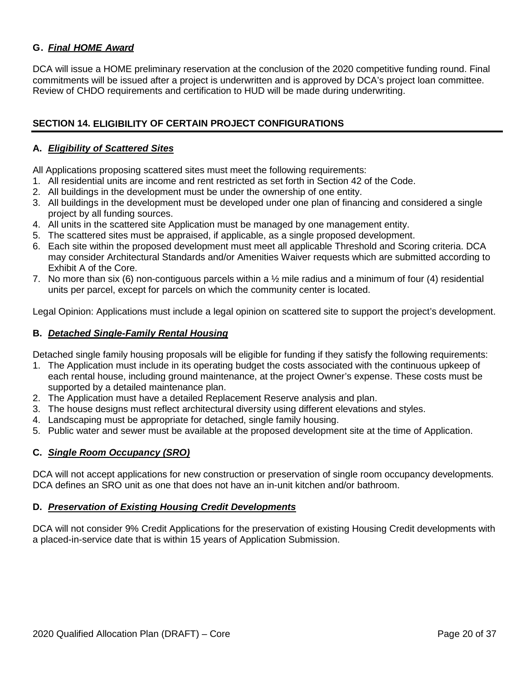# **G.** *Final HOME Award*

DCA will issue a HOME preliminary reservation at the conclusion of the 2020 competitive funding round. Final commitments will be issued after a project is underwritten and is approved by DCA's project loan committee. Review of CHDO requirements and certification to HUD will be made during underwriting.

## <span id="page-19-0"></span>**SECTION 14. ELIGIBILITY OF CERTAIN PROJECT CONFIGURATIONS**

## **A.** *Eligibility of Scattered Sites*

All Applications proposing scattered sites must meet the following requirements:

- 1. All residential units are income and rent restricted as set forth in Section 42 of the Code.
- 2. All buildings in the development must be under the ownership of one entity.
- 3. All buildings in the development must be developed under one plan of financing and considered a single project by all funding sources.
- 4. All units in the scattered site Application must be managed by one management entity.
- 5. The scattered sites must be appraised, if applicable, as a single proposed development.
- 6. Each site within the proposed development must meet all applicable Threshold and Scoring criteria. DCA may consider Architectural Standards and/or Amenities Waiver requests which are submitted according to Exhibit A of the Core.
- 7. No more than six (6) non-contiguous parcels within a ½ mile radius and a minimum of four (4) residential units per parcel, except for parcels on which the community center is located.

Legal Opinion: Applications must include a legal opinion on scattered site to support the project's development.

#### **B.** *Detached Single-Family Rental Housing*

Detached single family housing proposals will be eligible for funding if they satisfy the following requirements:

- 1. The Application must include in its operating budget the costs associated with the continuous upkeep of each rental house, including ground maintenance, at the project Owner's expense. These costs must be supported by a detailed maintenance plan.
- 2. The Application must have a detailed Replacement Reserve analysis and plan.
- 3. The house designs must reflect architectural diversity using different elevations and styles.
- 4. Landscaping must be appropriate for detached, single family housing.
- 5. Public water and sewer must be available at the proposed development site at the time of Application.

## **C.** *Single Room Occupancy (SRO)*

DCA will not accept applications for new construction or preservation of single room occupancy developments. DCA defines an SRO unit as one that does not have an in-unit kitchen and/or bathroom.

#### **D.** *Preservation of Existing Housing Credit Developments*

DCA will not consider 9% Credit Applications for the preservation of existing Housing Credit developments with a placed-in-service date that is within 15 years of Application Submission.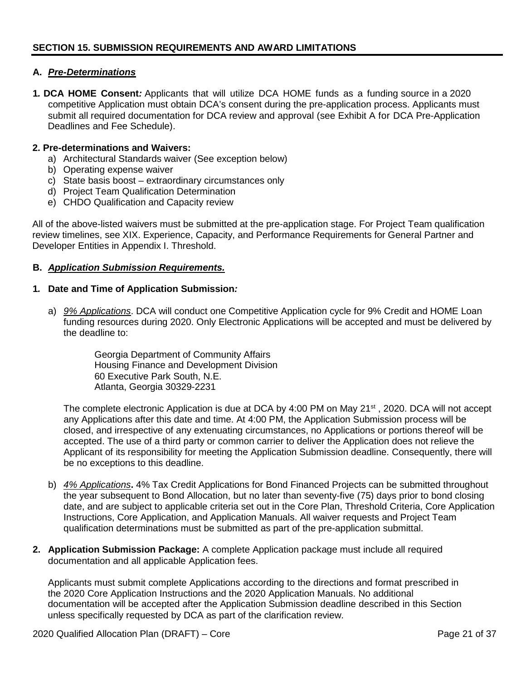## <span id="page-20-0"></span>**A.** *Pre-Determinations*

**1***.* **DCA HOME Consent***:* Applicants that will utilize DCA HOME funds as a funding source in a 2020 competitive Application must obtain DCA's consent during the pre-application process. Applicants must submit all required documentation for DCA review and approval (see Exhibit A for DCA Pre-Application Deadlines and Fee Schedule).

## **2. Pre-determinations and Waivers:**

- a) Architectural Standards waiver (See exception below)
- b) Operating expense waiver
- c) State basis boost extraordinary circumstances only
- d) Project Team Qualification Determination
- e) CHDO Qualification and Capacity review

All of the above-listed waivers must be submitted at the pre-application stage. For Project Team qualification review timelines, see XIX. Experience, Capacity, and Performance Requirements for General Partner and Developer Entities in Appendix I. Threshold.

#### **B.** *Application Submission Requirements.*

#### **1***.* **Date and Time of Application Submission***:*

a) *9% Applications*. DCA will conduct one Competitive Application cycle for 9% Credit and HOME Loan funding resources during 2020. Only Electronic Applications will be accepted and must be delivered by the deadline to:

> Georgia Department of Community Affairs Housing Finance and Development Division 60 Executive Park South, N.E. Atlanta, Georgia 30329-2231

The complete electronic Application is due at DCA by 4:00 PM on May 21<sup>st</sup>, 2020. DCA will not accept any Applications after this date and time. At 4:00 PM, the Application Submission process will be closed, and irrespective of any extenuating circumstances, no Applications or portions thereof will be accepted. The use of a third party or common carrier to deliver the Application does not relieve the Applicant of its responsibility for meeting the Application Submission deadline. Consequently, there will be no exceptions to this deadline.

- b) *4% Applications***.** 4% Tax Credit Applications for Bond Financed Projects can be submitted throughout the year subsequent to Bond Allocation, but no later than seventy-five (75) days prior to bond closing date, and are subject to applicable criteria set out in the Core Plan, Threshold Criteria, Core Application Instructions, Core Application, and Application Manuals. All waiver requests and Project Team qualification determinations must be submitted as part of the pre-application submittal.
- **2. Application Submission Package:** A complete Application package must include all required documentation and all applicable Application fees.

Applicants must submit complete Applications according to the directions and format prescribed in the 2020 Core Application Instructions and the 2020 Application Manuals. No additional documentation will be accepted after the Application Submission deadline described in this Section unless specifically requested by DCA as part of the clarification review.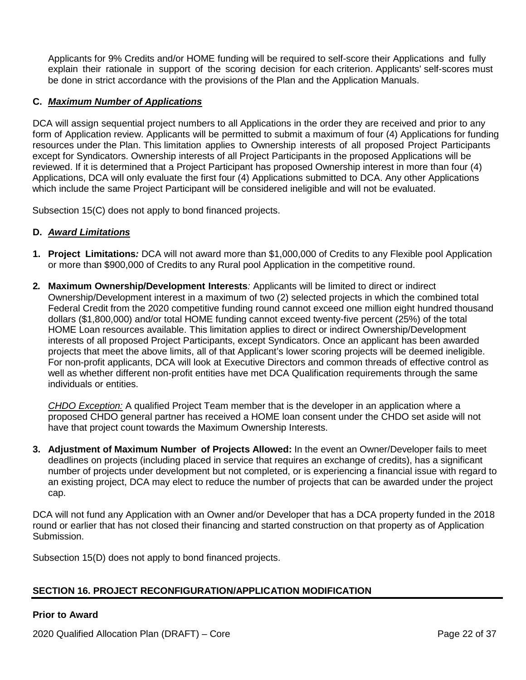Applicants for 9% Credits and/or HOME funding will be required to self-score their Applications and fully explain their rationale in support of the scoring decision for each criterion. Applicants' self-scores must be done in strict accordance with the provisions of the Plan and the Application Manuals.

# **C.** *Maximum Number of Applications*

DCA will assign sequential project numbers to all Applications in the order they are received and prior to any form of Application review. Applicants will be permitted to submit a maximum of four (4) Applications for funding resources under the Plan. This limitation applies to Ownership interests of all proposed Project Participants except for Syndicators. Ownership interests of all Project Participants in the proposed Applications will be reviewed. If it is determined that a Project Participant has proposed Ownership interest in more than four (4) Applications, DCA will only evaluate the first four (4) Applications submitted to DCA. Any other Applications which include the same Project Participant will be considered ineligible and will not be evaluated.

Subsection 15(C) does not apply to bond financed projects.

## **D.** *Award Limitations*

- **1. Project Limitations***:* DCA will not award more than \$1,000,000 of Credits to any Flexible pool Application or more than \$900,000 of Credits to any Rural pool Application in the competitive round.
- **2***.* **Maximum Ownership/Development Interests***:* Applicants will be limited to direct or indirect Ownership/Development interest in a maximum of two (2) selected projects in which the combined total Federal Credit from the 2020 competitive funding round cannot exceed one million eight hundred thousand dollars (\$1,800,000) and/or total HOME funding cannot exceed twenty-five percent (25%) of the total HOME Loan resources available. This limitation applies to direct or indirect Ownership/Development interests of all proposed Project Participants, except Syndicators. Once an applicant has been awarded projects that meet the above limits, all of that Applicant's lower scoring projects will be deemed ineligible. For non-profit applicants, DCA will look at Executive Directors and common threads of effective control as well as whether different non-profit entities have met DCA Qualification requirements through the same individuals or entities.

*CHDO Exception:* A qualified Project Team member that is the developer in an application where a proposed CHDO general partner has received a HOME loan consent under the CHDO set aside will not have that project count towards the Maximum Ownership Interests.

**3. Adjustment of Maximum Number of Projects Allowed:** In the event an Owner/Developer fails to meet deadlines on projects (including placed in service that requires an exchange of credits), has a significant number of projects under development but not completed, or is experiencing a financial issue with regard to an existing project, DCA may elect to reduce the number of projects that can be awarded under the project cap.

DCA will not fund any Application with an Owner and/or Developer that has a DCA property funded in the 2018 round or earlier that has not closed their financing and started construction on that property as of Application Submission.

Subsection 15(D) does not apply to bond financed projects.

# <span id="page-21-0"></span>**SECTION 16. PROJECT RECONFIGURATION/APPLICATION MODIFICATION**

## **Prior to Award**

2020 Qualified Allocation Plan (DRAFT) – Core Page 22 of 37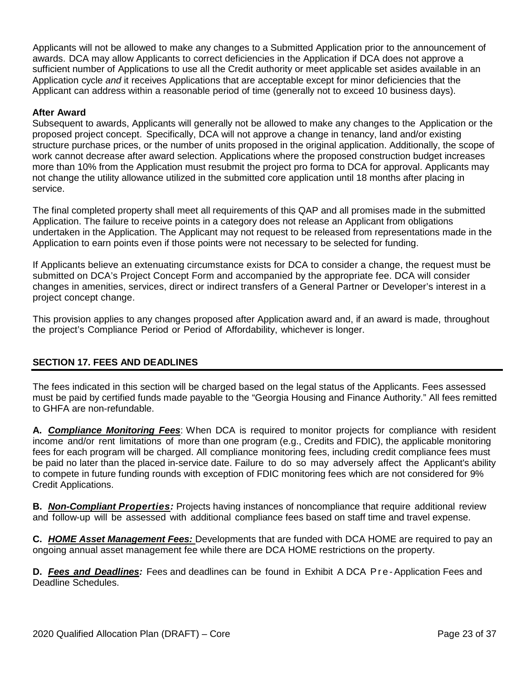Applicants will not be allowed to make any changes to a Submitted Application prior to the announcement of awards. DCA may allow Applicants to correct deficiencies in the Application if DCA does not approve a sufficient number of Applications to use all the Credit authority or meet applicable set asides available in an Application cycle *and* it receives Applications that are acceptable except for minor deficiencies that the Applicant can address within a reasonable period of time (generally not to exceed 10 business days).

## **After Award**

Subsequent to awards, Applicants will generally not be allowed to make any changes to the Application or the proposed project concept. Specifically, DCA will not approve a change in tenancy, land and/or existing structure purchase prices, or the number of units proposed in the original application. Additionally, the scope of work cannot decrease after award selection. Applications where the proposed construction budget increases more than 10% from the Application must resubmit the project pro forma to DCA for approval. Applicants may not change the utility allowance utilized in the submitted core application until 18 months after placing in service.

The final completed property shall meet all requirements of this QAP and all promises made in the submitted Application. The failure to receive points in a category does not release an Applicant from obligations undertaken in the Application. The Applicant may not request to be released from representations made in the Application to earn points even if those points were not necessary to be selected for funding.

If Applicants believe an extenuating circumstance exists for DCA to consider a change, the request must be submitted on DCA's Project Concept Form and accompanied by the appropriate fee. DCA will consider changes in amenities, services, direct or indirect transfers of a General Partner or Developer's interest in a project concept change.

This provision applies to any changes proposed after Application award and, if an award is made, throughout the project's Compliance Period or Period of Affordability, whichever is longer.

# <span id="page-22-0"></span>**SECTION 17. FEES AND DEADLINES**

The fees indicated in this section will be charged based on the legal status of the Applicants. Fees assessed must be paid by certified funds made payable to the "Georgia Housing and Finance Authority." All fees remitted to GHFA are non-refundable.

**A.** *Compliance Monitoring Fees*: When DCA is required to monitor projects for compliance with resident income and/or rent limitations of more than one program (e.g., Credits and FDIC), the applicable monitoring fees for each program will be charged. All compliance monitoring fees, including credit compliance fees must be paid no later than the placed in-service date. Failure to do so may adversely affect the Applicant's ability to compete in future funding rounds with exception of FDIC monitoring fees which are not considered for 9% Credit Applications.

**B.** *Non-Compliant Properties:* Projects having instances of noncompliance that require additional review and follow-up will be assessed with additional compliance fees based on staff time and travel expense.

**C.** *HOME Asset Management Fees:* Developments that are funded with DCA HOME are required to pay an ongoing annual asset management fee while there are DCA HOME restrictions on the property.

**D.** *Fees and Deadlines:* Fees and deadlines can be found in Exhibit A DCA Pre - Application Fees and Deadline Schedules.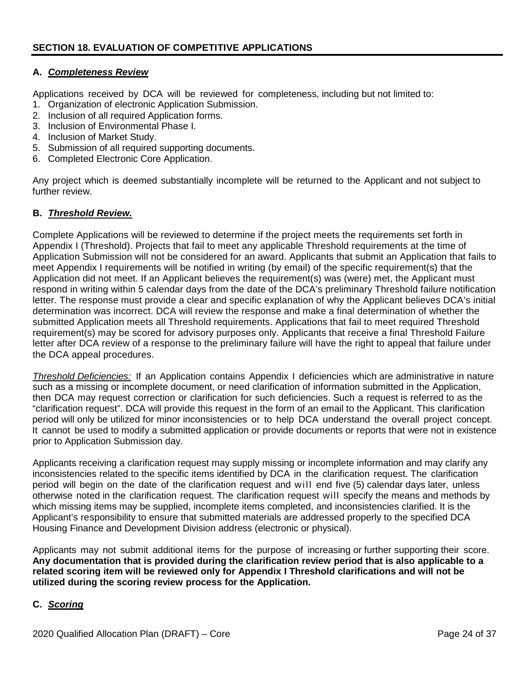## <span id="page-23-0"></span>**A.** *Completeness Review*

Applications received by DCA will be reviewed for completeness, including but not limited to:

- 1. Organization of electronic Application Submission.
- 2. Inclusion of all required Application forms.
- 3. Inclusion of Environmental Phase I.
- 4. Inclusion of Market Study.
- 5. Submission of all required supporting documents.
- 6. Completed Electronic Core Application.

Any project which is deemed substantially incomplete will be returned to the Applicant and not subject to further review.

#### **B.** *Threshold Review.*

Complete Applications will be reviewed to determine if the project meets the requirements set forth in Appendix I (Threshold). Projects that fail to meet any applicable Threshold requirements at the time of Application Submission will not be considered for an award. Applicants that submit an Application that fails to meet Appendix I requirements will be notified in writing (by email) of the specific requirement(s) that the Application did not meet. If an Applicant believes the requirement(s) was (were) met, the Applicant must respond in writing within 5 calendar days from the date of the DCA's preliminary Threshold failure notification letter. The response must provide a clear and specific explanation of why the Applicant believes DCA's initial determination was incorrect. DCA will review the response and make a final determination of whether the submitted Application meets all Threshold requirements. Applications that fail to meet required Threshold requirement(s) may be scored for advisory purposes only. Applicants that receive a final Threshold Failure letter after DCA review of a response to the preliminary failure will have the right to appeal that failure under the DCA appeal procedures.

*Threshold Deficiencies:* If an Application contains Appendix I deficiencies which are administrative in nature such as a missing or incomplete document, or need clarification of information submitted in the Application, then DCA may request correction or clarification for such deficiencies. Such a request is referred to as the "clarification request". DCA will provide this request in the form of an email to the Applicant. This clarification period will only be utilized for minor inconsistencies or to help DCA understand the overall project concept. It cannot be used to modify a submitted application or provide documents or reports that were not in existence prior to Application Submission day.

Applicants receiving a clarification request may supply missing or incomplete information and may clarify any inconsistencies related to the specific items identified by DCA in the clarification request. The clarification period will begin on the date of the clarification request and will end five (5) calendar days later, unless otherwise noted in the clarification request. The clarification request will specify the means and methods by which missing items may be supplied, incomplete items completed, and inconsistencies clarified. It is the Applicant's responsibility to ensure that submitted materials are addressed properly to the specified DCA Housing Finance and Development Division address (electronic or physical).

Applicants may not submit additional items for the purpose of increasing or further supporting their score. **Any documentation that is provided during the clarification review period that is also applicable to a related scoring item will be reviewed only for Appendix I Threshold clarifications and will not be utilized during the scoring review process for the Application.**

## **C.** *Scoring*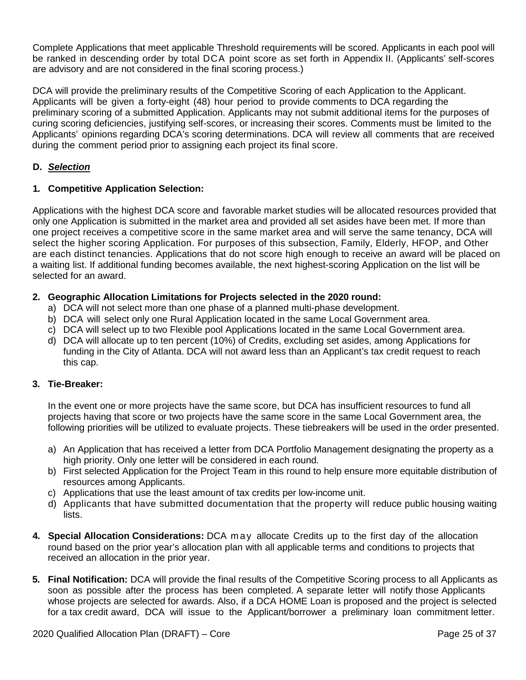Complete Applications that meet applicable Threshold requirements will be scored. Applicants in each pool will be ranked in descending order by total DCA point score as set forth in Appendix II. (Applicants' self-scores are advisory and are not considered in the final scoring process.)

DCA will provide the preliminary results of the Competitive Scoring of each Application to the Applicant. Applicants will be given a forty-eight (48) hour period to provide comments to DCA regarding the preliminary scoring of a submitted Application. Applicants may not submit additional items for the purposes of curing scoring deficiencies, justifying self-scores, or increasing their scores. Comments must be limited to the Applicants' opinions regarding DCA's scoring determinations. DCA will review all comments that are received during the comment period prior to assigning each project its final score.

# **D.** *Selection*

# **1***.* **Competitive Application Selection:**

Applications with the highest DCA score and favorable market studies will be allocated resources provided that only one Application is submitted in the market area and provided all set asides have been met. If more than one project receives a competitive score in the same market area and will serve the same tenancy, DCA will select the higher scoring Application. For purposes of this subsection, Family, Elderly, HFOP, and Other are each distinct tenancies. Applications that do not score high enough to receive an award will be placed on a waiting list. If additional funding becomes available, the next highest-scoring Application on the list will be selected for an award.

# **2. Geographic Allocation Limitations for Projects selected in the 2020 round:**

- a) DCA will not select more than one phase of a planned multi-phase development.
- b) DCA will select only one Rural Application located in the same Local Government area.
- c) DCA will select up to two Flexible pool Applications located in the same Local Government area.
- d) DCA will allocate up to ten percent (10%) of Credits, excluding set asides, among Applications for funding in the City of Atlanta. DCA will not award less than an Applicant's tax credit request to reach this cap.

## **3***.* **Tie-Breaker:**

In the event one or more projects have the same score, but DCA has insufficient resources to fund all projects having that score or two projects have the same score in the same Local Government area, the following priorities will be utilized to evaluate projects. These tiebreakers will be used in the order presented.

- a) An Application that has received a letter from DCA Portfolio Management designating the property as a high priority. Only one letter will be considered in each round.
- b) First selected Application for the Project Team in this round to help ensure more equitable distribution of resources among Applicants.
- c) Applications that use the least amount of tax credits per low-income unit.
- d) Applicants that have submitted documentation that the property will reduce public housing waiting lists.
- **4***.* **Special Allocation Considerations:** DCA may allocate Credits up to the first day of the allocation round based on the prior year's allocation plan with all applicable terms and conditions to projects that received an allocation in the prior year.
- **5***.* **Final Notification:** DCA will provide the final results of the Competitive Scoring process to all Applicants as soon as possible after the process has been completed. A separate letter will notify those Applicants whose projects are selected for awards. Also, if a DCA HOME Loan is proposed and the project is selected for a tax credit award, DCA will issue to the Applicant/borrower a preliminary loan commitment letter.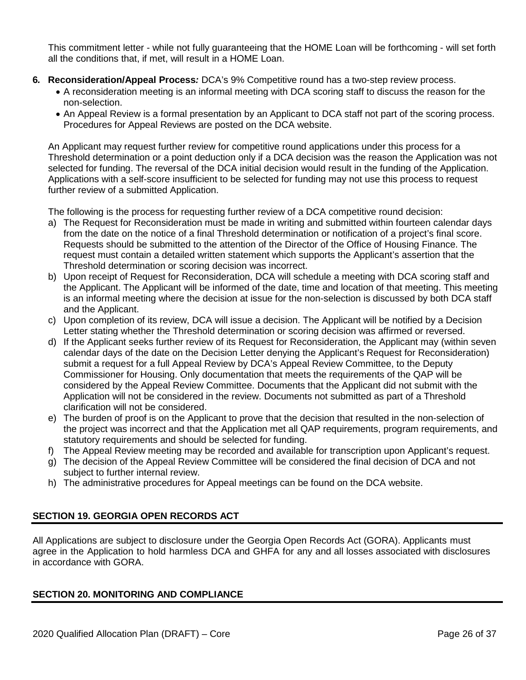This commitment letter - while not fully guaranteeing that the HOME Loan will be forthcoming - will set forth all the conditions that, if met, will result in a HOME Loan.

- **6***.* **Reconsideration/Appeal Process***:* DCA's 9% Competitive round has a two-step review process.
	- A reconsideration meeting is an informal meeting with DCA scoring staff to discuss the reason for the non-selection.
	- An Appeal Review is a formal presentation by an Applicant to DCA staff not part of the scoring process. Procedures for Appeal Reviews are posted on the DCA website.

An Applicant may request further review for competitive round applications under this process for a Threshold determination or a point deduction only if a DCA decision was the reason the Application was not selected for funding. The reversal of the DCA initial decision would result in the funding of the Application. Applications with a self-score insufficient to be selected for funding may not use this process to request further review of a submitted Application.

The following is the process for requesting further review of a DCA competitive round decision:

- a) The Request for Reconsideration must be made in writing and submitted within fourteen calendar days from the date on the notice of a final Threshold determination or notification of a project's final score. Requests should be submitted to the attention of the Director of the Office of Housing Finance. The request must contain a detailed written statement which supports the Applicant's assertion that the Threshold determination or scoring decision was incorrect.
- b) Upon receipt of Request for Reconsideration, DCA will schedule a meeting with DCA scoring staff and the Applicant. The Applicant will be informed of the date, time and location of that meeting. This meeting is an informal meeting where the decision at issue for the non-selection is discussed by both DCA staff and the Applicant.
- c) Upon completion of its review, DCA will issue a decision. The Applicant will be notified by a Decision Letter stating whether the Threshold determination or scoring decision was affirmed or reversed.
- d) If the Applicant seeks further review of its Request for Reconsideration, the Applicant may (within seven calendar days of the date on the Decision Letter denying the Applicant's Request for Reconsideration) submit a request for a full Appeal Review by DCA's Appeal Review Committee, to the Deputy Commissioner for Housing. Only documentation that meets the requirements of the QAP will be considered by the Appeal Review Committee. Documents that the Applicant did not submit with the Application will not be considered in the review. Documents not submitted as part of a Threshold clarification will not be considered.
- e) The burden of proof is on the Applicant to prove that the decision that resulted in the non-selection of the project was incorrect and that the Application met all QAP requirements, program requirements, and statutory requirements and should be selected for funding.
- f) The Appeal Review meeting may be recorded and available for transcription upon Applicant's request.
- g) The decision of the Appeal Review Committee will be considered the final decision of DCA and not subject to further internal review.
- h) The administrative procedures for Appeal meetings can be found on the DCA website.

# <span id="page-25-0"></span>**SECTION 19. GEORGIA OPEN RECORDS ACT**

All Applications are subject to disclosure under the Georgia Open Records Act (GORA). Applicants must agree in the Application to hold harmless DCA and GHFA for any and all losses associated with disclosures in accordance with GORA.

## <span id="page-25-1"></span>**SECTION 20. MONITORING AND COMPLIANCE**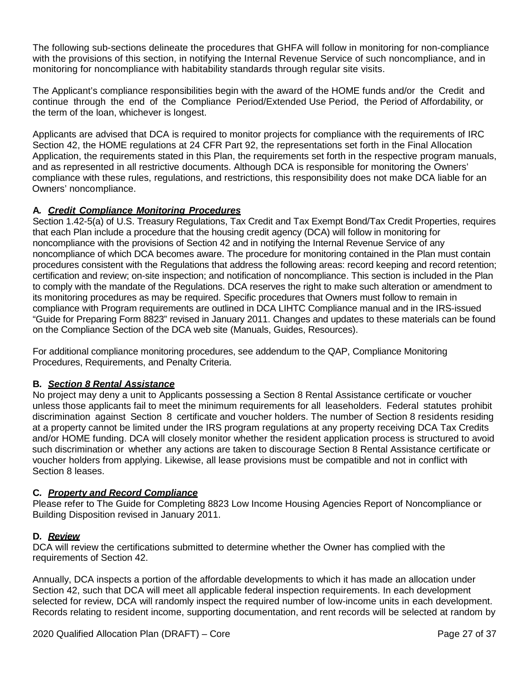The following sub-sections delineate the procedures that GHFA will follow in monitoring for non-compliance with the provisions of this section, in notifying the Internal Revenue Service of such noncompliance, and in monitoring for noncompliance with habitability standards through regular site visits.

The Applicant's compliance responsibilities begin with the award of the HOME funds and/or the Credit and continue through the end of the Compliance Period/Extended Use Period, the Period of Affordability, or the term of the loan, whichever is longest.

Applicants are advised that DCA is required to monitor projects for compliance with the requirements of IRC Section 42, the HOME regulations at 24 CFR Part 92, the representations set forth in the Final Allocation Application, the requirements stated in this Plan, the requirements set forth in the respective program manuals, and as represented in all restrictive documents. Although DCA is responsible for monitoring the Owners' compliance with these rules, regulations, and restrictions, this responsibility does not make DCA liable for an Owners' noncompliance.

# **A***. Credit Compliance Monitoring Procedures*

Section 1.42-5(a) of U.S. Treasury Regulations, Tax Credit and Tax Exempt Bond/Tax Credit Properties, requires that each Plan include a procedure that the housing credit agency (DCA) will follow in monitoring for noncompliance with the provisions of Section 42 and in notifying the Internal Revenue Service of any noncompliance of which DCA becomes aware. The procedure for monitoring contained in the Plan must contain procedures consistent with the Regulations that address the following areas: record keeping and record retention; certification and review; on-site inspection; and notification of noncompliance. This section is included in the Plan to comply with the mandate of the Regulations. DCA reserves the right to make such alteration or amendment to its monitoring procedures as may be required. Specific procedures that Owners must follow to remain in compliance with Program requirements are outlined in DCA LIHTC Compliance manual and in the IRS-issued "Guide for Preparing Form 8823" revised in January 2011. Changes and updates to these materials can be found on the Compliance Section of the DCA web site [\(Manuals, Guides, Resources\).](http://www.tinyurl.com/dcacompliance)

For additional compliance monitoring procedures, see addendum to the QAP, Compliance Monitoring Procedures, Requirements, and Penalty Criteria.

## **B***. Section 8 Rental Assistance*

No project may deny a unit to Applicants possessing a Section 8 Rental Assistance certificate or voucher unless those applicants fail to meet the minimum requirements for all leaseholders. Federal statutes prohibit discrimination against Section 8 certificate and voucher holders. The number of Section 8 residents residing at a property cannot be limited under the IRS program regulations at any property receiving DCA Tax Credits and/or HOME funding. DCA will closely monitor whether the resident application process is structured to avoid such discrimination or whether any actions are taken to discourage Section 8 Rental Assistance certificate or voucher holders from applying. Likewise, all lease provisions must be compatible and not in conflict with Section 8 leases.

## **C***. Property and Record Compliance*

Please refer to The Guide for Completing 8823 Low Income Housing Agencies Report of Noncompliance or Building Disposition revised in January 2011.

#### **D***. Review*

DCA will review the certifications submitted to determine whether the Owner has complied with the requirements of Section 42.

Annually, DCA inspects a portion of the affordable developments to which it has made an allocation under Section 42, such that DCA will meet all applicable federal inspection requirements. In each development selected for review, DCA will randomly inspect the required number of low-income units in each development. Records relating to resident income, supporting documentation, and rent records will be selected at random by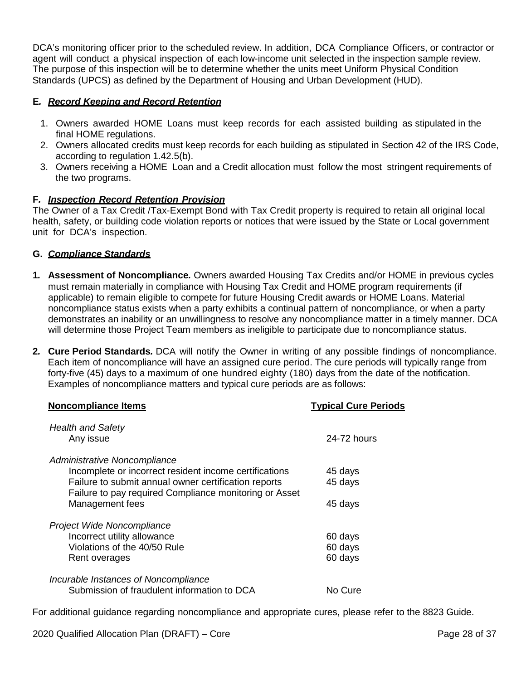DCA's monitoring officer prior to the scheduled review. In addition, DCA Compliance Officers, or contractor or agent will conduct a physical inspection of each low-income unit selected in the inspection sample review. The purpose of this inspection will be to determine whether the units meet Uniform Physical Condition Standards (UPCS) as defined by the Department of Housing and Urban Development (HUD).

# **E***. Record Keeping and Record Retention*

- 1. Owners awarded HOME Loans must keep records for each assisted building as stipulated in the final HOME regulations.
- 2. Owners allocated credits must keep records for each building as stipulated in Section 42 of the IRS Code, according to regulation 1.42.5(b).
- 3. Owners receiving a HOME Loan and a Credit allocation must follow the most stringent requirements of the two programs.

## **F***. Inspection Record Retention Provision*

The Owner of a Tax Credit /Tax-Exempt Bond with Tax Credit property is required to retain all original local health, safety, or building code violation reports or notices that were issued by the State or Local government unit for DCA's inspection.

#### **G.** *Compliance Standards*

- **1***.* **Assessment of Noncompliance***.* Owners awarded Housing Tax Credits and/or HOME in previous cycles must remain materially in compliance with Housing Tax Credit and HOME program requirements (if applicable) to remain eligible to compete for future Housing Credit awards or HOME Loans. Material noncompliance status exists when a party exhibits a continual pattern of noncompliance, or when a party demonstrates an inability or an unwillingness to resolve any noncompliance matter in a timely manner. DCA will determine those Project Team members as ineligible to participate due to noncompliance status.
- **2***.* **Cure Period Standards***.* DCA will notify the Owner in writing of any possible findings of noncompliance. Each item of noncompliance will have an assigned cure period. The cure periods will typically range from forty-five (45) days to a maximum of one hundred eighty (180) days from the date of the notification. Examples of noncompliance matters and typical cure periods are as follows:

| <b>Noncompliance Items</b>                                                                                                                                                                               | <b>Typical Cure Periods</b> |
|----------------------------------------------------------------------------------------------------------------------------------------------------------------------------------------------------------|-----------------------------|
| <b>Health and Safety</b><br>Any issue                                                                                                                                                                    | 24-72 hours                 |
| Administrative Noncompliance<br>Incomplete or incorrect resident income certifications<br>Failure to submit annual owner certification reports<br>Failure to pay required Compliance monitoring or Asset | 45 days<br>45 days          |
| Management fees                                                                                                                                                                                          | 45 days                     |
| Project Wide Noncompliance                                                                                                                                                                               |                             |
| Incorrect utility allowance                                                                                                                                                                              | 60 days                     |
| Violations of the 40/50 Rule                                                                                                                                                                             | 60 days                     |
| Rent overages                                                                                                                                                                                            | 60 days                     |
| Incurable Instances of Noncompliance                                                                                                                                                                     |                             |
| Submission of fraudulent information to DCA                                                                                                                                                              | No Cure                     |

For additional guidance regarding noncompliance and appropriate cures, please refer to the 8823 Guide.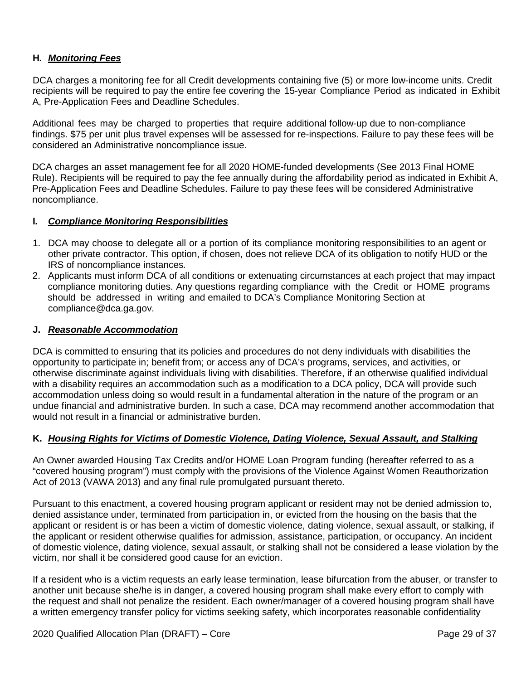## **H***. Monitoring Fees*

DCA charges a monitoring fee for all Credit developments containing five (5) or more low-income units. Credit recipients will be required to pay the entire fee covering the 15-year Compliance Period as indicated in Exhibit A, Pre-Application Fees and Deadline Schedules.

Additional fees may be charged to properties that require additional follow-up due to non-compliance findings. \$75 per unit plus travel expenses will be assessed for re-inspections. Failure to pay these fees will be considered an Administrative noncompliance issue.

DCA charges an asset management fee for all 2020 HOME-funded developments (See 2013 Final HOME Rule). Recipients will be required to pay the fee annually during the affordability period as indicated in Exhibit A, Pre-Application Fees and Deadline Schedules. Failure to pay these fees will be considered Administrative noncompliance.

#### **I***. Compliance Monitoring Responsibilities*

- 1. DCA may choose to delegate all or a portion of its compliance monitoring responsibilities to an agent or other private contractor. This option, if chosen, does not relieve DCA of its obligation to notify HUD or the IRS of noncompliance instances*.*
- 2. Applicants must inform DCA of all conditions or extenuating circumstances at each project that may impact compliance monitoring duties. Any questions regarding compliance with the Credit or HOME programs should be addressed in writing and emailed to DCA's Compliance Monitoring Section at [compliance@dca.ga.gov.](mailto:compliance@dca.ga.gov)

#### **J.** *Reasonable Accommodation*

DCA is committed to ensuring that its policies and procedures do not deny individuals with disabilities the opportunity to participate in; benefit from; or access any of DCA's programs, services, and activities, or otherwise discriminate against individuals living with disabilities. Therefore, if an otherwise qualified individual with a disability requires an accommodation such as a modification to a DCA policy, DCA will provide such accommodation unless doing so would result in a fundamental alteration in the nature of the program or an undue financial and administrative burden. In such a case, DCA may recommend another accommodation that would not result in a financial or administrative burden.

#### **K.** *Housing Rights for Victims of Domestic Violence, Dating Violence, Sexual Assault, and Stalking*

An Owner awarded Housing Tax Credits and/or HOME Loan Program funding (hereafter referred to as a "covered housing program") must comply with the provisions of the Violence Against Women Reauthorization Act of 2013 (VAWA 2013) and any final rule promulgated pursuant thereto.

Pursuant to this enactment, a covered housing program applicant or resident may not be denied admission to, denied assistance under, terminated from participation in, or evicted from the housing on the basis that the applicant or resident is or has been a victim of domestic violence, dating violence, sexual assault, or stalking, if the applicant or resident otherwise qualifies for admission, assistance, participation, or occupancy. An incident of domestic violence, dating violence, sexual assault, or stalking shall not be considered a lease violation by the victim, nor shall it be considered good cause for an eviction.

If a resident who is a victim requests an early lease termination, lease bifurcation from the abuser, or transfer to another unit because she/he is in danger, a covered housing program shall make every effort to comply with the request and shall not penalize the resident. Each owner/manager of a covered housing program shall have a written emergency transfer policy for victims seeking safety, which incorporates reasonable confidentiality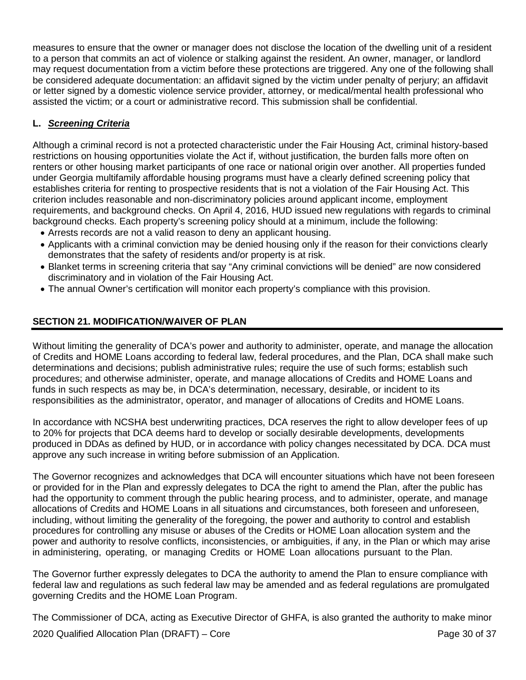measures to ensure that the owner or manager does not disclose the location of the dwelling unit of a resident to a person that commits an act of violence or stalking against the resident. An owner, manager, or landlord may request documentation from a victim before these protections are triggered. Any one of the following shall be considered adequate documentation: an affidavit signed by the victim under penalty of perjury; an affidavit or letter signed by a domestic violence service provider, attorney, or medical/mental health professional who assisted the victim; or a court or administrative record. This submission shall be confidential.

# **L.** *Screening Criteria*

Although a criminal record is not a protected characteristic under the Fair Housing Act, criminal history-based restrictions on housing opportunities violate the Act if, without justification, the burden falls more often on renters or other housing market participants of one race or national origin over another. All properties funded under Georgia multifamily affordable housing programs must have a clearly defined screening policy that establishes criteria for renting to prospective residents that is not a violation of the Fair Housing Act. This criterion includes reasonable and non-discriminatory policies around applicant income, employment requirements, and background checks. On April 4, 2016, HUD issued new regulations with regards to criminal background checks. Each property's screening policy should at a minimum, include the following:

- Arrests records are not a valid reason to deny an applicant housing.
- Applicants with a criminal conviction may be denied housing only if the reason for their convictions clearly demonstrates that the safety of residents and/or property is at risk.
- Blanket terms in screening criteria that say "Any criminal convictions will be denied" are now considered discriminatory and in violation of the Fair Housing Act.
- The annual Owner's certification will monitor each property's compliance with this provision.

# <span id="page-29-0"></span>**SECTION 21. MODIFICATION/WAIVER OF PLAN**

Without limiting the generality of DCA's power and authority to administer, operate, and manage the allocation of Credits and HOME Loans according to federal law, federal procedures, and the Plan, DCA shall make such determinations and decisions; publish administrative rules; require the use of such forms; establish such procedures; and otherwise administer, operate, and manage allocations of Credits and HOME Loans and funds in such respects as may be, in DCA's determination, necessary, desirable, or incident to its responsibilities as the administrator, operator, and manager of allocations of Credits and HOME Loans.

In accordance with NCSHA best underwriting practices, DCA reserves the right to allow developer fees of up to 20% for projects that DCA deems hard to develop or socially desirable developments, developments produced in DDAs as defined by HUD, or in accordance with policy changes necessitated by DCA. DCA must approve any such increase in writing before submission of an Application.

The Governor recognizes and acknowledges that DCA will encounter situations which have not been foreseen or provided for in the Plan and expressly delegates to DCA the right to amend the Plan, after the public has had the opportunity to comment through the public hearing process, and to administer, operate, and manage allocations of Credits and HOME Loans in all situations and circumstances, both foreseen and unforeseen, including, without limiting the generality of the foregoing, the power and authority to control and establish procedures for controlling any misuse or abuses of the Credits or HOME Loan allocation system and the power and authority to resolve conflicts, inconsistencies, or ambiguities, if any, in the Plan or which may arise in administering, operating, or managing Credits or HOME Loan allocations pursuant to the Plan.

The Governor further expressly delegates to DCA the authority to amend the Plan to ensure compliance with federal law and regulations as such federal law may be amended and as federal regulations are promulgated governing Credits and the HOME Loan Program.

The Commissioner of DCA, acting as Executive Director of GHFA, is also granted the authority to make minor

2020 Qualified Allocation Plan (DRAFT) – Core Page 30 of 37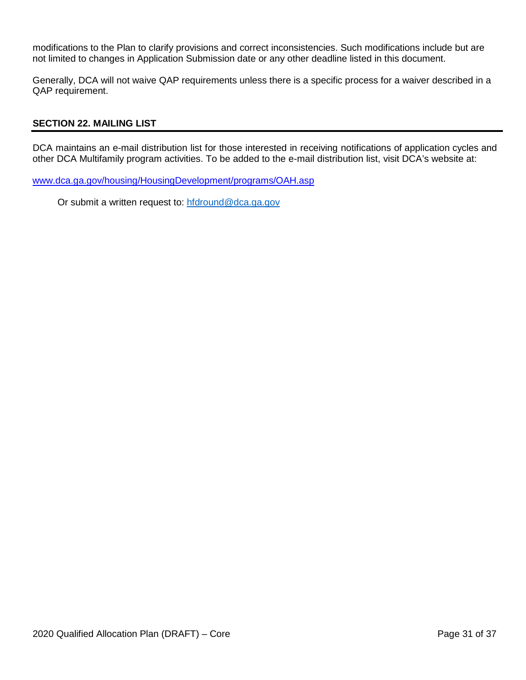modifications to the Plan to clarify provisions and correct inconsistencies. Such modifications include but are not limited to changes in Application Submission date or any other deadline listed in this document.

Generally, DCA will not waive QAP requirements unless there is a specific process for a waiver described in a QAP requirement.

#### <span id="page-30-0"></span>**SECTION 22. MAILING LIST**

DCA maintains an e-mail distribution list for those interested in receiving notifications of application cycles and other DCA Multifamily program activities. To be added to the e-mail distribution list, visit DCA's website at:

[www.dca.ga.gov/housing/HousingDevelopment/programs/OAH.asp](http://www.dca.ga.gov/housing/HousingDevelopment/programs/OAH.asp)

Or submit a written request to: [hfdround@dca.ga.gov](mailto:hfdround@dca.ga.gov)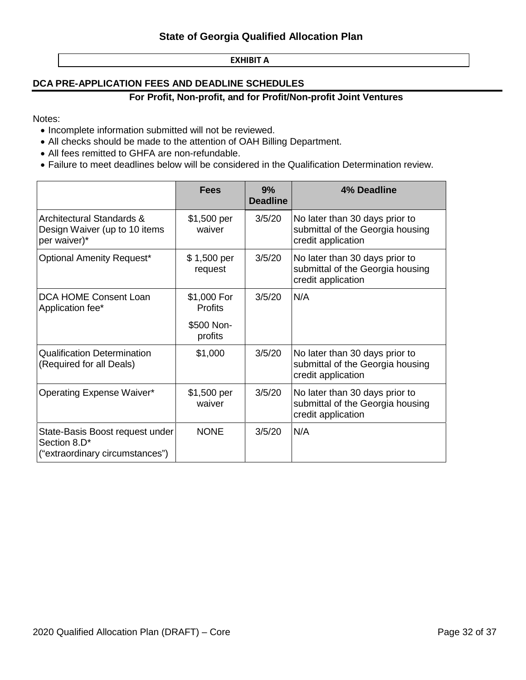#### **EXHIBIT A**

## <span id="page-31-0"></span>**DCA PRE-APPLICATION FEES AND DEADLINE SCHEDULES**

#### **For Profit, Non-profit, and for Profit/Non-profit Joint Ventures**

Notes:

- Incomplete information submitted will not be reviewed.
- All checks should be made to the attention of OAH Billing Department.
- All fees remitted to GHFA are non-refundable.
- Failure to meet deadlines below will be considered in the Qualification Determination review.

|                                                                                       | <b>Fees</b>                   | 9%<br><b>Deadline</b> | 4% Deadline                                                                              |
|---------------------------------------------------------------------------------------|-------------------------------|-----------------------|------------------------------------------------------------------------------------------|
| <b>Architectural Standards &amp;</b><br>Design Waiver (up to 10 items<br>per waiver)* | \$1,500 per<br>waiver         | 3/5/20                | No later than 30 days prior to<br>submittal of the Georgia housing<br>credit application |
| <b>Optional Amenity Request*</b>                                                      | \$1,500 per<br>request        | 3/5/20                | No later than 30 days prior to<br>submittal of the Georgia housing<br>credit application |
| DCA HOME Consent Loan<br>Application fee*                                             | \$1,000 For<br><b>Profits</b> | 3/5/20                | N/A                                                                                      |
|                                                                                       | \$500 Non-<br>profits         |                       |                                                                                          |
| <b>Qualification Determination</b><br>(Required for all Deals)                        | \$1,000                       | 3/5/20                | No later than 30 days prior to<br>submittal of the Georgia housing<br>credit application |
| <b>Operating Expense Waiver*</b>                                                      | \$1,500 per<br>waiver         | 3/5/20                | No later than 30 days prior to<br>submittal of the Georgia housing<br>credit application |
| State-Basis Boost request under<br>Section 8.D*<br>("extraordinary circumstances")    | <b>NONE</b>                   | 3/5/20                | N/A                                                                                      |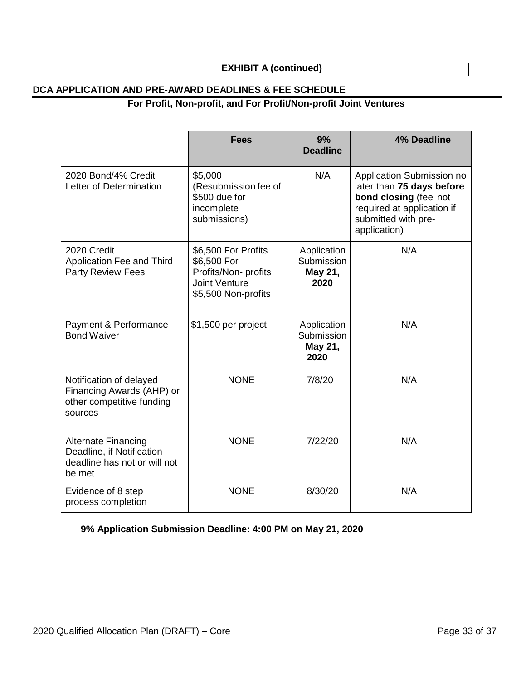# **EXHIBIT A (continued)**

## **DCA APPLICATION AND PRE-AWARD DEADLINES & FEE SCHEDULE**

# **For Profit, Non-profit, and For Profit/Non-profit Joint Ventures**

|                                                                                                   | <b>Fees</b>                                                                                              | 9%<br><b>Deadline</b>                        | <b>4% Deadline</b>                                                                                                                                   |
|---------------------------------------------------------------------------------------------------|----------------------------------------------------------------------------------------------------------|----------------------------------------------|------------------------------------------------------------------------------------------------------------------------------------------------------|
| 2020 Bond/4% Credit<br>Letter of Determination                                                    | \$5,000<br>(Resubmission fee of<br>\$500 due for<br>incomplete<br>submissions)                           | N/A                                          | Application Submission no<br>later than 75 days before<br>bond closing (fee not<br>required at application if<br>submitted with pre-<br>application) |
| 2020 Credit<br>Application Fee and Third<br><b>Party Review Fees</b>                              | \$6,500 For Profits<br>\$6,500 For<br>Profits/Non-profits<br><b>Joint Venture</b><br>\$5,500 Non-profits | Application<br>Submission<br>May 21,<br>2020 | N/A                                                                                                                                                  |
| Payment & Performance<br><b>Bond Waiver</b>                                                       | \$1,500 per project                                                                                      | Application<br>Submission<br>May 21,<br>2020 | N/A                                                                                                                                                  |
| Notification of delayed<br>Financing Awards (AHP) or<br>other competitive funding<br>sources      | <b>NONE</b>                                                                                              | 7/8/20                                       | N/A                                                                                                                                                  |
| <b>Alternate Financing</b><br>Deadline, if Notification<br>deadline has not or will not<br>be met | <b>NONE</b>                                                                                              | 7/22/20                                      | N/A                                                                                                                                                  |
| Evidence of 8 step<br>process completion                                                          | <b>NONE</b>                                                                                              | 8/30/20                                      | N/A                                                                                                                                                  |

**9% Application Submission Deadline: 4:00 PM on May 21, 2020**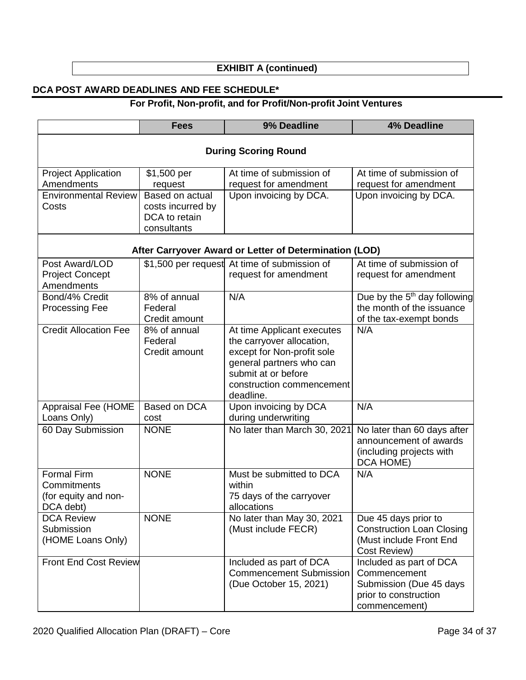# **EXHIBIT A (continued)**

# **DCA POST AWARD DEADLINES AND FEE SCHEDULE\***

# **For Profit, Non-profit, and for Profit/Non-profit Joint Ventures**

|                                                                 | <b>Fees</b>                                                          | 9% Deadline                                                                                                                                                                        | <b>4% Deadline</b>                                                                                           |  |  |
|-----------------------------------------------------------------|----------------------------------------------------------------------|------------------------------------------------------------------------------------------------------------------------------------------------------------------------------------|--------------------------------------------------------------------------------------------------------------|--|--|
| <b>During Scoring Round</b>                                     |                                                                      |                                                                                                                                                                                    |                                                                                                              |  |  |
| <b>Project Application</b><br>Amendments                        | \$1,500 per<br>request                                               | At time of submission of<br>request for amendment                                                                                                                                  | At time of submission of<br>request for amendment                                                            |  |  |
| <b>Environmental Review</b><br>Costs                            | Based on actual<br>costs incurred by<br>DCA to retain<br>consultants | Upon invoicing by DCA.                                                                                                                                                             | Upon invoicing by DCA.                                                                                       |  |  |
|                                                                 |                                                                      | After Carryover Award or Letter of Determination (LOD)                                                                                                                             |                                                                                                              |  |  |
| Post Award/LOD<br><b>Project Concept</b><br>Amendments          |                                                                      | \$1,500 per request At time of submission of<br>request for amendment                                                                                                              | At time of submission of<br>request for amendment                                                            |  |  |
| Bond/4% Credit<br><b>Processing Fee</b>                         | 8% of annual<br>Federal<br>Credit amount                             | N/A                                                                                                                                                                                | Due by the 5 <sup>th</sup> day following<br>the month of the issuance<br>of the tax-exempt bonds             |  |  |
| <b>Credit Allocation Fee</b>                                    | 8% of annual<br>Federal<br>Credit amount                             | At time Applicant executes<br>the carryover allocation,<br>except for Non-profit sole<br>general partners who can<br>submit at or before<br>construction commencement<br>deadline. | N/A                                                                                                          |  |  |
| Appraisal Fee (HOME<br>Loans Only)                              | Based on DCA<br>cost                                                 | Upon invoicing by DCA<br>during underwriting                                                                                                                                       | N/A                                                                                                          |  |  |
| 60 Day Submission                                               | <b>NONE</b>                                                          | No later than March 30, 2021                                                                                                                                                       | No later than 60 days after<br>announcement of awards<br>(including projects with<br>DCA HOME)               |  |  |
| Formal Firm<br>Commitments<br>(for equity and non-<br>DCA debt) | <b>NONE</b>                                                          | Must be submitted to DCA<br>within<br>75 days of the carryover<br>allocations                                                                                                      | N/A                                                                                                          |  |  |
| <b>DCA Review</b><br>Submission<br>(HOME Loans Only)            | <b>NONE</b>                                                          | No later than May 30, 2021<br>(Must include FECR)                                                                                                                                  | Due 45 days prior to<br><b>Construction Loan Closing</b><br>(Must include Front End<br>Cost Review)          |  |  |
| <b>Front End Cost Review</b>                                    |                                                                      | Included as part of DCA<br><b>Commencement Submission</b><br>(Due October 15, 2021)                                                                                                | Included as part of DCA<br>Commencement<br>Submission (Due 45 days<br>prior to construction<br>commencement) |  |  |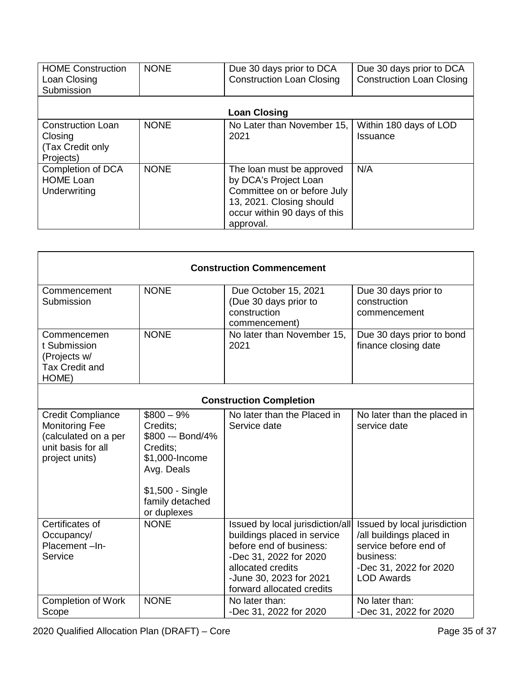| <b>HOME Construction</b><br>Loan Closing<br>Submission               | <b>NONE</b> | Due 30 days prior to DCA<br><b>Construction Loan Closing</b>                                                                                               | Due 30 days prior to DCA<br><b>Construction Loan Closing</b> |
|----------------------------------------------------------------------|-------------|------------------------------------------------------------------------------------------------------------------------------------------------------------|--------------------------------------------------------------|
|                                                                      |             | <b>Loan Closing</b>                                                                                                                                        |                                                              |
| <b>Construction Loan</b><br>Closing<br>(Tax Credit only<br>Projects) | <b>NONE</b> | No Later than November 15,<br>2021                                                                                                                         | Within 180 days of LOD<br>Issuance                           |
| Completion of DCA<br><b>HOME Loan</b><br>Underwriting                | <b>NONE</b> | The loan must be approved<br>by DCA's Project Loan<br>Committee on or before July<br>13, 2021. Closing should<br>occur within 90 days of this<br>approval. | N/A                                                          |

| <b>Construction Commencement</b>                                                                                  |                                                                                                                                                |                                                                                                                                                                                                   |                                                                                                                                               |  |
|-------------------------------------------------------------------------------------------------------------------|------------------------------------------------------------------------------------------------------------------------------------------------|---------------------------------------------------------------------------------------------------------------------------------------------------------------------------------------------------|-----------------------------------------------------------------------------------------------------------------------------------------------|--|
| Commencement<br>Submission                                                                                        | <b>NONE</b>                                                                                                                                    | Due October 15, 2021<br>(Due 30 days prior to<br>construction<br>commencement)                                                                                                                    | Due 30 days prior to<br>construction<br>commencement                                                                                          |  |
| Commencemen<br>t Submission<br>(Projects w/<br><b>Tax Credit and</b><br>HOME)                                     | <b>NONE</b>                                                                                                                                    | No later than November 15,<br>2021                                                                                                                                                                | Due 30 days prior to bond<br>finance closing date                                                                                             |  |
|                                                                                                                   |                                                                                                                                                | <b>Construction Completion</b>                                                                                                                                                                    |                                                                                                                                               |  |
| <b>Credit Compliance</b><br><b>Monitoring Fee</b><br>(calculated on a per<br>unit basis for all<br>project units) | $$800 - 9\%$<br>Credits:<br>\$800 -- Bond/4%<br>Credits:<br>\$1,000-Income<br>Avg. Deals<br>\$1,500 - Single<br>family detached<br>or duplexes | No later than the Placed in<br>Service date                                                                                                                                                       | No later than the placed in<br>service date                                                                                                   |  |
| Certificates of<br>Occupancy/<br>Placement-In-<br>Service                                                         | <b>NONE</b>                                                                                                                                    | Issued by local jurisdiction/all<br>buildings placed in service<br>before end of business:<br>-Dec 31, 2022 for 2020<br>allocated credits<br>-June 30, 2023 for 2021<br>forward allocated credits | Issued by local jurisdiction<br>/all buildings placed in<br>service before end of<br>business:<br>-Dec 31, 2022 for 2020<br><b>LOD Awards</b> |  |
| <b>Completion of Work</b><br>Scope                                                                                | <b>NONE</b>                                                                                                                                    | No later than:<br>-Dec 31, 2022 for 2020                                                                                                                                                          | No later than:<br>-Dec 31, 2022 for 2020                                                                                                      |  |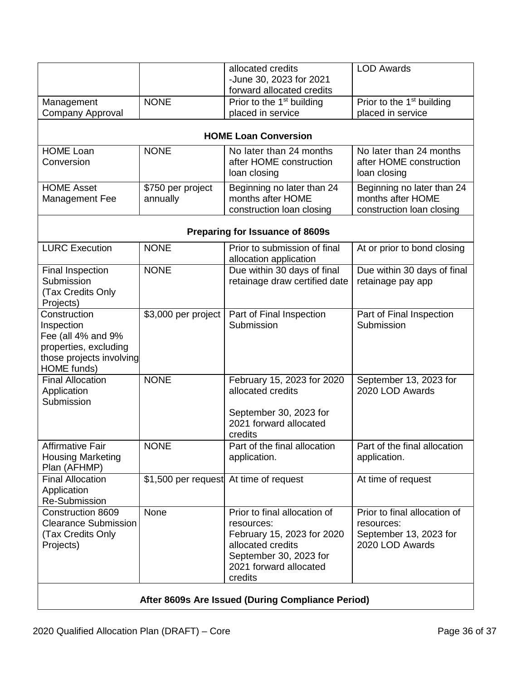|                                                   |                                        | allocated credits<br>-June 30, 2023 for 2021           | <b>LOD Awards</b>                     |  |
|---------------------------------------------------|----------------------------------------|--------------------------------------------------------|---------------------------------------|--|
|                                                   |                                        | forward allocated credits                              |                                       |  |
| Management                                        | <b>NONE</b>                            | Prior to the 1 <sup>st</sup> building                  | Prior to the 1 <sup>st</sup> building |  |
| <b>Company Approval</b>                           |                                        | placed in service                                      | placed in service                     |  |
|                                                   |                                        | <b>HOME Loan Conversion</b>                            |                                       |  |
| <b>HOME Loan</b>                                  | <b>NONE</b>                            | No later than 24 months                                | No later than 24 months               |  |
| Conversion                                        |                                        | after HOME construction                                | after HOME construction               |  |
|                                                   |                                        | loan closing                                           | loan closing                          |  |
| <b>HOME Asset</b>                                 | \$750 per project                      | Beginning no later than 24                             | Beginning no later than 24            |  |
| Management Fee                                    | annually                               | months after HOME                                      | months after HOME                     |  |
|                                                   |                                        | construction loan closing                              | construction loan closing             |  |
|                                                   |                                        | Preparing for Issuance of 8609s                        |                                       |  |
| <b>LURC Execution</b>                             | <b>NONE</b>                            | Prior to submission of final<br>allocation application | At or prior to bond closing           |  |
| <b>Final Inspection</b>                           | <b>NONE</b>                            | Due within 30 days of final                            | Due within 30 days of final           |  |
| Submission                                        |                                        | retainage draw certified date                          | retainage pay app                     |  |
| (Tax Credits Only                                 |                                        |                                                        |                                       |  |
| Projects)                                         |                                        |                                                        |                                       |  |
| Construction                                      | \$3,000 per project                    | Part of Final Inspection                               | Part of Final Inspection              |  |
| Inspection<br>Fee (all 4% and 9%                  |                                        | Submission                                             | Submission                            |  |
| properties, excluding                             |                                        |                                                        |                                       |  |
| those projects involving                          |                                        |                                                        |                                       |  |
| HOME funds)                                       |                                        |                                                        |                                       |  |
| <b>Final Allocation</b>                           | <b>NONE</b>                            | February 15, 2023 for 2020                             | September 13, 2023 for                |  |
| Application                                       |                                        | allocated credits                                      | 2020 LOD Awards                       |  |
| Submission                                        |                                        |                                                        |                                       |  |
|                                                   |                                        | September 30, 2023 for                                 |                                       |  |
|                                                   |                                        | 2021 forward allocated                                 |                                       |  |
| <b>Affirmative Fair</b>                           | <b>NONE</b>                            | credits<br>Part of the final allocation                | Part of the final allocation          |  |
| <b>Housing Marketing</b>                          |                                        | application.                                           | application.                          |  |
| Plan (AFHMP)                                      |                                        |                                                        |                                       |  |
| <b>Final Allocation</b>                           | \$1,500 per request At time of request |                                                        | At time of request                    |  |
| Application                                       |                                        |                                                        |                                       |  |
| <b>Re-Submission</b>                              |                                        |                                                        |                                       |  |
| <b>Construction 8609</b>                          | None                                   | Prior to final allocation of                           | Prior to final allocation of          |  |
| <b>Clearance Submission</b>                       |                                        | resources:                                             | resources:                            |  |
| (Tax Credits Only                                 |                                        | February 15, 2023 for 2020                             | September 13, 2023 for                |  |
| Projects)                                         |                                        | allocated credits                                      | 2020 LOD Awards                       |  |
|                                                   |                                        | September 30, 2023 for<br>2021 forward allocated       |                                       |  |
|                                                   |                                        | credits                                                |                                       |  |
|                                                   |                                        |                                                        |                                       |  |
| After 8609s Are Issued (During Compliance Period) |                                        |                                                        |                                       |  |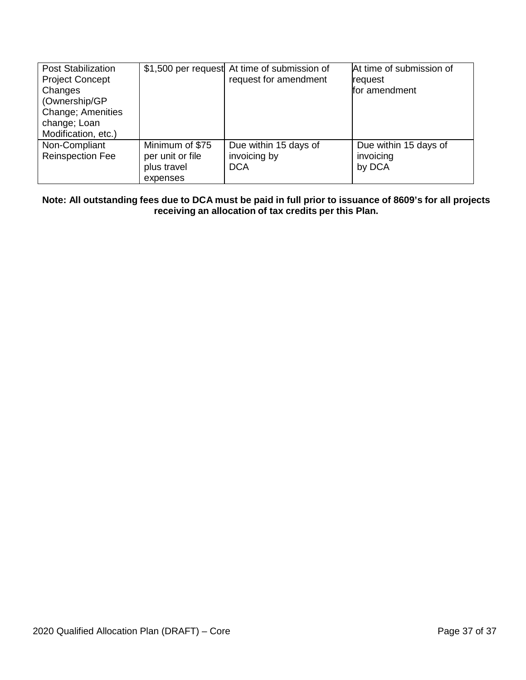| <b>Post Stabilization</b><br><b>Project Concept</b><br>Changes<br>(Ownership/GP<br><b>Change</b> ; Amenities<br>change; Loan<br>Modification, etc.) |                                                                | \$1,500 per request At time of submission of<br>request for amendment | At time of submission of<br>lrequest<br>for amendment |
|-----------------------------------------------------------------------------------------------------------------------------------------------------|----------------------------------------------------------------|-----------------------------------------------------------------------|-------------------------------------------------------|
| Non-Compliant<br><b>Reinspection Fee</b>                                                                                                            | Minimum of \$75<br>per unit or file<br>plus travel<br>expenses | Due within 15 days of<br>invoicing by<br><b>DCA</b>                   | Due within 15 days of<br>invoicing<br>by DCA          |

Note: All outstanding fees due to DCA must be paid in full prior to issuance of 8609's for all projects **receiving an allocation of tax credits per this Plan.**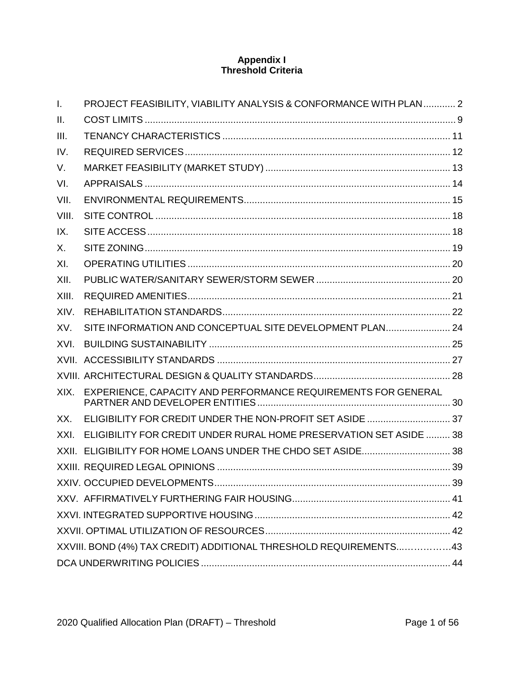# **Appendix I Threshold Criteria**

| $\mathbf{L}$ | PROJECT FEASIBILITY, VIABILITY ANALYSIS & CONFORMANCE WITH PLAN 2  |  |
|--------------|--------------------------------------------------------------------|--|
| Ш.           |                                                                    |  |
| III.         |                                                                    |  |
| IV.          |                                                                    |  |
| V.           |                                                                    |  |
| VI.          |                                                                    |  |
| VII.         |                                                                    |  |
| VIII.        |                                                                    |  |
| IX.          |                                                                    |  |
| X.           |                                                                    |  |
| XI.          |                                                                    |  |
| XII.         |                                                                    |  |
| XIII.        |                                                                    |  |
| XIV.         |                                                                    |  |
| XV.          | SITE INFORMATION AND CONCEPTUAL SITE DEVELOPMENT PLAN 24           |  |
| XVI.         |                                                                    |  |
|              |                                                                    |  |
|              |                                                                    |  |
| XIX.         | EXPERIENCE, CAPACITY AND PERFORMANCE REQUIREMENTS FOR GENERAL      |  |
| XX.          | ELIGIBILITY FOR CREDIT UNDER THE NON-PROFIT SET ASIDE  37          |  |
| XXI.         | ELIGIBILITY FOR CREDIT UNDER RURAL HOME PRESERVATION SET ASIDE  38 |  |
|              | XXII. ELIGIBILITY FOR HOME LOANS UNDER THE CHDO SET ASIDE 38       |  |
|              |                                                                    |  |
|              |                                                                    |  |
|              |                                                                    |  |
|              |                                                                    |  |
|              |                                                                    |  |
|              | XXVIII. BOND (4%) TAX CREDIT) ADDITIONAL THRESHOLD REQUIREMENTS43  |  |
|              |                                                                    |  |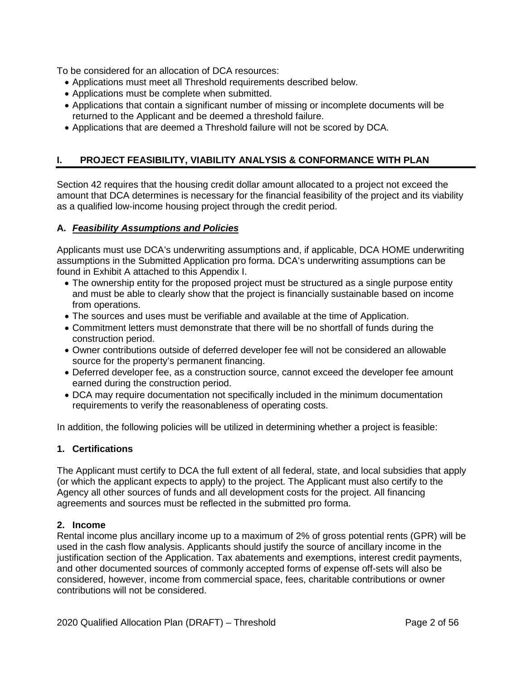To be considered for an allocation of DCA resources:

- Applications must meet all Threshold requirements described below.
- Applications must be complete when submitted.
- Applications that contain a significant number of missing or incomplete documents will be returned to the Applicant and be deemed a threshold failure.
- Applications that are deemed a Threshold failure will not be scored by DCA.

# <span id="page-38-0"></span>**I. PROJECT FEASIBILITY, VIABILITY ANALYSIS & CONFORMANCE WITH PLAN**

Section 42 requires that the housing credit dollar amount allocated to a project not exceed the amount that DCA determines is necessary for the financial feasibility of the project and its viability as a qualified low-income housing project through the credit period.

## **A.** *Feasibility Assumptions and Policies*

Applicants must use DCA's underwriting assumptions and, if applicable, DCA HOME underwriting assumptions in the Submitted Application pro forma. DCA's underwriting assumptions can be found in Exhibit A attached to this Appendix I.

- The ownership entity for the proposed project must be structured as a single purpose entity and must be able to clearly show that the project is financially sustainable based on income from operations.
- The sources and uses must be verifiable and available at the time of Application.
- Commitment letters must demonstrate that there will be no shortfall of funds during the construction period.
- Owner contributions outside of deferred developer fee will not be considered an allowable source for the property's permanent financing.
- Deferred developer fee, as a construction source, cannot exceed the developer fee amount earned during the construction period.
- DCA may require documentation not specifically included in the minimum documentation requirements to verify the reasonableness of operating costs.

In addition, the following policies will be utilized in determining whether a project is feasible:

## **1. Certifications**

The Applicant must certify to DCA the full extent of all federal, state, and local subsidies that apply (or which the applicant expects to apply) to the project. The Applicant must also certify to the Agency all other sources of funds and all development costs for the project. All financing agreements and sources must be reflected in the submitted pro forma.

## **2. Income**

Rental income plus ancillary income up to a maximum of 2% of gross potential rents (GPR) will be used in the cash flow analysis. Applicants should justify the source of ancillary income in the justification section of the Application. Tax abatements and exemptions, interest credit payments, and other documented sources of commonly accepted forms of expense off-sets will also be considered, however, income from commercial space, fees, charitable contributions or owner contributions will not be considered.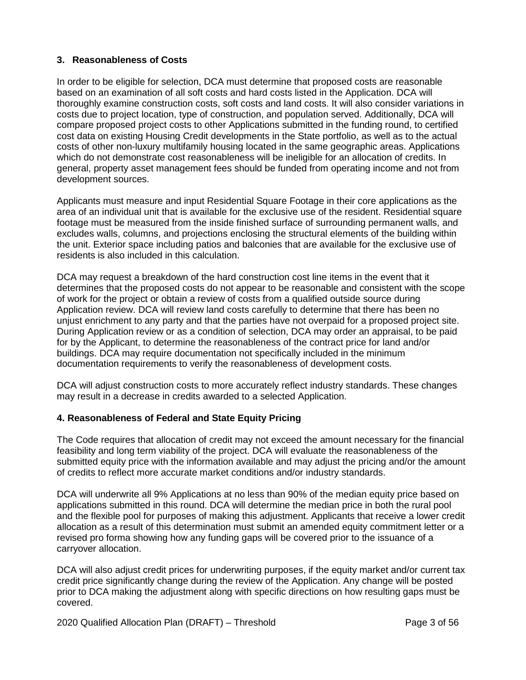## **3. Reasonableness of Costs**

In order to be eligible for selection, DCA must determine that proposed costs are reasonable based on an examination of all soft costs and hard costs listed in the Application. DCA will thoroughly examine construction costs, soft costs and land costs. It will also consider variations in costs due to project location, type of construction, and population served. Additionally, DCA will compare proposed project costs to other Applications submitted in the funding round, to certified cost data on existing Housing Credit developments in the State portfolio, as well as to the actual costs of other non-luxury multifamily housing located in the same geographic areas. Applications which do not demonstrate cost reasonableness will be ineligible for an allocation of credits. In general, property asset management fees should be funded from operating income and not from development sources.

Applicants must measure and input Residential Square Footage in their core applications as the area of an individual unit that is available for the exclusive use of the resident. Residential square footage must be measured from the inside finished surface of surrounding permanent walls, and excludes walls, columns, and projections enclosing the structural elements of the building within the unit. Exterior space including patios and balconies that are available for the exclusive use of residents is also included in this calculation.

DCA may request a breakdown of the hard construction cost line items in the event that it determines that the proposed costs do not appear to be reasonable and consistent with the scope of work for the project or obtain a review of costs from a qualified outside source during Application review. DCA will review land costs carefully to determine that there has been no unjust enrichment to any party and that the parties have not overpaid for a proposed project site. During Application review or as a condition of selection, DCA may order an appraisal, to be paid for by the Applicant, to determine the reasonableness of the contract price for land and/or buildings. DCA may require documentation not specifically included in the minimum documentation requirements to verify the reasonableness of development costs.

DCA will adjust construction costs to more accurately reflect industry standards. These changes may result in a decrease in credits awarded to a selected Application.

#### **4. Reasonableness of Federal and State Equity Pricing**

The Code requires that allocation of credit may not exceed the amount necessary for the financial feasibility and long term viability of the project. DCA will evaluate the reasonableness of the submitted equity price with the information available and may adjust the pricing and/or the amount of credits to reflect more accurate market conditions and/or industry standards.

DCA will underwrite all 9% Applications at no less than 90% of the median equity price based on applications submitted in this round. DCA will determine the median price in both the rural pool and the flexible pool for purposes of making this adjustment. Applicants that receive a lower credit allocation as a result of this determination must submit an amended equity commitment letter or a revised pro forma showing how any funding gaps will be covered prior to the issuance of a carryover allocation.

DCA will also adjust credit prices for underwriting purposes, if the equity market and/or current tax credit price significantly change during the review of the Application. Any change will be posted prior to DCA making the adjustment along with specific directions on how resulting gaps must be covered.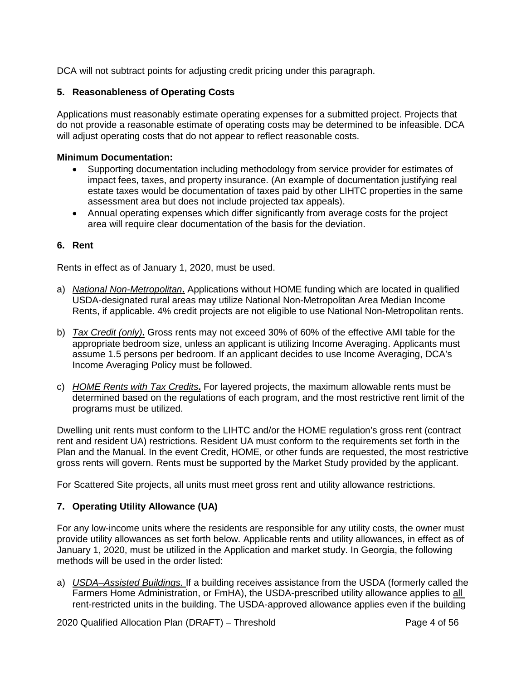DCA will not subtract points for adjusting credit pricing under this paragraph.

## **5. Reasonableness of Operating Costs**

Applications must reasonably estimate operating expenses for a submitted project. Projects that do not provide a reasonable estimate of operating costs may be determined to be infeasible. DCA will adjust operating costs that do not appear to reflect reasonable costs.

### **Minimum Documentation:**

- Supporting documentation including methodology from service provider for estimates of impact fees, taxes, and property insurance. (An example of documentation justifying real estate taxes would be documentation of taxes paid by other LIHTC properties in the same assessment area but does not include projected tax appeals).
- Annual operating expenses which differ significantly from average costs for the project area will require clear documentation of the basis for the deviation.

### **6. Rent**

Rents in effect as of January 1, 2020, must be used.

- a) *National Non-Metropolitan***.** Applications without HOME funding which are located in qualified USDA-designated rural areas may utilize National Non-Metropolitan Area Median Income Rents, if applicable. 4% credit projects are not eligible to use National Non-Metropolitan rents.
- b) *Tax Credit (only)***.** Gross rents may not exceed 30% of 60% of the effective AMI table for the appropriate bedroom size, unless an applicant is utilizing Income Averaging. Applicants must assume 1.5 persons per bedroom. If an applicant decides to use Income Averaging, DCA's Income Averaging Policy must be followed.
- c) *HOME Rents with Tax Credits***.** For layered projects, the maximum allowable rents must be determined based on the regulations of each program, and the most restrictive rent limit of the programs must be utilized.

Dwelling unit rents must conform to the LIHTC and/or the HOME regulation's gross rent (contract rent and resident UA) restrictions. Resident UA must conform to the requirements set forth in the Plan and the Manual. In the event Credit, HOME, or other funds are requested, the most restrictive gross rents will govern. Rents must be supported by the Market Study provided by the applicant.

For Scattered Site projects, all units must meet gross rent and utility allowance restrictions.

## **7. Operating Utility Allowance (UA)**

For any low-income units where the residents are responsible for any utility costs, the owner must provide utility allowances as set forth below. Applicable rents and utility allowances, in effect as of January 1, 2020, must be utilized in the Application and market study. In Georgia, the following methods will be used in the order listed:

a) *USDA–Assisted Buildings.* If a building receives assistance from the USDA (formerly called the Farmers Home Administration, or FmHA), the USDA-prescribed utility allowance applies to all rent-restricted units in the building. The USDA-approved allowance applies even if the building

2020 Qualified Allocation Plan (DRAFT) – Threshold Page 4 of 56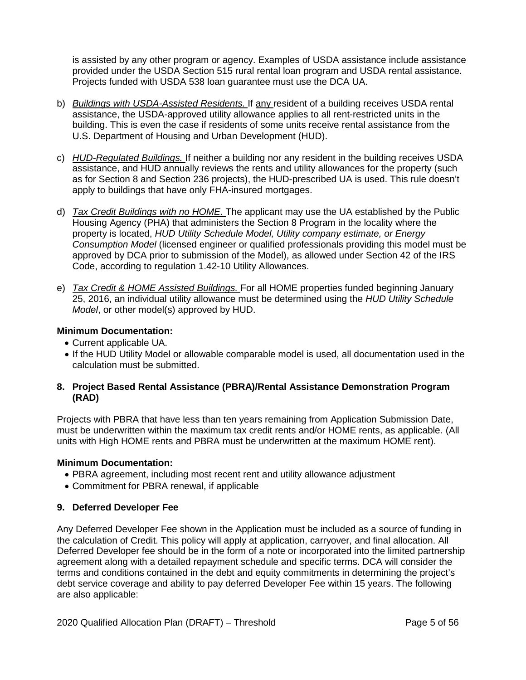is assisted by any other program or agency. Examples of USDA assistance include assistance provided under the USDA Section 515 rural rental loan program and USDA rental assistance. Projects funded with USDA 538 loan guarantee must use the DCA UA.

- b) *Buildings with USDA-Assisted Residents.* If any resident of a building receives USDA rental assistance, the USDA-approved utility allowance applies to all rent-restricted units in the building. This is even the case if residents of some units receive rental assistance from the U.S. Department of Housing and Urban Development (HUD).
- c) *HUD-Regulated Buildings.* If neither a building nor any resident in the building receives USDA assistance, and HUD annually reviews the rents and utility allowances for the property (such as for Section 8 and Section 236 projects), the HUD-prescribed UA is used. This rule doesn't apply to buildings that have only FHA-insured mortgages.
- d) *Tax Credit Buildings with no HOME.* The applicant may use the UA established by the Public Housing Agency (PHA) that administers the Section 8 Program in the locality where the property is located, *HUD Utility Schedule Model, Utility company estimate, or Energy Consumption Model* (licensed engineer or qualified professionals providing this model must be approved by DCA prior to submission of the Model), as allowed under Section 42 of the IRS Code, according to regulation 1.42-10 Utility Allowances.
- e) *Tax Credit & HOME Assisted Buildings.* For all HOME properties funded beginning January 25, 2016, an individual utility allowance must be determined using the *HUD Utility Schedule Model*, or other model(s) approved by HUD.

## **Minimum Documentation:**

- Current applicable UA.
- If the HUD Utility Model or allowable comparable model is used, all documentation used in the calculation must be submitted.

### **8. Project Based Rental Assistance (PBRA)/Rental Assistance Demonstration Program (RAD)**

Projects with PBRA that have less than ten years remaining from Application Submission Date, must be underwritten within the maximum tax credit rents and/or HOME rents, as applicable. (All units with High HOME rents and PBRA must be underwritten at the maximum HOME rent).

#### **Minimum Documentation:**

- PBRA agreement, including most recent rent and utility allowance adjustment
- Commitment for PBRA renewal, if applicable

## **9. Deferred Developer Fee**

Any Deferred Developer Fee shown in the Application must be included as a source of funding in the calculation of Credit. This policy will apply at application, carryover, and final allocation. All Deferred Developer fee should be in the form of a note or incorporated into the limited partnership agreement along with a detailed repayment schedule and specific terms. DCA will consider the terms and conditions contained in the debt and equity commitments in determining the project's debt service coverage and ability to pay deferred Developer Fee within 15 years. The following are also applicable: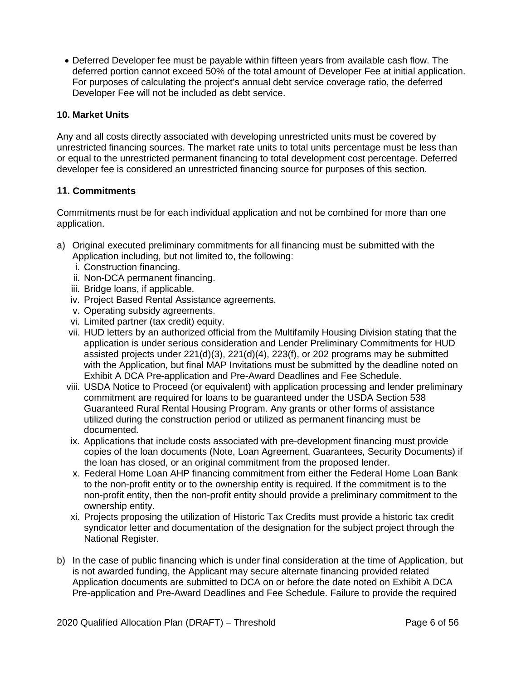• Deferred Developer fee must be payable within fifteen years from available cash flow. The deferred portion cannot exceed 50% of the total amount of Developer Fee at initial application. For purposes of calculating the project's annual debt service coverage ratio, the deferred Developer Fee will not be included as debt service.

# **10. Market Units**

Any and all costs directly associated with developing unrestricted units must be covered by unrestricted financing sources. The market rate units to total units percentage must be less than or equal to the unrestricted permanent financing to total development cost percentage. Deferred developer fee is considered an unrestricted financing source for purposes of this section.

# **11. Commitments**

Commitments must be for each individual application and not be combined for more than one application.

- a) Original executed preliminary commitments for all financing must be submitted with the Application including, but not limited to, the following:
	- i. Construction financing.
	- ii. Non-DCA permanent financing.
	- iii. Bridge loans, if applicable.
	- iv. Project Based Rental Assistance agreements.
	- v. Operating subsidy agreements.
	- vi. Limited partner (tax credit) equity.
	- vii. HUD letters by an authorized official from the Multifamily Housing Division stating that the application is under serious consideration and Lender Preliminary Commitments for HUD assisted projects under 221(d)(3), 221(d)(4), 223(f), or 202 programs may be submitted with the Application, but final MAP Invitations must be submitted by the deadline noted on Exhibit A DCA Pre-application and Pre-Award Deadlines and Fee Schedule.
	- viii. USDA Notice to Proceed (or equivalent) with application processing and lender preliminary commitment are required for loans to be guaranteed under the USDA Section 538 Guaranteed Rural Rental Housing Program. Any grants or other forms of assistance utilized during the construction period or utilized as permanent financing must be documented.
	- ix. Applications that include costs associated with pre-development financing must provide copies of the loan documents (Note, Loan Agreement, Guarantees, Security Documents) if the loan has closed, or an original commitment from the proposed lender.
	- x. Federal Home Loan AHP financing commitment from either the Federal Home Loan Bank to the non-profit entity or to the ownership entity is required. If the commitment is to the non-profit entity, then the non-profit entity should provide a preliminary commitment to the ownership entity.
	- xi. Projects proposing the utilization of Historic Tax Credits must provide a historic tax credit syndicator letter and documentation of the designation for the subject project through the National Register.
- b) In the case of public financing which is under final consideration at the time of Application, but is not awarded funding, the Applicant may secure alternate financing provided related Application documents are submitted to DCA on or before the date noted on Exhibit A DCA Pre-application and Pre-Award Deadlines and Fee Schedule. Failure to provide the required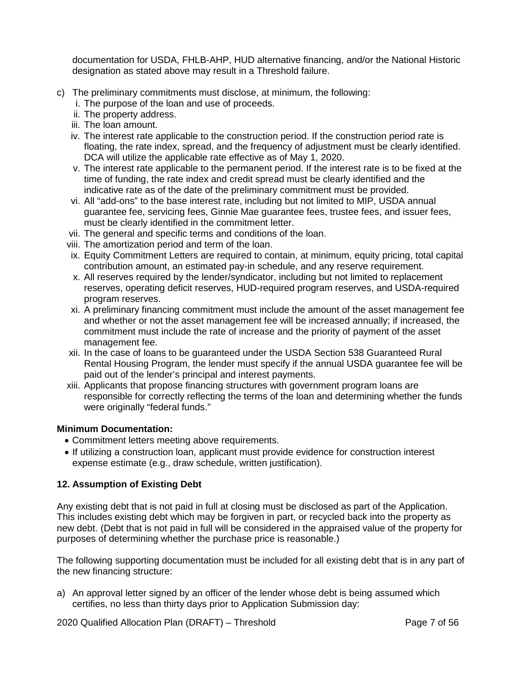documentation for USDA, FHLB-AHP, HUD alternative financing, and/or the National Historic designation as stated above may result in a Threshold failure.

- c) The preliminary commitments must disclose, at minimum, the following:
	- i. The purpose of the loan and use of proceeds.
	- ii. The property address.
	- iii. The loan amount.
	- iv. The interest rate applicable to the construction period. If the construction period rate is floating, the rate index, spread, and the frequency of adjustment must be clearly identified. DCA will utilize the applicable rate effective as of May 1, 2020.
	- v. The interest rate applicable to the permanent period. If the interest rate is to be fixed at the time of funding, the rate index and credit spread must be clearly identified and the indicative rate as of the date of the preliminary commitment must be provided.
	- vi. All "add-ons" to the base interest rate, including but not limited to MIP, USDA annual guarantee fee, servicing fees, Ginnie Mae guarantee fees, trustee fees, and issuer fees, must be clearly identified in the commitment letter.
	- vii. The general and specific terms and conditions of the loan.
	- viii. The amortization period and term of the loan.
	- ix. Equity Commitment Letters are required to contain, at minimum, equity pricing, total capital contribution amount, an estimated pay-in schedule, and any reserve requirement.
	- x. All reserves required by the lender/syndicator, including but not limited to replacement reserves, operating deficit reserves, HUD-required program reserves, and USDA-required program reserves.
	- xi. A preliminary financing commitment must include the amount of the asset management fee and whether or not the asset management fee will be increased annually; if increased, the commitment must include the rate of increase and the priority of payment of the asset management fee.
	- xii. In the case of loans to be guaranteed under the USDA Section 538 Guaranteed Rural Rental Housing Program, the lender must specify if the annual USDA guarantee fee will be paid out of the lender's principal and interest payments.
	- xiii. Applicants that propose financing structures with government program loans are responsible for correctly reflecting the terms of the loan and determining whether the funds were originally "federal funds."

## **Minimum Documentation:**

- Commitment letters meeting above requirements.
- If utilizing a construction loan, applicant must provide evidence for construction interest expense estimate (e.g., draw schedule, written justification).

# **12. Assumption of Existing Debt**

Any existing debt that is not paid in full at closing must be disclosed as part of the Application. This includes existing debt which may be forgiven in part, or recycled back into the property as new debt. (Debt that is not paid in full will be considered in the appraised value of the property for purposes of determining whether the purchase price is reasonable.)

The following supporting documentation must be included for all existing debt that is in any part of the new financing structure:

a) An approval letter signed by an officer of the lender whose debt is being assumed which certifies, no less than thirty days prior to Application Submission day:

2020 Qualified Allocation Plan (DRAFT) – Threshold Page 7 of 56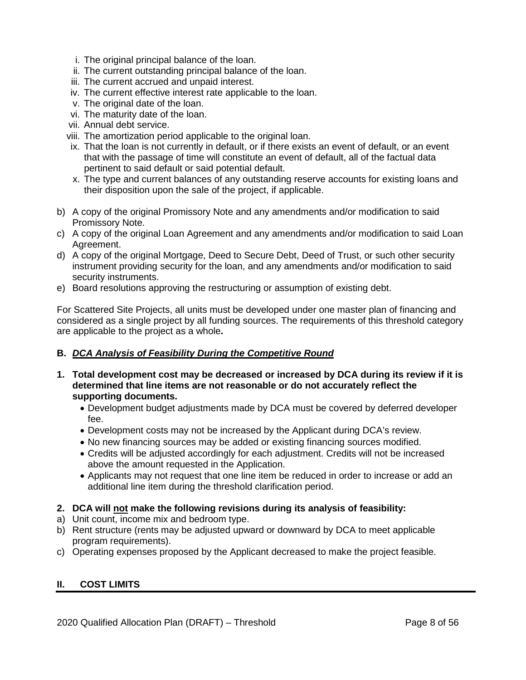- i. The original principal balance of the loan.
- ii. The current outstanding principal balance of the loan.
- iii. The current accrued and unpaid interest.
- iv. The current effective interest rate applicable to the loan.
- v. The original date of the loan.
- vi. The maturity date of the loan.
- vii. Annual debt service.
- viii. The amortization period applicable to the original loan.
- ix. That the loan is not currently in default, or if there exists an event of default, or an event that with the passage of time will constitute an event of default, all of the factual data pertinent to said default or said potential default.
- x. The type and current balances of any outstanding reserve accounts for existing loans and their disposition upon the sale of the project, if applicable.
- b) A copy of the original Promissory Note and any amendments and/or modification to said Promissory Note.
- c) A copy of the original Loan Agreement and any amendments and/or modification to said Loan Agreement.
- d) A copy of the original Mortgage, Deed to Secure Debt, Deed of Trust, or such other security instrument providing security for the loan, and any amendments and/or modification to said security instruments.
- e) Board resolutions approving the restructuring or assumption of existing debt.

For Scattered Site Projects, all units must be developed under one master plan of financing and considered as a single project by all funding sources. The requirements of this threshold category are applicable to the project as a whole**.**

## **B.** *DCA Analysis of Feasibility During the Competitive Round*

- **1. Total development cost may be decreased or increased by DCA during its review if it is determined that line items are not reasonable or do not accurately reflect the supporting documents.**
	- Development budget adjustments made by DCA must be covered by deferred developer fee.
	- Development costs may not be increased by the Applicant during DCA's review.
	- No new financing sources may be added or existing financing sources modified.
	- Credits will be adjusted accordingly for each adjustment. Credits will not be increased above the amount requested in the Application.
	- Applicants may not request that one line item be reduced in order to increase or add an additional line item during the threshold clarification period.
- **2. DCA will not make the following revisions during its analysis of feasibility:**
- a) Unit count, income mix and bedroom type.
- b) Rent structure (rents may be adjusted upward or downward by DCA to meet applicable program requirements).
- c) Operating expenses proposed by the Applicant decreased to make the project feasible.

## <span id="page-44-0"></span>**II. COST LIMITS**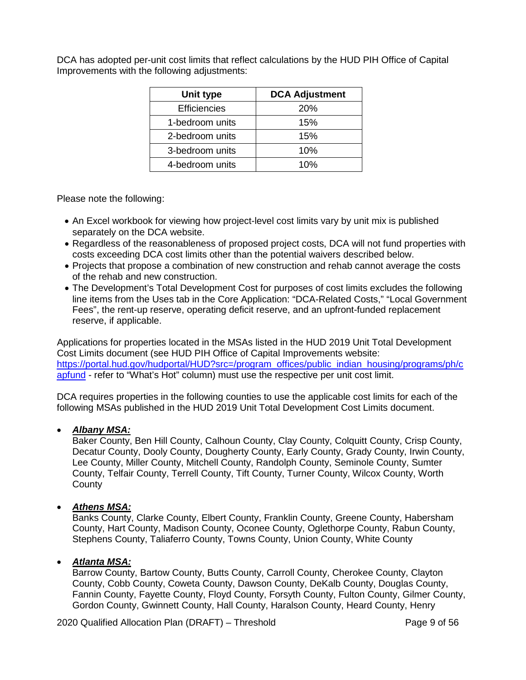DCA has adopted per-unit cost limits that reflect calculations by the HUD PIH Office of Capital Improvements with the following adjustments:

| Unit type           | <b>DCA Adjustment</b> |  |
|---------------------|-----------------------|--|
| <b>Efficiencies</b> | <b>20%</b>            |  |
| 1-bedroom units     | 15%                   |  |
| 2-bedroom units     | 15%                   |  |
| 3-bedroom units     | 10%                   |  |
| 4-bedroom units     | 10%                   |  |

Please note the following:

- An Excel workbook for viewing how project-level cost limits vary by unit mix is published separately on the DCA website.
- Regardless of the reasonableness of proposed project costs, DCA will not fund properties with costs exceeding DCA cost limits other than the potential waivers described below.
- Projects that propose a combination of new construction and rehab cannot average the costs of the rehab and new construction.
- The Development's Total Development Cost for purposes of cost limits excludes the following line items from the Uses tab in the Core Application: "DCA-Related Costs," "Local Government Fees", the rent-up reserve, operating deficit reserve, and an upfront-funded replacement reserve, if applicable.

Applications for properties located in the MSAs listed in the HUD 2019 Unit Total Development Cost Limits document (see HUD PIH Office of Capital Improvements website: [https://portal.hud.gov/hudportal/HUD?src=/program\\_offices/public\\_indian\\_housing/programs/ph/c](https://portal.hud.gov/hudportal/HUD?src=/program_offices/public_indian_housing/programs/ph/capfund) [apfund](https://portal.hud.gov/hudportal/HUD?src=/program_offices/public_indian_housing/programs/ph/capfund) - refer to "What's Hot" column) must use the respective per unit cost limit.

DCA requires properties in the following counties to use the applicable cost limits for each of the following MSAs published in the HUD 2019 Unit Total Development Cost Limits document.

## • *Albany MSA:*

Baker County, Ben Hill County, Calhoun County, Clay County, Colquitt County, Crisp County, Decatur County, Dooly County, Dougherty County, Early County, Grady County, Irwin County, Lee County, Miller County, Mitchell County, Randolph County, Seminole County, Sumter County, Telfair County, Terrell County, Tift County, Turner County, Wilcox County, Worth **County** 

## • *Athens MSA:*

Banks County, Clarke County, Elbert County, Franklin County, Greene County, Habersham County, Hart County, Madison County, Oconee County, Oglethorpe County, Rabun County, Stephens County, Taliaferro County, Towns County, Union County, White County

## • *Atlanta MSA:*

Barrow County, Bartow County, Butts County, Carroll County, Cherokee County, Clayton County, Cobb County, Coweta County, Dawson County, DeKalb County, Douglas County, Fannin County, Fayette County, Floyd County, Forsyth County, Fulton County, Gilmer County, Gordon County, Gwinnett County, Hall County, Haralson County, Heard County, Henry

2020 Qualified Allocation Plan (DRAFT) – Threshold Page 9 of 56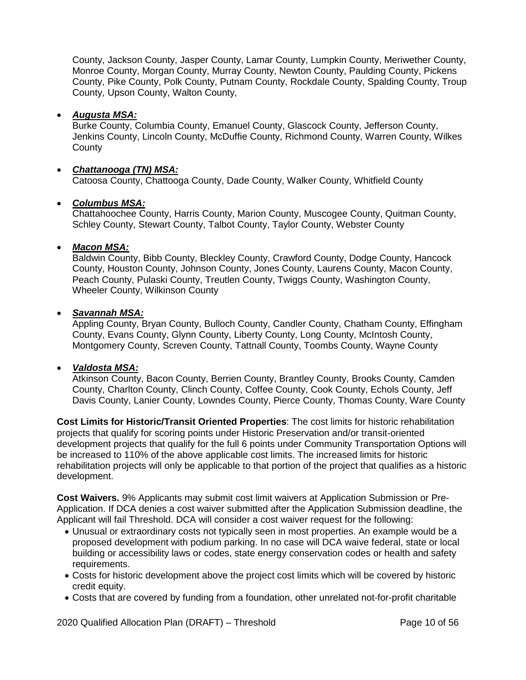County, Jackson County, Jasper County, Lamar County, Lumpkin County, Meriwether County, Monroe County, Morgan County, Murray County, Newton County, Paulding County, Pickens County, Pike County, Polk County, Putnam County, Rockdale County, Spalding County, Troup County, Upson County, Walton County,

## • *Augusta MSA:*

Burke County, Columbia County, Emanuel County, Glascock County, Jefferson County, Jenkins County, Lincoln County, McDuffie County, Richmond County, Warren County, Wilkes **County** 

## • *Chattanooga (TN) MSA:*

Catoosa County, Chattooga County, Dade County, Walker County, Whitfield County

### • *Columbus MSA:*

Chattahoochee County, Harris County, Marion County, Muscogee County, Quitman County, Schley County, Stewart County, Talbot County, Taylor County, Webster County

### • *Macon MSA:*

Baldwin County, Bibb County, Bleckley County, Crawford County, Dodge County, Hancock County, Houston County, Johnson County, Jones County, Laurens County, Macon County, Peach County, Pulaski County, Treutlen County, Twiggs County, Washington County, Wheeler County, Wilkinson County

#### • *Savannah MSA:*

Appling County, Bryan County, Bulloch County, Candler County, Chatham County, Effingham County, Evans County, Glynn County, Liberty County, Long County, McIntosh County, Montgomery County, Screven County, Tattnall County, Toombs County, Wayne County

#### • *Valdosta MSA:*

Atkinson County, Bacon County, Berrien County, Brantley County, Brooks County, Camden County, Charlton County, Clinch County, Coffee County, Cook County, Echols County, Jeff Davis County, Lanier County, Lowndes County, Pierce County, Thomas County, Ware County

**Cost Limits for Historic/Transit Oriented Properties**: The cost limits for historic rehabilitation projects that qualify for scoring points under Historic Preservation and/or transit-oriented development projects that qualify for the full 6 points under Community Transportation Options will be increased to 110% of the above applicable cost limits. The increased limits for historic rehabilitation projects will only be applicable to that portion of the project that qualifies as a historic development.

**Cost Waivers.** 9% Applicants may submit cost limit waivers at Application Submission or Pre-Application. If DCA denies a cost waiver submitted after the Application Submission deadline, the Applicant will fail Threshold. DCA will consider a cost waiver request for the following:

- Unusual or extraordinary costs not typically seen in most properties. An example would be a proposed development with podium parking. In no case will DCA waive federal, state or local building or accessibility laws or codes, state energy conservation codes or health and safety requirements.
- Costs for historic development above the project cost limits which will be covered by historic credit equity.
- Costs that are covered by funding from a foundation, other unrelated not-for-profit charitable

2020 Qualified Allocation Plan (DRAFT) – Threshold Page 10 of 56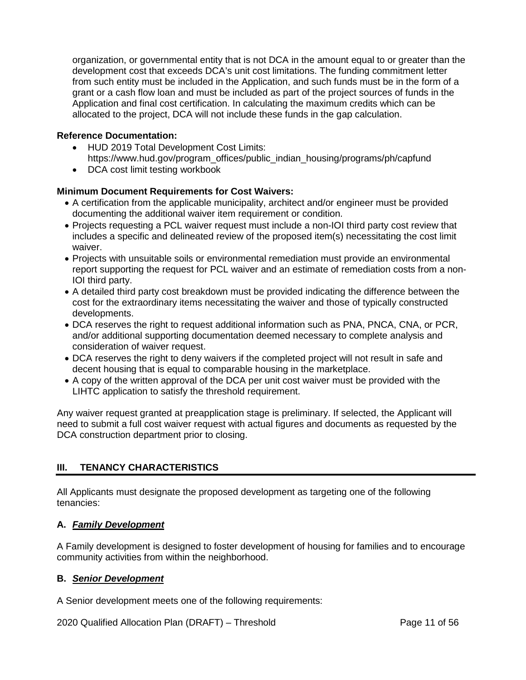organization, or governmental entity that is not DCA in the amount equal to or greater than the development cost that exceeds DCA's unit cost limitations. The funding commitment letter from such entity must be included in the Application, and such funds must be in the form of a grant or a cash flow loan and must be included as part of the project sources of funds in the Application and final cost certification. In calculating the maximum credits which can be allocated to the project, DCA will not include these funds in the gap calculation.

## **Reference Documentation:**

- HUD 2019 Total Development Cost Limits: https://www.hud.gov/program\_offices/public\_indian\_housing/programs/ph/capfund
- DCA cost limit testing workbook

# **Minimum Document Requirements for Cost Waivers:**

- A certification from the applicable municipality, architect and/or engineer must be provided documenting the additional waiver item requirement or condition.
- Projects requesting a PCL waiver request must include a non-IOI third party cost review that includes a specific and delineated review of the proposed item(s) necessitating the cost limit waiver.
- Projects with unsuitable soils or environmental remediation must provide an environmental report supporting the request for PCL waiver and an estimate of remediation costs from a non-IOI third party.
- A detailed third party cost breakdown must be provided indicating the difference between the cost for the extraordinary items necessitating the waiver and those of typically constructed developments.
- DCA reserves the right to request additional information such as PNA, PNCA, CNA, or PCR, and/or additional supporting documentation deemed necessary to complete analysis and consideration of waiver request.
- DCA reserves the right to deny waivers if the completed project will not result in safe and decent housing that is equal to comparable housing in the marketplace.
- A copy of the written approval of the DCA per unit cost waiver must be provided with the LIHTC application to satisfy the threshold requirement.

Any waiver request granted at preapplication stage is preliminary. If selected, the Applicant will need to submit a full cost waiver request with actual figures and documents as requested by the DCA construction department prior to closing.

# <span id="page-47-0"></span>**III. TENANCY CHARACTERISTICS**

All Applicants must designate the proposed development as targeting one of the following tenancies:

## **A.** *Family Development*

A Family development is designed to foster development of housing for families and to encourage community activities from within the neighborhood.

## **B.** *Senior Development*

A Senior development meets one of the following requirements:

2020 Qualified Allocation Plan (DRAFT) – Threshold Page 11 of 56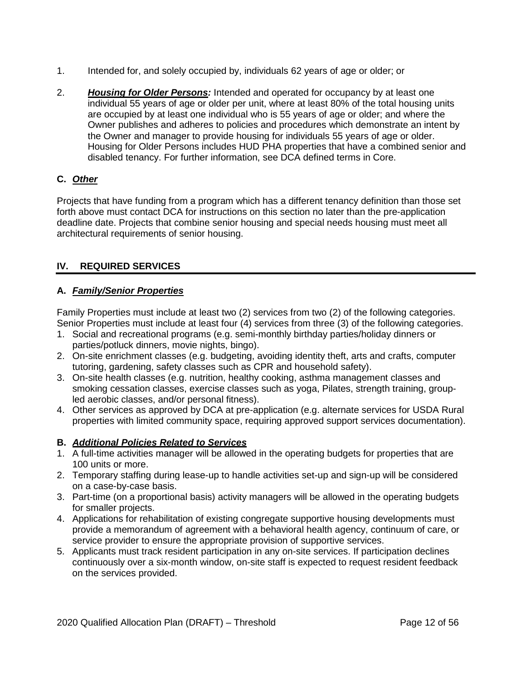- 1. Intended for, and solely occupied by, individuals 62 years of age or older; or
- 2. *Housing for Older Persons:* Intended and operated for occupancy by at least one individual 55 years of age or older per unit, where at least 80% of the total housing units are occupied by at least one individual who is 55 years of age or older; and where the Owner publishes and adheres to policies and procedures which demonstrate an intent by the Owner and manager to provide housing for individuals 55 years of age or older. Housing for Older Persons includes HUD PHA properties that have a combined senior and disabled tenancy. For further information, see DCA defined terms in Core.

# **C.** *Other*

Projects that have funding from a program which has a different tenancy definition than those set forth above must contact DCA for instructions on this section no later than the pre-application deadline date. Projects that combine senior housing and special needs housing must meet all architectural requirements of senior housing.

# <span id="page-48-0"></span>**IV. REQUIRED SERVICES**

## **A.** *Family/Senior Properties*

Family Properties must include at least two (2) services from two (2) of the following categories. Senior Properties must include at least four (4) services from three (3) of the following categories.

- 1. Social and recreational programs (e.g. semi-monthly birthday parties/holiday dinners or parties/potluck dinners, movie nights, bingo).
- 2. On-site enrichment classes (e.g. budgeting, avoiding identity theft, arts and crafts, computer tutoring, gardening, safety classes such as CPR and household safety).
- 3. On-site health classes (e.g. nutrition, healthy cooking, asthma management classes and smoking cessation classes, exercise classes such as yoga, Pilates, strength training, groupled aerobic classes, and/or personal fitness).
- 4. Other services as approved by DCA at pre-application (e.g. alternate services for USDA Rural properties with limited community space, requiring approved support services documentation).

## **B.** *Additional Policies Related to Services*

- 1. A full-time activities manager will be allowed in the operating budgets for properties that are 100 units or more.
- 2. Temporary staffing during lease-up to handle activities set-up and sign-up will be considered on a case-by-case basis.
- 3. Part-time (on a proportional basis) activity managers will be allowed in the operating budgets for smaller projects.
- 4. Applications for rehabilitation of existing congregate supportive housing developments must provide a memorandum of agreement with a behavioral health agency, continuum of care, or service provider to ensure the appropriate provision of supportive services.
- 5. Applicants must track resident participation in any on-site services. If participation declines continuously over a six-month window, on-site staff is expected to request resident feedback on the services provided.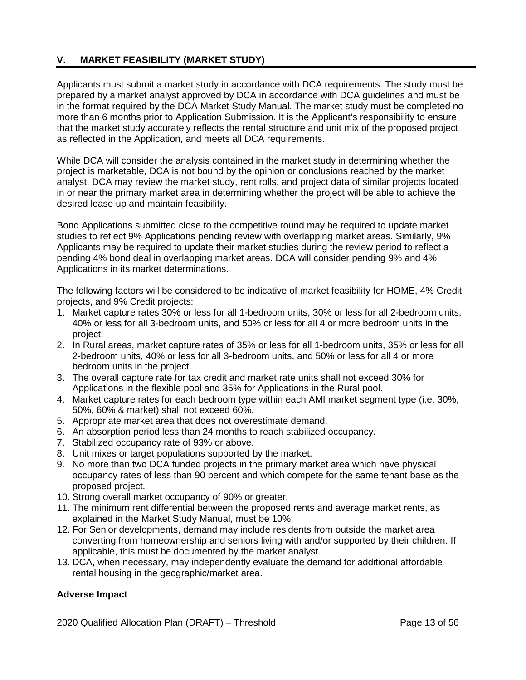# <span id="page-49-0"></span>**V. MARKET FEASIBILITY (MARKET STUDY)**

Applicants must submit a market study in accordance with DCA requirements. The study must be prepared by a market analyst approved by DCA in accordance with DCA guidelines and must be in the format required by the DCA Market Study Manual. The market study must be completed no more than 6 months prior to Application Submission. It is the Applicant's responsibility to ensure that the market study accurately reflects the rental structure and unit mix of the proposed project as reflected in the Application, and meets all DCA requirements.

While DCA will consider the analysis contained in the market study in determining whether the project is marketable, DCA is not bound by the opinion or conclusions reached by the market analyst. DCA may review the market study, rent rolls, and project data of similar projects located in or near the primary market area in determining whether the project will be able to achieve the desired lease up and maintain feasibility.

Bond Applications submitted close to the competitive round may be required to update market studies to reflect 9% Applications pending review with overlapping market areas. Similarly, 9% Applicants may be required to update their market studies during the review period to reflect a pending 4% bond deal in overlapping market areas. DCA will consider pending 9% and 4% Applications in its market determinations.

The following factors will be considered to be indicative of market feasibility for HOME, 4% Credit projects, and 9% Credit projects:

- 1. Market capture rates 30% or less for all 1-bedroom units, 30% or less for all 2-bedroom units, 40% or less for all 3-bedroom units, and 50% or less for all 4 or more bedroom units in the project.
- 2. In Rural areas, market capture rates of 35% or less for all 1-bedroom units, 35% or less for all 2-bedroom units, 40% or less for all 3-bedroom units, and 50% or less for all 4 or more bedroom units in the project.
- 3. The overall capture rate for tax credit and market rate units shall not exceed 30% for Applications in the flexible pool and 35% for Applications in the Rural pool.
- 4. Market capture rates for each bedroom type within each AMI market segment type (i.e. 30%, 50%, 60% & market) shall not exceed 60%.
- 5. Appropriate market area that does not overestimate demand.
- 6. An absorption period less than 24 months to reach stabilized occupancy.
- 7. Stabilized occupancy rate of 93% or above.
- 8. Unit mixes or target populations supported by the market.
- 9. No more than two DCA funded projects in the primary market area which have physical occupancy rates of less than 90 percent and which compete for the same tenant base as the proposed project.
- 10. Strong overall market occupancy of 90% or greater.
- 11. The minimum rent differential between the proposed rents and average market rents, as explained in the Market Study Manual, must be 10%.
- 12. For Senior developments, demand may include residents from outside the market area converting from homeownership and seniors living with and/or supported by their children. If applicable, this must be documented by the market analyst.
- 13. DCA, when necessary, may independently evaluate the demand for additional affordable rental housing in the geographic/market area.

## **Adverse Impact**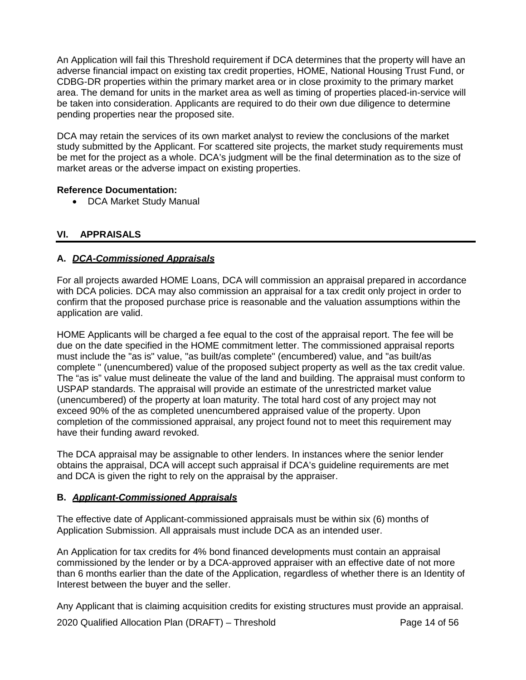An Application will fail this Threshold requirement if DCA determines that the property will have an adverse financial impact on existing tax credit properties, HOME, National Housing Trust Fund, or CDBG-DR properties within the primary market area or in close proximity to the primary market area. The demand for units in the market area as well as timing of properties placed-in-service will be taken into consideration. Applicants are required to do their own due diligence to determine pending properties near the proposed site.

DCA may retain the services of its own market analyst to review the conclusions of the market study submitted by the Applicant. For scattered site projects, the market study requirements must be met for the project as a whole. DCA's judgment will be the final determination as to the size of market areas or the adverse impact on existing properties.

## **Reference Documentation:**

• DCA Market Study Manual

# <span id="page-50-0"></span>**VI. APPRAISALS**

# **A.** *DCA-Commissioned Appraisals*

For all projects awarded HOME Loans, DCA will commission an appraisal prepared in accordance with DCA policies. DCA may also commission an appraisal for a tax credit only project in order to confirm that the proposed purchase price is reasonable and the valuation assumptions within the application are valid.

HOME Applicants will be charged a fee equal to the cost of the appraisal report. The fee will be due on the date specified in the HOME commitment letter. The commissioned appraisal reports must include the "as is" value, "as built/as complete" (encumbered) value, and "as built/as complete " (unencumbered) value of the proposed subject property as well as the tax credit value. The "as is" value must delineate the value of the land and building. The appraisal must conform to USPAP standards. The appraisal will provide an estimate of the unrestricted market value (unencumbered) of the property at loan maturity. The total hard cost of any project may not exceed 90% of the as completed unencumbered appraised value of the property. Upon completion of the commissioned appraisal, any project found not to meet this requirement may have their funding award revoked.

The DCA appraisal may be assignable to other lenders. In instances where the senior lender obtains the appraisal, DCA will accept such appraisal if DCA's guideline requirements are met and DCA is given the right to rely on the appraisal by the appraiser.

## **B.** *Applicant-Commissioned Appraisals*

The effective date of Applicant-commissioned appraisals must be within six (6) months of Application Submission. All appraisals must include DCA as an intended user.

An Application for tax credits for 4% bond financed developments must contain an appraisal commissioned by the lender or by a DCA-approved appraiser with an effective date of not more than 6 months earlier than the date of the Application, regardless of whether there is an Identity of Interest between the buyer and the seller.

Any Applicant that is claiming acquisition credits for existing structures must provide an appraisal.

2020 Qualified Allocation Plan (DRAFT) – Threshold Page 14 of 56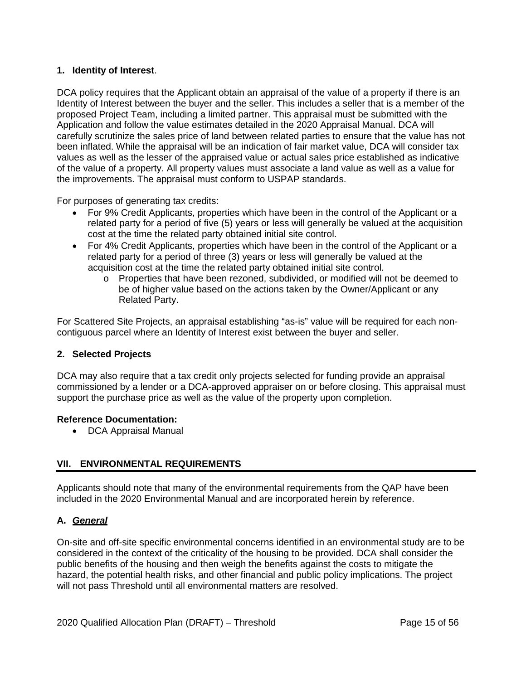# **1. Identity of Interest**.

DCA policy requires that the Applicant obtain an appraisal of the value of a property if there is an Identity of Interest between the buyer and the seller. This includes a seller that is a member of the proposed Project Team, including a limited partner. This appraisal must be submitted with the Application and follow the value estimates detailed in the 2020 Appraisal Manual. DCA will carefully scrutinize the sales price of land between related parties to ensure that the value has not been inflated. While the appraisal will be an indication of fair market value, DCA will consider tax values as well as the lesser of the appraised value or actual sales price established as indicative of the value of a property. All property values must associate a land value as well as a value for the improvements. The appraisal must conform to USPAP standards.

For purposes of generating tax credits:

- For 9% Credit Applicants, properties which have been in the control of the Applicant or a related party for a period of five (5) years or less will generally be valued at the acquisition cost at the time the related party obtained initial site control.
- For 4% Credit Applicants, properties which have been in the control of the Applicant or a related party for a period of three (3) years or less will generally be valued at the acquisition cost at the time the related party obtained initial site control.
	- o Properties that have been rezoned, subdivided, or modified will not be deemed to be of higher value based on the actions taken by the Owner/Applicant or any Related Party.

For Scattered Site Projects, an appraisal establishing "as-is" value will be required for each noncontiguous parcel where an Identity of Interest exist between the buyer and seller.

## **2. Selected Projects**

DCA may also require that a tax credit only projects selected for funding provide an appraisal commissioned by a lender or a DCA-approved appraiser on or before closing. This appraisal must support the purchase price as well as the value of the property upon completion.

#### **Reference Documentation:**

• DCA Appraisal Manual

## <span id="page-51-0"></span>**VII. ENVIRONMENTAL REQUIREMENTS**

Applicants should note that many of the environmental requirements from the QAP have been included in the 2020 Environmental Manual and are incorporated herein by reference.

## **A.** *General*

On-site and off-site specific environmental concerns identified in an environmental study are to be considered in the context of the criticality of the housing to be provided. DCA shall consider the public benefits of the housing and then weigh the benefits against the costs to mitigate the hazard, the potential health risks, and other financial and public policy implications. The project will not pass Threshold until all environmental matters are resolved.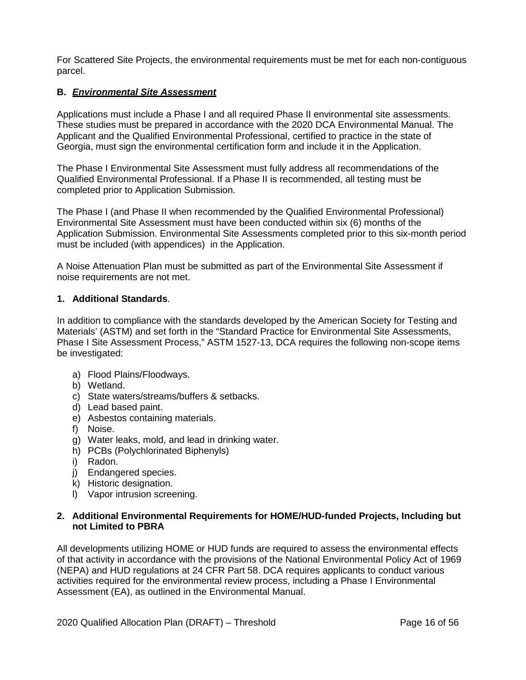For Scattered Site Projects, the environmental requirements must be met for each non-contiguous parcel.

## **B.** *Environmental Site Assessment*

Applications must include a Phase I and all required Phase II environmental site assessments. These studies must be prepared in accordance with the 2020 DCA Environmental Manual. The Applicant and the Qualified Environmental Professional, certified to practice in the state of Georgia, must sign the environmental certification form and include it in the Application.

The Phase I Environmental Site Assessment must fully address all recommendations of the Qualified Environmental Professional. If a Phase II is recommended, all testing must be completed prior to Application Submission.

The Phase I (and Phase II when recommended by the Qualified Environmental Professional) Environmental Site Assessment must have been conducted within six (6) months of the Application Submission. Environmental Site Assessments completed prior to this six-month period must be included (with appendices) in the Application.

A Noise Attenuation Plan must be submitted as part of the Environmental Site Assessment if noise requirements are not met.

## **1. Additional Standards**.

In addition to compliance with the standards developed by the American Society for Testing and Materials' (ASTM) and set forth in the "Standard Practice for Environmental Site Assessments, Phase I Site Assessment Process," ASTM 1527-13, DCA requires the following non-scope items be investigated:

- a) Flood Plains/Floodways.
- b) Wetland.
- c) State waters/streams/buffers & setbacks.
- d) Lead based paint.
- e) Asbestos containing materials.
- f) Noise.
- g) Water leaks, mold, and lead in drinking water.
- h) PCBs (Polychlorinated Biphenyls)
- i) Radon.
- j) Endangered species.
- k) Historic designation.
- l) Vapor intrusion screening.

### **2. Additional Environmental Requirements for HOME/HUD-funded Projects, Including but not Limited to PBRA**

All developments utilizing HOME or HUD funds are required to assess the environmental effects of that activity in accordance with the provisions of the National Environmental Policy Act of 1969 (NEPA) and HUD regulations at 24 CFR Part 58. DCA requires applicants to conduct various activities required for the environmental review process, including a Phase I Environmental Assessment (EA), as outlined in the Environmental Manual.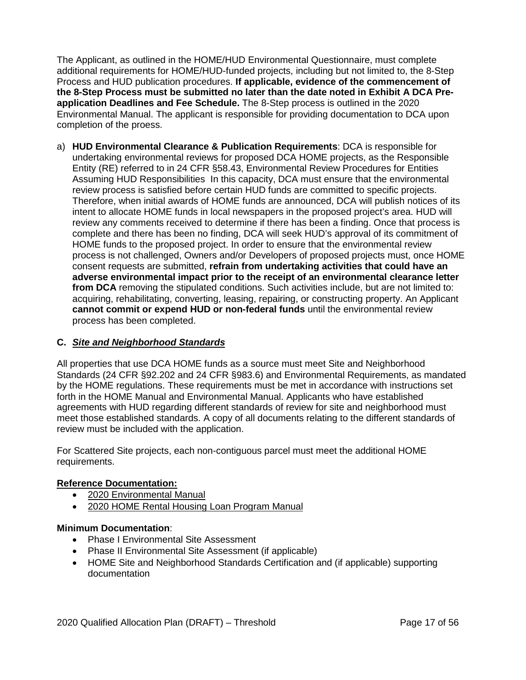The Applicant, as outlined in the HOME/HUD Environmental Questionnaire, must complete additional requirements for HOME/HUD-funded projects, including but not limited to, the 8-Step Process and HUD publication procedures. **If applicable, evidence of the commencement of the 8-Step Process must be submitted no later than the date noted in Exhibit A DCA Preapplication Deadlines and Fee Schedule.** The 8-Step process is outlined in the 2020 Environmental Manual. The applicant is responsible for providing documentation to DCA upon completion of the proess.

a) **HUD Environmental Clearance & Publication Requirements**: DCA is responsible for undertaking environmental reviews for proposed DCA HOME projects, as the Responsible Entity (RE) referred to in 24 CFR §58.43, Environmental Review Procedures for Entities Assuming HUD Responsibilities In this capacity, DCA must ensure that the environmental review process is satisfied before certain HUD funds are committed to specific projects. Therefore, when initial awards of HOME funds are announced, DCA will publish notices of its intent to allocate HOME funds in local newspapers in the proposed project's area. HUD will review any comments received to determine if there has been a finding. Once that process is complete and there has been no finding, DCA will seek HUD's approval of its commitment of HOME funds to the proposed project. In order to ensure that the environmental review process is not challenged, Owners and/or Developers of proposed projects must, once HOME consent requests are submitted, **refrain from undertaking activities that could have an adverse environmental impact prior to the receipt of an environmental clearance letter from DCA** removing the stipulated conditions. Such activities include, but are not limited to: acquiring, rehabilitating, converting, leasing, repairing, or constructing property. An Applicant **cannot commit or expend HUD or non-federal funds** until the environmental review process has been completed.

## **C.** *Site and Neighborhood Standards*

All properties that use DCA HOME funds as a source must meet Site and Neighborhood Standards (24 CFR §92.202 and 24 CFR §983.6) and Environmental Requirements, as mandated by the HOME regulations. These requirements must be met in accordance with instructions set forth in the HOME Manual and Environmental Manual. Applicants who have established agreements with HUD regarding different standards of review for site and neighborhood must meet those established standards. A copy of all documents relating to the different standards of review must be included with the application.

For Scattered Site projects, each non-contiguous parcel must meet the additional HOME requirements.

## **Reference Documentation:**

- 2020 Environmental Manual
- 2020 HOME Rental Housing Loan Program Manual

## **Minimum Documentation**:

- Phase I Environmental Site Assessment
- Phase II Environmental Site Assessment (if applicable)
- HOME Site and Neighborhood Standards Certification and (if applicable) supporting documentation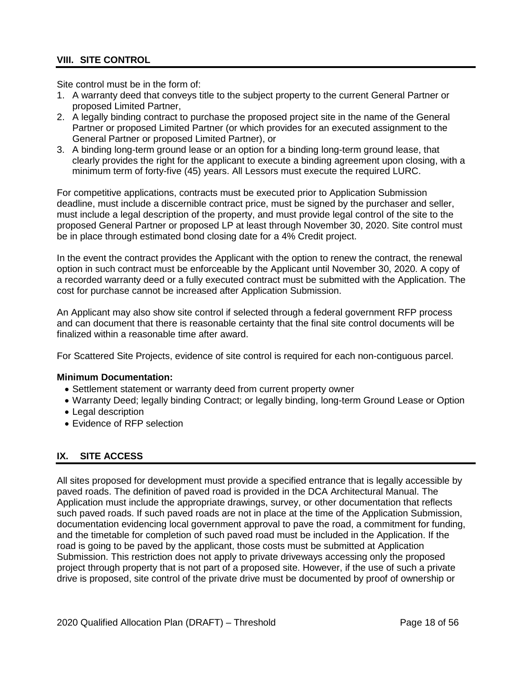# <span id="page-54-0"></span>**VIII. SITE CONTROL**

Site control must be in the form of:

- 1. A warranty deed that conveys title to the subject property to the current General Partner or proposed Limited Partner,
- 2. A legally binding contract to purchase the proposed project site in the name of the General Partner or proposed Limited Partner (or which provides for an executed assignment to the General Partner or proposed Limited Partner), or
- 3. A binding long-term ground lease or an option for a binding long-term ground lease, that clearly provides the right for the applicant to execute a binding agreement upon closing, with a minimum term of forty-five (45) years. All Lessors must execute the required LURC.

For competitive applications, contracts must be executed prior to Application Submission deadline, must include a discernible contract price, must be signed by the purchaser and seller, must include a legal description of the property, and must provide legal control of the site to the proposed General Partner or proposed LP at least through November 30, 2020. Site control must be in place through estimated bond closing date for a 4% Credit project.

In the event the contract provides the Applicant with the option to renew the contract, the renewal option in such contract must be enforceable by the Applicant until November 30, 2020. A copy of a recorded warranty deed or a fully executed contract must be submitted with the Application. The cost for purchase cannot be increased after Application Submission.

An Applicant may also show site control if selected through a federal government RFP process and can document that there is reasonable certainty that the final site control documents will be finalized within a reasonable time after award.

For Scattered Site Projects, evidence of site control is required for each non-contiguous parcel.

#### **Minimum Documentation:**

- Settlement statement or warranty deed from current property owner
- Warranty Deed; legally binding Contract; or legally binding, long-term Ground Lease or Option
- Legal description
- Evidence of RFP selection

# <span id="page-54-1"></span>**IX. SITE ACCESS**

All sites proposed for development must provide a specified entrance that is legally accessible by paved roads. The definition of paved road is provided in the DCA Architectural Manual. The Application must include the appropriate drawings, survey, or other documentation that reflects such paved roads. If such paved roads are not in place at the time of the Application Submission, documentation evidencing local government approval to pave the road, a commitment for funding, and the timetable for completion of such paved road must be included in the Application. If the road is going to be paved by the applicant, those costs must be submitted at Application Submission. This restriction does not apply to private driveways accessing only the proposed project through property that is not part of a proposed site. However, if the use of such a private drive is proposed, site control of the private drive must be documented by proof of ownership or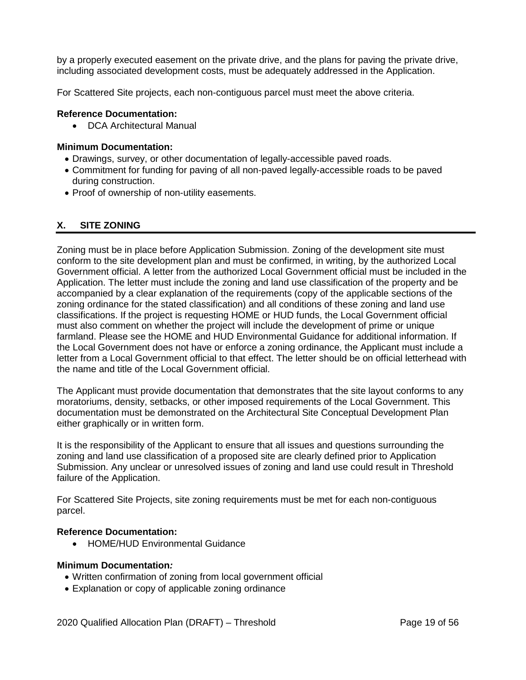by a properly executed easement on the private drive, and the plans for paving the private drive, including associated development costs, must be adequately addressed in the Application.

For Scattered Site projects, each non-contiguous parcel must meet the above criteria.

### **Reference Documentation:**

• DCA Architectural Manual

#### **Minimum Documentation:**

- Drawings, survey, or other documentation of legally-accessible paved roads.
- Commitment for funding for paving of all non-paved legally-accessible roads to be paved during construction.
- Proof of ownership of non-utility easements.

# <span id="page-55-0"></span>**X. SITE ZONING**

Zoning must be in place before Application Submission. Zoning of the development site must conform to the site development plan and must be confirmed, in writing, by the authorized Local Government official. A letter from the authorized Local Government official must be included in the Application. The letter must include the zoning and land use classification of the property and be accompanied by a clear explanation of the requirements (copy of the applicable sections of the zoning ordinance for the stated classification) and all conditions of these zoning and land use classifications. If the project is requesting HOME or HUD funds, the Local Government official must also comment on whether the project will include the development of prime or unique farmland. Please see the HOME and HUD Environmental Guidance for additional information. If the Local Government does not have or enforce a zoning ordinance, the Applicant must include a letter from a Local Government official to that effect. The letter should be on official letterhead with the name and title of the Local Government official.

The Applicant must provide documentation that demonstrates that the site layout conforms to any moratoriums, density, setbacks, or other imposed requirements of the Local Government. This documentation must be demonstrated on the Architectural Site Conceptual Development Plan either graphically or in written form.

It is the responsibility of the Applicant to ensure that all issues and questions surrounding the zoning and land use classification of a proposed site are clearly defined prior to Application Submission. Any unclear or unresolved issues of zoning and land use could result in Threshold failure of the Application.

For Scattered Site Projects, site zoning requirements must be met for each non-contiguous parcel.

#### **Reference Documentation:**

• HOME/HUD Environmental Guidance

#### **Minimum Documentation***:*

- Written confirmation of zoning from local government official
- Explanation or copy of applicable zoning ordinance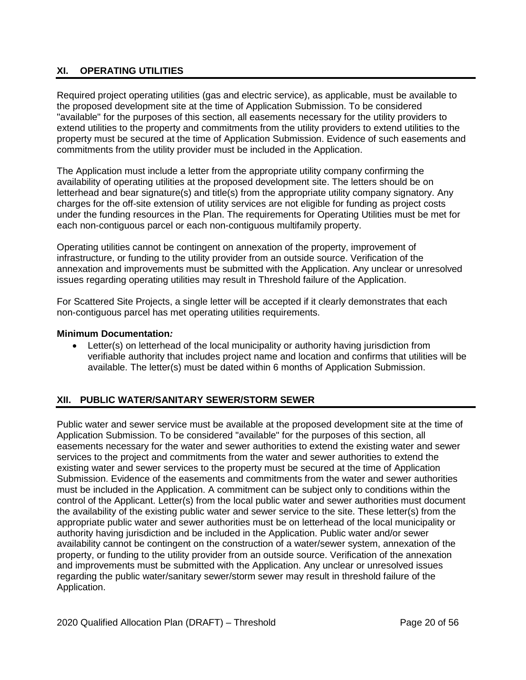# <span id="page-56-0"></span>**XI. OPERATING UTILITIES**

Required project operating utilities (gas and electric service), as applicable, must be available to the proposed development site at the time of Application Submission. To be considered "available" for the purposes of this section, all easements necessary for the utility providers to extend utilities to the property and commitments from the utility providers to extend utilities to the property must be secured at the time of Application Submission. Evidence of such easements and commitments from the utility provider must be included in the Application.

The Application must include a letter from the appropriate utility company confirming the availability of operating utilities at the proposed development site. The letters should be on letterhead and bear signature(s) and title(s) from the appropriate utility company signatory. Any charges for the off-site extension of utility services are not eligible for funding as project costs under the funding resources in the Plan. The requirements for Operating Utilities must be met for each non-contiguous parcel or each non-contiguous multifamily property.

Operating utilities cannot be contingent on annexation of the property, improvement of infrastructure, or funding to the utility provider from an outside source. Verification of the annexation and improvements must be submitted with the Application. Any unclear or unresolved issues regarding operating utilities may result in Threshold failure of the Application.

For Scattered Site Projects, a single letter will be accepted if it clearly demonstrates that each non-contiguous parcel has met operating utilities requirements.

### **Minimum Documentation***:*

• Letter(s) on letterhead of the local municipality or authority having jurisdiction from verifiable authority that includes project name and location and confirms that utilities will be available. The letter(s) must be dated within 6 months of Application Submission.

# <span id="page-56-1"></span>**XII. PUBLIC WATER/SANITARY SEWER/STORM SEWER**

Public water and sewer service must be available at the proposed development site at the time of Application Submission. To be considered "available" for the purposes of this section, all easements necessary for the water and sewer authorities to extend the existing water and sewer services to the project and commitments from the water and sewer authorities to extend the existing water and sewer services to the property must be secured at the time of Application Submission. Evidence of the easements and commitments from the water and sewer authorities must be included in the Application. A commitment can be subject only to conditions within the control of the Applicant. Letter(s) from the local public water and sewer authorities must document the availability of the existing public water and sewer service to the site. These letter(s) from the appropriate public water and sewer authorities must be on letterhead of the local municipality or authority having jurisdiction and be included in the Application. Public water and/or sewer availability cannot be contingent on the construction of a water/sewer system, annexation of the property, or funding to the utility provider from an outside source. Verification of the annexation and improvements must be submitted with the Application. Any unclear or unresolved issues regarding the public water/sanitary sewer/storm sewer may result in threshold failure of the Application.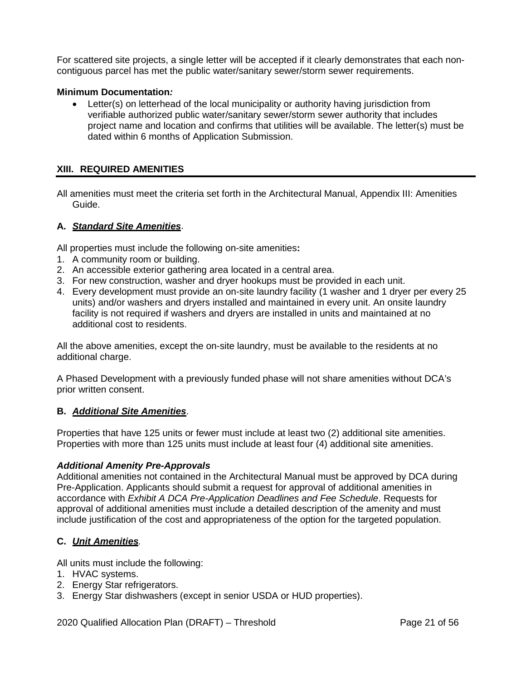For scattered site projects, a single letter will be accepted if it clearly demonstrates that each noncontiguous parcel has met the public water/sanitary sewer/storm sewer requirements.

### **Minimum Documentation***:*

• Letter(s) on letterhead of the local municipality or authority having jurisdiction from verifiable authorized public water/sanitary sewer/storm sewer authority that includes project name and location and confirms that utilities will be available. The letter(s) must be dated within 6 months of Application Submission.

### <span id="page-57-0"></span>**XIII. REQUIRED AMENITIES**

All amenities must meet the criteria set forth in the Architectural Manual, Appendix III: Amenities Guide.

#### **A.** *Standard Site Amenities*.

All properties must include the following on-site amenities**:**

- 1. A community room or building.
- 2. An accessible exterior gathering area located in a central area.
- 3. For new construction, washer and dryer hookups must be provided in each unit.
- 4. Every development must provide an on-site laundry facility (1 washer and 1 dryer per every 25 units) and/or washers and dryers installed and maintained in every unit. An onsite laundry facility is not required if washers and dryers are installed in units and maintained at no additional cost to residents.

All the above amenities, except the on-site laundry, must be available to the residents at no additional charge.

A Phased Development with a previously funded phase will not share amenities without DCA's prior written consent.

#### **B.** *Additional Site Amenities*.

Properties that have 125 units or fewer must include at least two (2) additional site amenities. Properties with more than 125 units must include at least four (4) additional site amenities.

#### *Additional Amenity Pre-Approvals*

Additional amenities not contained in the Architectural Manual must be approved by DCA during Pre-Application. Applicants should submit a request for approval of additional amenities in accordance with *Exhibit A DCA Pre-Application Deadlines and Fee Schedule*. Requests for approval of additional amenities must include a detailed description of the amenity and must include justification of the cost and appropriateness of the option for the targeted population.

## **C.** *Unit Amenities.*

All units must include the following:

- 1. HVAC systems.
- 2. Energy Star refrigerators.
- 3. Energy Star dishwashers (except in senior USDA or HUD properties).

2020 Qualified Allocation Plan (DRAFT) – Threshold Page 21 of 56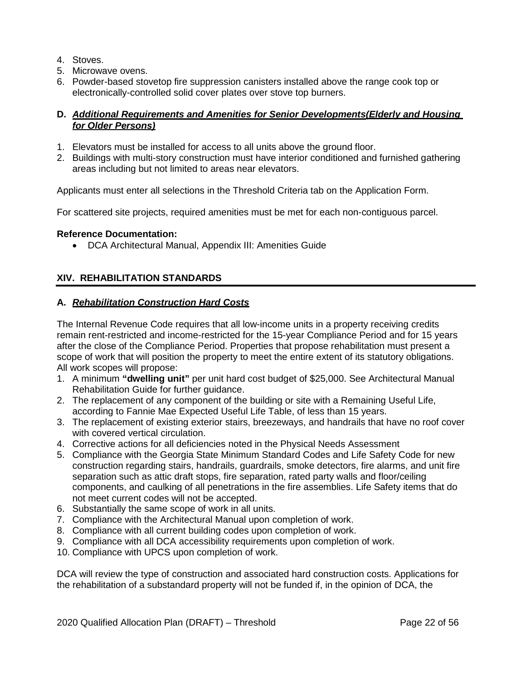- 4. Stoves.
- 5. Microwave ovens.
- 6. Powder-based stovetop fire suppression canisters installed above the range cook top or electronically-controlled solid cover plates over stove top burners.

## **D.** *Additional Requirements and Amenities for Senior Developments(Elderly and Housing for Older Persons)*

- 1. Elevators must be installed for access to all units above the ground floor.
- 2. Buildings with multi-story construction must have interior conditioned and furnished gathering areas including but not limited to areas near elevators.

Applicants must enter all selections in the Threshold Criteria tab on the Application Form.

For scattered site projects, required amenities must be met for each non-contiguous parcel.

### **Reference Documentation:**

• DCA Architectural Manual, Appendix III: Amenities Guide

# <span id="page-58-0"></span>**XIV. REHABILITATION STANDARDS**

### **A.** *Rehabilitation Construction Hard Costs*

The Internal Revenue Code requires that all low-income units in a property receiving credits remain rent-restricted and income-restricted for the 15-year Compliance Period and for 15 years after the close of the Compliance Period. Properties that propose rehabilitation must present a scope of work that will position the property to meet the entire extent of its statutory obligations. All work scopes will propose:

- 1. A minimum **"dwelling unit"** per unit hard cost budget of \$25,000. See Architectural Manual Rehabilitation Guide for further guidance.
- 2. The replacement of any component of the building or site with a Remaining Useful Life, according to Fannie Mae Expected Useful Life Table, of less than 15 years.
- 3. The replacement of existing exterior stairs, breezeways, and handrails that have no roof cover with covered vertical circulation.
- 4. Corrective actions for all deficiencies noted in the Physical Needs Assessment
- 5. Compliance with the Georgia State Minimum Standard Codes and Life Safety Code for new construction regarding stairs, handrails, guardrails, smoke detectors, fire alarms, and unit fire separation such as attic draft stops, fire separation, rated party walls and floor/ceiling components, and caulking of all penetrations in the fire assemblies. Life Safety items that do not meet current codes will not be accepted.
- 6. Substantially the same scope of work in all units.
- 7. Compliance with the Architectural Manual upon completion of work.
- 8. Compliance with all current building codes upon completion of work.
- 9. Compliance with all DCA accessibility requirements upon completion of work.
- 10. Compliance with UPCS upon completion of work.

DCA will review the type of construction and associated hard construction costs. Applications for the rehabilitation of a substandard property will not be funded if, in the opinion of DCA, the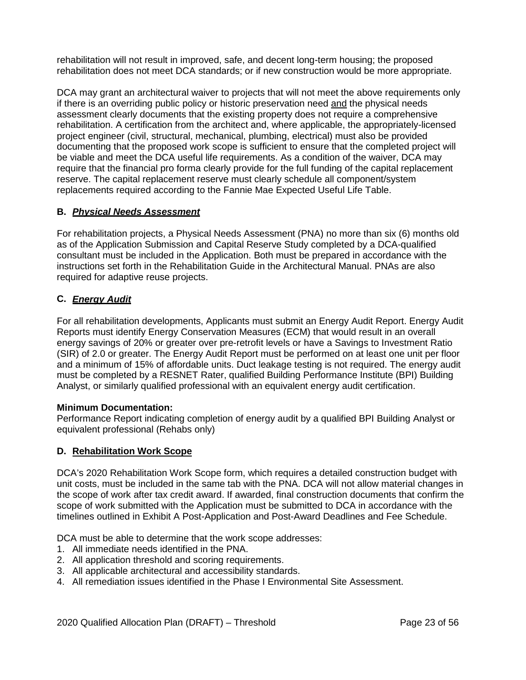rehabilitation will not result in improved, safe, and decent long-term housing; the proposed rehabilitation does not meet DCA standards; or if new construction would be more appropriate.

DCA may grant an architectural waiver to projects that will not meet the above requirements only if there is an overriding public policy or historic preservation need and the physical needs assessment clearly documents that the existing property does not require a comprehensive rehabilitation. A certification from the architect and, where applicable, the appropriately-licensed project engineer (civil, structural, mechanical, plumbing, electrical) must also be provided documenting that the proposed work scope is sufficient to ensure that the completed project will be viable and meet the DCA useful life requirements. As a condition of the waiver, DCA may require that the financial pro forma clearly provide for the full funding of the capital replacement reserve. The capital replacement reserve must clearly schedule all component/system replacements required according to the Fannie Mae Expected Useful Life Table.

# **B.** *Physical Needs Assessment*

For rehabilitation projects, a Physical Needs Assessment (PNA) no more than six (6) months old as of the Application Submission and Capital Reserve Study completed by a DCA-qualified consultant must be included in the Application. Both must be prepared in accordance with the instructions set forth in the Rehabilitation Guide in the Architectural Manual. PNAs are also required for adaptive reuse projects.

# **C.** *Energy Audit*

For all rehabilitation developments, Applicants must submit an Energy Audit Report. Energy Audit Reports must identify Energy Conservation Measures (ECM) that would result in an overall energy savings of 20% or greater over pre-retrofit levels or have a Savings to Investment Ratio (SIR) of 2.0 or greater. The Energy Audit Report must be performed on at least one unit per floor and a minimum of 15% of affordable units. Duct leakage testing is not required. The energy audit must be completed by a RESNET Rater, qualified Building Performance Institute (BPI) Building Analyst, or similarly qualified professional with an equivalent energy audit certification.

## **Minimum Documentation:**

Performance Report indicating completion of energy audit by a qualified BPI Building Analyst or equivalent professional (Rehabs only)

## **D. Rehabilitation Work Scope**

DCA's 2020 Rehabilitation Work Scope form, which requires a detailed construction budget with unit costs, must be included in the same tab with the PNA. DCA will not allow material changes in the scope of work after tax credit award. If awarded, final construction documents that confirm the scope of work submitted with the Application must be submitted to DCA in accordance with the timelines outlined in Exhibit A Post-Application and Post-Award Deadlines and Fee Schedule.

DCA must be able to determine that the work scope addresses:

- 1. All immediate needs identified in the PNA.
- 2. All application threshold and scoring requirements.
- 3. All applicable architectural and accessibility standards.
- 4. All remediation issues identified in the Phase I Environmental Site Assessment.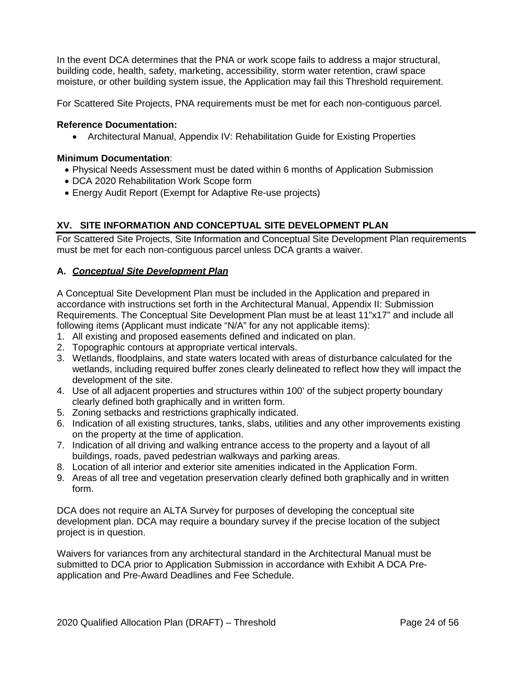In the event DCA determines that the PNA or work scope fails to address a major structural, building code, health, safety, marketing, accessibility, storm water retention, crawl space moisture, or other building system issue, the Application may fail this Threshold requirement.

For Scattered Site Projects, PNA requirements must be met for each non-contiguous parcel.

### **Reference Documentation:**

• Architectural Manual, Appendix IV: Rehabilitation Guide for Existing Properties

#### **Minimum Documentation**:

- Physical Needs Assessment must be dated within 6 months of Application Submission
- DCA 2020 Rehabilitation Work Scope form
- Energy Audit Report (Exempt for Adaptive Re-use projects)

# <span id="page-60-0"></span>**XV. SITE INFORMATION AND CONCEPTUAL SITE DEVELOPMENT PLAN**

For Scattered Site Projects, Site Information and Conceptual Site Development Plan requirements must be met for each non-contiguous parcel unless DCA grants a waiver.

### **A.** *Conceptual Site Development Plan*

A Conceptual Site Development Plan must be included in the Application and prepared in accordance with instructions set forth in the Architectural Manual, Appendix II: Submission Requirements. The Conceptual Site Development Plan must be at least 11"x17" and include all following items (Applicant must indicate "N/A" for any not applicable items):

- 1. All existing and proposed easements defined and indicated on plan.
- 2. Topographic contours at appropriate vertical intervals.
- 3. Wetlands, floodplains, and state waters located with areas of disturbance calculated for the wetlands, including required buffer zones clearly delineated to reflect how they will impact the development of the site.
- 4. Use of all adjacent properties and structures within 100' of the subject property boundary clearly defined both graphically and in written form.
- 5. Zoning setbacks and restrictions graphically indicated.
- 6. Indication of all existing structures, tanks, slabs, utilities and any other improvements existing on the property at the time of application.
- 7. Indication of all driving and walking entrance access to the property and a layout of all buildings, roads, paved pedestrian walkways and parking areas.
- 8. Location of all interior and exterior site amenities indicated in the Application Form.
- 9. Areas of all tree and vegetation preservation clearly defined both graphically and in written form.

DCA does not require an ALTA Survey for purposes of developing the conceptual site development plan. DCA may require a boundary survey if the precise location of the subject project is in question.

Waivers for variances from any architectural standard in the Architectural Manual must be submitted to DCA prior to Application Submission in accordance with Exhibit A DCA Preapplication and Pre-Award Deadlines and Fee Schedule.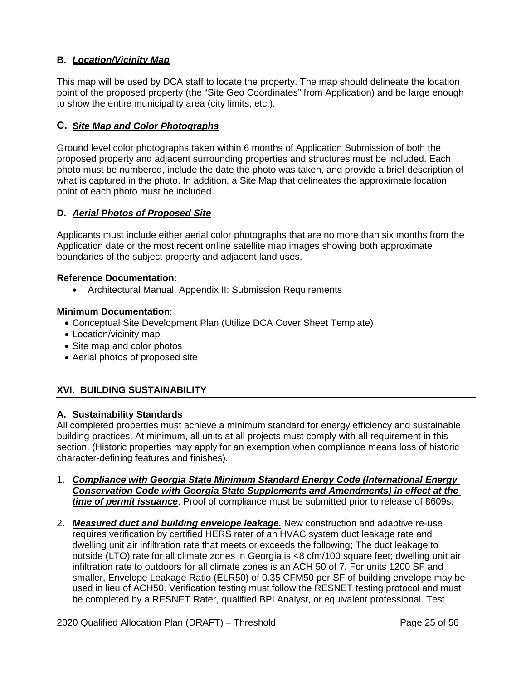# **B.** *Location/Vicinity Map*

This map will be used by DCA staff to locate the property. The map should delineate the location point of the proposed property (the "Site Geo Coordinates" from Application) and be large enough to show the entire municipality area (city limits, etc.).

## **C.** *Site Map and Color Photographs*

Ground level color photographs taken within 6 months of Application Submission of both the proposed property and adjacent surrounding properties and structures must be included. Each photo must be numbered, include the date the photo was taken, and provide a brief description of what is captured in the photo. In addition, a Site Map that delineates the approximate location point of each photo must be included.

## **D.** *Aerial Photos of Proposed Site*

Applicants must include either aerial color photographs that are no more than six months from the Application date or the most recent online satellite map images showing both approximate boundaries of the subject property and adjacent land uses.

### **Reference Documentation:**

• Architectural Manual, Appendix II: Submission Requirements

### **Minimum Documentation**:

- Conceptual Site Development Plan (Utilize DCA Cover Sheet Template)
- Location/vicinity map
- Site map and color photos
- Aerial photos of proposed site

# <span id="page-61-0"></span>**XVI. BUILDING SUSTAINABILITY**

## **A. Sustainability Standards**

All completed properties must achieve a minimum standard for energy efficiency and sustainable building practices. At minimum, all units at all projects must comply with all requirement in this section. (Historic properties may apply for an exemption when compliance means loss of historic character-defining features and finishes).

- 1. *Compliance with Georgia State Minimum Standard Energy Code (International Energy Conservation Code with Georgia State Supplements and Amendments) in effect at the time of permit issuance.* Proof of compliance must be submitted prior to release of 8609s.
- 2. *Measured duct and building envelope leakage.* New construction and adaptive re-use requires verification by certified HERS rater of an HVAC system duct leakage rate and dwelling unit air infiltration rate that meets or exceeds the following; The duct leakage to outside (LTO) rate for all climate zones in Georgia is <8 cfm/100 square feet; dwelling unit air infiltration rate to outdoors for all climate zones is an ACH 50 of 7. For units 1200 SF and smaller, Envelope Leakage Ratio (ELR50) of 0.35 CFM50 per SF of building envelope may be used in lieu of ACH50. Verification testing must follow the RESNET testing protocol and must be completed by a RESNET Rater, qualified BPI Analyst, or equivalent professional. Test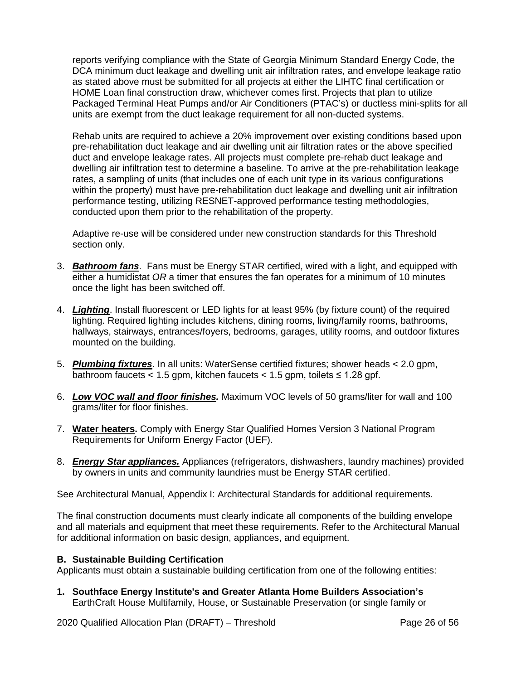reports verifying compliance with the State of Georgia Minimum Standard Energy Code, the DCA minimum duct leakage and dwelling unit air infiltration rates, and envelope leakage ratio as stated above must be submitted for all projects at either the LIHTC final certification or HOME Loan final construction draw, whichever comes first. Projects that plan to utilize Packaged Terminal Heat Pumps and/or Air Conditioners (PTAC's) or ductless mini-splits for all units are exempt from the duct leakage requirement for all non-ducted systems.

Rehab units are required to achieve a 20% improvement over existing conditions based upon pre-rehabilitation duct leakage and air dwelling unit air filtration rates or the above specified duct and envelope leakage rates. All projects must complete pre-rehab duct leakage and dwelling air infiltration test to determine a baseline. To arrive at the pre-rehabilitation leakage rates, a sampling of units (that includes one of each unit type in its various configurations within the property) must have pre-rehabilitation duct leakage and dwelling unit air infiltration performance testing, utilizing RESNET-approved performance testing methodologies, conducted upon them prior to the rehabilitation of the property.

Adaptive re-use will be considered under new construction standards for this Threshold section only.

- 3. *Bathroom fans*. Fans must be Energy STAR certified, wired with a light, and equipped with either a humidistat *OR* a timer that ensures the fan operates for a minimum of 10 minutes once the light has been switched off.
- 4. *Lighting*. Install fluorescent or LED lights for at least 95% (by fixture count) of the required lighting. Required lighting includes kitchens, dining rooms, living/family rooms, bathrooms, hallways, stairways, entrances/foyers, bedrooms, garages, utility rooms, and outdoor fixtures mounted on the building.
- 5. *Plumbing fixtures*. In all units: WaterSense certified fixtures; shower heads < 2.0 gpm, bathroom faucets < 1.5 gpm, kitchen faucets <  $1.5$  gpm, toilets  $\leq 1.28$  gpf.
- 6. *Low VOC wall and floor finishes.* Maximum VOC levels of 50 grams/liter for wall and 100 grams/liter for floor finishes.
- 7. **Water heaters.** Comply with Energy Star Qualified Homes Version 3 National Program Requirements for Uniform Energy Factor (UEF).
- 8. *Energy Star appliances.* Appliances (refrigerators, dishwashers, laundry machines) provided by owners in units and community laundries must be Energy STAR certified.

See Architectural Manual, Appendix I: Architectural Standards for additional requirements.

The final construction documents must clearly indicate all components of the building envelope and all materials and equipment that meet these requirements. Refer to the Architectural Manual for additional information on basic design, appliances, and equipment.

## **B. Sustainable Building Certification**

Applicants must obtain a sustainable building certification from one of the following entities:

**1. Southface Energy Institute's and Greater Atlanta Home Builders Association's** EarthCraft House Multifamily, House, or Sustainable Preservation (or single family or

2020 Qualified Allocation Plan (DRAFT) – Threshold Page 26 of 56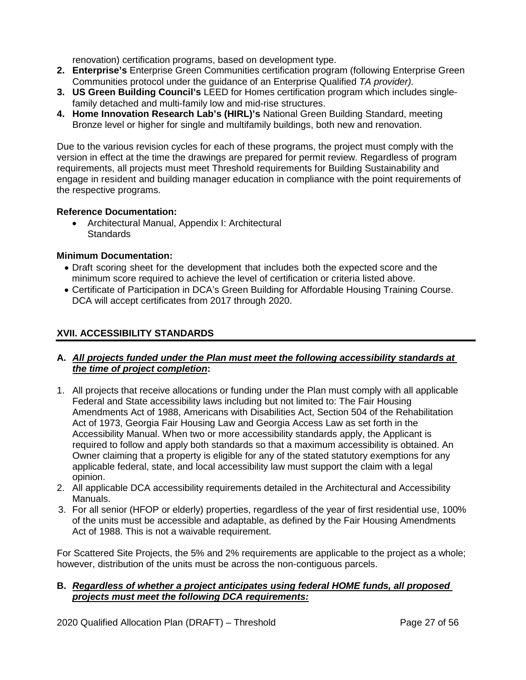renovation) certification programs, based on development type.

- **2. Enterprise's** Enterprise Green Communities certification program (following Enterprise Green Communities protocol under the guidance of an Enterprise Qualified *TA provider).*
- **3. US Green Building Council's** LEED for Homes certification program which includes singlefamily detached and multi-family low and mid-rise structures.
- **4. Home Innovation Research Lab's (HIRL)'s** National Green Building Standard, meeting Bronze level or higher for single and multifamily buildings, both new and renovation.

Due to the various revision cycles for each of these programs, the project must comply with the version in effect at the time the drawings are prepared for permit review. Regardless of program requirements, all projects must meet Threshold requirements for Building Sustainability and engage in resident and building manager education in compliance with the point requirements of the respective programs.

# **Reference Documentation:**

• Architectural Manual, Appendix I: Architectural **Standards** 

## **Minimum Documentation:**

- Draft scoring sheet for the development that includes both the expected score and the minimum score required to achieve the level of certification or criteria listed above.
- Certificate of Participation in DCA's Green Building for Affordable Housing Training Course. DCA will accept certificates from 2017 through 2020.

# <span id="page-63-0"></span>**XVII. ACCESSIBILITY STANDARDS**

## **A.** *All projects funded under the Plan must meet the following accessibility standards at the time of project completion***:**

- 1. All projects that receive allocations or funding under the Plan must comply with all applicable Federal and State accessibility laws including but not limited to: The Fair Housing Amendments Act of 1988, Americans with Disabilities Act, Section 504 of the Rehabilitation Act of 1973, Georgia Fair Housing Law and Georgia Access Law as set forth in the Accessibility Manual. When two or more accessibility standards apply, the Applicant is required to follow and apply both standards so that a maximum accessibility is obtained. An Owner claiming that a property is eligible for any of the stated statutory exemptions for any applicable federal, state, and local accessibility law must support the claim with a legal opinion.
- 2. All applicable DCA accessibility requirements detailed in the Architectural and Accessibility Manuals.
- 3. For all senior (HFOP or elderly) properties, regardless of the year of first residential use, 100% of the units must be accessible and adaptable, as defined by the Fair Housing Amendments Act of 1988. This is not a waivable requirement.

For Scattered Site Projects, the 5% and 2% requirements are applicable to the project as a whole; however, distribution of the units must be across the non-contiguous parcels.

## **B.** *Regardless of whether a project anticipates using federal HOME funds, all proposed projects must meet the following DCA requirements:*

2020 Qualified Allocation Plan (DRAFT) – Threshold Page 27 of 56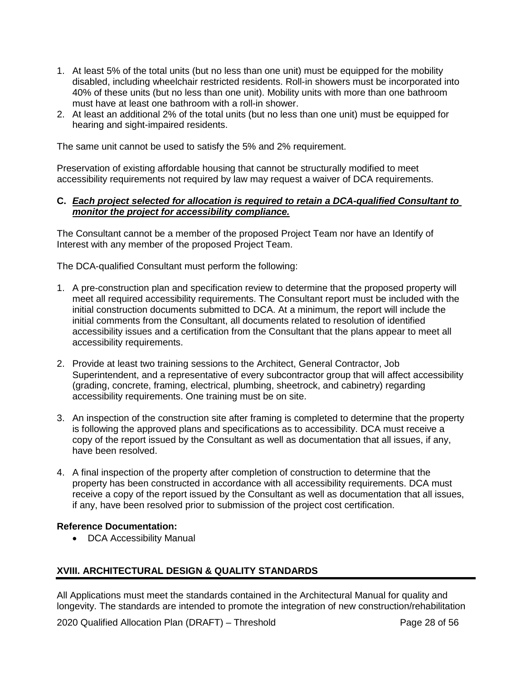- 1. At least 5% of the total units (but no less than one unit) must be equipped for the mobility disabled, including wheelchair restricted residents. Roll-in showers must be incorporated into 40% of these units (but no less than one unit). Mobility units with more than one bathroom must have at least one bathroom with a roll-in shower.
- 2. At least an additional 2% of the total units (but no less than one unit) must be equipped for hearing and sight-impaired residents.

The same unit cannot be used to satisfy the 5% and 2% requirement.

Preservation of existing affordable housing that cannot be structurally modified to meet accessibility requirements not required by law may request a waiver of DCA requirements.

## **C.** *Each project selected for allocation is required to retain a DCA-qualified Consultant to monitor the project for accessibility compliance.*

The Consultant cannot be a member of the proposed Project Team nor have an Identify of Interest with any member of the proposed Project Team.

The DCA-qualified Consultant must perform the following:

- 1. A pre-construction plan and specification review to determine that the proposed property will meet all required accessibility requirements. The Consultant report must be included with the initial construction documents submitted to DCA. At a minimum, the report will include the initial comments from the Consultant, all documents related to resolution of identified accessibility issues and a certification from the Consultant that the plans appear to meet all accessibility requirements.
- 2. Provide at least two training sessions to the Architect, General Contractor, Job Superintendent, and a representative of every subcontractor group that will affect accessibility (grading, concrete, framing, electrical, plumbing, sheetrock, and cabinetry) regarding accessibility requirements. One training must be on site.
- 3. An inspection of the construction site after framing is completed to determine that the property is following the approved plans and specifications as to accessibility. DCA must receive a copy of the report issued by the Consultant as well as documentation that all issues, if any, have been resolved.
- 4. A final inspection of the property after completion of construction to determine that the property has been constructed in accordance with all accessibility requirements. DCA must receive a copy of the report issued by the Consultant as well as documentation that all issues, if any, have been resolved prior to submission of the project cost certification.

## **Reference Documentation:**

• DCA Accessibility Manual

# <span id="page-64-0"></span>**XVIII. ARCHITECTURAL DESIGN & QUALITY STANDARDS**

All Applications must meet the standards contained in the Architectural Manual for quality and longevity. The standards are intended to promote the integration of new construction/rehabilitation

2020 Qualified Allocation Plan (DRAFT) – Threshold Page 28 of 56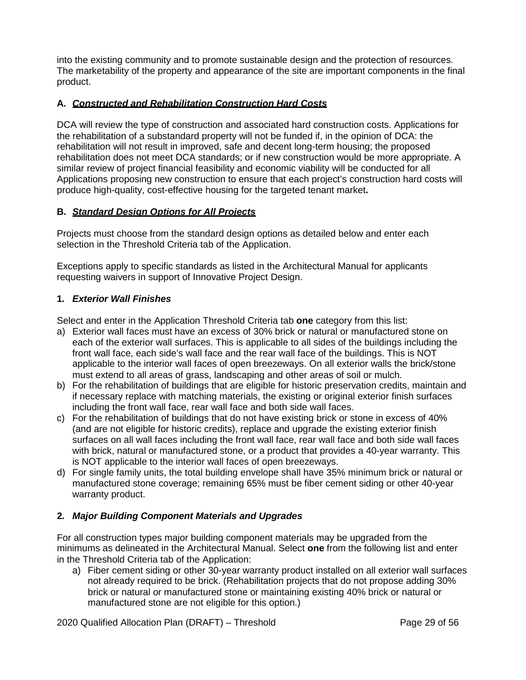into the existing community and to promote sustainable design and the protection of resources. The marketability of the property and appearance of the site are important components in the final product.

# **A.** *Constructed and Rehabilitation Construction Hard Costs*

DCA will review the type of construction and associated hard construction costs. Applications for the rehabilitation of a substandard property will not be funded if, in the opinion of DCA: the rehabilitation will not result in improved, safe and decent long-term housing; the proposed rehabilitation does not meet DCA standards; or if new construction would be more appropriate. A similar review of project financial feasibility and economic viability will be conducted for all Applications proposing new construction to ensure that each project's construction hard costs will produce high-quality, cost-effective housing for the targeted tenant market**.**

# **B.** *Standard Design Options for All Projects*

Projects must choose from the standard design options as detailed below and enter each selection in the Threshold Criteria tab of the Application.

Exceptions apply to specific standards as listed in the Architectural Manual for applicants requesting waivers in support of Innovative Project Design.

## **1***. Exterior Wall Finishes*

Select and enter in the Application Threshold Criteria tab **one** category from this list:

- a) Exterior wall faces must have an excess of 30% brick or natural or manufactured stone on each of the exterior wall surfaces. This is applicable to all sides of the buildings including the front wall face, each side's wall face and the rear wall face of the buildings. This is NOT applicable to the interior wall faces of open breezeways. On all exterior walls the brick/stone must extend to all areas of grass, landscaping and other areas of soil or mulch.
- b) For the rehabilitation of buildings that are eligible for historic preservation credits, maintain and if necessary replace with matching materials, the existing or original exterior finish surfaces including the front wall face, rear wall face and both side wall faces.
- c) For the rehabilitation of buildings that do not have existing brick or stone in excess of 40% (and are not eligible for historic credits), replace and upgrade the existing exterior finish surfaces on all wall faces including the front wall face, rear wall face and both side wall faces with brick, natural or manufactured stone, or a product that provides a 40-year warranty. This is NOT applicable to the interior wall faces of open breezeways.
- d) For single family units, the total building envelope shall have 35% minimum brick or natural or manufactured stone coverage; remaining 65% must be fiber cement siding or other 40-year warranty product.

## **2***. Major Building Component Materials and Upgrades*

For all construction types major building component materials may be upgraded from the minimums as delineated in the Architectural Manual. Select **one** from the following list and enter in the Threshold Criteria tab of the Application:

a) Fiber cement siding or other 30-year warranty product installed on all exterior wall surfaces not already required to be brick. (Rehabilitation projects that do not propose adding 30% brick or natural or manufactured stone or maintaining existing 40% brick or natural or manufactured stone are not eligible for this option.)

2020 Qualified Allocation Plan (DRAFT) – Threshold Page 29 of 56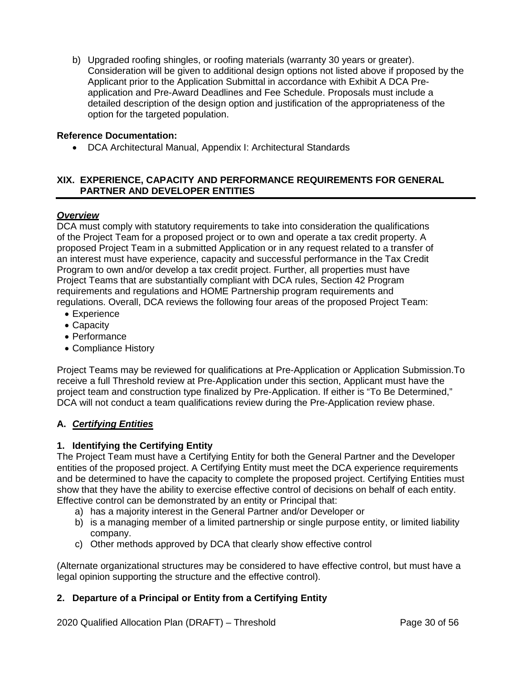b) Upgraded roofing shingles, or roofing materials (warranty 30 years or greater). Consideration will be given to additional design options not listed above if proposed by the Applicant prior to the Application Submittal in accordance with Exhibit A DCA Preapplication and Pre-Award Deadlines and Fee Schedule. Proposals must include a detailed description of the design option and justification of the appropriateness of the option for the targeted population.

## **Reference Documentation:**

• DCA Architectural Manual, Appendix I: Architectural Standards

# <span id="page-66-0"></span>**XIX. EXPERIENCE, CAPACITY AND PERFORMANCE REQUIREMENTS FOR GENERAL PARTNER AND DEVELOPER ENTITIES**

## *Overview*

DCA must comply with statutory requirements to take into consideration the qualifications of the Project Team for a proposed project or to own and operate a tax credit property. A proposed Project Team in a submitted Application or in any request related to a transfer of an interest must have experience, capacity and successful performance in the Tax Credit Program to own and/or develop a tax credit project. Further, all properties must have Project Teams that are substantially compliant with DCA rules, Section 42 Program requirements and regulations and HOME Partnership program requirements and regulations. Overall, DCA reviews the following four areas of the proposed Project Team:

- Experience
- Capacity
- Performance
- Compliance History

Project Teams may be reviewed for qualifications at Pre-Application or Application Submission.To receive a full Threshold review at Pre-Application under this section, Applicant must have the project team and construction type finalized by Pre-Application. If either is "To Be Determined," DCA will not conduct a team qualifications review during the Pre-Application review phase.

# **A.** *Certifying Entities*

# **1. Identifying the Certifying Entity**

The Project Team must have a Certifying Entity for both the General Partner and the Developer entities of the proposed project. A Certifying Entity must meet the DCA experience requirements and be determined to have the capacity to complete the proposed project. Certifying Entities must show that they have the ability to exercise effective control of decisions on behalf of each entity. Effective control can be demonstrated by an entity or Principal that:

- a) has a majority interest in the General Partner and/or Developer or
- b) is a managing member of a limited partnership or single purpose entity, or limited liability company.
- c) Other methods approved by DCA that clearly show effective control

(Alternate organizational structures may be considered to have effective control, but must have a legal opinion supporting the structure and the effective control).

# **2. Departure of a Principal or Entity from a Certifying Entity**

2020 Qualified Allocation Plan (DRAFT) – Threshold Page 30 of 56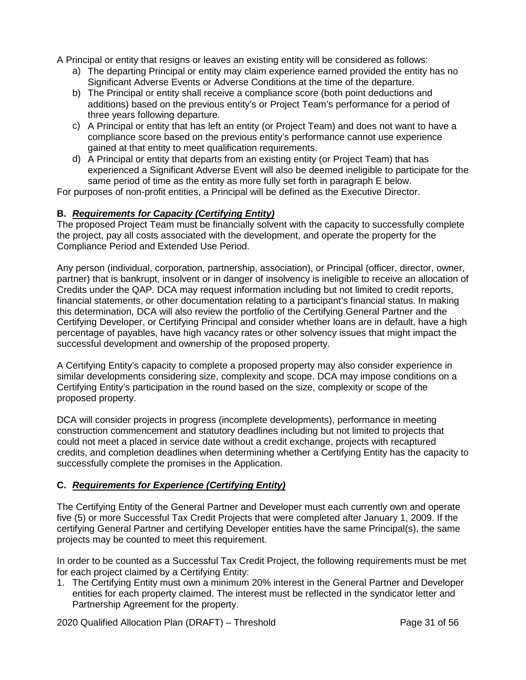A Principal or entity that resigns or leaves an existing entity will be considered as follows:

- a) The departing Principal or entity may claim experience earned provided the entity has no Significant Adverse Events or Adverse Conditions at the time of the departure.
- b) The Principal or entity shall receive a compliance score (both point deductions and additions) based on the previous entity's or Project Team's performance for a period of three years following departure.
- c) A Principal or entity that has left an entity (or Project Team) and does not want to have a compliance score based on the previous entity's performance cannot use experience gained at that entity to meet qualification requirements.
- d) A Principal or entity that departs from an existing entity (or Project Team) that has experienced a Significant Adverse Event will also be deemed ineligible to participate for the same period of time as the entity as more fully set forth in paragraph E below.

For purposes of non-profit entities, a Principal will be defined as the Executive Director.

# **B.** *Requirements for Capacity (Certifying Entity)*

The proposed Project Team must be financially solvent with the capacity to successfully complete the project, pay all costs associated with the development, and operate the property for the Compliance Period and Extended Use Period.

Any person (individual, corporation, partnership, association), or Principal (officer, director, owner, partner) that is bankrupt, insolvent or in danger of insolvency is ineligible to receive an allocation of Credits under the QAP. DCA may request information including but not limited to credit reports, financial statements, or other documentation relating to a participant's financial status. In making this determination, DCA will also review the portfolio of the Certifying General Partner and the Certifying Developer, or Certifying Principal and consider whether loans are in default, have a high percentage of payables, have high vacancy rates or other solvency issues that might impact the successful development and ownership of the proposed property.

A Certifying Entity's capacity to complete a proposed property may also consider experience in similar developments considering size, complexity and scope. DCA may impose conditions on a Certifying Entity's participation in the round based on the size, complexity or scope of the proposed property.

DCA will consider projects in progress (incomplete developments), performance in meeting construction commencement and statutory deadlines including but not limited to projects that could not meet a placed in service date without a credit exchange, projects with recaptured credits, and completion deadlines when determining whether a Certifying Entity has the capacity to successfully complete the promises in the Application.

# **C.** *Requirements for Experience (Certifying Entity)*

The Certifying Entity of the General Partner and Developer must each currently own and operate five (5) or more Successful Tax Credit Projects that were completed after January 1, 2009. If the certifying General Partner and certifying Developer entities have the same Principal(s), the same projects may be counted to meet this requirement.

In order to be counted as a Successful Tax Credit Project, the following requirements must be met for each project claimed by a Certifying Entity:

1. The Certifying Entity must own a minimum 20% interest in the General Partner and Developer entities for each property claimed. The interest must be reflected in the syndicator letter and Partnership Agreement for the property.

2020 Qualified Allocation Plan (DRAFT) – Threshold Page 31 of 56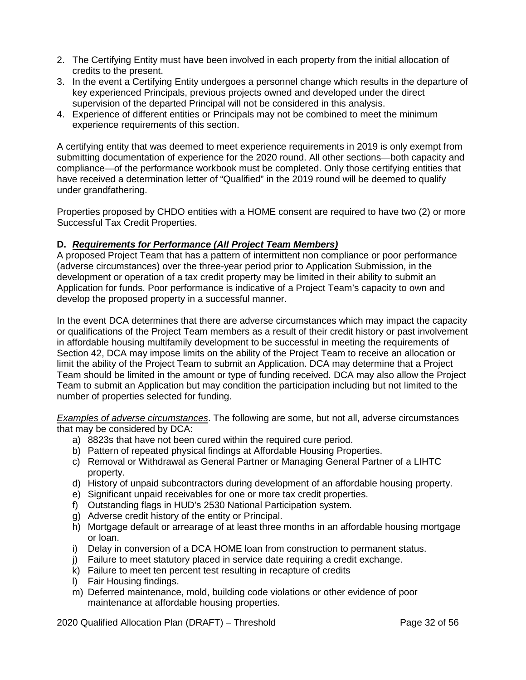- 2. The Certifying Entity must have been involved in each property from the initial allocation of credits to the present.
- 3. In the event a Certifying Entity undergoes a personnel change which results in the departure of key experienced Principals, previous projects owned and developed under the direct supervision of the departed Principal will not be considered in this analysis.
- 4. Experience of different entities or Principals may not be combined to meet the minimum experience requirements of this section.

A certifying entity that was deemed to meet experience requirements in 2019 is only exempt from submitting documentation of experience for the 2020 round. All other sections—both capacity and compliance—of the performance workbook must be completed. Only those certifying entities that have received a determination letter of "Qualified" in the 2019 round will be deemed to qualify under grandfathering.

Properties proposed by CHDO entities with a HOME consent are required to have two (2) or more Successful Tax Credit Properties.

# **D.** *Requirements for Performance (All Project Team Members)*

A proposed Project Team that has a pattern of intermittent non compliance or poor performance (adverse circumstances) over the three-year period prior to Application Submission, in the development or operation of a tax credit property may be limited in their ability to submit an Application for funds. Poor performance is indicative of a Project Team's capacity to own and develop the proposed property in a successful manner.

In the event DCA determines that there are adverse circumstances which may impact the capacity or qualifications of the Project Team members as a result of their credit history or past involvement in affordable housing multifamily development to be successful in meeting the requirements of Section 42, DCA may impose limits on the ability of the Project Team to receive an allocation or limit the ability of the Project Team to submit an Application. DCA may determine that a Project Team should be limited in the amount or type of funding received. DCA may also allow the Project Team to submit an Application but may condition the participation including but not limited to the number of properties selected for funding.

*Examples of adverse circumstances*. The following are some, but not all, adverse circumstances that may be considered by DCA:

- a) 8823s that have not been cured within the required cure period.
- b) Pattern of repeated physical findings at Affordable Housing Properties.
- c) Removal or Withdrawal as General Partner or Managing General Partner of a LIHTC property.
- d) History of unpaid subcontractors during development of an affordable housing property.
- e) Significant unpaid receivables for one or more tax credit properties.
- f) Outstanding flags in HUD's 2530 National Participation system.
- g) Adverse credit history of the entity or Principal.
- h) Mortgage default or arrearage of at least three months in an affordable housing mortgage or loan.
- i) Delay in conversion of a DCA HOME loan from construction to permanent status.
- j) Failure to meet statutory placed in service date requiring a credit exchange.
- k) Failure to meet ten percent test resulting in recapture of credits
- l) Fair Housing findings.
- m) Deferred maintenance, mold, building code violations or other evidence of poor maintenance at affordable housing properties.

2020 Qualified Allocation Plan (DRAFT) – Threshold Page 32 of 56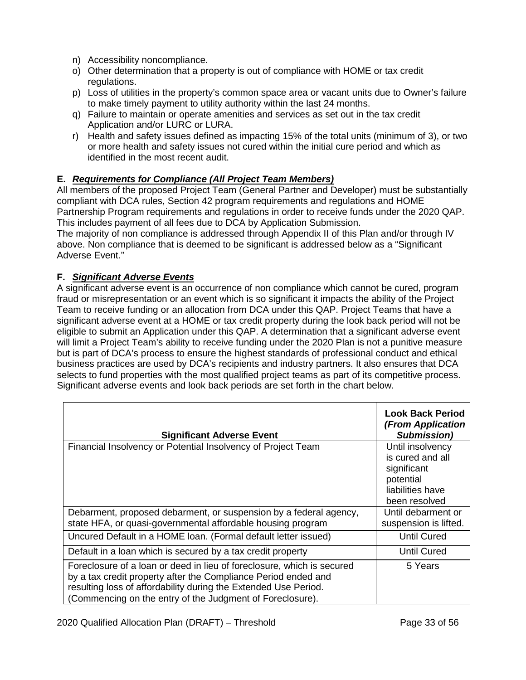- n) Accessibility noncompliance.
- o) Other determination that a property is out of compliance with HOME or tax credit regulations.
- p) Loss of utilities in the property's common space area or vacant units due to Owner's failure to make timely payment to utility authority within the last 24 months.
- q) Failure to maintain or operate amenities and services as set out in the tax credit Application and/or LURC or LURA.
- r) Health and safety issues defined as impacting 15% of the total units (minimum of 3), or two or more health and safety issues not cured within the initial cure period and which as identified in the most recent audit.

# **E.** *Requirements for Compliance (All Project Team Members)*

All members of the proposed Project Team (General Partner and Developer) must be substantially compliant with DCA rules, Section 42 program requirements and regulations and HOME Partnership Program requirements and regulations in order to receive funds under the 2020 QAP. This includes payment of all fees due to DCA by Application Submission.

The majority of non compliance is addressed through Appendix II of this Plan and/or through IV above. Non compliance that is deemed to be significant is addressed below as a "Significant Adverse Event."

# **F.** *Significant Adverse Events*

A significant adverse event is an occurrence of non compliance which cannot be cured, program fraud or misrepresentation or an event which is so significant it impacts the ability of the Project Team to receive funding or an allocation from DCA under this QAP. Project Teams that have a significant adverse event at a HOME or tax credit property during the look back period will not be eligible to submit an Application under this QAP. A determination that a significant adverse event will limit a Project Team's ability to receive funding under the 2020 Plan is not a punitive measure but is part of DCA's process to ensure the highest standards of professional conduct and ethical business practices are used by DCA's recipients and industry partners. It also ensures that DCA selects to fund properties with the most qualified project teams as part of its competitive process. Significant adverse events and look back periods are set forth in the chart below.

| <b>Significant Adverse Event</b>                                                                                                                                                                                                                                         | <b>Look Back Period</b><br>(From Application<br>Submission)                                           |
|--------------------------------------------------------------------------------------------------------------------------------------------------------------------------------------------------------------------------------------------------------------------------|-------------------------------------------------------------------------------------------------------|
| Financial Insolvency or Potential Insolvency of Project Team                                                                                                                                                                                                             | Until insolvency<br>is cured and all<br>significant<br>potential<br>liabilities have<br>been resolved |
| Debarment, proposed debarment, or suspension by a federal agency,                                                                                                                                                                                                        | Until debarment or                                                                                    |
| state HFA, or quasi-governmental affordable housing program                                                                                                                                                                                                              | suspension is lifted.                                                                                 |
| Uncured Default in a HOME Ioan. (Formal default letter issued)                                                                                                                                                                                                           | <b>Until Cured</b>                                                                                    |
| Default in a loan which is secured by a tax credit property                                                                                                                                                                                                              | Until Cured                                                                                           |
| Foreclosure of a loan or deed in lieu of foreclosure, which is secured<br>by a tax credit property after the Compliance Period ended and<br>resulting loss of affordability during the Extended Use Period.<br>(Commencing on the entry of the Judgment of Foreclosure). | 5 Years                                                                                               |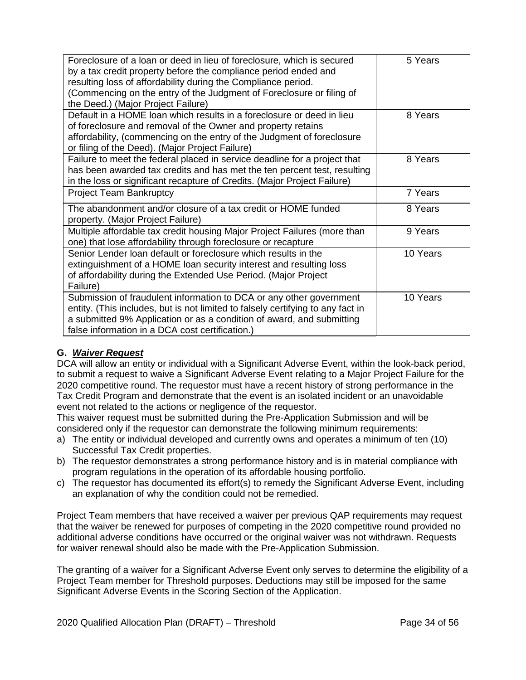| Foreclosure of a loan or deed in lieu of foreclosure, which is secured<br>by a tax credit property before the compliance period ended and<br>resulting loss of affordability during the Compliance period.<br>(Commencing on the entry of the Judgment of Foreclosure or filing of<br>the Deed.) (Major Project Failure) | 5 Years  |
|--------------------------------------------------------------------------------------------------------------------------------------------------------------------------------------------------------------------------------------------------------------------------------------------------------------------------|----------|
| Default in a HOME loan which results in a foreclosure or deed in lieu<br>of foreclosure and removal of the Owner and property retains<br>affordability, (commencing on the entry of the Judgment of foreclosure<br>or filing of the Deed). (Major Project Failure)                                                       | 8 Years  |
| Failure to meet the federal placed in service deadline for a project that<br>has been awarded tax credits and has met the ten percent test, resulting<br>in the loss or significant recapture of Credits. (Major Project Failure)                                                                                        | 8 Years  |
| <b>Project Team Bankruptcy</b>                                                                                                                                                                                                                                                                                           | 7 Years  |
| The abandonment and/or closure of a tax credit or HOME funded<br>property. (Major Project Failure)                                                                                                                                                                                                                       | 8 Years  |
| Multiple affordable tax credit housing Major Project Failures (more than<br>one) that lose affordability through foreclosure or recapture                                                                                                                                                                                | 9 Years  |
| Senior Lender loan default or foreclosure which results in the<br>extinguishment of a HOME loan security interest and resulting loss<br>of affordability during the Extended Use Period. (Major Project<br>Failure)                                                                                                      | 10 Years |
| Submission of fraudulent information to DCA or any other government<br>entity. (This includes, but is not limited to falsely certifying to any fact in<br>a submitted 9% Application or as a condition of award, and submitting<br>false information in a DCA cost certification.)                                       | 10 Years |

# **G.** *Waiver Request*

DCA will allow an entity or individual with a Significant Adverse Event, within the look-back period, to submit a request to waive a Significant Adverse Event relating to a Major Project Failure for the 2020 competitive round. The requestor must have a recent history of strong performance in the Tax Credit Program and demonstrate that the event is an isolated incident or an unavoidable event not related to the actions or negligence of the requestor.

This waiver request must be submitted during the Pre-Application Submission and will be considered only if the requestor can demonstrate the following minimum requirements:

- a) The entity or individual developed and currently owns and operates a minimum of ten (10) Successful Tax Credit properties.
- b) The requestor demonstrates a strong performance history and is in material compliance with program regulations in the operation of its affordable housing portfolio.
- c) The requestor has documented its effort(s) to remedy the Significant Adverse Event, including an explanation of why the condition could not be remedied.

Project Team members that have received a waiver per previous QAP requirements may request that the waiver be renewed for purposes of competing in the 2020 competitive round provided no additional adverse conditions have occurred or the original waiver was not withdrawn. Requests for waiver renewal should also be made with the Pre-Application Submission.

The granting of a waiver for a Significant Adverse Event only serves to determine the eligibility of a Project Team member for Threshold purposes. Deductions may still be imposed for the same Significant Adverse Events in the Scoring Section of the Application.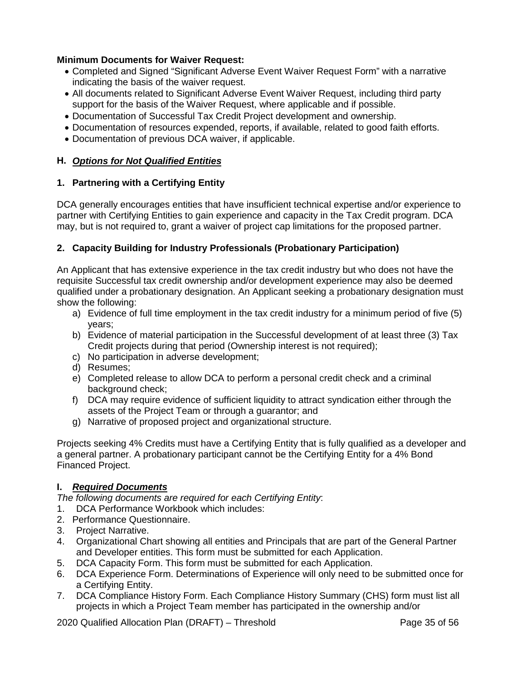## **Minimum Documents for Waiver Request:**

- Completed and Signed "Significant Adverse Event Waiver Request Form" with a narrative indicating the basis of the waiver request.
- All documents related to Significant Adverse Event Waiver Request, including third party support for the basis of the Waiver Request, where applicable and if possible.
- Documentation of Successful Tax Credit Project development and ownership.
- Documentation of resources expended, reports, if available, related to good faith efforts.
- Documentation of previous DCA waiver, if applicable.

# **H.** *Options for Not Qualified Entities*

## **1. Partnering with a Certifying Entity**

DCA generally encourages entities that have insufficient technical expertise and/or experience to partner with Certifying Entities to gain experience and capacity in the Tax Credit program. DCA may, but is not required to, grant a waiver of project cap limitations for the proposed partner.

# **2. Capacity Building for Industry Professionals (Probationary Participation)**

An Applicant that has extensive experience in the tax credit industry but who does not have the requisite Successful tax credit ownership and/or development experience may also be deemed qualified under a probationary designation. An Applicant seeking a probationary designation must show the following:

- a) Evidence of full time employment in the tax credit industry for a minimum period of five (5) years;
- b) Evidence of material participation in the Successful development of at least three (3) Tax Credit projects during that period (Ownership interest is not required);
- c) No participation in adverse development;
- d) Resumes;
- e) Completed release to allow DCA to perform a personal credit check and a criminal background check;
- f) DCA may require evidence of sufficient liquidity to attract syndication either through the assets of the Project Team or through a guarantor; and
- g) Narrative of proposed project and organizational structure.

Projects seeking 4% Credits must have a Certifying Entity that is fully qualified as a developer and a general partner. A probationary participant cannot be the Certifying Entity for a 4% Bond Financed Project.

# **I.** *Required Documents*

*The following documents are required for each Certifying Entity*:

- 1. DCA Performance Workbook which includes:
- 2. Performance Questionnaire.
- 3. Project Narrative.
- 4. Organizational Chart showing all entities and Principals that are part of the General Partner and Developer entities. This form must be submitted for each Application.
- 5. DCA Capacity Form. This form must be submitted for each Application.
- 6. DCA Experience Form. Determinations of Experience will only need to be submitted once for a Certifying Entity.
- 7. DCA Compliance History Form. Each Compliance History Summary (CHS) form must list all projects in which a Project Team member has participated in the ownership and/or

2020 Qualified Allocation Plan (DRAFT) – Threshold Page 35 of 56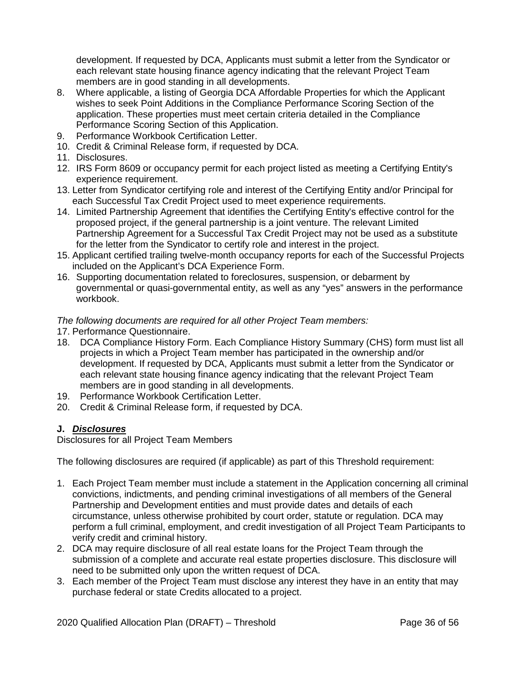development. If requested by DCA, Applicants must submit a letter from the Syndicator or each relevant state housing finance agency indicating that the relevant Project Team members are in good standing in all developments.

- 8. Where applicable, a listing of Georgia DCA Affordable Properties for which the Applicant wishes to seek Point Additions in the Compliance Performance Scoring Section of the application. These properties must meet certain criteria detailed in the Compliance Performance Scoring Section of this Application.
- 9. Performance Workbook Certification Letter.
- 10. Credit & Criminal Release form, if requested by DCA.
- 11. Disclosures.
- 12. IRS Form 8609 or occupancy permit for each project listed as meeting a Certifying Entity's experience requirement.
- 13. Letter from Syndicator certifying role and interest of the Certifying Entity and/or Principal for each Successful Tax Credit Project used to meet experience requirements.
- 14. Limited Partnership Agreement that identifies the Certifying Entity's effective control for the proposed project, if the general partnership is a joint venture. The relevant Limited Partnership Agreement for a Successful Tax Credit Project may not be used as a substitute for the letter from the Syndicator to certify role and interest in the project.
- 15. Applicant certified trailing twelve-month occupancy reports for each of the Successful Projects included on the Applicant's DCA Experience Form.
- 16. Supporting documentation related to foreclosures, suspension, or debarment by governmental or quasi-governmental entity, as well as any "yes" answers in the performance workbook.

*The following documents are required for all other Project Team members:*

- 17. Performance Questionnaire.
- 18. DCA Compliance History Form. Each Compliance History Summary (CHS) form must list all projects in which a Project Team member has participated in the ownership and/or development. If requested by DCA, Applicants must submit a letter from the Syndicator or each relevant state housing finance agency indicating that the relevant Project Team members are in good standing in all developments.
- 19. Performance Workbook Certification Letter.
- 20. Credit & Criminal Release form, if requested by DCA.

# **J.** *Disclosures*

Disclosures for all Project Team Members

The following disclosures are required (if applicable) as part of this Threshold requirement:

- 1. Each Project Team member must include a statement in the Application concerning all criminal convictions, indictments, and pending criminal investigations of all members of the General Partnership and Development entities and must provide dates and details of each circumstance, unless otherwise prohibited by court order, statute or regulation. DCA may perform a full criminal, employment, and credit investigation of all Project Team Participants to verify credit and criminal history.
- 2. DCA may require disclosure of all real estate loans for the Project Team through the submission of a complete and accurate real estate properties disclosure. This disclosure will need to be submitted only upon the written request of DCA.
- 3. Each member of the Project Team must disclose any interest they have in an entity that may purchase federal or state Credits allocated to a project.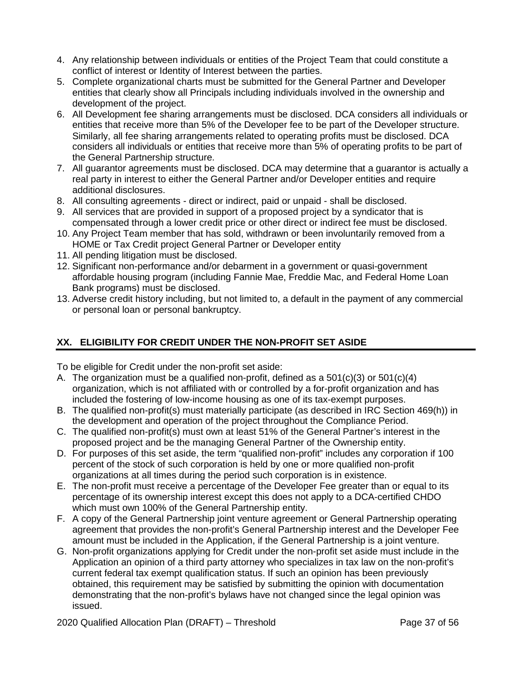- 4. Any relationship between individuals or entities of the Project Team that could constitute a conflict of interest or Identity of Interest between the parties.
- 5. Complete organizational charts must be submitted for the General Partner and Developer entities that clearly show all Principals including individuals involved in the ownership and development of the project.
- 6. All Development fee sharing arrangements must be disclosed. DCA considers all individuals or entities that receive more than 5% of the Developer fee to be part of the Developer structure. Similarly, all fee sharing arrangements related to operating profits must be disclosed. DCA considers all individuals or entities that receive more than 5% of operating profits to be part of the General Partnership structure.
- 7. All guarantor agreements must be disclosed. DCA may determine that a guarantor is actually a real party in interest to either the General Partner and/or Developer entities and require additional disclosures.
- 8. All consulting agreements direct or indirect, paid or unpaid shall be disclosed.
- 9. All services that are provided in support of a proposed project by a syndicator that is compensated through a lower credit price or other direct or indirect fee must be disclosed.
- 10. Any Project Team member that has sold, withdrawn or been involuntarily removed from a HOME or Tax Credit project General Partner or Developer entity
- 11. All pending litigation must be disclosed.
- 12. Significant non-performance and/or debarment in a government or quasi-government affordable housing program (including Fannie Mae, Freddie Mac, and Federal Home Loan Bank programs) must be disclosed.
- 13. Adverse credit history including, but not limited to, a default in the payment of any commercial or personal loan or personal bankruptcy.

# **XX. ELIGIBILITY FOR CREDIT UNDER THE NON-PROFIT SET ASIDE**

To be eligible for Credit under the non-profit set aside:

- A. The organization must be a qualified non-profit, defined as a 501(c)(3) or 501(c)(4) organization, which is not affiliated with or controlled by a for-profit organization and has included the fostering of low-income housing as one of its tax-exempt purposes.
- B. The qualified non-profit(s) must materially participate (as described in IRC Section 469(h)) in the development and operation of the project throughout the Compliance Period.
- C. The qualified non-profit(s) must own at least 51% of the General Partner's interest in the proposed project and be the managing General Partner of the Ownership entity.
- D. For purposes of this set aside, the term "qualified non-profit" includes any corporation if 100 percent of the stock of such corporation is held by one or more qualified non-profit organizations at all times during the period such corporation is in existence.
- E. The non-profit must receive a percentage of the Developer Fee greater than or equal to its percentage of its ownership interest except this does not apply to a DCA-certified CHDO which must own 100% of the General Partnership entity.
- F. A copy of the General Partnership joint venture agreement or General Partnership operating agreement that provides the non-profit's General Partnership interest and the Developer Fee amount must be included in the Application, if the General Partnership is a joint venture.
- G. Non-profit organizations applying for Credit under the non-profit set aside must include in the Application an opinion of a third party attorney who specializes in tax law on the non-profit's current federal tax exempt qualification status. If such an opinion has been previously obtained, this requirement may be satisfied by submitting the opinion with documentation demonstrating that the non-profit's bylaws have not changed since the legal opinion was issued.

2020 Qualified Allocation Plan (DRAFT) – Threshold Page 37 of 56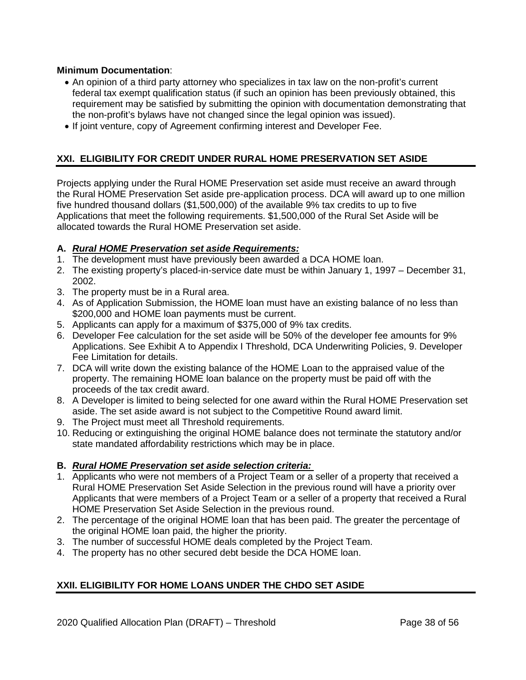# **Minimum Documentation**:

- An opinion of a third party attorney who specializes in tax law on the non-profit's current federal tax exempt qualification status (if such an opinion has been previously obtained, this requirement may be satisfied by submitting the opinion with documentation demonstrating that the non-profit's bylaws have not changed since the legal opinion was issued).
- If joint venture, copy of Agreement confirming interest and Developer Fee.

# **XXI. ELIGIBILITY FOR CREDIT UNDER RURAL HOME PRESERVATION SET ASIDE**

Projects applying under the Rural HOME Preservation set aside must receive an award through the Rural HOME Preservation Set aside pre-application process. DCA will award up to one million five hundred thousand dollars (\$1,500,000) of the available 9% tax credits to up to five Applications that meet the following requirements. \$1,500,000 of the Rural Set Aside will be allocated towards the Rural HOME Preservation set aside.

### **A.** *Rural HOME Preservation set aside Requirements:*

- 1. The development must have previously been awarded a DCA HOME loan.
- 2. The existing property's placed-in-service date must be within January 1, 1997 December 31, 2002.
- 3. The property must be in a Rural area.
- 4. As of Application Submission, the HOME loan must have an existing balance of no less than \$200,000 and HOME loan payments must be current.
- 5. Applicants can apply for a maximum of \$375,000 of 9% tax credits.
- 6. Developer Fee calculation for the set aside will be 50% of the developer fee amounts for 9% Applications. See Exhibit A to Appendix I Threshold, DCA Underwriting Policies, 9. Developer Fee Limitation for details.
- 7. DCA will write down the existing balance of the HOME Loan to the appraised value of the property. The remaining HOME loan balance on the property must be paid off with the proceeds of the tax credit award.
- 8. A Developer is limited to being selected for one award within the Rural HOME Preservation set aside. The set aside award is not subject to the Competitive Round award limit.
- 9. The Project must meet all Threshold requirements.
- 10. Reducing or extinguishing the original HOME balance does not terminate the statutory and/or state mandated affordability restrictions which may be in place.

# **B.** *Rural HOME Preservation set aside selection criteria:*

- 1. Applicants who were not members of a Project Team or a seller of a property that received a Rural HOME Preservation Set Aside Selection in the previous round will have a priority over Applicants that were members of a Project Team or a seller of a property that received a Rural HOME Preservation Set Aside Selection in the previous round.
- 2. The percentage of the original HOME loan that has been paid. The greater the percentage of the original HOME loan paid, the higher the priority.
- 3. The number of successful HOME deals completed by the Project Team.
- 4. The property has no other secured debt beside the DCA HOME loan.

# **XXII. ELIGIBILITY FOR HOME LOANS UNDER THE CHDO SET ASIDE**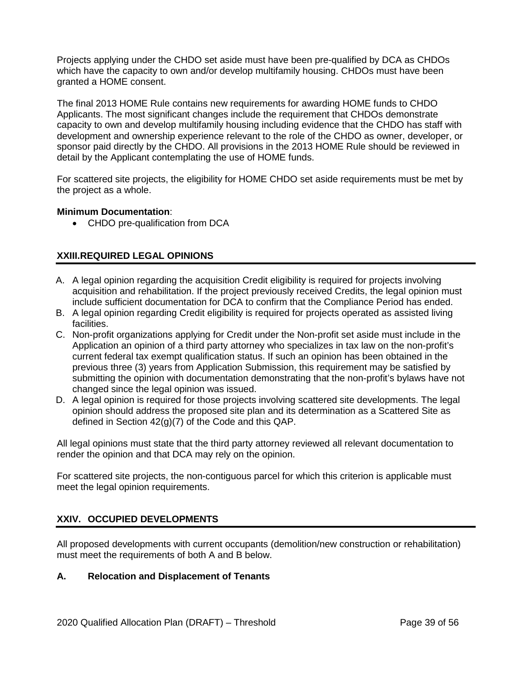Projects applying under the CHDO set aside must have been pre-qualified by DCA as CHDOs which have the capacity to own and/or develop multifamily housing. CHDOs must have been granted a HOME consent.

The final 2013 HOME Rule contains new requirements for awarding HOME funds to CHDO Applicants. The most significant changes include the requirement that CHDOs demonstrate capacity to own and develop multifamily housing including evidence that the CHDO has staff with development and ownership experience relevant to the role of the CHDO as owner, developer, or sponsor paid directly by the CHDO. All provisions in the 2013 HOME Rule should be reviewed in detail by the Applicant contemplating the use of HOME funds.

For scattered site projects, the eligibility for HOME CHDO set aside requirements must be met by the project as a whole.

# **Minimum Documentation**:

• CHDO pre-qualification from DCA

# **XXIII.REQUIRED LEGAL OPINIONS**

- A. A legal opinion regarding the acquisition Credit eligibility is required for projects involving acquisition and rehabilitation. If the project previously received Credits, the legal opinion must include sufficient documentation for DCA to confirm that the Compliance Period has ended.
- B. A legal opinion regarding Credit eligibility is required for projects operated as assisted living facilities.
- C. Non-profit organizations applying for Credit under the Non-profit set aside must include in the Application an opinion of a third party attorney who specializes in tax law on the non-profit's current federal tax exempt qualification status. If such an opinion has been obtained in the previous three (3) years from Application Submission, this requirement may be satisfied by submitting the opinion with documentation demonstrating that the non-profit's bylaws have not changed since the legal opinion was issued.
- D. A legal opinion is required for those projects involving scattered site developments. The legal opinion should address the proposed site plan and its determination as a Scattered Site as defined in Section 42(g)(7) of the Code and this QAP.

All legal opinions must state that the third party attorney reviewed all relevant documentation to render the opinion and that DCA may rely on the opinion.

For scattered site projects, the non-contiguous parcel for which this criterion is applicable must meet the legal opinion requirements.

# **XXIV. OCCUPIED DEVELOPMENTS**

All proposed developments with current occupants (demolition/new construction or rehabilitation) must meet the requirements of both A and B below.

# **A. Relocation and Displacement of Tenants**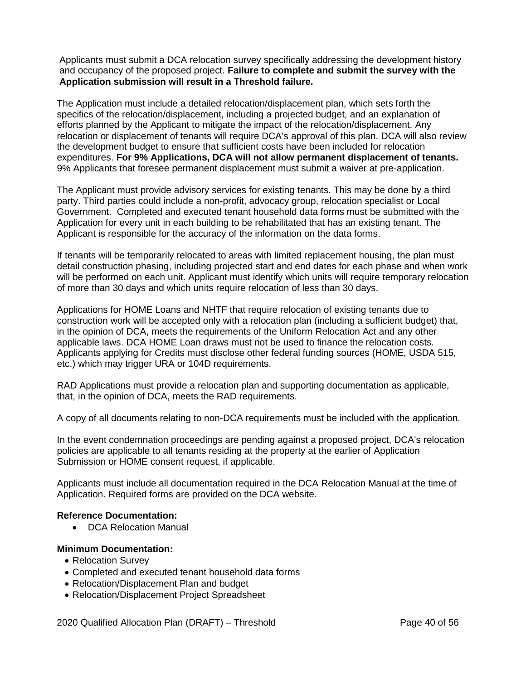Applicants must submit a DCA relocation survey specifically addressing the development history and occupancy of the proposed project. **Failure to complete and submit the survey with the Application submission will result in a Threshold failure.**

The Application must include a detailed relocation/displacement plan, which sets forth the specifics of the relocation/displacement, including a projected budget, and an explanation of efforts planned by the Applicant to mitigate the impact of the relocation/displacement. Any relocation or displacement of tenants will require DCA's approval of this plan. DCA will also review the development budget to ensure that sufficient costs have been included for relocation expenditures. **For 9% Applications, DCA will not allow permanent displacement of tenants.** 9% Applicants that foresee permanent displacement must submit a waiver at pre-application.

The Applicant must provide advisory services for existing tenants. This may be done by a third party. Third parties could include a non-profit, advocacy group, relocation specialist or Local Government. Completed and executed tenant household data forms must be submitted with the Application for every unit in each building to be rehabilitated that has an existing tenant. The Applicant is responsible for the accuracy of the information on the data forms.

If tenants will be temporarily relocated to areas with limited replacement housing, the plan must detail construction phasing, including projected start and end dates for each phase and when work will be performed on each unit. Applicant must identify which units will require temporary relocation of more than 30 days and which units require relocation of less than 30 days.

Applications for HOME Loans and NHTF that require relocation of existing tenants due to construction work will be accepted only with a relocation plan (including a sufficient budget) that, in the opinion of DCA, meets the requirements of the Uniform Relocation Act and any other applicable laws. DCA HOME Loan draws must not be used to finance the relocation costs. Applicants applying for Credits must disclose other federal funding sources (HOME, USDA 515, etc.) which may trigger URA or 104D requirements.

RAD Applications must provide a relocation plan and supporting documentation as applicable, that, in the opinion of DCA, meets the RAD requirements.

A copy of all documents relating to non-DCA requirements must be included with the application.

In the event condemnation proceedings are pending against a proposed project, DCA's relocation policies are applicable to all tenants residing at the property at the earlier of Application Submission or HOME consent request, if applicable.

Applicants must include all documentation required in the DCA Relocation Manual at the time of Application. Required forms are provided on the DCA website.

# **Reference Documentation:**

• DCA Relocation Manual

- Relocation Survey
- Completed and executed tenant household data forms
- Relocation/Displacement Plan and budget
- Relocation/Displacement Project Spreadsheet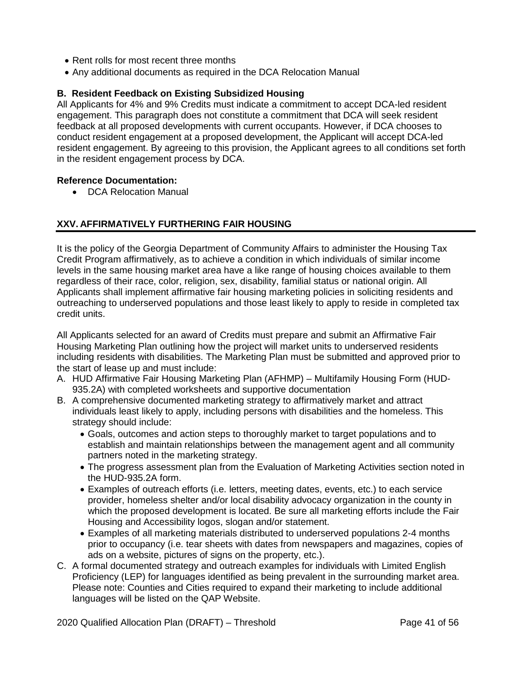- Rent rolls for most recent three months
- Any additional documents as required in the DCA Relocation Manual

# **B. Resident Feedback on Existing Subsidized Housing**

All Applicants for 4% and 9% Credits must indicate a commitment to accept DCA-led resident engagement. This paragraph does not constitute a commitment that DCA will seek resident feedback at all proposed developments with current occupants. However, if DCA chooses to conduct resident engagement at a proposed development, the Applicant will accept DCA-led resident engagement. By agreeing to this provision, the Applicant agrees to all conditions set forth in the resident engagement process by DCA.

### **Reference Documentation:**

• DCA Relocation Manual

# **XXV. AFFIRMATIVELY FURTHERING FAIR HOUSING**

It is the policy of the Georgia Department of Community Affairs to administer the Housing Tax Credit Program affirmatively, as to achieve a condition in which individuals of similar income levels in the same housing market area have a like range of housing choices available to them regardless of their race, color, religion, sex, disability, familial status or national origin. All Applicants shall implement affirmative fair housing marketing policies in soliciting residents and outreaching to underserved populations and those least likely to apply to reside in completed tax credit units.

All Applicants selected for an award of Credits must prepare and submit an Affirmative Fair Housing Marketing Plan outlining how the project will market units to underserved residents including residents with disabilities. The Marketing Plan must be submitted and approved prior to the start of lease up and must include:

- A. HUD Affirmative Fair Housing Marketing Plan (AFHMP) Multifamily Housing Form (HUD-935.2A) with completed worksheets and supportive documentation
- B. A comprehensive documented marketing strategy to affirmatively market and attract individuals least likely to apply, including persons with disabilities and the homeless. This strategy should include:
	- Goals, outcomes and action steps to thoroughly market to target populations and to establish and maintain relationships between the management agent and all community partners noted in the marketing strategy.
	- The progress assessment plan from the Evaluation of Marketing Activities section noted in the HUD-935.2A form.
	- Examples of outreach efforts (i.e. letters, meeting dates, events, etc.) to each service provider, homeless shelter and/or local disability advocacy organization in the county in which the proposed development is located. Be sure all marketing efforts include the Fair Housing and Accessibility logos, slogan and/or statement.
	- Examples of all marketing materials distributed to underserved populations 2-4 months prior to occupancy (i.e. tear sheets with dates from newspapers and magazines, copies of ads on a website, pictures of signs on the property, etc.).
- C. A formal documented strategy and outreach examples for individuals with Limited English Proficiency (LEP) for languages identified as being prevalent in the surrounding market area. Please note: Counties and Cities required to expand their marketing to include additional languages will be listed on the QAP Website.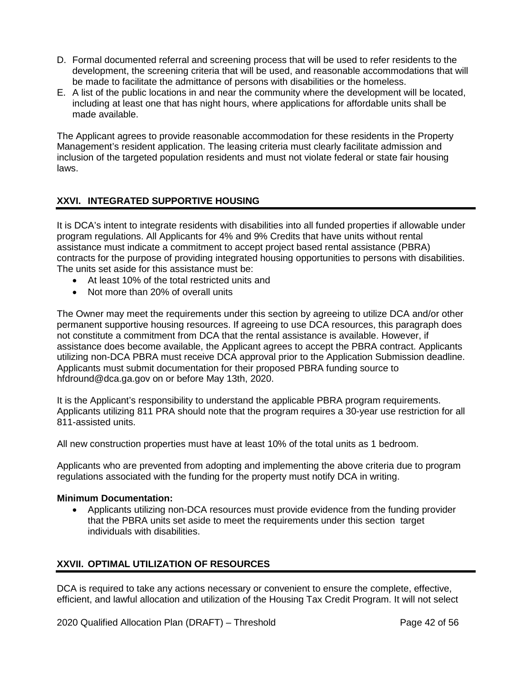- D. Formal documented referral and screening process that will be used to refer residents to the development, the screening criteria that will be used, and reasonable accommodations that will be made to facilitate the admittance of persons with disabilities or the homeless.
- E. A list of the public locations in and near the community where the development will be located, including at least one that has night hours, where applications for affordable units shall be made available.

The Applicant agrees to provide reasonable accommodation for these residents in the Property Management's resident application. The leasing criteria must clearly facilitate admission and inclusion of the targeted population residents and must not violate federal or state fair housing laws.

# **XXVI. INTEGRATED SUPPORTIVE HOUSING**

It is DCA's intent to integrate residents with disabilities into all funded properties if allowable under program regulations. All Applicants for 4% and 9% Credits that have units without rental assistance must indicate a commitment to accept project based rental assistance (PBRA) contracts for the purpose of providing integrated housing opportunities to persons with disabilities. The units set aside for this assistance must be:

- At least 10% of the total restricted units and
- Not more than 20% of overall units

The Owner may meet the requirements under this section by agreeing to utilize DCA and/or other permanent supportive housing resources. If agreeing to use DCA resources, this paragraph does not constitute a commitment from DCA that the rental assistance is available. However, if assistance does become available, the Applicant agrees to accept the PBRA contract. Applicants utilizing non-DCA PBRA must receive DCA approval prior to the Application Submission deadline. Applicants must submit documentation for their proposed PBRA funding source to hfdround@dca.ga.gov on or before May 13th, 2020.

It is the Applicant's responsibility to understand the applicable PBRA program requirements. Applicants utilizing 811 PRA should note that the program requires a 30-year use restriction for all 811-assisted units.

All new construction properties must have at least 10% of the total units as 1 bedroom.

Applicants who are prevented from adopting and implementing the above criteria due to program regulations associated with the funding for the property must notify DCA in writing.

# **Minimum Documentation:**

• Applicants utilizing non-DCA resources must provide evidence from the funding provider that the PBRA units set aside to meet the requirements under this section target individuals with disabilities.

# **XXVII. OPTIMAL UTILIZATION OF RESOURCES**

DCA is required to take any actions necessary or convenient to ensure the complete, effective, efficient, and lawful allocation and utilization of the Housing Tax Credit Program. It will not select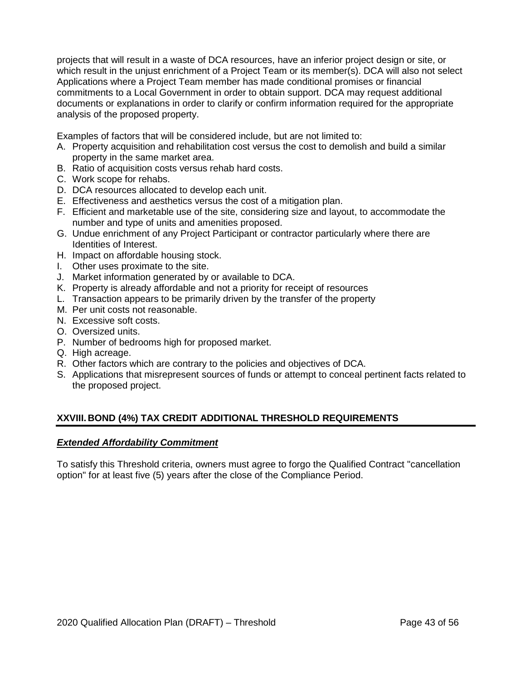projects that will result in a waste of DCA resources, have an inferior project design or site, or which result in the unjust enrichment of a Project Team or its member(s). DCA will also not select Applications where a Project Team member has made conditional promises or financial commitments to a Local Government in order to obtain support. DCA may request additional documents or explanations in order to clarify or confirm information required for the appropriate analysis of the proposed property.

Examples of factors that will be considered include, but are not limited to:

- A. Property acquisition and rehabilitation cost versus the cost to demolish and build a similar property in the same market area.
- B. Ratio of acquisition costs versus rehab hard costs.
- C. Work scope for rehabs.
- D. DCA resources allocated to develop each unit.
- E. Effectiveness and aesthetics versus the cost of a mitigation plan.
- F. Efficient and marketable use of the site, considering size and layout, to accommodate the number and type of units and amenities proposed.
- G. Undue enrichment of any Project Participant or contractor particularly where there are Identities of Interest.
- H. Impact on affordable housing stock.
- I. Other uses proximate to the site.
- J. Market information generated by or available to DCA.
- K. Property is already affordable and not a priority for receipt of resources
- L. Transaction appears to be primarily driven by the transfer of the property
- M. Per unit costs not reasonable.
- N. Excessive soft costs.
- O. Oversized units.
- P. Number of bedrooms high for proposed market.
- Q. High acreage.
- R. Other factors which are contrary to the policies and objectives of DCA.
- S. Applications that misrepresent sources of funds or attempt to conceal pertinent facts related to the proposed project.

# **XXVIII. BOND (4%) TAX CREDIT ADDITIONAL THRESHOLD REQUIREMENTS**

#### *Extended Affordability Commitment*

To satisfy this Threshold criteria, owners must agree to forgo the Qualified Contract "cancellation option" for at least five (5) years after the close of the Compliance Period.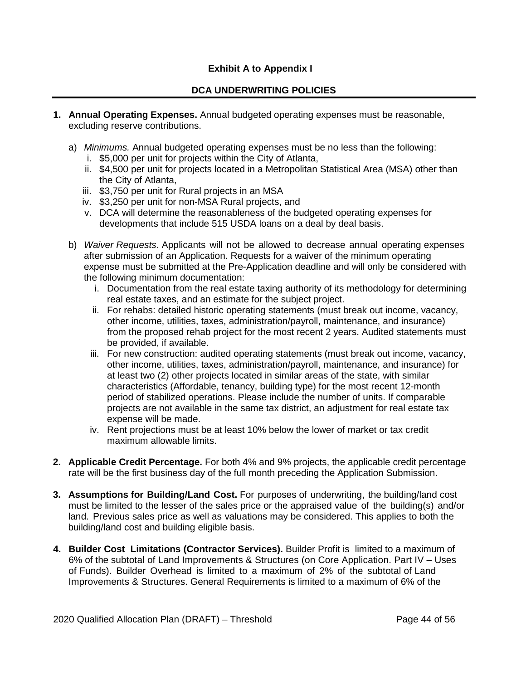# **Exhibit A to Appendix I**

# **DCA UNDERWRITING POLICIES**

- **1. Annual Operating Expenses.** Annual budgeted operating expenses must be reasonable, excluding reserve contributions.
	- a) *Minimums.* Annual budgeted operating expenses must be no less than the following:
		- i. \$5,000 per unit for projects within the City of Atlanta,
		- ii. \$4,500 per unit for projects located in a Metropolitan Statistical Area (MSA) other than the City of Atlanta,
		- iii. \$3,750 per unit for Rural projects in an MSA
		- iv. \$3,250 per unit for non-MSA Rural projects, and
		- v. DCA will determine the reasonableness of the budgeted operating expenses for developments that include 515 USDA loans on a deal by deal basis.
	- b) *Waiver Requests*. Applicants will not be allowed to decrease annual operating expenses after submission of an Application. Requests for a waiver of the minimum operating expense must be submitted at the Pre-Application deadline and will only be considered with the following minimum documentation:
		- i. Documentation from the real estate taxing authority of its methodology for determining real estate taxes, and an estimate for the subject project.
		- ii. For rehabs: detailed historic operating statements (must break out income, vacancy, other income, utilities, taxes, administration/payroll, maintenance, and insurance) from the proposed rehab project for the most recent 2 years. Audited statements must be provided, if available.
		- iii. For new construction: audited operating statements (must break out income, vacancy, other income, utilities, taxes, administration/payroll, maintenance, and insurance) for at least two (2) other projects located in similar areas of the state, with similar characteristics (Affordable, tenancy, building type) for the most recent 12-month period of stabilized operations. Please include the number of units. If comparable projects are not available in the same tax district, an adjustment for real estate tax expense will be made.
		- iv. Rent projections must be at least 10% below the lower of market or tax credit maximum allowable limits.
- **2. Applicable Credit Percentage.** For both 4% and 9% projects, the applicable credit percentage rate will be the first business day of the full month preceding the Application Submission.
- **3. Assumptions for Building/Land Cost.** For purposes of underwriting, the building/land cost must be limited to the lesser of the sales price or the appraised value of the building(s) and/or land. Previous sales price as well as valuations may be considered. This applies to both the building/land cost and building eligible basis.
- **4. Builder Cost Limitations (Contractor Services).** Builder Profit is limited to a maximum of 6% of the subtotal of Land Improvements & Structures (on Core Application. Part IV – Uses of Funds). Builder Overhead is limited to a maximum of 2% of the subtotal of Land Improvements & Structures. General Requirements is limited to a maximum of 6% of the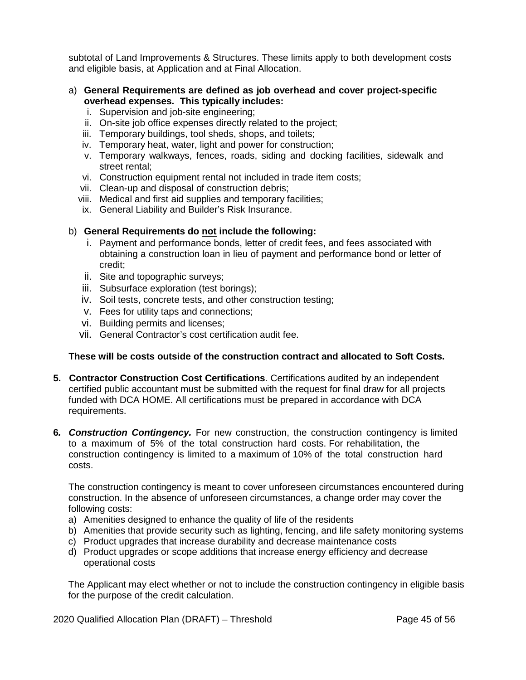subtotal of Land Improvements & Structures. These limits apply to both development costs and eligible basis, at Application and at Final Allocation.

- a) **General Requirements are defined as job overhead and cover project-specific overhead expenses. This typically includes:**
	- i. Supervision and job-site engineering;
	- ii. On-site job office expenses directly related to the project;
	- iii. Temporary buildings, tool sheds, shops, and toilets;
	- iv. Temporary heat, water, light and power for construction;
	- v. Temporary walkways, fences, roads, siding and docking facilities, sidewalk and street rental;
	- vi. Construction equipment rental not included in trade item costs;
	- vii. Clean-up and disposal of construction debris;
	- viii. Medical and first aid supplies and temporary facilities;
	- ix. General Liability and Builder's Risk Insurance.

### b) **General Requirements do not include the following:**

- i. Payment and performance bonds, letter of credit fees, and fees associated with obtaining a construction loan in lieu of payment and performance bond or letter of credit;
- ii. Site and topographic surveys;
- iii. Subsurface exploration (test borings);
- iv. Soil tests, concrete tests, and other construction testing;
- v. Fees for utility taps and connections;
- vi. Building permits and licenses;
- vii. General Contractor's cost certification audit fee.

#### **These will be costs outside of the construction contract and allocated to Soft Costs.**

- **5. Contractor Construction Cost Certifications**. Certifications audited by an independent certified public accountant must be submitted with the request for final draw for all projects funded with DCA HOME. All certifications must be prepared in accordance with DCA requirements.
- **6***. Construction Contingency.* For new construction, the construction contingency is limited to a maximum of 5% of the total construction hard costs. For rehabilitation, the construction contingency is limited to a maximum of 10% of the total construction hard costs.

The construction contingency is meant to cover unforeseen circumstances encountered during construction. In the absence of unforeseen circumstances, a change order may cover the following costs:

- a) Amenities designed to enhance the quality of life of the residents
- b) Amenities that provide security such as lighting, fencing, and life safety monitoring systems
- c) Product upgrades that increase durability and decrease maintenance costs
- d) Product upgrades or scope additions that increase energy efficiency and decrease operational costs

The Applicant may elect whether or not to include the construction contingency in eligible basis for the purpose of the credit calculation.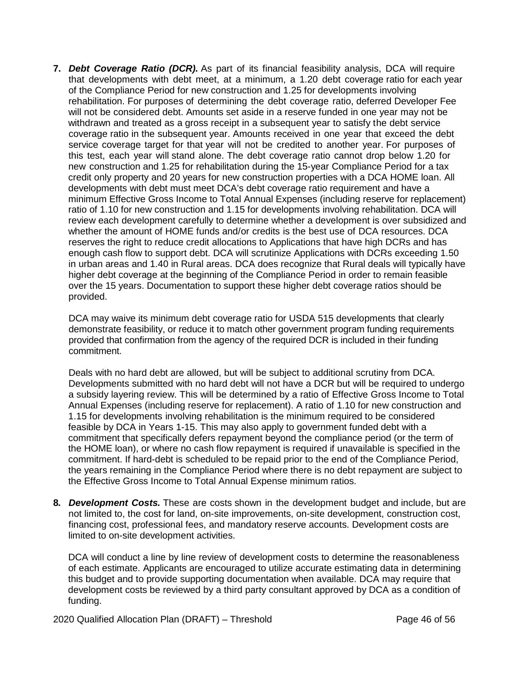**7.** *Debt Coverage Ratio (DCR).* As part of its financial feasibility analysis, DCA will require that developments with debt meet, at a minimum, a 1.20 debt coverage ratio for each year of the Compliance Period for new construction and 1.25 for developments involving rehabilitation. For purposes of determining the debt coverage ratio, deferred Developer Fee will not be considered debt. Amounts set aside in a reserve funded in one year may not be withdrawn and treated as a gross receipt in a subsequent year to satisfy the debt service coverage ratio in the subsequent year. Amounts received in one year that exceed the debt service coverage target for that year will not be credited to another year. For purposes of this test, each year will stand alone. The debt coverage ratio cannot drop below 1.20 for new construction and 1.25 for rehabilitation during the 15-year Compliance Period for a tax credit only property and 20 years for new construction properties with a DCA HOME loan. All developments with debt must meet DCA's debt coverage ratio requirement and have a minimum Effective Gross Income to Total Annual Expenses (including reserve for replacement) ratio of 1.10 for new construction and 1.15 for developments involving rehabilitation. DCA will review each development carefully to determine whether a development is over subsidized and whether the amount of HOME funds and/or credits is the best use of DCA resources. DCA reserves the right to reduce credit allocations to Applications that have high DCRs and has enough cash flow to support debt. DCA will scrutinize Applications with DCRs exceeding 1.50 in urban areas and 1.40 in Rural areas. DCA does recognize that Rural deals will typically have higher debt coverage at the beginning of the Compliance Period in order to remain feasible over the 15 years. Documentation to support these higher debt coverage ratios should be provided.

DCA may waive its minimum debt coverage ratio for USDA 515 developments that clearly demonstrate feasibility, or reduce it to match other government program funding requirements provided that confirmation from the agency of the required DCR is included in their funding commitment.

Deals with no hard debt are allowed, but will be subject to additional scrutiny from DCA. Developments submitted with no hard debt will not have a DCR but will be required to undergo a subsidy layering review. This will be determined by a ratio of Effective Gross Income to Total Annual Expenses (including reserve for replacement). A ratio of 1.10 for new construction and 1.15 for developments involving rehabilitation is the minimum required to be considered feasible by DCA in Years 1-15. This may also apply to government funded debt with a commitment that specifically defers repayment beyond the compliance period (or the term of the HOME loan), or where no cash flow repayment is required if unavailable is specified in the commitment. If hard-debt is scheduled to be repaid prior to the end of the Compliance Period, the years remaining in the Compliance Period where there is no debt repayment are subject to the Effective Gross Income to Total Annual Expense minimum ratios.

**8***. Development Costs.* These are costs shown in the development budget and include, but are not limited to, the cost for land, on-site improvements, on-site development, construction cost, financing cost, professional fees, and mandatory reserve accounts. Development costs are limited to on-site development activities.

DCA will conduct a line by line review of development costs to determine the reasonableness of each estimate. Applicants are encouraged to utilize accurate estimating data in determining this budget and to provide supporting documentation when available. DCA may require that development costs be reviewed by a third party consultant approved by DCA as a condition of funding.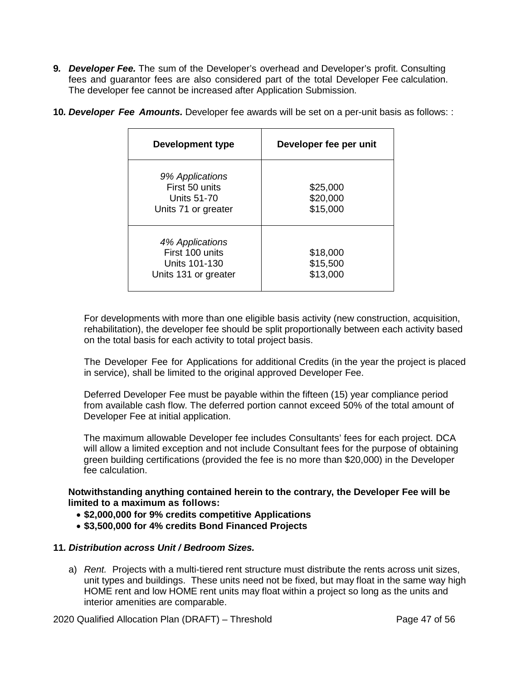**9***. Developer Fee.* The sum of the Developer's overhead and Developer's profit. Consulting fees and guarantor fees are also considered part of the total Developer Fee calculation. The developer fee cannot be increased after Application Submission.

| Development type                                                            | Developer fee per unit           |
|-----------------------------------------------------------------------------|----------------------------------|
| 9% Applications<br>First 50 units<br>Units 51-70<br>Units 71 or greater     | \$25,000<br>\$20,000<br>\$15,000 |
| 4% Applications<br>First 100 units<br>Units 101-130<br>Units 131 or greater | \$18,000<br>\$15,500<br>\$13,000 |

**10***. Developer Fee Amounts.* Developer fee awards will be set on a per-unit basis as follows: :

For developments with more than one eligible basis activity (new construction, acquisition, rehabilitation), the developer fee should be split proportionally between each activity based on the total basis for each activity to total project basis.

The Developer Fee for Applications for additional Credits (in the year the project is placed in service), shall be limited to the original approved Developer Fee.

Deferred Developer Fee must be payable within the fifteen (15) year compliance period from available cash flow. The deferred portion cannot exceed 50% of the total amount of Developer Fee at initial application.

The maximum allowable Developer fee includes Consultants' fees for each project. DCA will allow a limited exception and not include Consultant fees for the purpose of obtaining green building certifications (provided the fee is no more than \$20,000) in the Developer fee calculation.

**Notwithstanding anything contained herein to the contrary, the Developer Fee will be limited to a maximum as follows:**

- **\$2,000,000 for 9% credits competitive Applications**
- **\$3,500,000 for 4% credits Bond Financed Projects**

### **11***. Distribution across Unit / Bedroom Sizes.*

a) *Rent.* Projects with a multi-tiered rent structure must distribute the rents across unit sizes, unit types and buildings. These units need not be fixed, but may float in the same way high HOME rent and low HOME rent units may float within a project so long as the units and interior amenities are comparable.

2020 Qualified Allocation Plan (DRAFT) – Threshold Page 47 of 56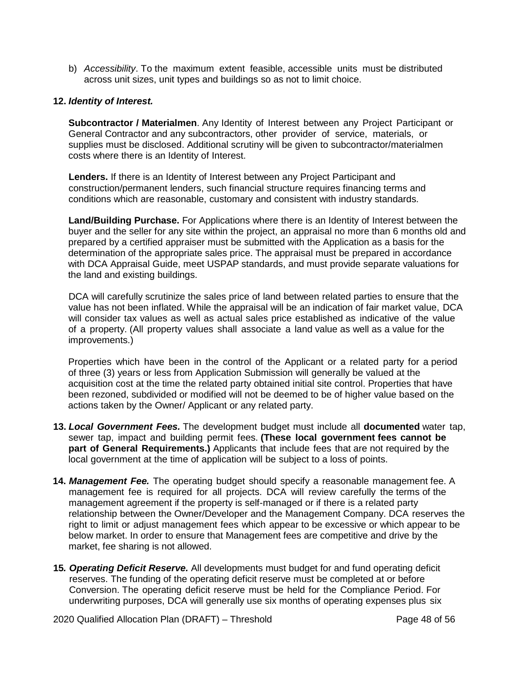b) *Accessibility*. To the maximum extent feasible, accessible units must be distributed across unit sizes, unit types and buildings so as not to limit choice.

#### **12.** *Identity of Interest.*

**Subcontractor / Materialmen**. Any Identity of Interest between any Project Participant or General Contractor and any subcontractors, other provider of service, materials, or supplies must be disclosed. Additional scrutiny will be given to subcontractor/materialmen costs where there is an Identity of Interest.

**Lenders.** If there is an Identity of Interest between any Project Participant and construction/permanent lenders, such financial structure requires financing terms and conditions which are reasonable, customary and consistent with industry standards.

**Land/Building Purchase.** For Applications where there is an Identity of Interest between the buyer and the seller for any site within the project, an appraisal no more than 6 months old and prepared by a certified appraiser must be submitted with the Application as a basis for the determination of the appropriate sales price. The appraisal must be prepared in accordance with DCA Appraisal Guide, meet USPAP standards, and must provide separate valuations for the land and existing buildings.

DCA will carefully scrutinize the sales price of land between related parties to ensure that the value has not been inflated. While the appraisal will be an indication of fair market value, DCA will consider tax values as well as actual sales price established as indicative of the value of a property. (All property values shall associate a land value as well as a value for the improvements.)

Properties which have been in the control of the Applicant or a related party for a period of three (3) years or less from Application Submission will generally be valued at the acquisition cost at the time the related party obtained initial site control. Properties that have been rezoned, subdivided or modified will not be deemed to be of higher value based on the actions taken by the Owner/ Applicant or any related party.

- **13.** *Local Government Fees.* The development budget must include all **documented** water tap, sewer tap, impact and building permit fees. **(These local government fees cannot be part of General Requirements.)** Applicants that include fees that are not required by the local government at the time of application will be subject to a loss of points.
- **14.** *Management Fee.* The operating budget should specify a reasonable management fee. A management fee is required for all projects. DCA will review carefully the terms of the management agreement if the property is self-managed or if there is a related party relationship between the Owner/Developer and the Management Company. DCA reserves the right to limit or adjust management fees which appear to be excessive or which appear to be below market. In order to ensure that Management fees are competitive and drive by the market, fee sharing is not allowed.
- **15***. Operating Deficit Reserve.* All developments must budget for and fund operating deficit reserves. The funding of the operating deficit reserve must be completed at or before Conversion. The operating deficit reserve must be held for the Compliance Period. For underwriting purposes, DCA will generally use six months of operating expenses plus six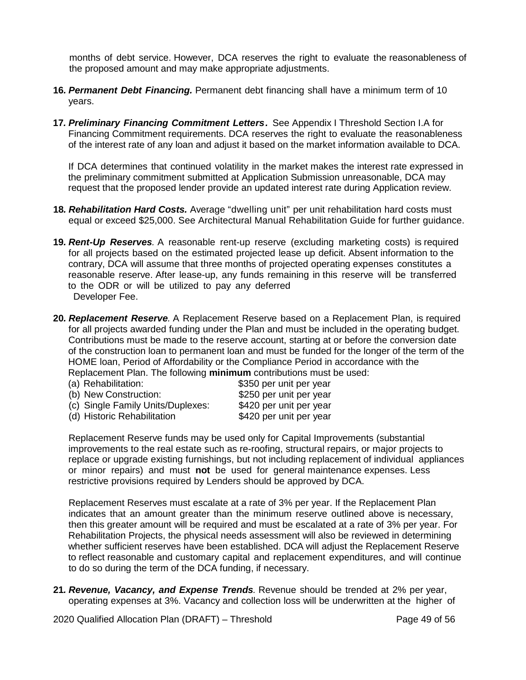months of debt service. However, DCA reserves the right to evaluate the reasonableness of the proposed amount and may make appropriate adjustments.

- **16***. Permanent Debt Financing.* Permanent debt financing shall have a minimum term of 10 years.
- **17***. Preliminary Financing Commitment Letters.* See Appendix I Threshold Section I.A for Financing Commitment requirements. DCA reserves the right to evaluate the reasonableness of the interest rate of any loan and adjust it based on the market information available to DCA.

If DCA determines that continued volatility in the market makes the interest rate expressed in the preliminary commitment submitted at Application Submission unreasonable, DCA may request that the proposed lender provide an updated interest rate during Application review.

- **18***. Rehabilitation Hard Costs.* Average "dwelling unit" per unit rehabilitation hard costs must equal or exceed \$25,000. See Architectural Manual Rehabilitation Guide for further guidance.
- **19***. Rent-Up Reserves.* A reasonable rent-up reserve (excluding marketing costs) is required for all projects based on the estimated projected lease up deficit. Absent information to the contrary, DCA will assume that three months of projected operating expenses constitutes a reasonable reserve. After lease-up, any funds remaining in this reserve will be transferred to the ODR or will be utilized to pay any deferred Developer Fee.
- **20***. Replacement Reserve.* A Replacement Reserve based on a Replacement Plan, is required for all projects awarded funding under the Plan and must be included in the operating budget. Contributions must be made to the reserve account, starting at or before the conversion date of the construction loan to permanent loan and must be funded for the longer of the term of the HOME loan, Period of Affordability or the Compliance Period in accordance with the Replacement Plan. The following **minimum** contributions must be used:
	- (a) Rehabilitation:  $$350$  per unit per year (b) New Construction:  $$250$  per unit per year (c) Single Family Units/Duplexes: \$420 per unit per year (d) Historic Rehabilitation \$420 per unit per year

Replacement Reserve funds may be used only for Capital Improvements (substantial improvements to the real estate such as re-roofing, structural repairs, or major projects to replace or upgrade existing furnishings, but not including replacement of individual appliances or minor repairs) and must **not** be used for general maintenance expenses. Less restrictive provisions required by Lenders should be approved by DCA.

Replacement Reserves must escalate at a rate of 3% per year. If the Replacement Plan indicates that an amount greater than the minimum reserve outlined above is necessary, then this greater amount will be required and must be escalated at a rate of 3% per year. For Rehabilitation Projects, the physical needs assessment will also be reviewed in determining whether sufficient reserves have been established. DCA will adjust the Replacement Reserve to reflect reasonable and customary capital and replacement expenditures, and will continue to do so during the term of the DCA funding, if necessary.

**21***. Revenue, Vacancy, and Expense Trends.* Revenue should be trended at 2% per year, operating expenses at 3%. Vacancy and collection loss will be underwritten at the higher of

2020 Qualified Allocation Plan (DRAFT) – Threshold Page 49 of 56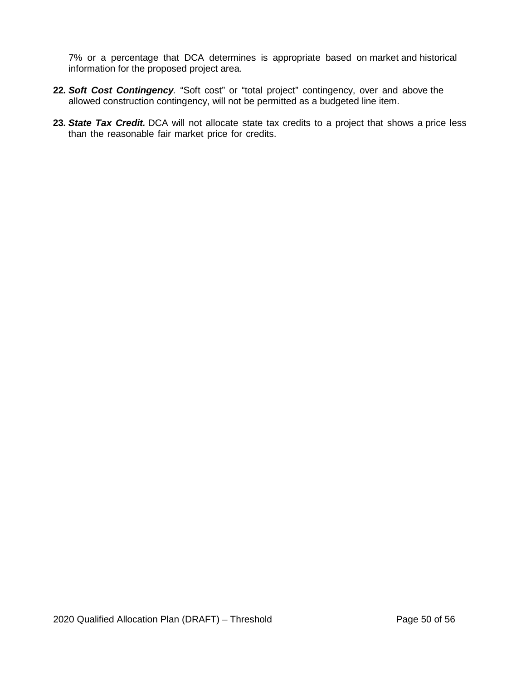7% or a percentage that DCA determines is appropriate based on market and historical information for the proposed project area.

- **22***. Soft Cost Contingency.* "Soft cost" or "total project" contingency, over and above the allowed construction contingency, will not be permitted as a budgeted line item.
- **23***. State Tax Credit.* DCA will not allocate state tax credits to a project that shows a price less than the reasonable fair market price for credits.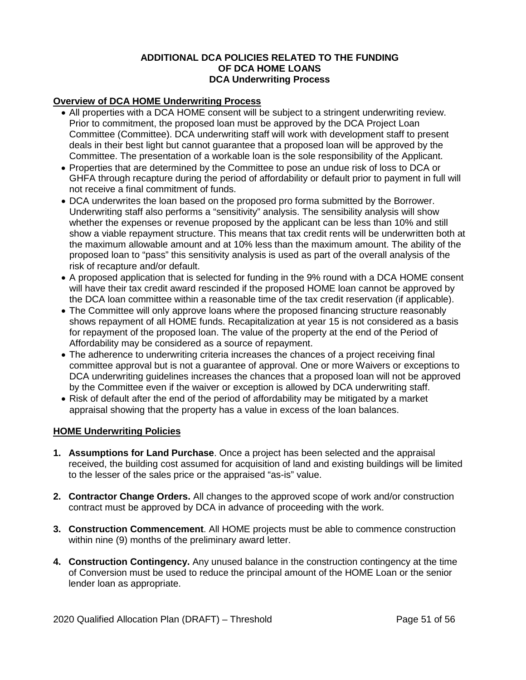### **ADDITIONAL DCA POLICIES RELATED TO THE FUNDING OF DCA HOME LOANS DCA Underwriting Process**

# **Overview of DCA HOME Underwriting Process**

- All properties with a DCA HOME consent will be subject to a stringent underwriting review. Prior to commitment, the proposed loan must be approved by the DCA Project Loan Committee (Committee). DCA underwriting staff will work with development staff to present deals in their best light but cannot guarantee that a proposed loan will be approved by the Committee. The presentation of a workable loan is the sole responsibility of the Applicant.
- Properties that are determined by the Committee to pose an undue risk of loss to DCA or GHFA through recapture during the period of affordability or default prior to payment in full will not receive a final commitment of funds.
- DCA underwrites the loan based on the proposed pro forma submitted by the Borrower. Underwriting staff also performs a "sensitivity" analysis. The sensibility analysis will show whether the expenses or revenue proposed by the applicant can be less than 10% and still show a viable repayment structure. This means that tax credit rents will be underwritten both at the maximum allowable amount and at 10% less than the maximum amount. The ability of the proposed loan to "pass" this sensitivity analysis is used as part of the overall analysis of the risk of recapture and/or default.
- A proposed application that is selected for funding in the 9% round with a DCA HOME consent will have their tax credit award rescinded if the proposed HOME loan cannot be approved by the DCA loan committee within a reasonable time of the tax credit reservation (if applicable).
- The Committee will only approve loans where the proposed financing structure reasonably shows repayment of all HOME funds. Recapitalization at year 15 is not considered as a basis for repayment of the proposed loan. The value of the property at the end of the Period of Affordability may be considered as a source of repayment.
- The adherence to underwriting criteria increases the chances of a project receiving final committee approval but is not a guarantee of approval. One or more Waivers or exceptions to DCA underwriting guidelines increases the chances that a proposed loan will not be approved by the Committee even if the waiver or exception is allowed by DCA underwriting staff.
- Risk of default after the end of the period of affordability may be mitigated by a market appraisal showing that the property has a value in excess of the loan balances.

#### **HOME Underwriting Policies**

- **1. Assumptions for Land Purchase**. Once a project has been selected and the appraisal received, the building cost assumed for acquisition of land and existing buildings will be limited to the lesser of the sales price or the appraised "as-is" value.
- **2. Contractor Change Orders.** All changes to the approved scope of work and/or construction contract must be approved by DCA in advance of proceeding with the work.
- **3. Construction Commencement**. All HOME projects must be able to commence construction within nine (9) months of the preliminary award letter.
- **4. Construction Contingency.** Any unused balance in the construction contingency at the time of Conversion must be used to reduce the principal amount of the HOME Loan or the senior lender loan as appropriate.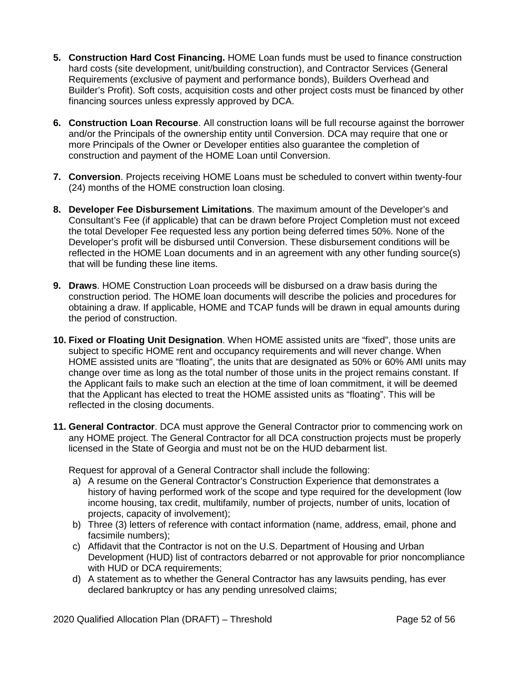- **5. Construction Hard Cost Financing.** HOME Loan funds must be used to finance construction hard costs (site development, unit/building construction), and Contractor Services (General Requirements (exclusive of payment and performance bonds), Builders Overhead and Builder's Profit). Soft costs, acquisition costs and other project costs must be financed by other financing sources unless expressly approved by DCA.
- **6. Construction Loan Recourse**. All construction loans will be full recourse against the borrower and/or the Principals of the ownership entity until Conversion. DCA may require that one or more Principals of the Owner or Developer entities also guarantee the completion of construction and payment of the HOME Loan until Conversion.
- **7. Conversion**. Projects receiving HOME Loans must be scheduled to convert within twenty-four (24) months of the HOME construction loan closing.
- **8. Developer Fee Disbursement Limitations**. The maximum amount of the Developer's and Consultant's Fee (if applicable) that can be drawn before Project Completion must not exceed the total Developer Fee requested less any portion being deferred times 50%. None of the Developer's profit will be disbursed until Conversion. These disbursement conditions will be reflected in the HOME Loan documents and in an agreement with any other funding source(s) that will be funding these line items.
- **9. Draws**. HOME Construction Loan proceeds will be disbursed on a draw basis during the construction period. The HOME loan documents will describe the policies and procedures for obtaining a draw. If applicable, HOME and TCAP funds will be drawn in equal amounts during the period of construction.
- **10. Fixed or Floating Unit Designation**. When HOME assisted units are "fixed", those units are subiect to specific HOME rent and occupancy requirements and will never change. When HOME assisted units are "floating", the units that are designated as 50% or 60% AMI units may change over time as long as the total number of those units in the project remains constant. If the Applicant fails to make such an election at the time of loan commitment, it will be deemed that the Applicant has elected to treat the HOME assisted units as "floating". This will be reflected in the closing documents.
- **11. General Contractor**. DCA must approve the General Contractor prior to commencing work on any HOME project. The General Contractor for all DCA construction projects must be properly licensed in the State of Georgia and must not be on the HUD debarment list.

Request for approval of a General Contractor shall include the following:

- a) A resume on the General Contractor's Construction Experience that demonstrates a history of having performed work of the scope and type required for the development (low income housing, tax credit, multifamily, number of projects, number of units, location of projects, capacity of involvement);
- b) Three (3) letters of reference with contact information (name, address, email, phone and facsimile numbers);
- c) Affidavit that the Contractor is not on the U.S. Department of Housing and Urban Development (HUD) list of contractors debarred or not approvable for prior noncompliance with HUD or DCA requirements:
- d) A statement as to whether the General Contractor has any lawsuits pending, has ever declared bankruptcy or has any pending unresolved claims;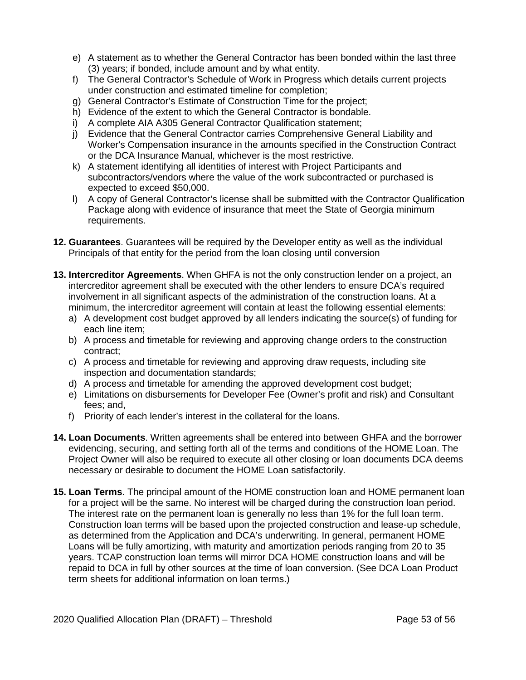- e) A statement as to whether the General Contractor has been bonded within the last three (3) years; if bonded, include amount and by what entity.
- f) The General Contractor's Schedule of Work in Progress which details current projects under construction and estimated timeline for completion;
- g) General Contractor's Estimate of Construction Time for the project;
- h) Evidence of the extent to which the General Contractor is bondable.
- i) A complete AIA A305 General Contractor Qualification statement;
- j) Evidence that the General Contractor carries Comprehensive General Liability and Worker's Compensation insurance in the amounts specified in the Construction Contract or the DCA Insurance Manual, whichever is the most restrictive.
- k) A statement identifying all identities of interest with Project Participants and subcontractors/vendors where the value of the work subcontracted or purchased is expected to exceed \$50,000.
- l) A copy of General Contractor's license shall be submitted with the Contractor Qualification Package along with evidence of insurance that meet the State of Georgia minimum requirements.
- **12. Guarantees**. Guarantees will be required by the Developer entity as well as the individual Principals of that entity for the period from the loan closing until conversion
- **13. Intercreditor Agreements**. When GHFA is not the only construction lender on a project, an intercreditor agreement shall be executed with the other lenders to ensure DCA's required involvement in all significant aspects of the administration of the construction loans. At a minimum, the intercreditor agreement will contain at least the following essential elements:
	- a) A development cost budget approved by all lenders indicating the source(s) of funding for each line item;
	- b) A process and timetable for reviewing and approving change orders to the construction contract;
	- c) A process and timetable for reviewing and approving draw requests, including site inspection and documentation standards;
	- d) A process and timetable for amending the approved development cost budget;
	- e) Limitations on disbursements for Developer Fee (Owner's profit and risk) and Consultant fees; and,
	- f) Priority of each lender's interest in the collateral for the loans.
- **14. Loan Documents**. Written agreements shall be entered into between GHFA and the borrower evidencing, securing, and setting forth all of the terms and conditions of the HOME Loan. The Project Owner will also be required to execute all other closing or loan documents DCA deems necessary or desirable to document the HOME Loan satisfactorily.
- **15. Loan Terms**. The principal amount of the HOME construction loan and HOME permanent loan for a project will be the same. No interest will be charged during the construction loan period. The interest rate on the permanent loan is generally no less than 1% for the full loan term. Construction loan terms will be based upon the projected construction and lease-up schedule, as determined from the Application and DCA's underwriting. In general, permanent HOME Loans will be fully amortizing, with maturity and amortization periods ranging from 20 to 35 years. TCAP construction loan terms will mirror DCA HOME construction loans and will be repaid to DCA in full by other sources at the time of loan conversion. (See DCA Loan Product term sheets for additional information on loan terms.)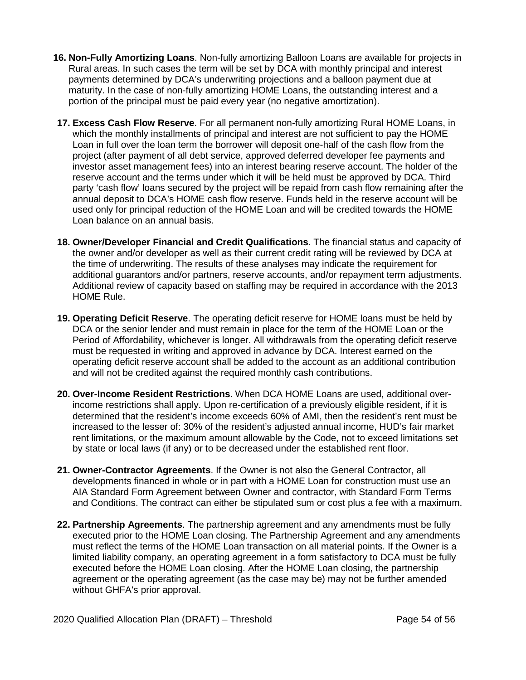- **16. Non-Fully Amortizing Loans**. Non-fully amortizing Balloon Loans are available for projects in Rural areas. In such cases the term will be set by DCA with monthly principal and interest payments determined by DCA's underwriting projections and a balloon payment due at maturity. In the case of non-fully amortizing HOME Loans, the outstanding interest and a portion of the principal must be paid every year (no negative amortization).
- **17. Excess Cash Flow Reserve**. For all permanent non-fully amortizing Rural HOME Loans, in which the monthly installments of principal and interest are not sufficient to pay the HOME Loan in full over the loan term the borrower will deposit one-half of the cash flow from the project (after payment of all debt service, approved deferred developer fee payments and investor asset management fees) into an interest bearing reserve account. The holder of the reserve account and the terms under which it will be held must be approved by DCA. Third party 'cash flow' loans secured by the project will be repaid from cash flow remaining after the annual deposit to DCA's HOME cash flow reserve. Funds held in the reserve account will be used only for principal reduction of the HOME Loan and will be credited towards the HOME Loan balance on an annual basis.
- **18. Owner/Developer Financial and Credit Qualifications**. The financial status and capacity of the owner and/or developer as well as their current credit rating will be reviewed by DCA at the time of underwriting. The results of these analyses may indicate the requirement for additional guarantors and/or partners, reserve accounts, and/or repayment term adjustments. Additional review of capacity based on staffing may be required in accordance with the 2013 HOME Rule.
- **19. Operating Deficit Reserve**. The operating deficit reserve for HOME loans must be held by DCA or the senior lender and must remain in place for the term of the HOME Loan or the Period of Affordability, whichever is longer. All withdrawals from the operating deficit reserve must be requested in writing and approved in advance by DCA. Interest earned on the operating deficit reserve account shall be added to the account as an additional contribution and will not be credited against the required monthly cash contributions.
- **20. Over-Income Resident Restrictions**. When DCA HOME Loans are used, additional overincome restrictions shall apply. Upon re-certification of a previously eligible resident, if it is determined that the resident's income exceeds 60% of AMI, then the resident's rent must be increased to the lesser of: 30% of the resident's adjusted annual income, HUD's fair market rent limitations, or the maximum amount allowable by the Code, not to exceed limitations set by state or local laws (if any) or to be decreased under the established rent floor.
- **21. Owner-Contractor Agreements**. If the Owner is not also the General Contractor, all developments financed in whole or in part with a HOME Loan for construction must use an AIA Standard Form Agreement between Owner and contractor, with Standard Form Terms and Conditions. The contract can either be stipulated sum or cost plus a fee with a maximum.
- **22. Partnership Agreements**. The partnership agreement and any amendments must be fully executed prior to the HOME Loan closing. The Partnership Agreement and any amendments must reflect the terms of the HOME Loan transaction on all material points. If the Owner is a limited liability company, an operating agreement in a form satisfactory to DCA must be fully executed before the HOME Loan closing. After the HOME Loan closing, the partnership agreement or the operating agreement (as the case may be) may not be further amended without GHFA's prior approval.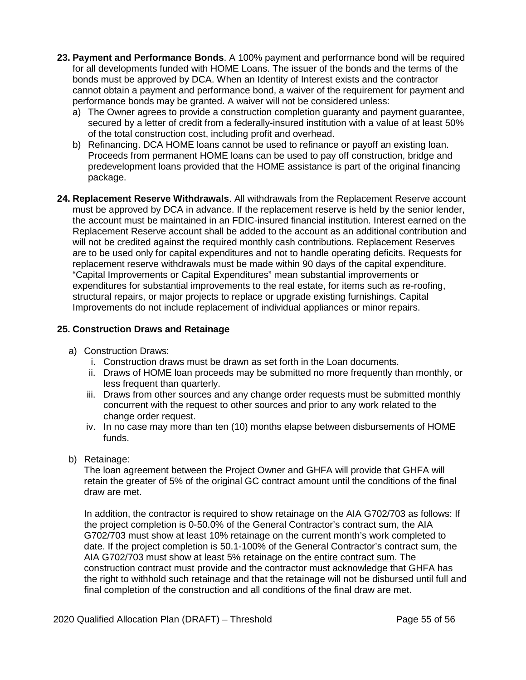- **23. Payment and Performance Bonds**. A 100% payment and performance bond will be required for all developments funded with HOME Loans. The issuer of the bonds and the terms of the bonds must be approved by DCA. When an Identity of Interest exists and the contractor cannot obtain a payment and performance bond, a waiver of the requirement for payment and performance bonds may be granted. A waiver will not be considered unless:
	- a) The Owner agrees to provide a construction completion guaranty and payment guarantee, secured by a letter of credit from a federally-insured institution with a value of at least 50% of the total construction cost, including profit and overhead.
	- b) Refinancing. DCA HOME loans cannot be used to refinance or payoff an existing loan. Proceeds from permanent HOME loans can be used to pay off construction, bridge and predevelopment loans provided that the HOME assistance is part of the original financing package.
- **24. Replacement Reserve Withdrawals**. All withdrawals from the Replacement Reserve account must be approved by DCA in advance. If the replacement reserve is held by the senior lender, the account must be maintained in an FDIC-insured financial institution. Interest earned on the Replacement Reserve account shall be added to the account as an additional contribution and will not be credited against the required monthly cash contributions. Replacement Reserves are to be used only for capital expenditures and not to handle operating deficits. Requests for replacement reserve withdrawals must be made within 90 days of the capital expenditure. "Capital Improvements or Capital Expenditures" mean substantial improvements or expenditures for substantial improvements to the real estate, for items such as re-roofing, structural repairs, or major projects to replace or upgrade existing furnishings. Capital Improvements do not include replacement of individual appliances or minor repairs.

# **25. Construction Draws and Retainage**

- a) Construction Draws:
	- i. Construction draws must be drawn as set forth in the Loan documents.
	- ii. Draws of HOME loan proceeds may be submitted no more frequently than monthly, or less frequent than quarterly.
	- iii. Draws from other sources and any change order requests must be submitted monthly concurrent with the request to other sources and prior to any work related to the change order request.
	- iv. In no case may more than ten (10) months elapse between disbursements of HOME funds.
- b) Retainage:

The loan agreement between the Project Owner and GHFA will provide that GHFA will retain the greater of 5% of the original GC contract amount until the conditions of the final draw are met.

In addition, the contractor is required to show retainage on the AIA G702/703 as follows: If the project completion is 0-50.0% of the General Contractor's contract sum, the AIA G702/703 must show at least 10% retainage on the current month's work completed to date. If the project completion is 50.1-100% of the General Contractor's contract sum, the AIA G702/703 must show at least 5% retainage on the entire contract sum. The construction contract must provide and the contractor must acknowledge that GHFA has the right to withhold such retainage and that the retainage will not be disbursed until full and final completion of the construction and all conditions of the final draw are met.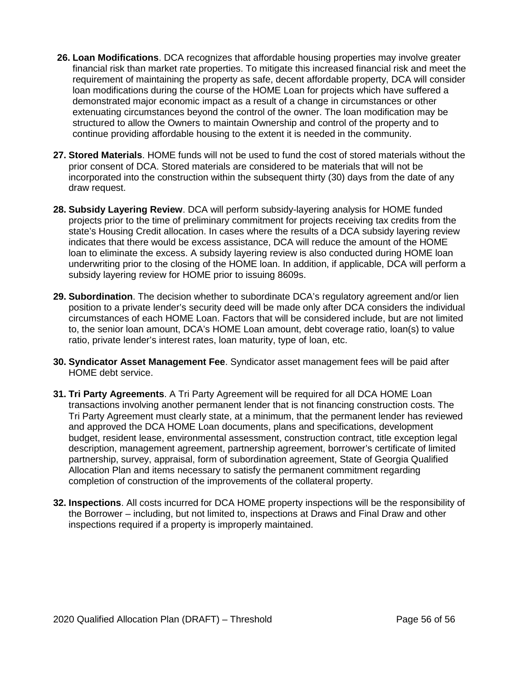- **26. Loan Modifications**. DCA recognizes that affordable housing properties may involve greater financial risk than market rate properties. To mitigate this increased financial risk and meet the requirement of maintaining the property as safe, decent affordable property, DCA will consider loan modifications during the course of the HOME Loan for projects which have suffered a demonstrated major economic impact as a result of a change in circumstances or other extenuating circumstances beyond the control of the owner. The loan modification may be structured to allow the Owners to maintain Ownership and control of the property and to continue providing affordable housing to the extent it is needed in the community.
- **27. Stored Materials**. HOME funds will not be used to fund the cost of stored materials without the prior consent of DCA. Stored materials are considered to be materials that will not be incorporated into the construction within the subsequent thirty (30) days from the date of any draw request.
- **28. Subsidy Layering Review**. DCA will perform subsidy-layering analysis for HOME funded projects prior to the time of preliminary commitment for projects receiving tax credits from the state's Housing Credit allocation. In cases where the results of a DCA subsidy layering review indicates that there would be excess assistance, DCA will reduce the amount of the HOME loan to eliminate the excess. A subsidy layering review is also conducted during HOME loan underwriting prior to the closing of the HOME loan. In addition, if applicable, DCA will perform a subsidy layering review for HOME prior to issuing 8609s.
- **29. Subordination**. The decision whether to subordinate DCA's regulatory agreement and/or lien position to a private lender's security deed will be made only after DCA considers the individual circumstances of each HOME Loan. Factors that will be considered include, but are not limited to, the senior loan amount, DCA's HOME Loan amount, debt coverage ratio, loan(s) to value ratio, private lender's interest rates, loan maturity, type of loan, etc.
- **30. Syndicator Asset Management Fee**. Syndicator asset management fees will be paid after HOME debt service.
- **31. Tri Party Agreements**. A Tri Party Agreement will be required for all DCA HOME Loan transactions involving another permanent lender that is not financing construction costs. The Tri Party Agreement must clearly state, at a minimum, that the permanent lender has reviewed and approved the DCA HOME Loan documents, plans and specifications, development budget, resident lease, environmental assessment, construction contract, title exception legal description, management agreement, partnership agreement, borrower's certificate of limited partnership, survey, appraisal, form of subordination agreement, State of Georgia Qualified Allocation Plan and items necessary to satisfy the permanent commitment regarding completion of construction of the improvements of the collateral property.
- **32. Inspections**. All costs incurred for DCA HOME property inspections will be the responsibility of the Borrower – including, but not limited to, inspections at Draws and Final Draw and other inspections required if a property is improperly maintained.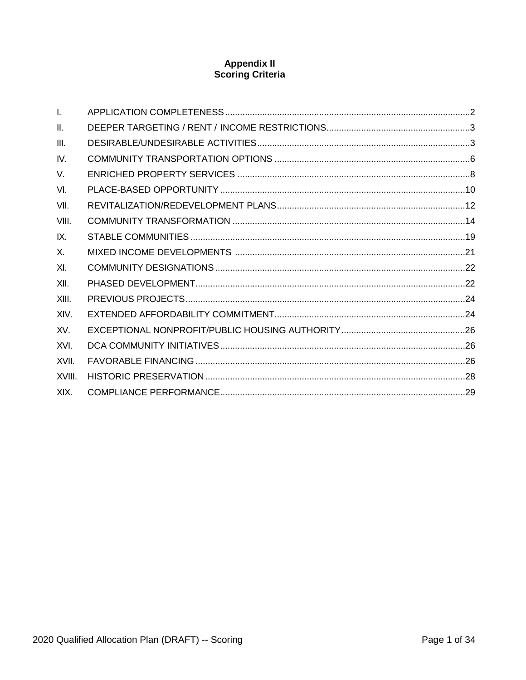# **Appendix II**<br>Scoring Criteria

| $\mathbf{L}$ |  |
|--------------|--|
| H.           |  |
| III.         |  |
| IV.          |  |
| V.           |  |
| VI.          |  |
| VII.         |  |
| VIII.        |  |
| IX.          |  |
| X.           |  |
| XI.          |  |
| XII.         |  |
| XIII.        |  |
| XIV.         |  |
| XV.          |  |
| XVI.         |  |
| XVII.        |  |
| XVIII.       |  |
| XIX.         |  |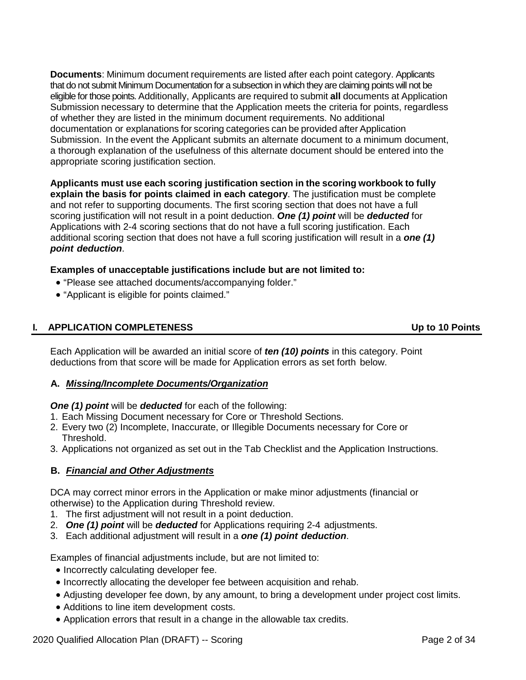**Documents**: Minimum document requirements are listed after each point category. Applicants that do not submit Minimum Documentation for a subsection in which they are claiming points will not be eligible for those points. Additionally, Applicants are required to submit **all** documents at Application Submission necessary to determine that the Application meets the criteria for points, regardless of whether they are listed in the minimum document requirements. No additional documentation or explanations for scoring categories can be provided after Application Submission. In the event the Applicant submits an alternate document to a minimum document, a thorough explanation of the usefulness of this alternate document should be entered into the appropriate scoring justification section.

**Applicants must use each scoring justification section in the scoring workbook to fully explain the basis for points claimed in each category**. The justification must be complete and not refer to supporting documents. The first scoring section that does not have a full scoring justification will not result in a point deduction. *One (1) point* will be *deducted* for Applications with 2-4 scoring sections that do not have a full scoring justification. Each additional scoring section that does not have a full scoring justification will result in a *one (1) point deduction*.

**Examples of unacceptable justifications include but are not limited to:**

- "Please see attached documents/accompanying folder."
- "Applicant is eligible for points claimed."

# <span id="page-94-0"></span>**I. APPLICATION COMPLETENESS Up to 10 Points**

Each Application will be awarded an initial score of *ten (10) points* in this category. Point deductions from that score will be made for Application errors as set forth below.

# **A.** *Missing/Incomplete Documents/Organization*

#### *One (1) point* will be *deducted* for each of the following:

- 1. Each Missing Document necessary for Core or Threshold Sections.
- 2. Every two (2) Incomplete, Inaccurate, or Illegible Documents necessary for Core or Threshold.
- 3. Applications not organized as set out in the Tab Checklist and the Application Instructions.

# **B.** *Financial and Other Adjustments*

DCA may correct minor errors in the Application or make minor adjustments (financial or otherwise) to the Application during Threshold review.

- 1. The first adjustment will not result in a point deduction.
- 2. *One (1) point* will be *deducted* for Applications requiring 2-4 adjustments.
- 3. Each additional adjustment will result in a *one (1) point deduction*.

Examples of financial adjustments include, but are not limited to:

- Incorrectly calculating developer fee.
- Incorrectly allocating the developer fee between acquisition and rehab.
- Adjusting developer fee down, by any amount, to bring a development under project cost limits.
- Additions to line item development costs.
- Application errors that result in a change in the allowable tax credits.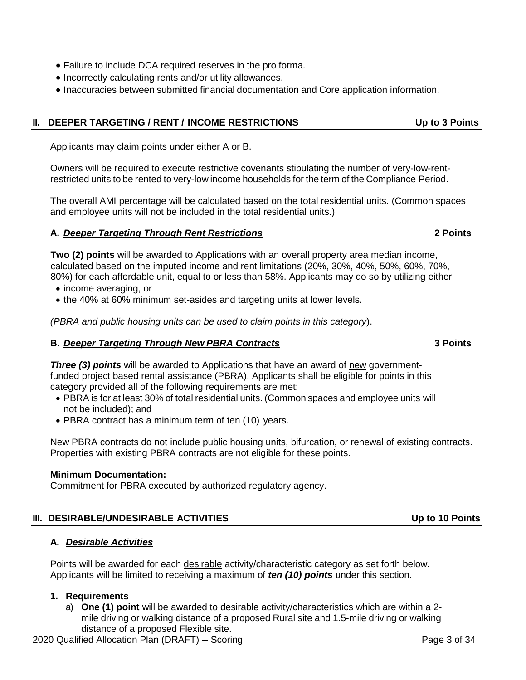- Failure to include DCA required reserves in the pro forma.
- Incorrectly calculating rents and/or utility allowances.
- Inaccuracies between submitted financial documentation and Core application information.

# <span id="page-95-0"></span>**II. DEEPER TARGETING / RENT / INCOME RESTRICTIONS Up to 3 Points**

Applicants may claim points under either A or B.

Owners will be required to execute restrictive covenants stipulating the number of very-low-rentrestricted units to be rented to very-low income households for the term of the Compliance Period.

The overall AMI percentage will be calculated based on the total residential units. (Common spaces and employee units will not be included in the total residential units.)

# **A.** *Deeper Targeting Through Rent Restrictions* **2 Points**

**Two (2) points** will be awarded to Applications with an overall property area median income, calculated based on the imputed income and rent limitations (20%, 30%, 40%, 50%, 60%, 70%, 80%) for each affordable unit, equal to or less than 58%. Applicants may do so by utilizing either

- income averaging, or
- the 40% at 60% minimum set-asides and targeting units at lower levels.

*(PBRA and public housing units can be used to claim points in this category*).

# **B.** *Deeper Targeting Through New PBRA Contracts* **3 Points**

*Three (3) points* will be awarded to Applications that have an award of new governmentfunded project based rental assistance (PBRA). Applicants shall be eligible for points in this category provided all of the following requirements are met:

- PBRA is for at least 30% of total residential units. (Common spaces and employee units will not be included); and
- PBRA contract has a minimum term of ten (10) years.

New PBRA contracts do not include public housing units, bifurcation, or renewal of existing contracts. Properties with existing PBRA contracts are not eligible for these points.

# **Minimum Documentation:**

**A.** *Desirable Activities*

Commitment for PBRA executed by authorized regulatory agency.

# <span id="page-95-1"></span>**III. DESIRABLE/UNDESIRABLE ACTIVITIES Up to 10 Points**

Points will be awarded for each desirable activity/characteristic category as set forth below. Applicants will be limited to receiving a maximum of *ten (10) points* under this section.

# **1. Requirements**

a) **One (1) point** will be awarded to desirable activity/characteristics which are within a 2 mile driving or walking distance of a proposed Rural site and 1.5-mile driving or walking distance of a proposed Flexible site.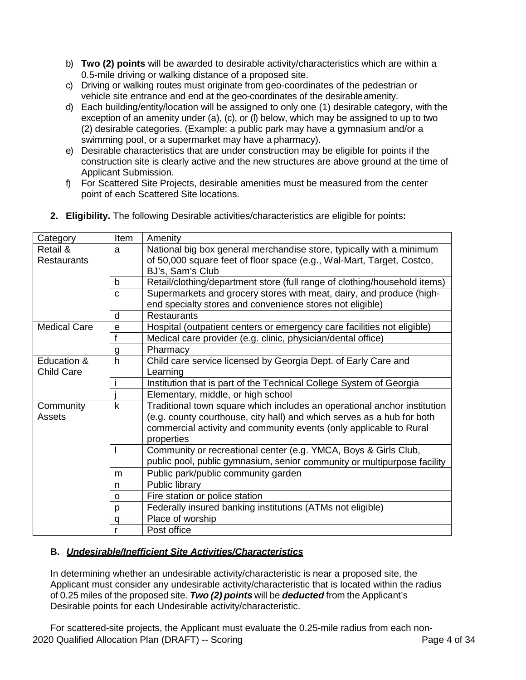- b) **Two (2) points** will be awarded to desirable activity/characteristics which are within a 0.5-mile driving or walking distance of a proposed site.
- c) Driving or walking routes must originate from geo-coordinates of the pedestrian or vehicle site entrance and end at the geo-coordinates of the desirableamenity.
- d) Each building/entity/location will be assigned to only one (1) desirable category, with the exception of an amenity under (a), (c), or (l) below, which may be assigned to up to two (2) desirable categories. (Example: a public park may have a gymnasium and/or a swimming pool, or a supermarket may have a pharmacy).
- e) Desirable characteristics that are under construction may be eligible for points if the construction site is clearly active and the new structures are above ground at the time of Applicant Submission.
- f) For Scattered Site Projects, desirable amenities must be measured from the center point of each Scattered Site locations.

| Category            | Item         | Amenity                                                                   |
|---------------------|--------------|---------------------------------------------------------------------------|
| Retail &            | a            | National big box general merchandise store, typically with a minimum      |
| <b>Restaurants</b>  |              | of 50,000 square feet of floor space (e.g., Wal-Mart, Target, Costco,     |
|                     |              | BJ's, Sam's Club                                                          |
|                     | b            | Retail/clothing/department store (full range of clothing/household items) |
|                     | C            | Supermarkets and grocery stores with meat, dairy, and produce (high-      |
|                     |              | end specialty stores and convenience stores not eligible)                 |
|                     | d            | <b>Restaurants</b>                                                        |
| <b>Medical Care</b> | e            | Hospital (outpatient centers or emergency care facilities not eligible)   |
|                     | f            | Medical care provider (e.g. clinic, physician/dental office)              |
|                     | g            | Pharmacy                                                                  |
| Education &         | $\mathsf{h}$ | Child care service licensed by Georgia Dept. of Early Care and            |
| <b>Child Care</b>   |              | Learning                                                                  |
|                     |              | Institution that is part of the Technical College System of Georgia       |
|                     |              | Elementary, middle, or high school                                        |
| Community           | k            | Traditional town square which includes an operational anchor institution  |
| Assets              |              | (e.g. county courthouse, city hall) and which serves as a hub for both    |
|                     |              | commercial activity and community events (only applicable to Rural        |
|                     |              | properties                                                                |
|                     |              | Community or recreational center (e.g. YMCA, Boys & Girls Club,           |
|                     |              | public pool, public gymnasium, senior community or multipurpose facility  |
|                     | m            | Public park/public community garden                                       |
|                     | n            | Public library                                                            |
|                     | O            | Fire station or police station                                            |
|                     | p            | Federally insured banking institutions (ATMs not eligible)                |
|                     | a            | Place of worship                                                          |
|                     |              | Post office                                                               |

**2. Eligibility.** The following Desirable activities/characteristics are eligible for points**:**

# **B.** *Undesirable/Inefficient Site Activities/Characteristics*

In determining whether an undesirable activity/characteristic is near a proposed site, the Applicant must consider any undesirable activity/characteristic that is located within the radius of 0.25 miles of the proposed site. *Two (2) points* will be *deducted* from the Applicant's Desirable points for each Undesirable activity/characteristic.

2020 Qualified Allocation Plan (DRAFT) -- Scoring Page 4 of 34 For scattered-site projects, the Applicant must evaluate the 0.25-mile radius from each non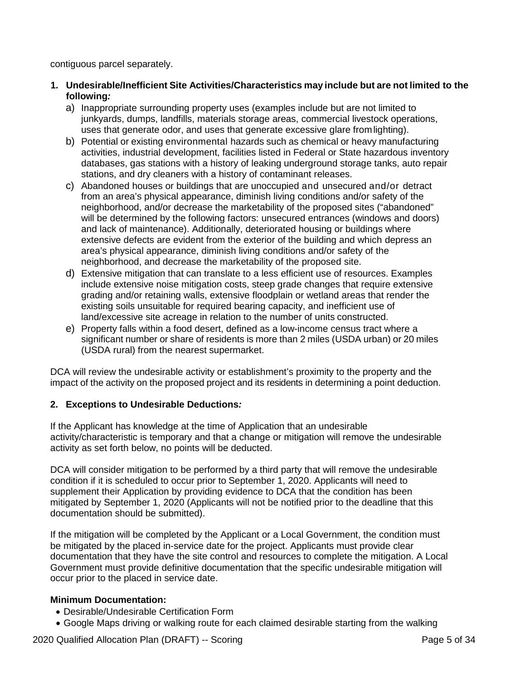contiguous parcel separately.

- **1. Undesirable/Inefficient Site Activities/Characteristics may include but are not limited to the following***:*
	- a) Inappropriate surrounding property uses (examples include but are not limited to junkyards, dumps, landfills, materials storage areas, commercial livestock operations, uses that generate odor, and uses that generate excessive glare fromlighting).
	- b) Potential or existing environmental hazards such as chemical or heavy manufacturing activities, industrial development, facilities listed in Federal or State hazardous inventory databases, gas stations with a history of leaking underground storage tanks, auto repair stations, and dry cleaners with a history of contaminant releases.
	- c) Abandoned houses or buildings that are unoccupied and unsecured and/or detract from an area's physical appearance, diminish living conditions and/or safety of the neighborhood, and/or decrease the marketability of the proposed sites ("abandoned" will be determined by the following factors: unsecured entrances (windows and doors) and lack of maintenance). Additionally, deteriorated housing or buildings where extensive defects are evident from the exterior of the building and which depress an area's physical appearance, diminish living conditions and/or safety of the neighborhood, and decrease the marketability of the proposed site.
	- d) Extensive mitigation that can translate to a less efficient use of resources. Examples include extensive noise mitigation costs, steep grade changes that require extensive grading and/or retaining walls, extensive floodplain or wetland areas that render the existing soils unsuitable for required bearing capacity, and inefficient use of land/excessive site acreage in relation to the number of units constructed.
	- e) Property falls within a food desert, defined as a low-income census tract where a significant number or share of residents is more than 2 miles (USDA urban) or 20 miles (USDA rural) from the nearest supermarket.

DCA will review the undesirable activity or establishment's proximity to the property and the impact of the activity on the proposed project and its residents in determining a point deduction.

# **2. Exceptions to Undesirable Deductions***:*

If the Applicant has knowledge at the time of Application that an undesirable activity/characteristic is temporary and that a change or mitigation will remove the undesirable activity as set forth below, no points will be deducted.

DCA will consider mitigation to be performed by a third party that will remove the undesirable condition if it is scheduled to occur prior to September 1, 2020. Applicants will need to supplement their Application by providing evidence to DCA that the condition has been mitigated by September 1, 2020 (Applicants will not be notified prior to the deadline that this documentation should be submitted).

If the mitigation will be completed by the Applicant or a Local Government, the condition must be mitigated by the placed in-service date for the project. Applicants must provide clear documentation that they have the site control and resources to complete the mitigation. A Local Government must provide definitive documentation that the specific undesirable mitigation will occur prior to the placed in service date.

- Desirable/Undesirable Certification Form
- Google Maps driving or walking route for each claimed desirable starting from the walking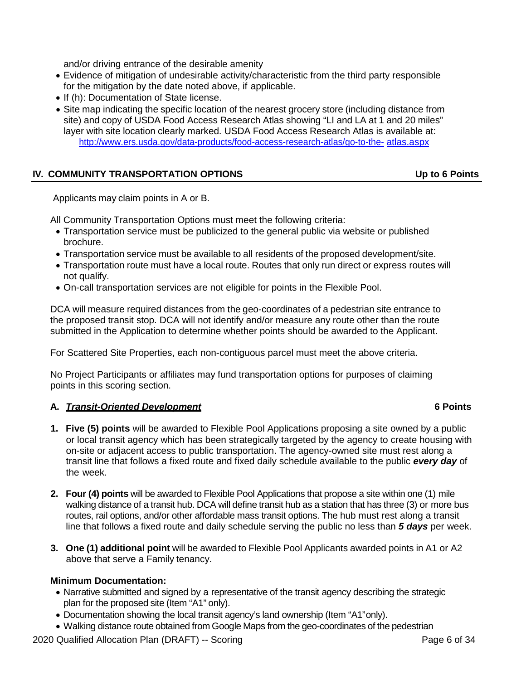and/or driving entrance of the desirable amenity

- Evidence of mitigation of undesirable activity/characteristic from the third party responsible for the mitigation by the date noted above, if applicable.
- If (h): Documentation of State license.
- Site map indicating the specific location of the nearest grocery store (including distance from site) and copy of USDA Food Access Research Atlas showing "LI and LA at 1 and 20 miles" layer with site location clearly marked. USDA Food Access Research Atlas is available at: [http://www.ers.usda.gov/data-products/food-access-research-atlas/go-to-the-](http://www.ers.usda.gov/data-products/food-access-research-atlas/go-to-the-atlas.aspx) [atlas.aspx](http://www.ers.usda.gov/data-products/food-access-research-atlas/go-to-the-atlas.aspx)

# <span id="page-98-0"></span>**IV. COMMUNITY TRANSPORTATION OPTIONS Up to 6 Points**

Applicants may claim points in A or B.

All Community Transportation Options must meet the following criteria:

- Transportation service must be publicized to the general public via website or published brochure.
- Transportation service must be available to all residents of the proposed development/site.
- Transportation route must have a local route. Routes that only run direct or express routes will not qualify.
- On-call transportation services are not eligible for points in the Flexible Pool.

DCA will measure required distances from the geo-coordinates of a pedestrian site entrance to the proposed transit stop. DCA will not identify and/or measure any route other than the route submitted in the Application to determine whether points should be awarded to the Applicant.

For Scattered Site Properties, each non-contiguous parcel must meet the above criteria.

No Project Participants or affiliates may fund transportation options for purposes of claiming points in this scoring section.

# **A.** *Transit-Oriented Development* **6 Points**

- **1. Five (5) points** will be awarded to Flexible Pool Applications proposing a site owned by a public or local transit agency which has been strategically targeted by the agency to create housing with on-site or adjacent access to public transportation. The agency-owned site must rest along a transit line that follows a fixed route and fixed daily schedule available to the public *every day* of the week.
- **2. Four (4) points** will be awarded to Flexible Pool Applications that propose a site within one (1) mile walking distance of a transit hub. DCA will define transit hub as a station that has three (3) or more bus routes, rail options, and/or other affordable mass transit options. The hub must rest along a transit line that follows a fixed route and daily schedule serving the public no less than *5 days* per week.
- **3. One (1) additional point** will be awarded to Flexible Pool Applicants awarded points in A1 or A2 above that serve a Family tenancy.

- Narrative submitted and signed by a representative of the transit agency describing the strategic plan for the proposed site (Item "A1" only).
- Documentation showing the local transit agency's land ownership (Item "A1"only).
- Walking distance route obtained from Google Maps from the geo-coordinates of the pedestrian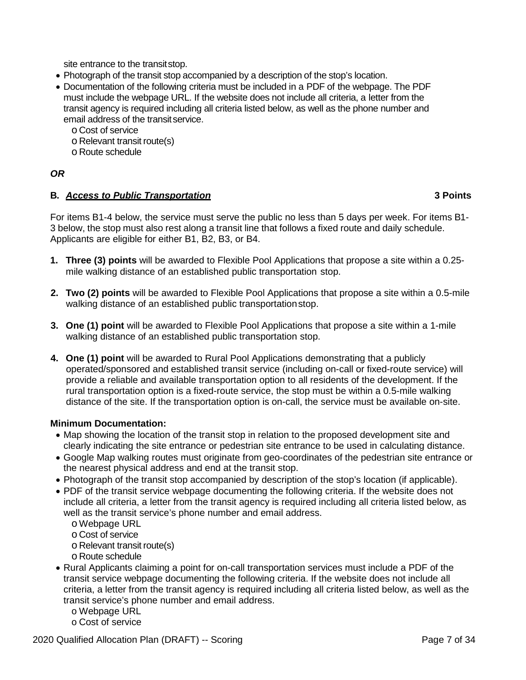site entrance to the transitstop.

- Photograph of the transit stop accompanied by a description of the stop's location.
- Documentation of the following criteria must be included in a PDF of the webpage. The PDF must include the webpage URL. If the website does not include all criteria, a letter from the transit agency is required including all criteria listed below, as well as the phone number and email address of the transitservice.
	- o Cost of service
	- o Relevant transit route(s)
	- o Route schedule

# *OR*

# **B.** *Access to Public Transportation* **3 Points**

For items B1-4 below, the service must serve the public no less than 5 days per week. For items B1- 3 below, the stop must also rest along a transit line that follows a fixed route and daily schedule. Applicants are eligible for either B1, B2, B3, or B4.

- **1. Three (3) points** will be awarded to Flexible Pool Applications that propose a site within a 0.25 mile walking distance of an established public transportation stop.
- **2. Two (2) points** will be awarded to Flexible Pool Applications that propose a site within a 0.5-mile walking distance of an established public transportation stop.
- **3. One (1) point** will be awarded to Flexible Pool Applications that propose a site within a 1-mile walking distance of an established public transportation stop.
- **4. One (1) point** will be awarded to Rural Pool Applications demonstrating that a publicly operated/sponsored and established transit service (including on-call or fixed-route service) will provide a reliable and available transportation option to all residents of the development. If the rural transportation option is a fixed-route service, the stop must be within a 0.5-mile walking distance of the site. If the transportation option is on-call, the service must be available on-site.

- Map showing the location of the transit stop in relation to the proposed development site and clearly indicating the site entrance or pedestrian site entrance to be used in calculating distance.
- Google Map walking routes must originate from geo-coordinates of the pedestrian site entrance or the nearest physical address and end at the transit stop.
- Photograph of the transit stop accompanied by description of the stop's location (if applicable).
- PDF of the transit service webpage documenting the following criteria. If the website does not include all criteria, a letter from the transit agency is required including all criteria listed below, as well as the transit service's phone number and email address.
	- o Webpage URL
	- o Cost of service
	- o Relevant transit route(s)
	- o Route schedule
- Rural Applicants claiming a point for on-call transportation services must include a PDF of the transit service webpage documenting the following criteria. If the website does not include all criteria, a letter from the transit agency is required including all criteria listed below, as well as the transit service's phone number and email address.
	- o Webpage URL
	- o Cost of service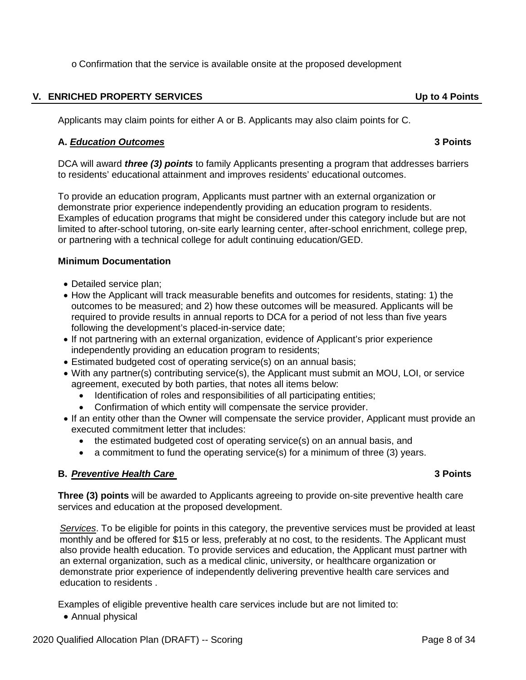o Confirmation that the service is available onsite at the proposed development

### <span id="page-100-0"></span>**V. ENRICHED PROPERTY SERVICES Up to 4 Points**

Applicants may claim points for either A or B. Applicants may also claim points for C.

### **A.** *Education Outcomes* **3 Points**

DCA will award *three (3) points* to family Applicants presenting a program that addresses barriers to residents' educational attainment and improves residents' educational outcomes.

To provide an education program, Applicants must partner with an external organization or demonstrate prior experience independently providing an education program to residents. Examples of education programs that might be considered under this category include but are not limited to after-school tutoring, on-site early learning center, after-school enrichment, college prep, or partnering with a technical college for adult continuing education/GED.

#### **Minimum Documentation**

- Detailed service plan;
- How the Applicant will track measurable benefits and outcomes for residents, stating: 1) the outcomes to be measured; and 2) how these outcomes will be measured. Applicants will be required to provide results in annual reports to DCA for a period of not less than five years following the development's placed-in-service date;
- If not partnering with an external organization, evidence of Applicant's prior experience independently providing an education program to residents;
- Estimated budgeted cost of operating service(s) on an annual basis;
- With any partner(s) contributing service(s), the Applicant must submit an MOU, LOI, or service agreement, executed by both parties, that notes all items below:
	- Identification of roles and responsibilities of all participating entities;
	- Confirmation of which entity will compensate the service provider.
- If an entity other than the Owner will compensate the service provider, Applicant must provide an executed commitment letter that includes:
	- the estimated budgeted cost of operating service(s) on an annual basis, and
	- a commitment to fund the operating service(s) for a minimum of three (3) years.

# **B.** *Preventive Health Care* **3 Points**

**Three (3) points** will be awarded to Applicants agreeing to provide on-site preventive health care services and education at the proposed development.

*Services*. To be eligible for points in this category, the preventive services must be provided at least monthly and be offered for \$15 or less, preferably at no cost, to the residents. The Applicant must also provide health education. To provide services and education, the Applicant must partner with an external organization, such as a medical clinic, university, or healthcare organization or demonstrate prior experience of independently delivering preventive health care services and education to residents .

Examples of eligible preventive health care services include but are not limited to:

• Annual physical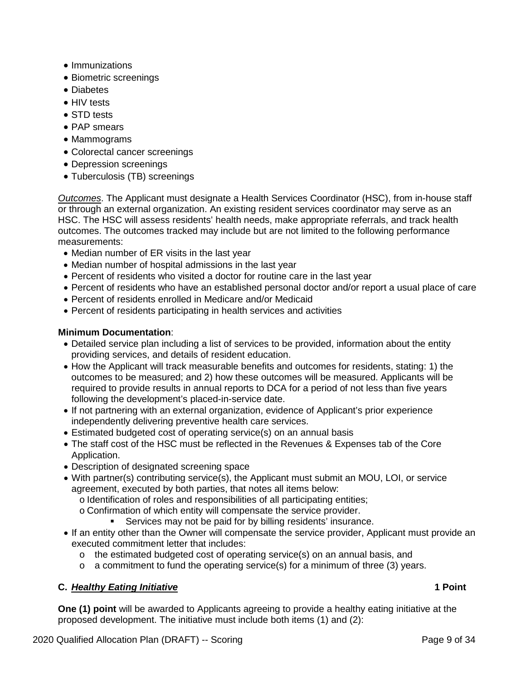- Immunizations
- Biometric screenings
- Diabetes
- HIV tests
- STD tests
- PAP smears
- Mammograms
- Colorectal cancer screenings
- Depression screenings
- Tuberculosis (TB) screenings

*Outcomes*. The Applicant must designate a Health Services Coordinator (HSC), from in-house staff or through an external organization. An existing resident services coordinator may serve as an HSC. The HSC will assess residents' health needs, make appropriate referrals, and track health outcomes. The outcomes tracked may include but are not limited to the following performance measurements:

- Median number of ER visits in the last year
- Median number of hospital admissions in the last year
- Percent of residents who visited a doctor for routine care in the last year
- Percent of residents who have an established personal doctor and/or report a usual place of care
- Percent of residents enrolled in Medicare and/or Medicaid
- Percent of residents participating in health services and activities

# **Minimum Documentation**:

- Detailed service plan including a list of services to be provided, information about the entity providing services, and details of resident education.
- How the Applicant will track measurable benefits and outcomes for residents, stating: 1) the outcomes to be measured; and 2) how these outcomes will be measured. Applicants will be required to provide results in annual reports to DCA for a period of not less than five years following the development's placed-in-service date.
- If not partnering with an external organization, evidence of Applicant's prior experience independently delivering preventive health care services.
- Estimated budgeted cost of operating service(s) on an annual basis
- The staff cost of the HSC must be reflected in the Revenues & Expenses tab of the Core Application.
- Description of designated screening space
- With partner(s) contributing service(s), the Applicant must submit an MOU, LOI, or service agreement, executed by both parties, that notes all items below:
	- o Identification of roles and responsibilities of all participating entities;
	- o Confirmation of which entity will compensate the service provider.
		- Services may not be paid for by billing residents' insurance.
- If an entity other than the Owner will compensate the service provider, Applicant must provide an executed commitment letter that includes:
	- o the estimated budgeted cost of operating service(s) on an annual basis, and
	- o a commitment to fund the operating service(s) for a minimum of three (3) years.

# **C.** *Healthy Eating Initiative* **1 Point**

**One (1) point** will be awarded to Applicants agreeing to provide a healthy eating initiative at the proposed development. The initiative must include both items (1) and (2):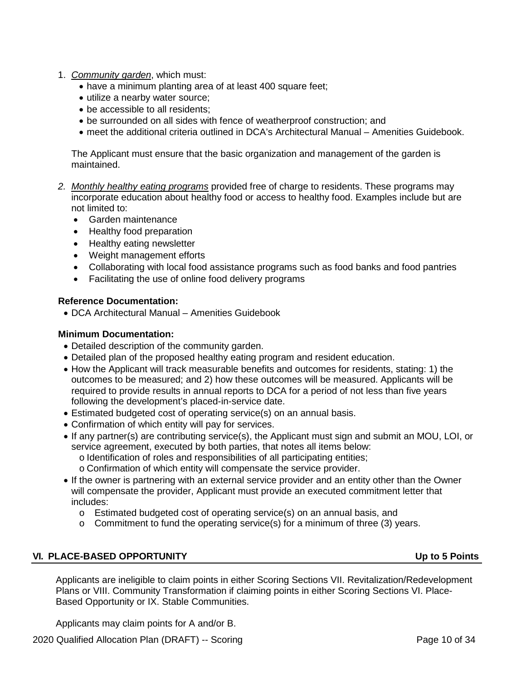- 1. *Community garden*, which must:
	- have a minimum planting area of at least 400 square feet;
	- utilize a nearby water source;
	- be accessible to all residents;
	- be surrounded on all sides with fence of weatherproof construction; and
	- meet the additional criteria outlined in DCA's Architectural Manual Amenities Guidebook.

The Applicant must ensure that the basic organization and management of the garden is maintained.

- *2. Monthly healthy eating programs* provided free of charge to residents. These programs may incorporate education about healthy food or access to healthy food. Examples include but are not limited to:
	- Garden maintenance
	- Healthy food preparation
	- Healthy eating newsletter
	- Weight management efforts
	- Collaborating with local food assistance programs such as food banks and food pantries
	- Facilitating the use of online food delivery programs

#### **Reference Documentation:**

• DCA Architectural Manual – Amenities Guidebook

#### **Minimum Documentation:**

- Detailed description of the community garden.
- Detailed plan of the proposed healthy eating program and resident education.
- How the Applicant will track measurable benefits and outcomes for residents, stating: 1) the outcomes to be measured; and 2) how these outcomes will be measured. Applicants will be required to provide results in annual reports to DCA for a period of not less than five years following the development's placed-in-service date.
- Estimated budgeted cost of operating service(s) on an annual basis.
- Confirmation of which entity will pay for services.
- If any partner(s) are contributing service(s), the Applicant must sign and submit an MOU, LOI, or service agreement, executed by both parties, that notes all items below:
	- o Identification of roles and responsibilities of all participating entities;
	- o Confirmation of which entity will compensate the service provider.
- If the owner is partnering with an external service provider and an entity other than the Owner will compensate the provider, Applicant must provide an executed commitment letter that includes:
	- o Estimated budgeted cost of operating service(s) on an annual basis, and
	- o Commitment to fund the operating service(s) for a minimum of three (3) years.

# <span id="page-102-0"></span>**VI. PLACE-BASED OPPORTUNITY Up to 5 Points**

Applicants are ineligible to claim points in either Scoring Sections VII. Revitalization/Redevelopment Plans or VIII. Community Transformation if claiming points in either Scoring Sections VI. Place-Based Opportunity or IX. Stable Communities.

Applicants may claim points for A and/or B.

2020 Qualified Allocation Plan (DRAFT) -- Scoring Page 10 of 34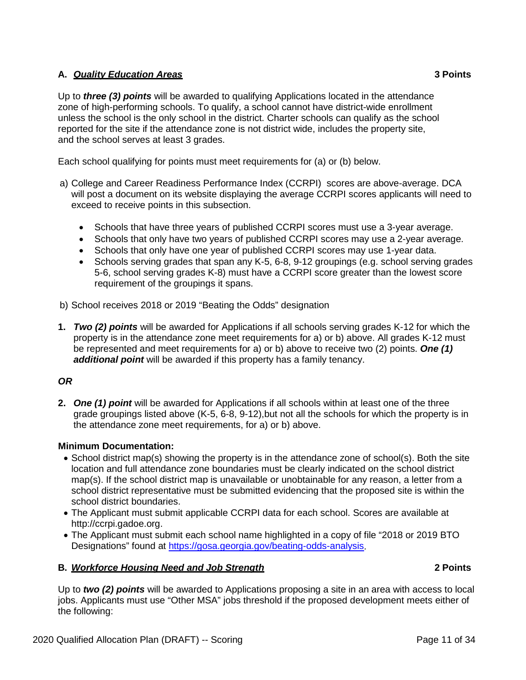# **A.** *Quality Education Areas* **3 Points**

Up to *three (3) points* will be awarded to qualifying Applications located in the attendance zone of high-performing schools. To qualify, a school cannot have district-wide enrollment unless the school is the only school in the district. Charter schools can qualify as the school reported for the site if the attendance zone is not district wide, includes the property site, and the school serves at least 3 grades.

Each school qualifying for points must meet requirements for (a) or (b) below.

- a) College and Career Readiness Performance Index (CCRPI) scores are above-average. DCA will post a document on its website displaying the average CCRPI scores applicants will need to exceed to receive points in this subsection.
	- Schools that have three years of published CCRPI scores must use a 3-year average.
	- Schools that only have two years of published CCRPI scores may use a 2-year average.
	- Schools that only have one year of published CCRPI scores may use 1-year data.
	- Schools serving grades that span any K-5, 6-8, 9-12 groupings (e.g. school serving grades 5-6, school serving grades K-8) must have a CCRPI score greater than the lowest score requirement of the groupings it spans.
- b) School receives 2018 or 2019 "Beating the Odds" designation
- **1.** *Two (2) points* will be awarded for Applications if all schools serving grades K-12 for which the property is in the attendance zone meet requirements for a) or b) above. All grades K-12 must be represented and meet requirements for a) or b) above to receive two (2) points. *One (1) additional point* will be awarded if this property has a family tenancy.

# *OR*

**2.** *One (1) point* will be awarded for Applications if all schools within at least one of the three grade groupings listed above (K-5, 6-8, 9-12),but not all the schools for which the property is in the attendance zone meet requirements, for a) or b) above.

# **Minimum Documentation:**

- School district map(s) showing the property is in the attendance zone of school(s). Both the site location and full attendance zone boundaries must be clearly indicated on the school district map(s). If the school district map is unavailable or unobtainable for any reason, a letter from a school district representative must be submitted evidencing that the proposed site is within the school district boundaries.
- The Applicant must submit applicable CCRPI data for each school. Scores are available at http://ccrpi.gadoe.org.
- The Applicant must submit each school name highlighted in a copy of file "2018 or 2019 BTO Designations" found at [https://gosa.georgia.gov/beating-odds-analysis.](https://gosa.georgia.gov/beating-odds-analysis)

# **B.** *Workforce Housing Need and Job Strength* **2 Points**

Up to *two (2) points* will be awarded to Applications proposing a site in an area with access to local jobs. Applicants must use "Other MSA" jobs threshold if the proposed development meets either of the following: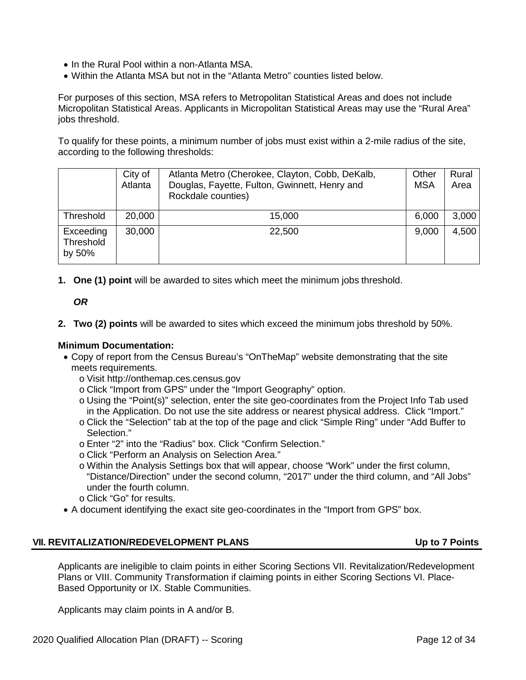- In the Rural Pool within a non-Atlanta MSA.
- Within the Atlanta MSA but not in the "Atlanta Metro" counties listed below.

For purposes of this section, MSA refers to Metropolitan Statistical Areas and does not include Micropolitan Statistical Areas. Applicants in Micropolitan Statistical Areas may use the "Rural Area" jobs threshold.

To qualify for these points, a minimum number of jobs must exist within a 2-mile radius of the site, according to the following thresholds:

|                                  | City of<br>Atlanta | Atlanta Metro (Cherokee, Clayton, Cobb, DeKalb,<br>Douglas, Fayette, Fulton, Gwinnett, Henry and<br>Rockdale counties) | Other<br><b>MSA</b> | Rural<br>Area |
|----------------------------------|--------------------|------------------------------------------------------------------------------------------------------------------------|---------------------|---------------|
| Threshold                        | 20,000             | 15,000                                                                                                                 | 6,000               | 3,000         |
| Exceeding<br>Threshold<br>by 50% | 30,000             | 22,500                                                                                                                 | 9,000               | 4,500         |

**1. One (1) point** will be awarded to sites which meet the minimum jobs threshold.

*OR*

**2. Two (2) points** will be awarded to sites which exceed the minimum jobs threshold by 50%.

### **Minimum Documentation:**

- Copy of report from the Census Bureau's "OnTheMap" website demonstrating that the site meets requirements.
	- o Visit [http://onthemap.ces.census.gov](http://onthemap.ces.census.gov/)
	- o Click "Import from GPS" under the "Import Geography" option.
	- o Using the "Point(s)" selection, enter the site geo-coordinates from the Project Info Tab used in the Application. Do not use the site address or nearest physical address. Click "Import."
	- o Click the "Selection" tab at the top of the page and click "Simple Ring" under "Add Buffer to Selection."
	- o Enter "2" into the "Radius" box. Click "Confirm Selection."
	- o Click "Perform an Analysis on Selection Area."
	- o Within the Analysis Settings box that will appear, choose "Work" under the first column, "Distance/Direction" under the second column, "2017" under the third column, and "All Jobs" under the fourth column.
	- o Click "Go" for results.
- A document identifying the exact site geo-coordinates in the "Import from GPS" box.

#### <span id="page-104-0"></span>**VII. REVITALIZATION/REDEVELOPMENT PLANS Up to 7 Points**

Applicants are ineligible to claim points in either Scoring Sections VII. Revitalization/Redevelopment Plans or VIII. Community Transformation if claiming points in either Scoring Sections VI. Place-Based Opportunity or IX. Stable Communities.

Applicants may claim points in A and/or B.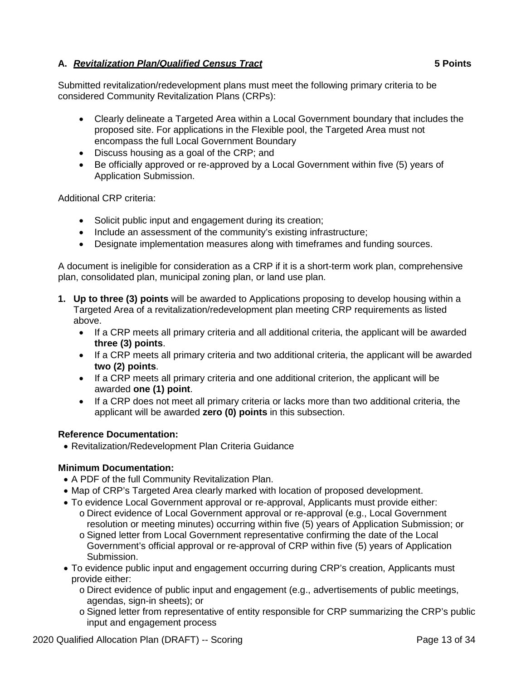# **A.** *Revitalization Plan/Qualified Census Tract* **5 Points**

Submitted revitalization/redevelopment plans must meet the following primary criteria to be considered Community Revitalization Plans (CRPs):

- Clearly delineate a Targeted Area within a Local Government boundary that includes the proposed site. For applications in the Flexible pool, the Targeted Area must not encompass the full Local Government Boundary
- Discuss housing as a goal of the CRP; and
- Be officially approved or re-approved by a Local Government within five (5) years of Application Submission.

Additional CRP criteria:

- Solicit public input and engagement during its creation;
- Include an assessment of the community's existing infrastructure;
- Designate implementation measures along with timeframes and funding sources.

A document is ineligible for consideration as a CRP if it is a short-term work plan, comprehensive plan, consolidated plan, municipal zoning plan, or land use plan.

- **1. Up to three (3) points** will be awarded to Applications proposing to develop housing within a Targeted Area of a revitalization/redevelopment plan meeting CRP requirements as listed above.
	- If a CRP meets all primary criteria and all additional criteria, the applicant will be awarded **three (3) points**.
	- If a CRP meets all primary criteria and two additional criteria, the applicant will be awarded **two (2) points**.
	- If a CRP meets all primary criteria and one additional criterion, the applicant will be awarded **one (1) point**.
	- If a CRP does not meet all primary criteria or lacks more than two additional criteria, the applicant will be awarded **zero (0) points** in this subsection.

# **Reference Documentation:**

• Revitalization/Redevelopment Plan Criteria Guidance

- A PDF of the full Community Revitalization Plan.
- Map of CRP's Targeted Area clearly marked with location of proposed development.
- To evidence Local Government approval or re-approval, Applicants must provide either:
	- o Direct evidence of Local Government approval or re-approval (e.g., Local Government resolution or meeting minutes) occurring within five (5) years of Application Submission; or
	- o Signed letter from Local Government representative confirming the date of the Local Government's official approval or re-approval of CRP within five (5) years of Application Submission.
- To evidence public input and engagement occurring during CRP's creation, Applicants must provide either:
	- o Direct evidence of public input and engagement (e.g., advertisements of public meetings, agendas, sign-in sheets); or
	- o Signed letter from representative of entity responsible for CRP summarizing the CRP's public input and engagement process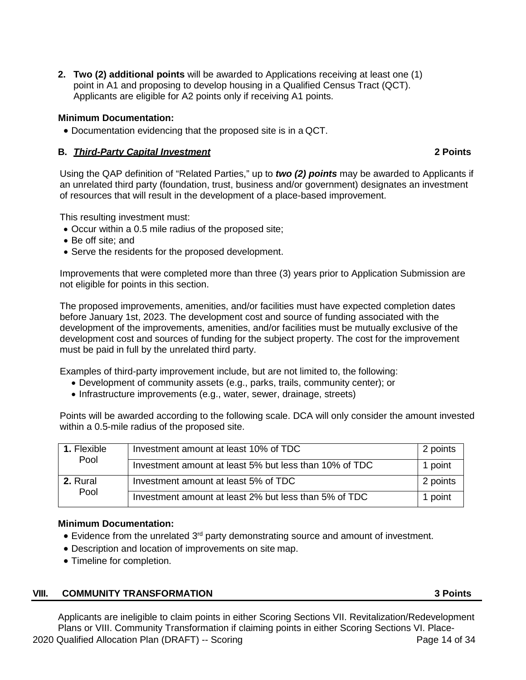**2. Two (2) additional points** will be awarded to Applications receiving at least one (1) point in A1 and proposing to develop housing in a Qualified Census Tract (QCT). Applicants are eligible for A2 points only if receiving A1 points.

### **Minimum Documentation:**

• Documentation evidencing that the proposed site is in a QCT.

### **B.** *Third-Party Capital Investment* **2 Points**

Using the QAP definition of "Related Parties," up to *two (2) points* may be awarded to Applicants if an unrelated third party (foundation, trust, business and/or government) designates an investment of resources that will result in the development of a place-based improvement.

This resulting investment must:

- Occur within a 0.5 mile radius of the proposed site;
- Be off site; and
- Serve the residents for the proposed development.

Improvements that were completed more than three (3) years prior to Application Submission are not eligible for points in this section.

The proposed improvements, amenities, and/or facilities must have expected completion dates before January 1st, 2023. The development cost and source of funding associated with the development of the improvements, amenities, and/or facilities must be mutually exclusive of the development cost and sources of funding for the subject property. The cost for the improvement must be paid in full by the unrelated third party.

Examples of third-party improvement include, but are not limited to, the following:

- Development of community assets (e.g., parks, trails, community center); or
- Infrastructure improvements (e.g., water, sewer, drainage, streets)

Points will be awarded according to the following scale. DCA will only consider the amount invested within a 0.5-mile radius of the proposed site.

| <b>1. Flexible</b><br>Pool | Investment amount at least 10% of TDC                  | 2 points |
|----------------------------|--------------------------------------------------------|----------|
|                            | Investment amount at least 5% but less than 10% of TDC | 1 point  |
| 2. Rural<br>Pool           | Investment amount at least 5% of TDC                   | 2 points |
|                            | Investment amount at least 2% but less than 5% of TDC  | 1 point  |

#### **Minimum Documentation:**

- Evidence from the unrelated 3<sup>rd</sup> party demonstrating source and amount of investment.
- Description and location of improvements on site map.
- Timeline for completion.

# <span id="page-106-0"></span>**VIII. COMMUNITY TRANSFORMATION 3 Points**

2020 Qualified Allocation Plan (DRAFT) -- Scoring Page 14 of 34 Applicants are ineligible to claim points in either Scoring Sections VII. Revitalization/Redevelopment Plans or VIII. Community Transformation if claiming points in either Scoring Sections VI. Place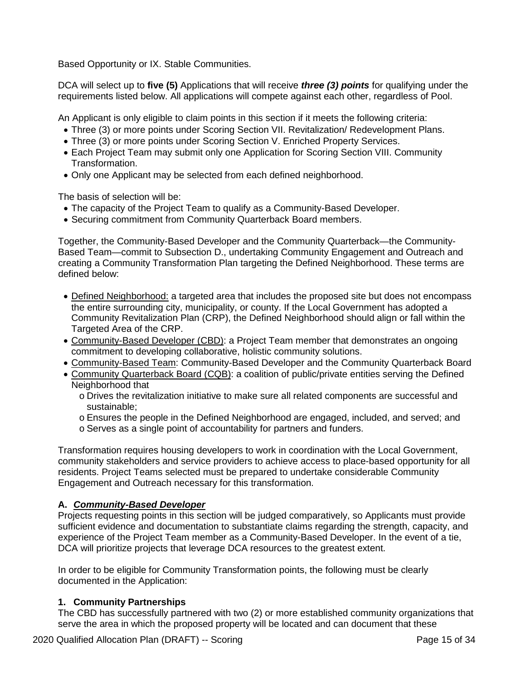Based Opportunity or IX. Stable Communities.

DCA will select up to **five (5)** Applications that will receive *three (3) points* for qualifying under the requirements listed below. All applications will compete against each other, regardless of Pool.

An Applicant is only eligible to claim points in this section if it meets the following criteria:

- Three (3) or more points under Scoring Section VII. Revitalization/ Redevelopment Plans.
- Three (3) or more points under Scoring Section V. Enriched Property Services.
- Each Project Team may submit only one Application for Scoring Section VIII. Community Transformation.
- Only one Applicant may be selected from each defined neighborhood.

The basis of selection will be:

- The capacity of the Project Team to qualify as a Community-Based Developer.
- Securing commitment from Community Quarterback Board members.

Together, the Community-Based Developer and the Community Quarterback—the Community-Based Team—commit to Subsection D., undertaking Community Engagement and Outreach and creating a Community Transformation Plan targeting the Defined Neighborhood. These terms are defined below:

- Defined Neighborhood: a targeted area that includes the proposed site but does not encompass the entire surrounding city, municipality, or county. If the Local Government has adopted a Community Revitalization Plan (CRP), the Defined Neighborhood should align or fall within the Targeted Area of the CRP.
- Community-Based Developer (CBD): a Project Team member that demonstrates an ongoing commitment to developing collaborative, holistic community solutions.
- Community-Based Team: Community-Based Developer and the Community Quarterback Board
- Community Quarterback Board (CQB): a coalition of public/private entities serving the Defined Neighborhood that
	- o Drives the revitalization initiative to make sure all related components are successful and sustainable;
	- o Ensures the people in the Defined Neighborhood are engaged, included, and served; and
	- o Serves as a single point of accountability for partners and funders.

Transformation requires housing developers to work in coordination with the Local Government, community stakeholders and service providers to achieve access to place-based opportunity for all residents. Project Teams selected must be prepared to undertake considerable Community Engagement and Outreach necessary for this transformation.

# **A.** *Community-Based Developer*

Projects requesting points in this section will be judged comparatively, so Applicants must provide sufficient evidence and documentation to substantiate claims regarding the strength, capacity, and experience of the Project Team member as a Community-Based Developer. In the event of a tie, DCA will prioritize projects that leverage DCA resources to the greatest extent.

In order to be eligible for Community Transformation points, the following must be clearly documented in the Application:

# **1. Community Partnerships**

The CBD has successfully partnered with two (2) or more established community organizations that serve the area in which the proposed property will be located and can document that these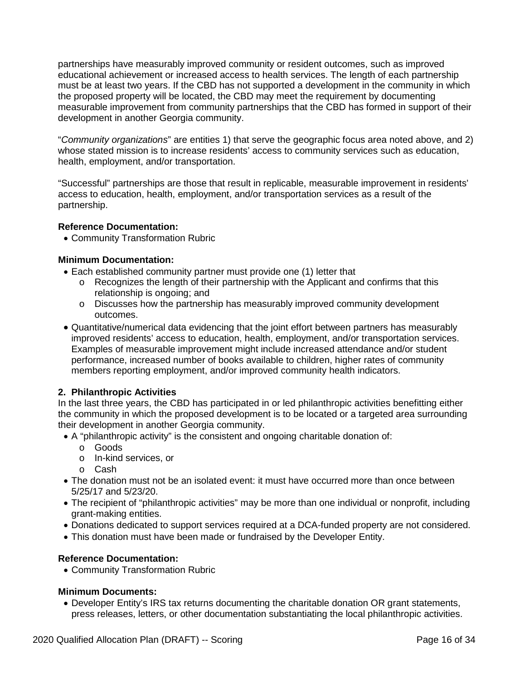partnerships have measurably improved community or resident outcomes, such as improved educational achievement or increased access to health services. The length of each partnership must be at least two years. If the CBD has not supported a development in the community in which the proposed property will be located, the CBD may meet the requirement by documenting measurable improvement from community partnerships that the CBD has formed in support of their development in another Georgia community.

"*Community organizations*" are entities 1) that serve the geographic focus area noted above, and 2) whose stated mission is to increase residents' access to community services such as education, health, employment, and/or transportation.

"Successful" partnerships are those that result in replicable, measurable improvement in residents' access to education, health, employment, and/or transportation services as a result of the partnership.

# **Reference Documentation:**

• Community Transformation Rubric

# **Minimum Documentation:**

- Each established community partner must provide one (1) letter that
	- o Recognizes the length of their partnership with the Applicant and confirms that this relationship is ongoing; and
	- o Discusses how the partnership has measurably improved community development outcomes.
- Quantitative/numerical data evidencing that the joint effort between partners has measurably improved residents' access to education, health, employment, and/or transportation services. Examples of measurable improvement might include increased attendance and/or student performance, increased number of books available to children, higher rates of community members reporting employment, and/or improved community health indicators.

# **2. Philanthropic Activities**

In the last three years, the CBD has participated in or led philanthropic activities benefitting either the community in which the proposed development is to be located or a targeted area surrounding their development in another Georgia community.

- A "philanthropic activity" is the consistent and ongoing charitable donation of:
	- o Goods
	- o In-kind services, or
	- o Cash
- The donation must not be an isolated event: it must have occurred more than once between 5/25/17 and 5/23/20.
- The recipient of "philanthropic activities" may be more than one individual or nonprofit, including grant-making entities.
- Donations dedicated to support services required at a DCA-funded property are not considered.
- This donation must have been made or fundraised by the Developer Entity.

# **Reference Documentation:**

• Community Transformation Rubric

# **Minimum Documents:**

• Developer Entity's IRS tax returns documenting the charitable donation OR grant statements, press releases, letters, or other documentation substantiating the local philanthropic activities.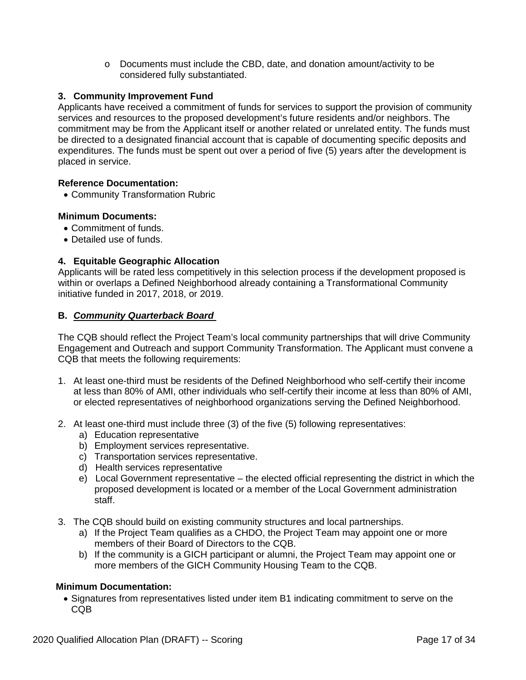$\circ$  Documents must include the CBD, date, and donation amount/activity to be considered fully substantiated.

# **3. Community Improvement Fund**

Applicants have received a commitment of funds for services to support the provision of community services and resources to the proposed development's future residents and/or neighbors. The commitment may be from the Applicant itself or another related or unrelated entity. The funds must be directed to a designated financial account that is capable of documenting specific deposits and expenditures. The funds must be spent out over a period of five (5) years after the development is placed in service.

# **Reference Documentation:**

• Community Transformation Rubric

# **Minimum Documents:**

- Commitment of funds.
- Detailed use of funds.

# **4. Equitable Geographic Allocation**

Applicants will be rated less competitively in this selection process if the development proposed is within or overlaps a Defined Neighborhood already containing a Transformational Community initiative funded in 2017, 2018, or 2019.

# **B.** *Community Quarterback Board*

The CQB should reflect the Project Team's local community partnerships that will drive Community Engagement and Outreach and support Community Transformation. The Applicant must convene a CQB that meets the following requirements:

- 1. At least one-third must be residents of the Defined Neighborhood who self-certify their income at less than 80% of AMI, other individuals who self-certify their income at less than 80% of AMI, or elected representatives of neighborhood organizations serving the Defined Neighborhood.
- 2. At least one-third must include three (3) of the five (5) following representatives:
	- a) Education representative
	- b) Employment services representative.
	- c) Transportation services representative.
	- d) Health services representative
	- e) Local Government representative the elected official representing the district in which the proposed development is located or a member of the Local Government administration staff.
- 3. The CQB should build on existing community structures and local partnerships.
	- a) If the Project Team qualifies as a CHDO, the Project Team may appoint one or more members of their Board of Directors to the CQB.
	- b) If the community is a GICH participant or alumni, the Project Team may appoint one or more members of the GICH Community Housing Team to the CQB.

# **Minimum Documentation:**

• Signatures from representatives listed under item B1 indicating commitment to serve on the C<sub>O</sub>B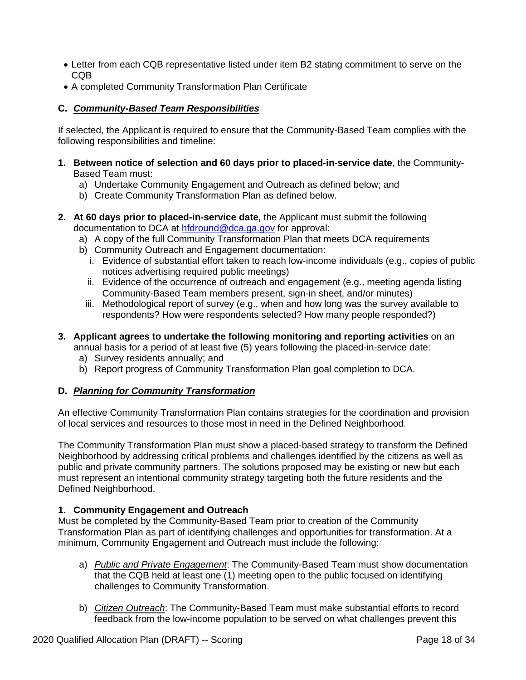- Letter from each CQB representative listed under item B2 stating commitment to serve on the CQB
- A completed Community Transformation Plan Certificate

# **C.** *Community-Based Team Responsibilities*

If selected, the Applicant is required to ensure that the Community-Based Team complies with the following responsibilities and timeline:

- **1. Between notice of selection and 60 days prior to placed-in-service date**, the Community-Based Team must:
	- a) Undertake Community Engagement and Outreach as defined below; and
	- b) Create Community Transformation Plan as defined below.
- **2. At 60 days prior to placed-in-service date,** the Applicant must submit the following documentation to DCA at [hfdround@dca.ga.gov](mailto:hfdround@dca.ga.gov) for approval:
	- a) A copy of the full Community Transformation Plan that meets DCA requirements
	- b) Community Outreach and Engagement documentation:
		- i. Evidence of substantial effort taken to reach low-income individuals (e.g., copies of public notices advertising required public meetings)
		- ii. Evidence of the occurrence of outreach and engagement (e.g., meeting agenda listing Community-Based Team members present, sign-in sheet, and/or minutes)
		- iii. Methodological report of survey (e.g., when and how long was the survey available to respondents? How were respondents selected? How many people responded?)
- **3. Applicant agrees to undertake the following monitoring and reporting activities** on an

annual basis for a period of at least five (5) years following the placed-in-service date:

- a) Survey residents annually; and
- b) Report progress of Community Transformation Plan goal completion to DCA.

# **D.** *Planning for Community Transformation*

An effective Community Transformation Plan contains strategies for the coordination and provision of local services and resources to those most in need in the Defined Neighborhood.

The Community Transformation Plan must show a placed-based strategy to transform the Defined Neighborhood by addressing critical problems and challenges identified by the citizens as well as public and private community partners. The solutions proposed may be existing or new but each must represent an intentional community strategy targeting both the future residents and the Defined Neighborhood.

# **1. Community Engagement and Outreach**

Must be completed by the Community-Based Team prior to creation of the Community Transformation Plan as part of identifying challenges and opportunities for transformation. At a minimum, Community Engagement and Outreach must include the following:

- a) *Public and Private Engagement*: The Community-Based Team must show documentation that the CQB held at least one (1) meeting open to the public focused on identifying challenges to Community Transformation.
- b) *Citizen Outreach*: The Community-Based Team must make substantial efforts to record feedback from the low-income population to be served on what challenges prevent this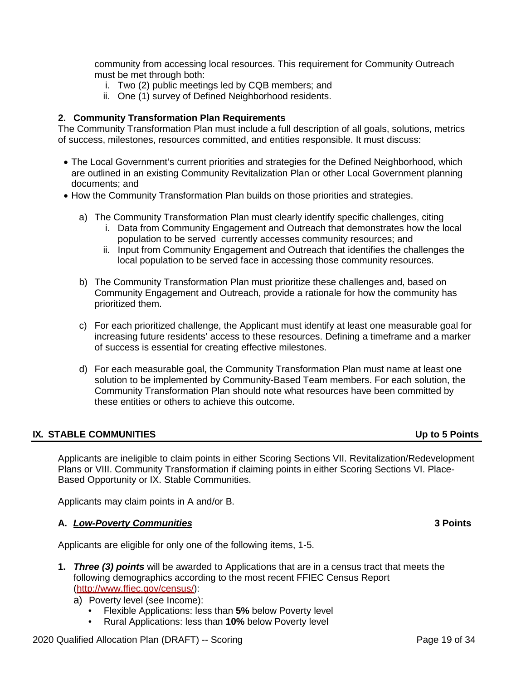community from accessing local resources. This requirement for Community Outreach must be met through both:

- i. Two (2) public meetings led by CQB members; and
- ii. One (1) survey of Defined Neighborhood residents.

## **2. Community Transformation Plan Requirements**

The Community Transformation Plan must include a full description of all goals, solutions, metrics of success, milestones, resources committed, and entities responsible. It must discuss:

- The Local Government's current priorities and strategies for the Defined Neighborhood, which are outlined in an existing Community Revitalization Plan or other Local Government planning documents; and
- How the Community Transformation Plan builds on those priorities and strategies.
	- a) The Community Transformation Plan must clearly identify specific challenges, citing
		- i. Data from Community Engagement and Outreach that demonstrates how the local population to be served currently accesses community resources; and
		- ii. Input from Community Engagement and Outreach that identifies the challenges the local population to be served face in accessing those community resources.
	- b) The Community Transformation Plan must prioritize these challenges and, based on Community Engagement and Outreach, provide a rationale for how the community has prioritized them.
	- c) For each prioritized challenge, the Applicant must identify at least one measurable goal for increasing future residents' access to these resources. Defining a timeframe and a marker of success is essential for creating effective milestones.
	- d) For each measurable goal, the Community Transformation Plan must name at least one solution to be implemented by Community-Based Team members. For each solution, the Community Transformation Plan should note what resources have been committed by these entities or others to achieve this outcome.

### **IX. STABLE COMMUNITIES Up to 5 Points**

Applicants are ineligible to claim points in either Scoring Sections VII. Revitalization/Redevelopment Plans or VIII. Community Transformation if claiming points in either Scoring Sections VI. Place-Based Opportunity or IX. Stable Communities.

Applicants may claim points in A and/or B.

### **A.** *Low-Poverty Communities* **3 Points**

Applicants are eligible for only one of the following items, 1-5.

- **1.** *Three (3) points* will be awarded to Applications that are in a census tract that meets the following demographics according to the most recent FFIEC Census Report [\(http://www.ffiec.gov/census/\)](http://www.ffiec.gov/census/):
	- a) Poverty level (see Income):
		- Flexible Applications: less than **5%** below Poverty level
		- Rural Applications: less than **10%** below Poverty level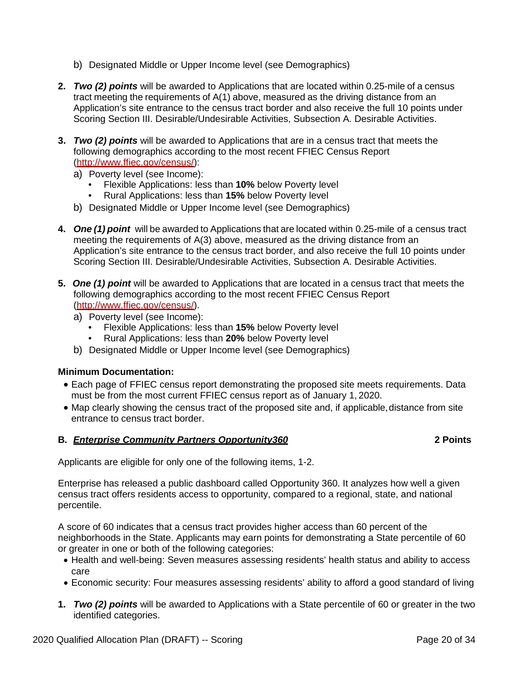- b) Designated Middle or Upper Income level (see Demographics)
- **2.** *Two (2) points* will be awarded to Applications that are located within 0.25-mile of a census tract meeting the requirements of A(1) above, measured as the driving distance from an Application's site entrance to the census tract border and also receive the full 10 points under Scoring Section III. Desirable/Undesirable Activities, Subsection A. Desirable Activities.
- **3.** *Two (2) points* will be awarded to Applications that are in a census tract that meets the following demographics according to the most recent FFIEC Census Report [\(http://www.ffiec.gov/census/\)](http://www.ffiec.gov/census/):
	- a) Poverty level (see Income):
		- Flexible Applications: less than **10%** below Poverty level
		- Rural Applications: less than **15%** below Poverty level
	- b) Designated Middle or Upper Income level (see Demographics)
- **4.** *One (1) point* will be awarded to Applications that are located within 0.25-mile of a census tract meeting the requirements of A(3) above, measured as the driving distance from an Application's site entrance to the census tract border, and also receive the full 10 points under Scoring Section III. Desirable/Undesirable Activities, Subsection A. Desirable Activities.
- **5.** *One (1) point* will be awarded to Applications that are located in a census tract that meets the following demographics according to the most recent FFIEC Census Report [\(http://www.ffiec.gov/census/\)](http://www.ffiec.gov/census/).
	- a) Poverty level (see Income):
		- Flexible Applications: less than **15%** below Poverty level
		- Rural Applications: less than **20%** below Poverty level
	- b) Designated Middle or Upper Income level (see Demographics)

# **Minimum Documentation:**

- Each page of FFIEC census report demonstrating the proposed site meets requirements. Data must be from the most current FFIEC census report as of January 1, 2020.
- Map clearly showing the census tract of the proposed site and, if applicable, distance from site entrance to census tract border.

# **B.** *Enterprise Community Partners Opportunity360* **2 Points**

Applicants are eligible for only one of the following items, 1-2.

Enterprise has released a public dashboard called Opportunity 360. It analyzes how well a given census tract offers residents access to opportunity, compared to a regional, state, and national percentile.

A score of 60 indicates that a census tract provides higher access than 60 percent of the neighborhoods in the State. Applicants may earn points for demonstrating a State percentile of 60 or greater in one or both of the following categories:

- Health and well-being: Seven measures assessing residents' health status and ability to access care
- Economic security: Four measures assessing residents' ability to afford a good standard of living
- **1.** *Two (2) points* will be awarded to Applications with a State percentile of 60 or greater in the two identified categories.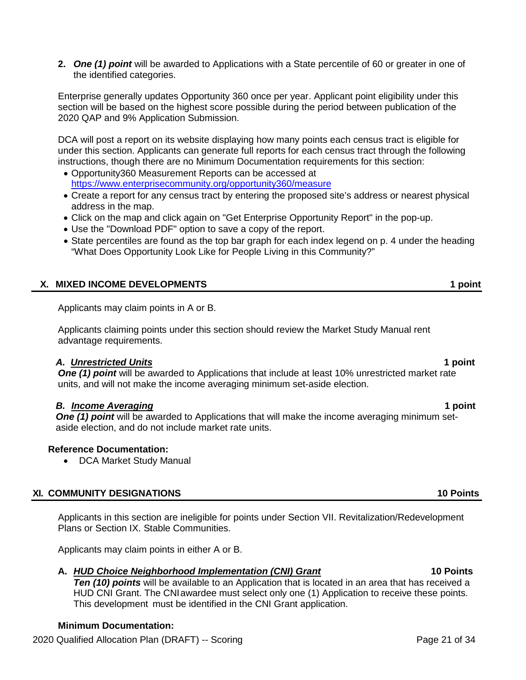**2.** *One (1) point* will be awarded to Applications with a State percentile of 60 or greater in one of the identified categories.

Enterprise generally updates Opportunity 360 once per year. Applicant point eligibility under this section will be based on the highest score possible during the period between publication of the 2020 QAP and 9% Application Submission.

DCA will post a report on its website displaying how many points each census tract is eligible for under this section. Applicants can generate full reports for each census tract through the following instructions, though there are no Minimum Documentation requirements for this section:

- Opportunity360 Measurement Reports can be accessed at <https://www.enterprisecommunity.org/opportunity360/measure>
- Create a report for any census tract by entering the proposed site's address or nearest physical address in the map.
- Click on the map and click again on "Get Enterprise Opportunity Report" in the pop-up.
- Use the "Download PDF" option to save a copy of the report.
- State percentiles are found as the top bar graph for each index legend on p. 4 under the heading "What Does Opportunity Look Like for People Living in this Community?"

# **X. MIXED INCOME DEVELOPMENTS 1 point**

Applicants may claim points in A or B.

Applicants claiming points under this section should review the Market Study Manual rent advantage requirements.

### *A. Unrestricted Units* **1 point**

**One (1) point** will be awarded to Applications that include at least 10% unrestricted market rate units, and will not make the income averaging minimum set-aside election.

# *B. Income Averaging* **1 point**

**One (1) point** will be awarded to Applications that will make the income averaging minimum setaside election, and do not include market rate units.

# **Reference Documentation:**

• DCA Market Study Manual

# **XI. COMMUNITY DESIGNATIONS 10 Points**

Applicants in this section are ineligible for points under Section VII. Revitalization/Redevelopment Plans or Section IX. Stable Communities.

Applicants may claim points in either A or B.

# **A.** *HUD Choice Neighborhood Implementation (CNI) Grant* **10 Points**

*Ten (10) points* will be available to an Application that is located in an area that has received a HUD CNI Grant. The CNIawardee must select only one (1) Application to receive these points. This development must be identified in the CNI Grant application.

# **Minimum Documentation:**

2020 Qualified Allocation Plan (DRAFT) -- Scoring Page 21 of 34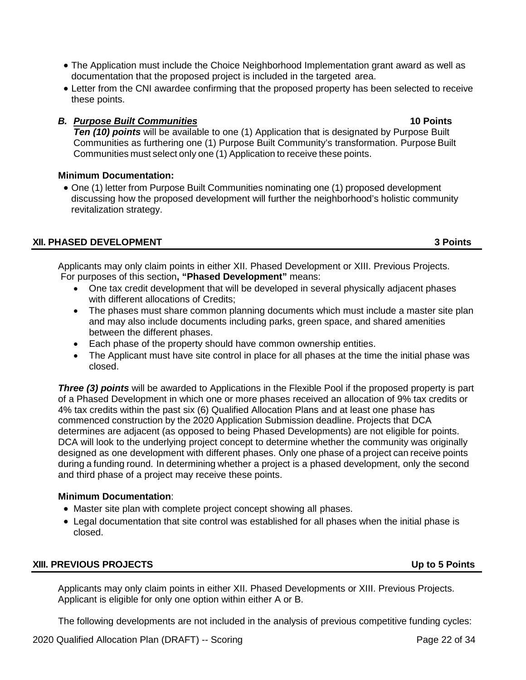- The Application must include the Choice Neighborhood Implementation grant award as well as documentation that the proposed project is included in the targeted area.
- Letter from the CNI awardee confirming that the proposed property has been selected to receive these points.

# *B. Purpose Built Communities* **10 Points**

**Ten (10) points** will be available to one (1) Application that is designated by Purpose Built Communities as furthering one (1) Purpose Built Community's transformation. Purpose Built Communities must select only one (1) Application to receive these points.

# **Minimum Documentation:**

• One (1) letter from Purpose Built Communities nominating one (1) proposed development discussing how the proposed development will further the neighborhood's holistic community revitalization strategy.

# **XII. PHASED DEVELOPMENT 3 Points**

Applicants may only claim points in either XII. Phased Development or XIII. Previous Projects. For purposes of this section**, "Phased Development"** means:

- One tax credit development that will be developed in several physically adjacent phases with different allocations of Credits;
- The phases must share common planning documents which must include a master site plan and may also include documents including parks, green space, and shared amenities between the different phases.
- Each phase of the property should have common ownership entities.
- The Applicant must have site control in place for all phases at the time the initial phase was closed.

**Three (3) points** will be awarded to Applications in the Flexible Pool if the proposed property is part of a Phased Development in which one or more phases received an allocation of 9% tax credits or 4% tax credits within the past six (6) Qualified Allocation Plans and at least one phase has commenced construction by the 2020 Application Submission deadline. Projects that DCA determines are adjacent (as opposed to being Phased Developments) are not eligible for points. DCA will look to the underlying project concept to determine whether the community was originally designed as one development with different phases. Only one phase of a project can receive points during a funding round. In determining whether a project is a phased development, only the second and third phase of a project may receive these points.

# **Minimum Documentation**:

- Master site plan with complete project concept showing all phases.
- Legal documentation that site control was established for all phases when the initial phase is closed.

# **XIII. PREVIOUS PROJECTS Up to 5 Points**

Applicants may only claim points in either XII. Phased Developments or XIII. Previous Projects. Applicant is eligible for only one option within either A or B.

The following developments are not included in the analysis of previous competitive funding cycles: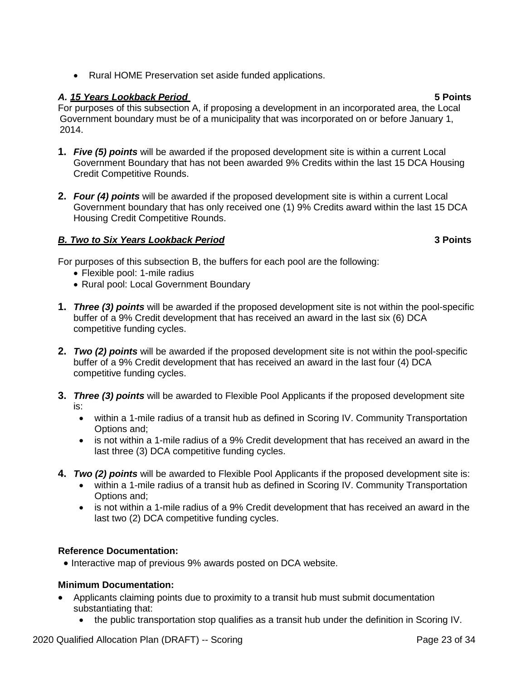• Rural HOME Preservation set aside funded applications.

# *A. 15 Years Lookback Period* **5 Points**

For purposes of this subsection A, if proposing a development in an incorporated area, the Local Government boundary must be of a municipality that was incorporated on or before January 1, 2014.

- **1.** *Five (5) points* will be awarded if the proposed development site is within a current Local Government Boundary that has not been awarded 9% Credits within the last 15 DCA Housing Credit Competitive Rounds.
- **2.** *Four (4) points* will be awarded if the proposed development site is within a current Local Government boundary that has only received one (1) 9% Credits award within the last 15 DCA Housing Credit Competitive Rounds.

# *B. Two to Six Years Lookback Period* **3 Points**

For purposes of this subsection B, the buffers for each pool are the following:

- Flexible pool: 1-mile radius
- Rural pool: Local Government Boundary
- **1.** *Three (3) points* will be awarded if the proposed development site is not within the pool-specific buffer of a 9% Credit development that has received an award in the last six (6) DCA competitive funding cycles.
- **2.** *Two (2) points* will be awarded if the proposed development site is not within the pool-specific buffer of a 9% Credit development that has received an award in the last four (4) DCA competitive funding cycles.
- **3.** *Three (3) points* will be awarded to Flexible Pool Applicants if the proposed development site is:
	- within a 1-mile radius of a transit hub as defined in Scoring IV. Community Transportation Options and;
	- is not within a 1-mile radius of a 9% Credit development that has received an award in the last three (3) DCA competitive funding cycles.
- **4.** *Two (2) points* will be awarded to Flexible Pool Applicants if the proposed development site is:
	- within a 1-mile radius of a transit hub as defined in Scoring IV. Community Transportation Options and;
	- is not within a 1-mile radius of a 9% Credit development that has received an award in the last two (2) DCA competitive funding cycles.

# **Reference Documentation:**

• Interactive map of previous 9% awards posted on DCA website.

# **Minimum Documentation:**

- Applicants claiming points due to proximity to a transit hub must submit documentation substantiating that:
	- the public transportation stop qualifies as a transit hub under the definition in Scoring IV.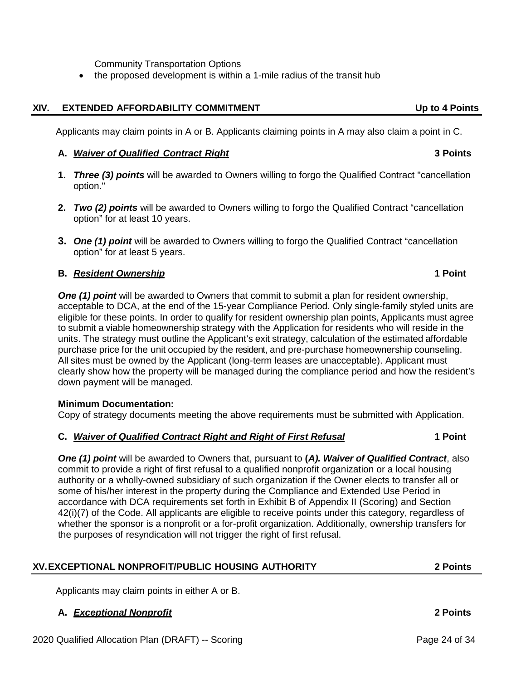Community Transportation Options

• the proposed development is within a 1-mile radius of the transit hub

### **XIV. EXTENDED AFFORDABILITY COMMITMENT Up to 4 Points**

Applicants may claim points in A or B. Applicants claiming points in A may also claim a point in C.

### **A.** *Waiver of Qualified Contract Right* **3 Points**

- **1.** *Three (3) points* will be awarded to Owners willing to forgo the Qualified Contract "cancellation option."
- **2.** *Two (2) points* will be awarded to Owners willing to forgo the Qualified Contract "cancellation option" for at least 10 years.
- **3.** *One (1) point* will be awarded to Owners willing to forgo the Qualified Contract "cancellation option" for at least 5 years.

### **B.** *Resident Ownership* **1 Point**

**One (1) point** will be awarded to Owners that commit to submit a plan for resident ownership, acceptable to DCA, at the end of the 15-year Compliance Period. Only single-family styled units are eligible for these points. In order to qualify for resident ownership plan points, Applicants must agree to submit a viable homeownership strategy with the Application for residents who will reside in the units. The strategy must outline the Applicant's exit strategy, calculation of the estimated affordable purchase price for the unit occupied by the resident, and pre-purchase homeownership counseling. All sites must be owned by the Applicant (long-term leases are unacceptable). Applicant must clearly show how the property will be managed during the compliance period and how the resident's down payment will be managed.

### **Minimum Documentation:**

Copy of strategy documents meeting the above requirements must be submitted with Application.

### **C.** *Waiver of Qualified Contract Right and Right of First Refusal* **1 Point**

*One (1) point* will be awarded to Owners that, pursuant to **(***A). Waiver of Qualified Contract*, also commit to provide a right of first refusal to a qualified nonprofit organization or a local housing authority or a wholly-owned subsidiary of such organization if the Owner elects to transfer all or some of his/her interest in the property during the Compliance and Extended Use Period in accordance with DCA requirements set forth in Exhibit B of Appendix II (Scoring) and Section 42(i)(7) of the Code. All applicants are eligible to receive points under this category, regardless of whether the sponsor is a nonprofit or a for-profit organization. Additionally, ownership transfers for the purposes of resyndication will not trigger the right of first refusal.

# **XV.EXCEPTIONAL NONPROFIT/PUBLIC HOUSING AUTHORITY 2 Points**

Applicants may claim points in either A or B.

# **A.** *Exceptional Nonprofit* **2 Points**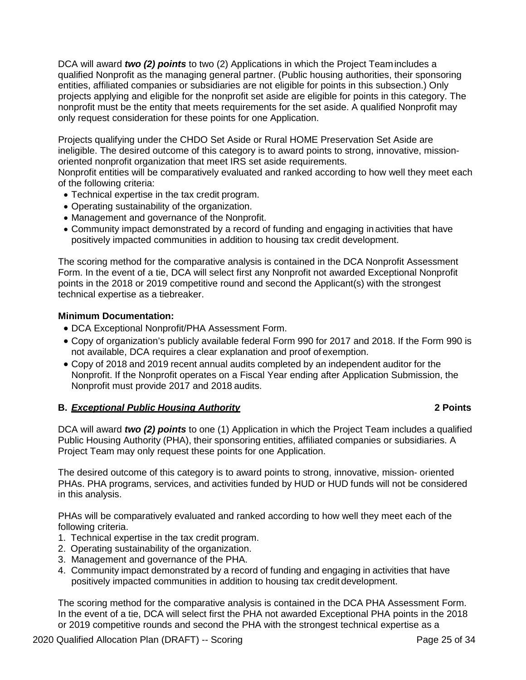DCA will award *two (2) points* to two (2) Applications in which the Project Teamincludes a qualified Nonprofit as the managing general partner. (Public housing authorities, their sponsoring entities, affiliated companies or subsidiaries are not eligible for points in this subsection.) Only projects applying and eligible for the nonprofit set aside are eligible for points in this category. The nonprofit must be the entity that meets requirements for the set aside. A qualified Nonprofit may only request consideration for these points for one Application.

Projects qualifying under the CHDO Set Aside or Rural HOME Preservation Set Aside are ineligible. The desired outcome of this category is to award points to strong, innovative, missionoriented nonprofit organization that meet IRS set aside requirements.

Nonprofit entities will be comparatively evaluated and ranked according to how well they meet each of the following criteria:

- Technical expertise in the tax credit program.
- Operating sustainability of the organization.
- Management and governance of the Nonprofit.
- Community impact demonstrated by a record of funding and engaging in activities that have positively impacted communities in addition to housing tax credit development.

The scoring method for the comparative analysis is contained in the DCA Nonprofit Assessment Form. In the event of a tie, DCA will select first any Nonprofit not awarded Exceptional Nonprofit points in the 2018 or 2019 competitive round and second the Applicant(s) with the strongest technical expertise as a tiebreaker.

# **Minimum Documentation:**

- DCA Exceptional Nonprofit/PHA Assessment Form.
- Copy of organization's publicly available federal Form 990 for 2017 and 2018. If the Form 990 is not available, DCA requires a clear explanation and proof of exemption.
- Copy of 2018 and 2019 recent annual audits completed by an independent auditor for the Nonprofit. If the Nonprofit operates on a Fiscal Year ending after Application Submission, the Nonprofit must provide 2017 and 2018 audits.

# **B.** *Exceptional Public Housing Authority* **2 Points**

DCA will award *two (2) points* to one (1) Application in which the Project Team includes a qualified Public Housing Authority (PHA), their sponsoring entities, affiliated companies or subsidiaries. A Project Team may only request these points for one Application.

The desired outcome of this category is to award points to strong, innovative, mission- oriented PHAs. PHA programs, services, and activities funded by HUD or HUD funds will not be considered in this analysis.

PHAs will be comparatively evaluated and ranked according to how well they meet each of the following criteria.

- 1. Technical expertise in the tax credit program.
- 2. Operating sustainability of the organization.
- 3. Management and governance of the PHA.
- 4. Community impact demonstrated by a record of funding and engaging in activities that have positively impacted communities in addition to housing tax credit development.

The scoring method for the comparative analysis is contained in the DCA PHA Assessment Form. In the event of a tie, DCA will select first the PHA not awarded Exceptional PHA points in the 2018 or 2019 competitive rounds and second the PHA with the strongest technical expertise as a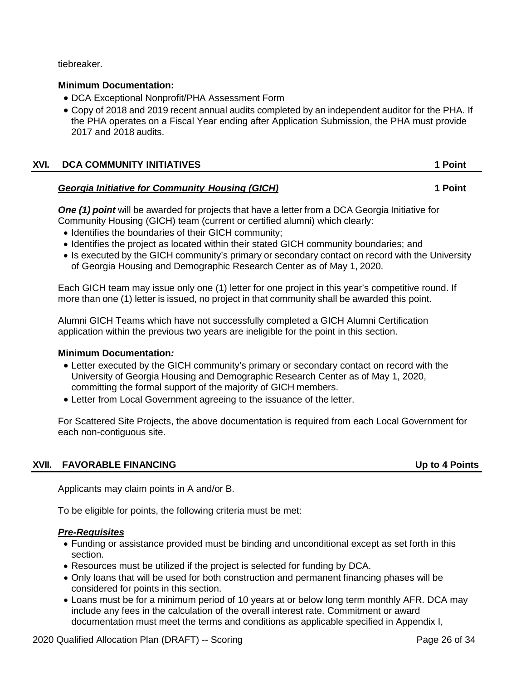tiebreaker.

## **Minimum Documentation:**

- DCA Exceptional Nonprofit/PHA Assessment Form
- Copy of 2018 and 2019 recent annual audits completed by an independent auditor for the PHA. If the PHA operates on a Fiscal Year ending after Application Submission, the PHA must provide 2017 and 2018 audits.

| XVI. | <b>DCA COMMUNITY INITIATIVES</b> | 1 Point |
|------|----------------------------------|---------|
|      |                                  |         |

## *Georgia Initiative for Community Housing (GICH)* **1 Point**

*One (1) point* will be awarded for projects that have a letter from a DCA Georgia Initiative for Community Housing (GICH) team (current or certified alumni) which clearly:

- Identifies the boundaries of their GICH community;
- Identifies the project as located within their stated GICH community boundaries; and
- Is executed by the GICH community's primary or secondary contact on record with the University of Georgia Housing and Demographic Research Center as of May 1, 2020.

Each GICH team may issue only one (1) letter for one project in this year's competitive round. If more than one (1) letter is issued, no project in that community shall be awarded this point.

Alumni GICH Teams which have not successfully completed a GICH Alumni Certification application within the previous two years are ineligible for the point in this section.

### **Minimum Documentation***:*

- Letter executed by the GICH community's primary or secondary contact on record with the University of Georgia Housing and Demographic Research Center as of May 1, 2020, committing the formal support of the majority of GICH members.
- Letter from Local Government agreeing to the issuance of the letter.

For Scattered Site Projects, the above documentation is required from each Local Government for each non-contiguous site.

# **XVII. FAVORABLE FINANCING Up to 4 Points**

Applicants may claim points in A and/or B.

To be eligible for points, the following criteria must be met:

### *Pre-Requisites*

- Funding or assistance provided must be binding and unconditional except as set forth in this section.
- Resources must be utilized if the project is selected for funding by DCA.
- Only loans that will be used for both construction and permanent financing phases will be considered for points in this section.
- Loans must be for a minimum period of 10 years at or below long term monthly AFR. DCA may include any fees in the calculation of the overall interest rate. Commitment or award documentation must meet the terms and conditions as applicable specified in Appendix I,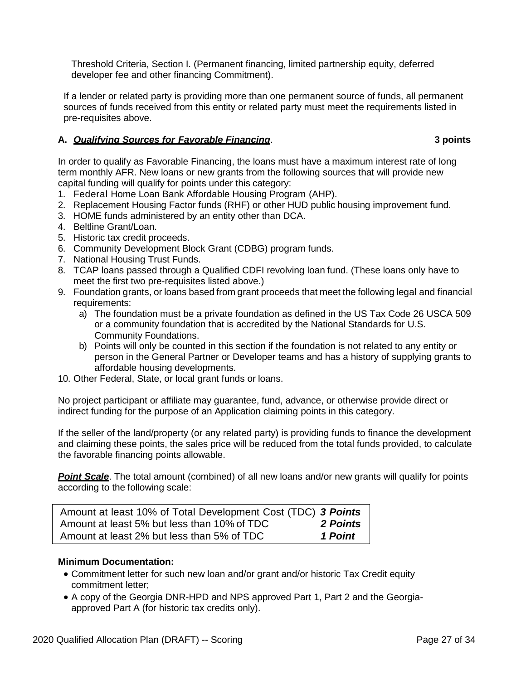Threshold Criteria, Section I. (Permanent financing, limited partnership equity, deferred developer fee and other financing Commitment).

If a lender or related party is providing more than one permanent source of funds, all permanent sources of funds received from this entity or related party must meet the requirements listed in pre-requisites above.

# **A.** *Qualifying Sources for Favorable Financing*. **3 points**

In order to qualify as Favorable Financing, the loans must have a maximum interest rate of long term monthly AFR. New loans or new grants from the following sources that will provide new capital funding will qualify for points under this category:

- 1. Federal Home Loan Bank Affordable Housing Program (AHP).
- 2. Replacement Housing Factor funds (RHF) or other HUD public housing improvement fund.
- 3. HOME funds administered by an entity other than DCA.
- 4. Beltline Grant/Loan.
- 5. Historic tax credit proceeds.
- 6. Community Development Block Grant (CDBG) program funds.
- 7. National Housing Trust Funds.
- 8. TCAP loans passed through a Qualified CDFI revolving loan fund. (These loans only have to meet the first two pre-requisites listed above.)
- 9. Foundation grants, or loans based from grant proceeds that meet the following legal and financial requirements:
	- a) The foundation must be a private foundation as defined in the US Tax Code 26 USCA 509 or a community foundation that is accredited by the National Standards for U.S. Community Foundations.
	- b) Points will only be counted in this section if the foundation is not related to any entity or person in the General Partner or Developer teams and has a history of supplying grants to affordable housing developments.
- 10. Other Federal, State, or local grant funds or loans.

No project participant or affiliate may guarantee, fund, advance, or otherwise provide direct or indirect funding for the purpose of an Application claiming points in this category.

If the seller of the land/property (or any related party) is providing funds to finance the development and claiming these points, the sales price will be reduced from the total funds provided, to calculate the favorable financing points allowable.

**Point Scale**. The total amount (combined) of all new loans and/or new grants will qualify for points according to the following scale:

| Amount at least 10% of Total Development Cost (TDC) 3 Points |          |
|--------------------------------------------------------------|----------|
| Amount at least 5% but less than 10% of TDC                  | 2 Points |
| Amount at least 2% but less than 5% of TDC                   | 1 Point  |

# **Minimum Documentation:**

- Commitment letter for such new loan and/or grant and/or historic Tax Credit equity commitment letter;
- A copy of the Georgia DNR-HPD and NPS approved Part 1, Part 2 and the Georgiaapproved Part A (for historic tax credits only).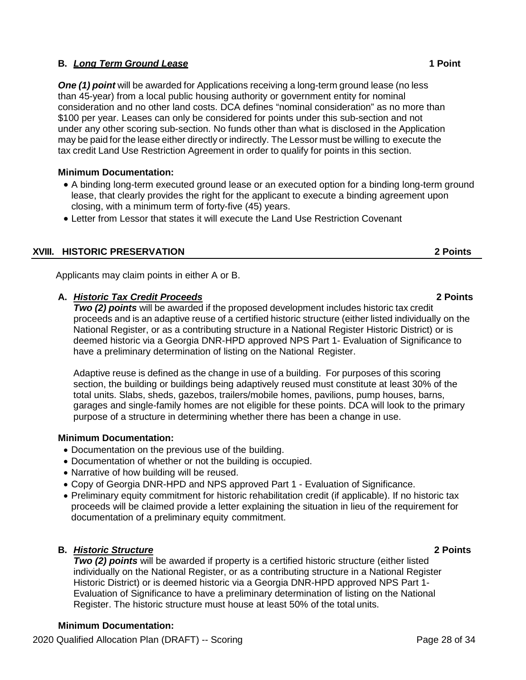# **B.** *Long Term Ground Lease* **1 Point**

*One (1) point* will be awarded for Applications receiving a long-term ground lease (no less than 45-year) from a local public housing authority or government entity for nominal consideration and no other land costs. DCA defines "nominal consideration" as no more than \$100 per year. Leases can only be considered for points under this sub-section and not under any other scoring sub-section. No funds other than what is disclosed in the Application may be paid for the lease either directly or indirectly. The Lessor must be willing to execute the tax credit Land Use Restriction Agreement in order to qualify for points in this section.

## **Minimum Documentation:**

- A binding long-term executed ground lease or an executed option for a binding long-term ground lease, that clearly provides the right for the applicant to execute a binding agreement upon closing, with a minimum term of forty-five (45) years.
- Letter from Lessor that states it will execute the Land Use Restriction Covenant

# **XVIII. HISTORIC PRESERVATION 2 Points**

Applicants may claim points in either A or B.

## **A.** *Historic Tax Credit Proceeds* **2 Points**

*Two (2) points* will be awarded if the proposed development includes historic tax credit proceeds and is an adaptive reuse of a certified historic structure (either listed individually on the National Register, or as a contributing structure in a National Register Historic District) or is deemed historic via a Georgia DNR-HPD approved NPS Part 1- Evaluation of Significance to have a preliminary determination of listing on the National Register.

Adaptive reuse is defined as the change in use of a building. For purposes of this scoring section, the building or buildings being adaptively reused must constitute at least 30% of the total units. Slabs, sheds, gazebos, trailers/mobile homes, pavilions, pump houses, barns, garages and single-family homes are not eligible for these points. DCA will look to the primary purpose of a structure in determining whether there has been a change in use.

### **Minimum Documentation:**

- Documentation on the previous use of the building.
- Documentation of whether or not the building is occupied.
- Narrative of how building will be reused.
- Copy of Georgia DNR-HPD and NPS approved Part 1 Evaluation of Significance.
- Preliminary equity commitment for historic rehabilitation credit (if applicable). If no historic tax proceeds will be claimed provide a letter explaining the situation in lieu of the requirement for documentation of a preliminary equity commitment.

# **B.** *Historic Structure* **2 Points**

**Two (2) points** will be awarded if property is a certified historic structure (either listed individually on the National Register, or as a contributing structure in a National Register Historic District) or is deemed historic via a Georgia DNR-HPD approved NPS Part 1- Evaluation of Significance to have a preliminary determination of listing on the National Register. The historic structure must house at least 50% of the total units.

# **Minimum Documentation:**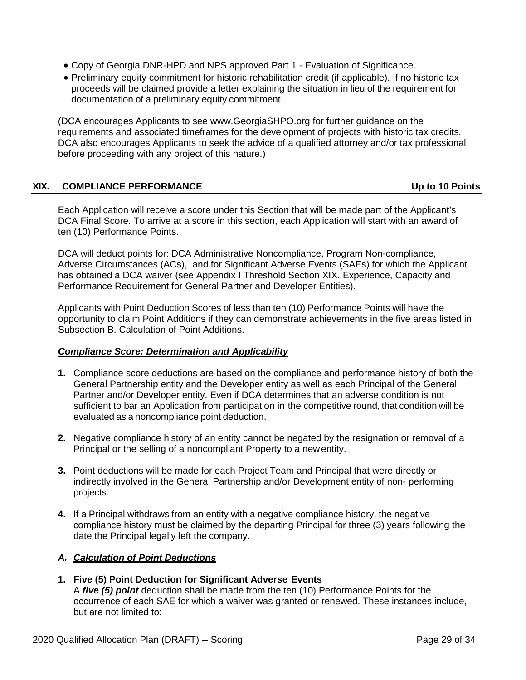- Copy of Georgia DNR-HPD and NPS approved Part 1 Evaluation of Significance.
- Preliminary equity commitment for historic rehabilitation credit (if applicable). If no historic tax proceeds will be claimed provide a letter explaining the situation in lieu of the requirement for documentation of a preliminary equity commitment.

(DCA encourages Applicants to see [www.GeorgiaSHPO.org](http://www.georgiashpo.org/) for further guidance on the requirements and associated timeframes for the development of projects with historic tax credits. DCA also encourages Applicants to seek the advice of a qualified attorney and/or tax professional before proceeding with any project of this nature.)

# **XIX. COMPLIANCE PERFORMANCE Up to 10 Points**

Each Application will receive a score under this Section that will be made part of the Applicant's DCA Final Score. To arrive at a score in this section, each Application will start with an award of ten (10) Performance Points.

DCA will deduct points for: DCA Administrative Noncompliance, Program Non-compliance, Adverse Circumstances (ACs), and for Significant Adverse Events (SAEs) for which the Applicant has obtained a DCA waiver (see Appendix I Threshold Section XIX. Experience, Capacity and Performance Requirement for General Partner and Developer Entities).

Applicants with Point Deduction Scores of less than ten (10) Performance Points will have the opportunity to claim Point Additions if they can demonstrate achievements in the five areas listed in Subsection B. Calculation of Point Additions.

### *Compliance Score: Determination and Applicability*

- **1.** Compliance score deductions are based on the compliance and performance history of both the General Partnership entity and the Developer entity as well as each Principal of the General Partner and/or Developer entity. Even if DCA determines that an adverse condition is not sufficient to bar an Application from participation in the competitive round, that condition will be evaluated as a noncompliance point deduction.
- **2.** Negative compliance history of an entity cannot be negated by the resignation or removal of a Principal or the selling of a noncompliant Property to a newentity.
- **3.** Point deductions will be made for each Project Team and Principal that were directly or indirectly involved in the General Partnership and/or Development entity of non- performing projects.
- **4.** If a Principal withdraws from an entity with a negative compliance history, the negative compliance history must be claimed by the departing Principal for three (3) years following the date the Principal legally left the company.

# *A. Calculation of Point Deductions*

**1. Five (5) Point Deduction for Significant Adverse Events** A *five (5) point* deduction shall be made from the ten (10) Performance Points for the occurrence of each SAE for which a waiver was granted or renewed. These instances include, but are not limited to: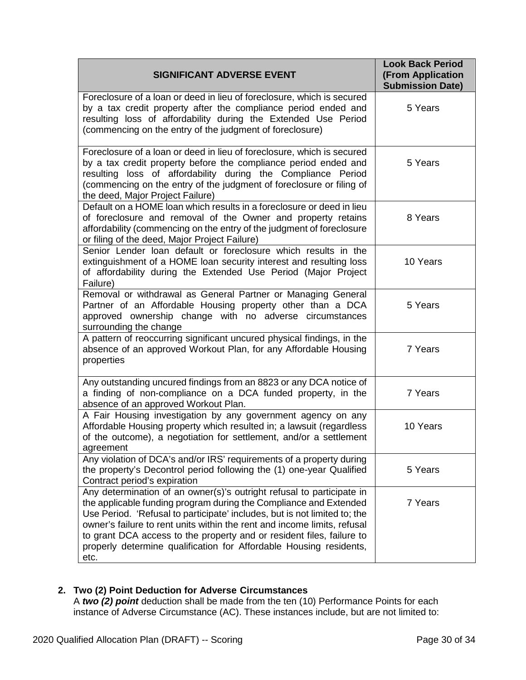| <b>SIGNIFICANT ADVERSE EVENT</b>                                                                                                                                                                                                                                                                                                                                                                                                                           | <b>Look Back Period</b><br><b>(From Application</b><br><b>Submission Date)</b> |  |
|------------------------------------------------------------------------------------------------------------------------------------------------------------------------------------------------------------------------------------------------------------------------------------------------------------------------------------------------------------------------------------------------------------------------------------------------------------|--------------------------------------------------------------------------------|--|
| Foreclosure of a loan or deed in lieu of foreclosure, which is secured<br>by a tax credit property after the compliance period ended and<br>resulting loss of affordability during the Extended Use Period<br>(commencing on the entry of the judgment of foreclosure)                                                                                                                                                                                     | 5 Years                                                                        |  |
| Foreclosure of a loan or deed in lieu of foreclosure, which is secured<br>by a tax credit property before the compliance period ended and<br>resulting loss of affordability during the Compliance Period<br>(commencing on the entry of the judgment of foreclosure or filing of<br>the deed, Major Project Failure)                                                                                                                                      | 5 Years                                                                        |  |
| Default on a HOME loan which results in a foreclosure or deed in lieu<br>of foreclosure and removal of the Owner and property retains<br>affordability (commencing on the entry of the judgment of foreclosure<br>or filing of the deed, Major Project Failure)                                                                                                                                                                                            | 8 Years                                                                        |  |
| Senior Lender loan default or foreclosure which results in the<br>extinguishment of a HOME loan security interest and resulting loss<br>of affordability during the Extended Use Period (Major Project<br>Failure)                                                                                                                                                                                                                                         | 10 Years                                                                       |  |
| Removal or withdrawal as General Partner or Managing General<br>Partner of an Affordable Housing property other than a DCA<br>approved ownership change with no adverse circumstances<br>surrounding the change                                                                                                                                                                                                                                            | 5 Years                                                                        |  |
| A pattern of reoccurring significant uncured physical findings, in the<br>absence of an approved Workout Plan, for any Affordable Housing<br>properties                                                                                                                                                                                                                                                                                                    | 7 Years                                                                        |  |
| Any outstanding uncured findings from an 8823 or any DCA notice of<br>a finding of non-compliance on a DCA funded property, in the<br>absence of an approved Workout Plan.                                                                                                                                                                                                                                                                                 | 7 Years                                                                        |  |
| A Fair Housing investigation by any government agency on any<br>Affordable Housing property which resulted in; a lawsuit (regardless<br>of the outcome), a negotiation for settlement, and/or a settlement<br>agreement                                                                                                                                                                                                                                    | 10 Years                                                                       |  |
| Any violation of DCA's and/or IRS' requirements of a property during<br>the property's Decontrol period following the (1) one-year Qualified<br>Contract period's expiration                                                                                                                                                                                                                                                                               | 5 Years                                                                        |  |
| Any determination of an owner(s)'s outright refusal to participate in<br>the applicable funding program during the Compliance and Extended<br>Use Period. 'Refusal to participate' includes, but is not limited to; the<br>owner's failure to rent units within the rent and income limits, refusal<br>to grant DCA access to the property and or resident files, failure to<br>properly determine qualification for Affordable Housing residents,<br>etc. | 7 Years                                                                        |  |

# **2. Two (2) Point Deduction for Adverse Circumstances**

A *two (2) point* deduction shall be made from the ten (10) Performance Points for each instance of Adverse Circumstance (AC). These instances include, but are not limited to: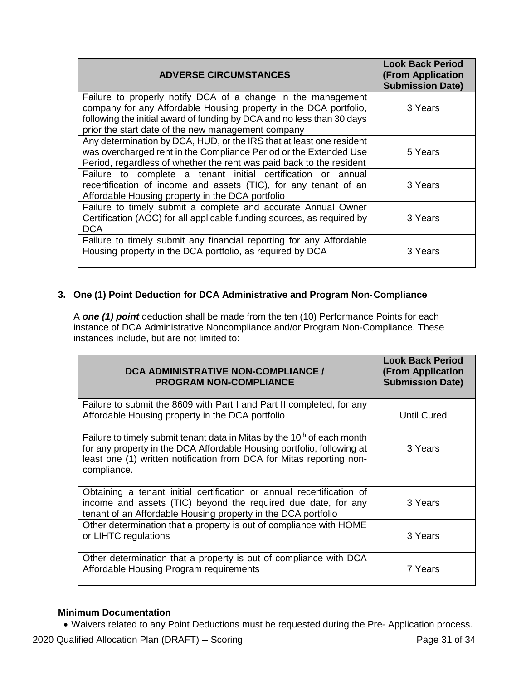| <b>ADVERSE CIRCUMSTANCES</b>                                                                                                                                                                                                                                      | <b>Look Back Period</b><br>(From Application<br><b>Submission Date)</b> |
|-------------------------------------------------------------------------------------------------------------------------------------------------------------------------------------------------------------------------------------------------------------------|-------------------------------------------------------------------------|
| Failure to properly notify DCA of a change in the management<br>company for any Affordable Housing property in the DCA portfolio,<br>following the initial award of funding by DCA and no less than 30 days<br>prior the start date of the new management company | 3 Years                                                                 |
| Any determination by DCA, HUD, or the IRS that at least one resident<br>was overcharged rent in the Compliance Period or the Extended Use<br>Period, regardless of whether the rent was paid back to the resident                                                 | 5 Years                                                                 |
| Failure to complete a tenant initial certification or annual<br>recertification of income and assets (TIC), for any tenant of an<br>Affordable Housing property in the DCA portfolio                                                                              | 3 Years                                                                 |
| Failure to timely submit a complete and accurate Annual Owner<br>Certification (AOC) for all applicable funding sources, as required by<br><b>DCA</b>                                                                                                             | 3 Years                                                                 |
| Failure to timely submit any financial reporting for any Affordable<br>Housing property in the DCA portfolio, as required by DCA                                                                                                                                  | 3 Years                                                                 |

# **3. One (1) Point Deduction for DCA Administrative and Program Non-Compliance**

A *one (1) point* deduction shall be made from the ten (10) Performance Points for each instance of DCA Administrative Noncompliance and/or Program Non-Compliance. These instances include, but are not limited to:

| <b>DCA ADMINISTRATIVE NON-COMPLIANCE /</b><br><b>PROGRAM NON-COMPLIANCE</b>                                                                                                                                                                          | <b>Look Back Period</b><br><b>(From Application</b><br><b>Submission Date)</b> |
|------------------------------------------------------------------------------------------------------------------------------------------------------------------------------------------------------------------------------------------------------|--------------------------------------------------------------------------------|
| Failure to submit the 8609 with Part I and Part II completed, for any<br>Affordable Housing property in the DCA portfolio                                                                                                                            | <b>Until Cured</b>                                                             |
| Failure to timely submit tenant data in Mitas by the 10 <sup>th</sup> of each month<br>for any property in the DCA Affordable Housing portfolio, following at<br>least one (1) written notification from DCA for Mitas reporting non-<br>compliance. | 3 Years                                                                        |
| Obtaining a tenant initial certification or annual recertification of<br>income and assets (TIC) beyond the required due date, for any<br>tenant of an Affordable Housing property in the DCA portfolio                                              | 3 Years                                                                        |
| Other determination that a property is out of compliance with HOME<br>or LIHTC regulations                                                                                                                                                           | 3 Years                                                                        |
| Other determination that a property is out of compliance with DCA<br>Affordable Housing Program requirements                                                                                                                                         | 7 Years                                                                        |

### **Minimum Documentation**

• Waivers related to any Point Deductions must be requested during the Pre- Application process.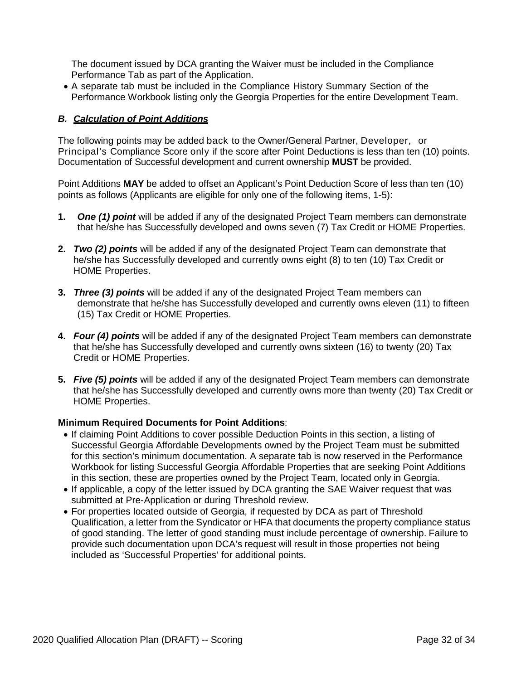The document issued by DCA granting the Waiver must be included in the Compliance Performance Tab as part of the Application.

• A separate tab must be included in the Compliance History Summary Section of the Performance Workbook listing only the Georgia Properties for the entire Development Team.

## *B. Calculation of Point Additions*

The following points may be added back to the Owner/General Partner, Developer, or Principal's Compliance Score only if the score after Point Deductions is less than ten (10) points. Documentation of Successful development and current ownership **MUST** be provided.

Point Additions **MAY** be added to offset an Applicant's Point Deduction Score of less than ten (10) points as follows (Applicants are eligible for only one of the following items, 1-5):

- **1.** *One (1) point* will be added if any of the designated Project Team members can demonstrate that he/she has Successfully developed and owns seven (7) Tax Credit or HOME Properties.
- **2.** *Two (2) points* will be added if any of the designated Project Team can demonstrate that he/she has Successfully developed and currently owns eight (8) to ten (10) Tax Credit or HOME Properties.
- **3.** *Three (3) points* will be added if any of the designated Project Team members can demonstrate that he/she has Successfully developed and currently owns eleven (11) to fifteen (15) Tax Credit or HOME Properties.
- **4.** *Four (4) points* will be added if any of the designated Project Team members can demonstrate that he/she has Successfully developed and currently owns sixteen (16) to twenty (20) Tax Credit or HOME Properties.
- **5.** *Five (5) points* will be added if any of the designated Project Team members can demonstrate that he/she has Successfully developed and currently owns more than twenty (20) Tax Credit or HOME Properties.

### **Minimum Required Documents for Point Additions**:

- If claiming Point Additions to cover possible Deduction Points in this section, a listing of Successful Georgia Affordable Developments owned by the Project Team must be submitted for this section's minimum documentation. A separate tab is now reserved in the Performance Workbook for listing Successful Georgia Affordable Properties that are seeking Point Additions in this section, these are properties owned by the Project Team, located only in Georgia.
- If applicable, a copy of the letter issued by DCA granting the SAE Waiver request that was submitted at Pre-Application or during Threshold review.
- For properties located outside of Georgia, if requested by DCA as part of Threshold Qualification, a letter from the Syndicator or HFA that documents the property compliance status of good standing. The letter of good standing must include percentage of ownership. Failure to provide such documentation upon DCA's request will result in those properties not being included as 'Successful Properties' for additional points.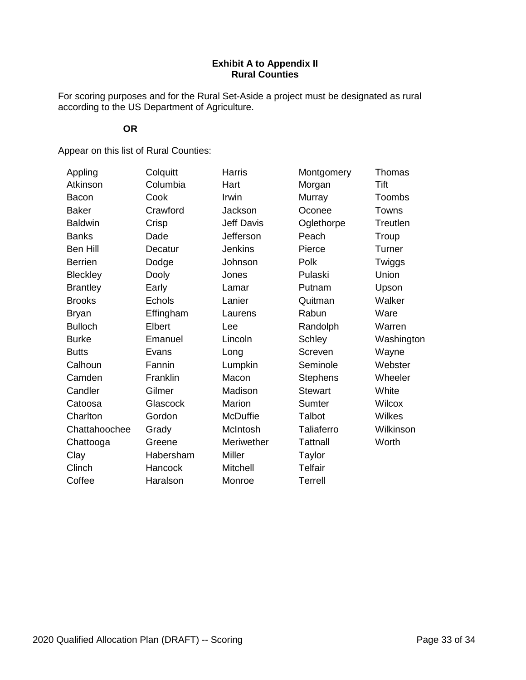# **Exhibit A to Appendix II Rural Counties**

For scoring purposes and for the Rural Set-Aside a project must be designated as rural according to the US Department of Agriculture.

# **OR**

Appear on this list of Rural Counties:

| Appling         | Colquitt  | <b>Harris</b>     | Montgomery      | Thomas        |
|-----------------|-----------|-------------------|-----------------|---------------|
| Atkinson        | Columbia  | Hart              | Morgan          | Tift          |
| <b>Bacon</b>    | Cook      | Irwin             | Murray          | <b>Toombs</b> |
| <b>Baker</b>    | Crawford  | Jackson           | Oconee          | Towns         |
| <b>Baldwin</b>  | Crisp     | <b>Jeff Davis</b> | Oglethorpe      | Treutlen      |
| <b>Banks</b>    | Dade      | Jefferson         | Peach           | Troup         |
| <b>Ben Hill</b> | Decatur   | <b>Jenkins</b>    | Pierce          | Turner        |
| <b>Berrien</b>  | Dodge     | Johnson           | Polk            | Twiggs        |
| <b>Bleckley</b> | Dooly     | Jones             | Pulaski         | Union         |
| <b>Brantley</b> | Early     | Lamar             | Putnam          | Upson         |
| <b>Brooks</b>   | Echols    | Lanier            | Quitman         | Walker        |
| <b>Bryan</b>    | Effingham | Laurens           | Rabun           | Ware          |
| <b>Bulloch</b>  | Elbert    | Lee               | Randolph        | Warren        |
| <b>Burke</b>    | Emanuel   | Lincoln           | Schley          | Washington    |
| <b>Butts</b>    | Evans     | Long              | Screven         | Wayne         |
| Calhoun         | Fannin    | Lumpkin           | Seminole        | Webster       |
| Camden          | Franklin  | Macon             | <b>Stephens</b> | Wheeler       |
| Candler         | Gilmer    | Madison           | <b>Stewart</b>  | White         |
| Catoosa         | Glascock  | <b>Marion</b>     | Sumter          | <b>Wilcox</b> |
| Charlton        | Gordon    | <b>McDuffie</b>   | Talbot          | Wilkes        |
| Chattahoochee   | Grady     | McIntosh          | Taliaferro      | Wilkinson     |
| Chattooga       | Greene    | Meriwether        | <b>Tattnall</b> | Worth         |
| Clay            | Habersham | <b>Miller</b>     | Taylor          |               |
| Clinch          | Hancock   | Mitchell          | <b>Telfair</b>  |               |
| Coffee          | Haralson  | Monroe            | <b>Terrell</b>  |               |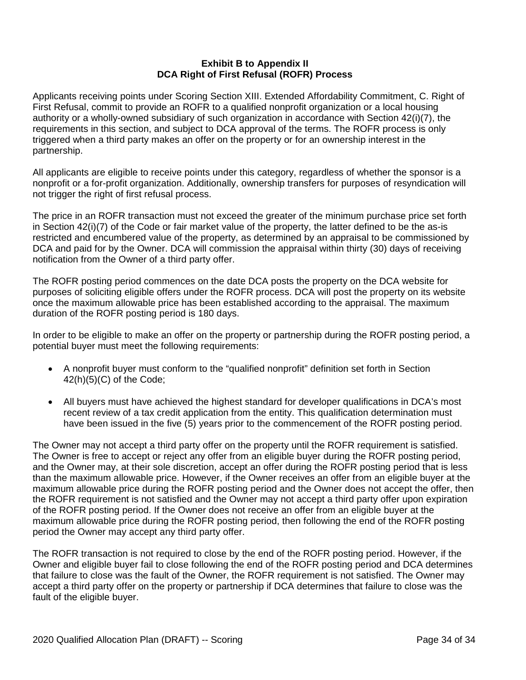## **Exhibit B to Appendix II DCA Right of First Refusal (ROFR) Process**

Applicants receiving points under Scoring Section XIII. Extended Affordability Commitment, C. Right of First Refusal, commit to provide an ROFR to a qualified nonprofit organization or a local housing authority or a wholly-owned subsidiary of such organization in accordance with Section 42(i)(7), the requirements in this section, and subject to DCA approval of the terms. The ROFR process is only triggered when a third party makes an offer on the property or for an ownership interest in the partnership.

All applicants are eligible to receive points under this category, regardless of whether the sponsor is a nonprofit or a for-profit organization. Additionally, ownership transfers for purposes of resyndication will not trigger the right of first refusal process.

The price in an ROFR transaction must not exceed the greater of the minimum purchase price set forth in Section 42(i)(7) of the Code or fair market value of the property, the latter defined to be the as-is restricted and encumbered value of the property, as determined by an appraisal to be commissioned by DCA and paid for by the Owner. DCA will commission the appraisal within thirty (30) days of receiving notification from the Owner of a third party offer.

The ROFR posting period commences on the date DCA posts the property on the DCA website for purposes of soliciting eligible offers under the ROFR process. DCA will post the property on its website once the maximum allowable price has been established according to the appraisal. The maximum duration of the ROFR posting period is 180 days.

In order to be eligible to make an offer on the property or partnership during the ROFR posting period, a potential buyer must meet the following requirements:

- A nonprofit buyer must conform to the "qualified nonprofit" definition set forth in Section 42(h)(5)(C) of the Code;
- All buyers must have achieved the highest standard for developer qualifications in DCA's most recent review of a tax credit application from the entity. This qualification determination must have been issued in the five (5) years prior to the commencement of the ROFR posting period.

The Owner may not accept a third party offer on the property until the ROFR requirement is satisfied. The Owner is free to accept or reject any offer from an eligible buyer during the ROFR posting period, and the Owner may, at their sole discretion, accept an offer during the ROFR posting period that is less than the maximum allowable price. However, if the Owner receives an offer from an eligible buyer at the maximum allowable price during the ROFR posting period and the Owner does not accept the offer, then the ROFR requirement is not satisfied and the Owner may not accept a third party offer upon expiration of the ROFR posting period. If the Owner does not receive an offer from an eligible buyer at the maximum allowable price during the ROFR posting period, then following the end of the ROFR posting period the Owner may accept any third party offer.

The ROFR transaction is not required to close by the end of the ROFR posting period. However, if the Owner and eligible buyer fail to close following the end of the ROFR posting period and DCA determines that failure to close was the fault of the Owner, the ROFR requirement is not satisfied. The Owner may accept a third party offer on the property or partnership if DCA determines that failure to close was the fault of the eligible buyer.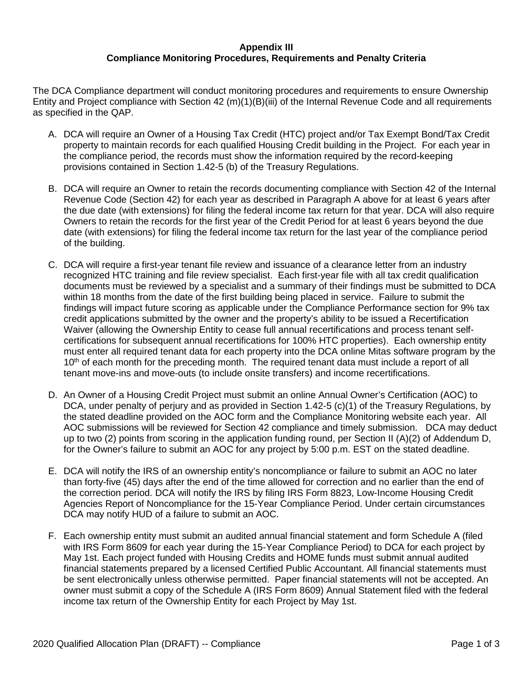## **Appendix III Compliance Monitoring Procedures, Requirements and Penalty Criteria**

The DCA Compliance department will conduct monitoring procedures and requirements to ensure Ownership Entity and Project compliance with Section 42 (m)(1)(B)(iii) of the Internal Revenue Code and all requirements as specified in the QAP.

- A. DCA will require an Owner of a Housing Tax Credit (HTC) project and/or Tax Exempt Bond/Tax Credit property to maintain records for each qualified Housing Credit building in the Project. For each year in the compliance period, the records must show the information required by the record-keeping provisions contained in Section 1.42-5 (b) of the Treasury Regulations.
- B. DCA will require an Owner to retain the records documenting compliance with Section 42 of the Internal Revenue Code (Section 42) for each year as described in Paragraph A above for at least 6 years after the due date (with extensions) for filing the federal income tax return for that year. DCA will also require Owners to retain the records for the first year of the Credit Period for at least 6 years beyond the due date (with extensions) for filing the federal income tax return for the last year of the compliance period of the building.
- C. DCA will require a first-year tenant file review and issuance of a clearance letter from an industry recognized HTC training and file review specialist. Each first-year file with all tax credit qualification documents must be reviewed by a specialist and a summary of their findings must be submitted to DCA within 18 months from the date of the first building being placed in service. Failure to submit the findings will impact future scoring as applicable under the Compliance Performance section for 9% tax credit applications submitted by the owner and the property's ability to be issued a Recertification Waiver (allowing the Ownership Entity to cease full annual recertifications and process tenant selfcertifications for subsequent annual recertifications for 100% HTC properties). Each ownership entity must enter all required tenant data for each property into the DCA online Mitas software program by the 10<sup>th</sup> of each month for the preceding month. The required tenant data must include a report of all tenant move-ins and move-outs (to include onsite transfers) and income recertifications.
- D. An Owner of a Housing Credit Project must submit an online Annual Owner's Certification (AOC) to DCA, under penalty of perjury and as provided in Section 1.42-5 (c)(1) of the Treasury Regulations, by the stated deadline provided on the AOC form and the Compliance Monitoring website each year. All AOC submissions will be reviewed for Section 42 compliance and timely submission. DCA may deduct up to two (2) points from scoring in the application funding round, per Section II (A)(2) of Addendum D, for the Owner's failure to submit an AOC for any project by 5:00 p.m. EST on the stated deadline.
- E. DCA will notify the IRS of an ownership entity's noncompliance or failure to submit an AOC no later than forty-five (45) days after the end of the time allowed for correction and no earlier than the end of the correction period. DCA will notify the IRS by filing IRS Form 8823, Low-Income Housing Credit Agencies Report of Noncompliance for the 15-Year Compliance Period. Under certain circumstances DCA may notify HUD of a failure to submit an AOC.
- F. Each ownership entity must submit an audited annual financial statement and form Schedule A (filed with IRS Form 8609 for each year during the 15-Year Compliance Period) to DCA for each project by May 1st. Each project funded with Housing Credits and HOME funds must submit annual audited financial statements prepared by a licensed Certified Public Accountant. All financial statements must be sent electronically unless otherwise permitted. Paper financial statements will not be accepted. An owner must submit a copy of the Schedule A (IRS Form 8609) Annual Statement filed with the federal income tax return of the Ownership Entity for each Project by May 1st.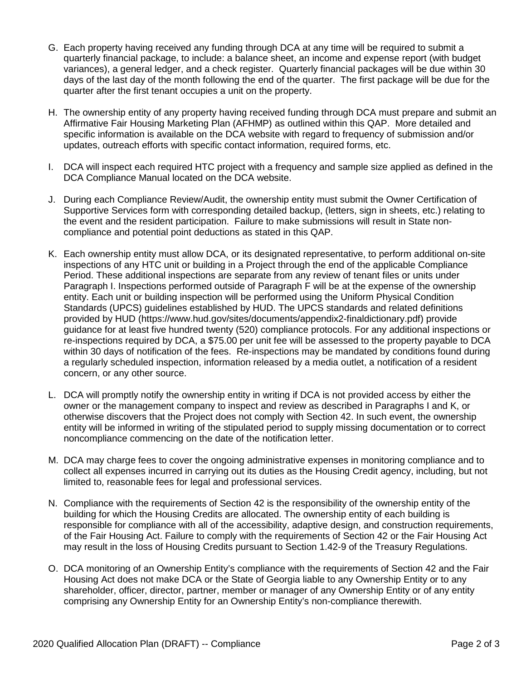- G. Each property having received any funding through DCA at any time will be required to submit a quarterly financial package, to include: a balance sheet, an income and expense report (with budget variances), a general ledger, and a check register. Quarterly financial packages will be due within 30 days of the last day of the month following the end of the quarter. The first package will be due for the quarter after the first tenant occupies a unit on the property.
- H. The ownership entity of any property having received funding through DCA must prepare and submit an Affirmative Fair Housing Marketing Plan (AFHMP) as outlined within this QAP. More detailed and specific information is available on the DCA website with regard to frequency of submission and/or updates, outreach efforts with specific contact information, required forms, etc.
- I. DCA will inspect each required HTC project with a frequency and sample size applied as defined in the DCA Compliance Manual located on the DCA website.
- J. During each Compliance Review/Audit, the ownership entity must submit the Owner Certification of Supportive Services form with corresponding detailed backup, (letters, sign in sheets, etc.) relating to the event and the resident participation. Failure to make submissions will result in State noncompliance and potential point deductions as stated in this QAP.
- K. Each ownership entity must allow DCA, or its designated representative, to perform additional on-site inspections of any HTC unit or building in a Project through the end of the applicable Compliance Period. These additional inspections are separate from any review of tenant files or units under Paragraph I. Inspections performed outside of Paragraph F will be at the expense of the ownership entity. Each unit or building inspection will be performed using the Uniform Physical Condition Standards (UPCS) guidelines established by HUD. The UPCS standards and related definitions provided by HUD (https://www.hud.gov/sites/documents/appendix2-finaldictionary.pdf) provide guidance for at least five hundred twenty (520) compliance protocols. For any additional inspections or re-inspections required by DCA, a \$75.00 per unit fee will be assessed to the property payable to DCA within 30 days of notification of the fees. Re-inspections may be mandated by conditions found during a regularly scheduled inspection, information released by a media outlet, a notification of a resident concern, or any other source.
- L. DCA will promptly notify the ownership entity in writing if DCA is not provided access by either the owner or the management company to inspect and review as described in Paragraphs I and K, or otherwise discovers that the Project does not comply with Section 42. In such event, the ownership entity will be informed in writing of the stipulated period to supply missing documentation or to correct noncompliance commencing on the date of the notification letter.
- M. DCA may charge fees to cover the ongoing administrative expenses in monitoring compliance and to collect all expenses incurred in carrying out its duties as the Housing Credit agency, including, but not limited to, reasonable fees for legal and professional services.
- N. Compliance with the requirements of Section 42 is the responsibility of the ownership entity of the building for which the Housing Credits are allocated. The ownership entity of each building is responsible for compliance with all of the accessibility, adaptive design, and construction requirements, of the Fair Housing Act. Failure to comply with the requirements of Section 42 or the Fair Housing Act may result in the loss of Housing Credits pursuant to Section 1.42-9 of the Treasury Regulations.
- O. DCA monitoring of an Ownership Entity's compliance with the requirements of Section 42 and the Fair Housing Act does not make DCA or the State of Georgia liable to any Ownership Entity or to any shareholder, officer, director, partner, member or manager of any Ownership Entity or of any entity comprising any Ownership Entity for an Ownership Entity's non-compliance therewith.